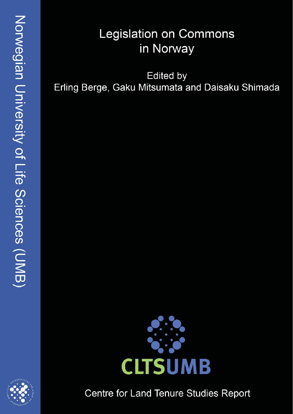# **Legislation on Commons** in Norway

**Edited by** Erling Berge, Gaku Mitsumata and Daisaku Shimada



**Centre for Land Tenure Studies Report** 

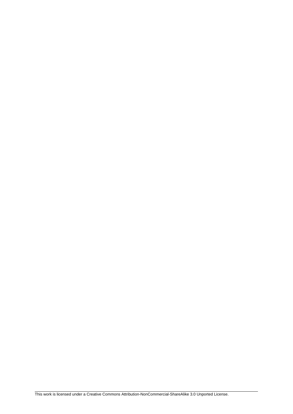$\overline{a}$ This work is licensed under a Creative Commons Attribution-NonCommercial-ShareAlike 3.0 Unported License.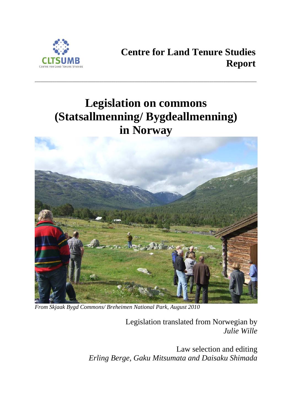

**Centre for Land Tenure Studies Report** 

# **Legislation on commons (Statsallmenning/ Bygdeallmenning) in Norway**

**\_\_\_\_\_\_\_\_\_\_\_\_\_\_\_\_\_\_\_\_\_\_\_\_\_\_\_\_\_\_\_\_\_\_\_\_\_\_\_\_\_\_\_\_\_\_\_\_\_\_\_\_\_\_\_\_\_\_\_\_\_\_\_\_\_\_\_\_\_\_\_\_\_\_\_\_\_\_\_\_\_\_\_\_\_\_\_\_\_\_\_\_\_\_\_\_\_\_\_\_\_\_\_\_\_\_\_\_\_\_\_\_\_** 



*From Skjaak Bygd Commons/ Breheimen National Park, August 2010*

Legislation translated from Norwegian by *Julie Wille* 

Law selection and editing *Erling Berge, Gaku Mitsumata and Daisaku Shimada*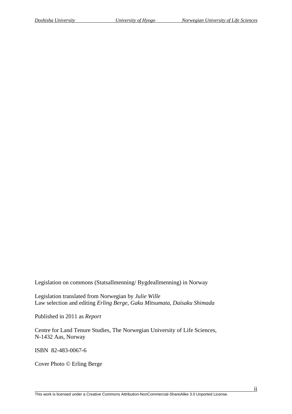Legislation on commons (Statsallmenning/ Bygdeallmenning) in Norway

Legislation translated from Norwegian by *Julie Wille*  Law selection and editing *Erling Berge, Gaku Mitsumata, Daisaku Shimada* 

Published in 2011 as *Report*

Centre for Land Tenure Studies, The Norwegian University of Life Sciences, N-1432 Aas, Norway

ISBN 82-483-0067-6

l

Cover Photo © Erling Berge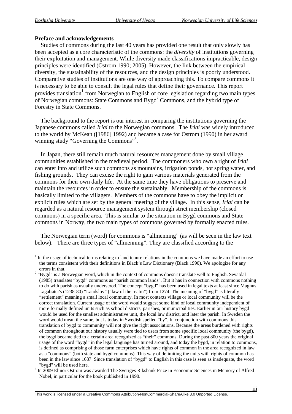#### **Preface and acknowledgements**

Studies of commons during the last 40 years has provided one result that only slowly has been accepted as a core characteristic of the commons: the *diversity* of institutions governing their exploitation and management. While diversity made classifications impracticable, design principles were identified (Ostrom 1990; 2005). However, the link between the empirical diversity, the sustainability of the resources, and the design principles is poorly understood. Comparative studies of institutions are one way of approaching this. To compare commons it is necessary to be able to consult the legal rules that define their governance. This report provides translation<sup>1</sup> from Norwegian to English of core legislation regarding two main types of Norwegian commons: State Commons and Bygd<sup>2</sup> Commons, and the hybrid type of Forestry in State Commons.

The background to the report is our interest in comparing the institutions governing the Japanese commons called *Iriai* to the Norwegian commons. The *Iriai* was widely introduced to the world by McKean ([1986] 1992) and became a case for Ostrom (1990) in her award winning study "Governing the Commons"<sup>3</sup>.

In Japan, there still remain much natural resources management done by small village communities established in the medieval period. The commoners who own a right of *Iriai* can enter into and utilize such commons as mountains, irrigation ponds, hot spring water, and fishing grounds. They can excise the right to gain various materials generated from the commons for their own daily life. At the same time they have obligations to preserve and maintain the resources in order to ensure the sustainably. Membership of the commons is basically limited to the villagers. Members of the commons have to obey the implicit or explicit rules which are set by the general meeting of the village. In this sense, *Iriai* can be regarded as a natural resource management system through strict membership (closed commons) in a specific area. This is similar to the situation in Bygd commons and State commons in Norway, the two main types of commons governed by formally enacted rules.

The Norwegian term (word) for commons is "allmenning" (as will be seen in the law text below). There are three types of "allmenning". They are classified according to the

 $1$  In the usage of technical terms relating to land tenure relations in the commons we have made an effort to use the terms consistent with their definitions in Black's Law Dictionary (Black 1990). We apologize for any

errors in that.<br><sup>2</sup> "Bygd" is a Norwegian word, which in the context of commons doesn't translate well to English. Sevatdal (1985) translates "bygd" commons as "parish common lands". But it has in connection with commons nothing to do with parish as usually understood. The concept "bygd" has been used in legal texts at least since Magnus Lagabøter's (1238-80) "Landslov" ("law of the realm") from 1274. The meaning of "bygd" is literally "settlement" meaning a small local community. In most contexts village or local community will be the correct translation. Current usage of the word would suggest some kind of local community independent of more formally defined units such as school districts, parishes, or municipalities. Earlier in our history bygd would be used for the smallest administrative unit, the local law district, and later the parish. In Sweden the word would mean the same, but is today in Swedish spelled "by". In conjunction with commons this translation of bygd to community will not give the right associations. Because the areas burdened with rights of common throughout our history usually were tied to users from some specific local community (the bygd), the bygd became tied to a certain area recognized as "their" commons. During the past 800 years the original usage of the word "bygd" in the legal language has turned around, and today the bygd, in relation to commons, is defined as comprising of those farm enterprises which have rights of common in the area recognized in law as a "commons" (both state and bygd commons). This way of delimiting the units with rights of common has been in the law since 1687. Since translation of "bygd" to English in this case is seen as inadequate, the word "bygd" will be used here.

<sup>&</sup>lt;sup>3</sup> In 2009 Elinor Ostrom was awarded The Sveriges Riksbank Prize in Economic Sciences in Memory of Alfred Nobel, in particular for the book published in 1990.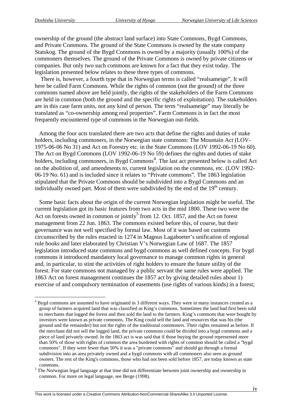ownership of the ground (the abstract land surface) into State Commons, Bygd Commons, and Private Commons. The ground of the State Commons is owned by the state company Statskog. The ground of the Bygd Commons is owned by a majority (usually 100%) of the commoners themselves. The ground of the Private Commons is owned by private citizens or companies. But only two such commons are known for a fact that they exist today. The legislation presented below relates to these three types of commons.

There is, however, a fourth type that in Norwegian terms is called "realsameige". It will here be called Farm Commons. While the rights of common (not the ground) of the three commons named above are held jointly, the rights of the stakeholders of the Farm Commons are held in common (both the ground and the specific rights of exploitation). The stakeholders are in this case farm units, not any kind of person. The term "realsameige" may literally be translated as "co-ownership among real properties". Farm Commons is in fact the most frequently encountered type of commons in the Norwegian out-fields.

Among the four acts translated there are two acts that define the rights and duties of stake holders, including commoners, in the Norwegian state commons: The Mountain Act (LOV-1975-06-06 No 31) and Act on Forestry etc. in the State Commons (LOV 1992-06-19 No 60). The Act on Bygd Commons (LOV 1992-06-19 No 59) defines the rights and duties of stake holders, including commoners, in Bygd Commons<sup>4</sup>. The last act presented below is called Act on the abolition of, and amendments to, current legislation on the commons, etc. (LOV 1992- 06-19 No. 61) and is included since it relates to "Private commons". The 1863 legislation stipulated that the Private Commons should be subdivided into a Bygd Commons and an individually owned part. Most of them were subdivided by the end of the  $19<sup>th</sup>$  century.

Some basic facts about the origin of the current Norwegian legislation might be useful. The current legislation got its basic features from two acts in the mid 1800. These two were the Act on forests owned in common or jointly<sup>5</sup> from 12. Oct. 1857, and the Act on forest management from 22 Jun. 1863. The commons existed before this, of course, but their governance was not well specified by formal law. Most of it was based on customs circumscribed by the rules enacted in 1274 in Magnus Lagaboeter's unification of regional rule books and later elaborated by Christian V's Norwegian Law of 1687. The 1857 legislation introduced state commons and bygd commons as well defined concepts. For bygd commons it introduced mandatory local governance to manage common rights in general and, in particular, to stint the activities of right holders to ensure the future utility of the forest. For state commons not managed by a public servant the same rules were applied. The 1863 Act on forest management continues the 1857 act by giving detailed rules about 1) exercise of and compulsory termination of easements (use rights of various kinds) in a forest;

 $4$  Bygd commons are assumed to have originated in 3 different ways. They were in many instances created as a group of farmers acquired land that was classified as King's commons. Sometimes the land had first been sold to merchants that logged the forest and then sold the land to the farmers. King's commons that were bought by investors were known as private commons. The King could sell the land and resources that was his (the ground and the remainder) but not the rights of the traditional commoners. Their rights remained as before. If the merchant did not sell the logged land, the private commons could be divided into a bygd commons and a piece of land privately owned. In the 1863 act is was said that if those buying the ground represented more than 50% of those with rights of common the area burdened with rights of common should be called a "bygd commons". If they were fewer than 50% it was a "private commons" and should go through a formal subdivision into an area privately owned and a bygd commons with all commoners also seen as ground owners. The rest of the King's commons, those who had not been sold before 1857, are today known as state commons.

<sup>&</sup>lt;sup>5</sup> The Norwegian legal language at that time did not differentiate between joint ownership and ownership in common. For more on legal language, see Berge (1998).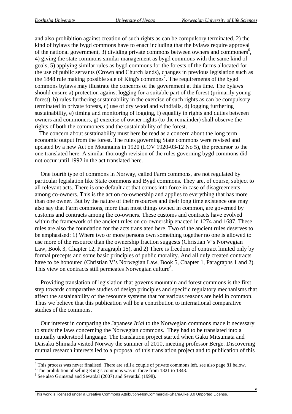and also prohibition against creation of such rights as can be compulsory terminated, 2) the kind of bylaws the bygd commons have to enact including that the bylaws require approval of the national government, 3) dividing private commons between owners and commoners<sup>6</sup>, 4) giving the state commons similar management as bygd commons with the same kind of goals, 5) applying similar rules as bygd commons for the forests of the farms allocated for the use of public servants (Crown and Church lands), changes in previous legislation such as the 1848 rule making possible sale of King's commons<sup>7</sup>. The requirements of the bygd commons bylaws may illustrate the concerns of the government at this time. The bylaws should ensure a) protection against logging for a suitable part of the forest (primarily young forest), b) rules furthering sustainability in the exercise of such rights as can be compulsory terminated in private forests, c) use of dry wood and windfalls, d) logging furthering sustainability, e) timing and monitoring of logging, f) equality in rights and duties between owners and commoners, g) exercise of owner rights (to the remainder) shall observe the rights of both the commoners and the sustainability of the forest.

The concern about sustainability must here be read as a concern about the long term economic output from the forest. The rules governing State commons were revised and updated by a new Act on Mountains in 1920 (LOV 1920-03-12 No 5), the precursor to the one translated here. A similar thorough revision of the rules governing bygd commons did not occur until 1992 in the act translated here.

One fourth type of commons in Norway, called Farm commons, are not regulated by particular legislation like State commons and Bygd commons. They are, of course, subject to all relevant acts. There is one default act that comes into force in case of disagreements among co-owners. This is the act on co-ownership and applies to everything that has more than one owner. But by the nature of their resources and their long time existence one may also say that Farm commons, more than most things owned in common, are governed by customs and contracts among the co-owners. These customs and contracts have evolved within the framework of the ancient rules on co-ownership enacted in 1274 and 1687. These rules are also the foundation for the acts translated here. Two of the ancient rules deserves to be emphasised: 1) Where two or more persons own something together no one is allowed to use more of the resource than the ownership fraction suggests (Christian V's Norwegian Law, Book 3, Chapter 12, Paragraph 15), and 2) There is freedom of contract limited only by formal precepts and some basic principles of public morality. And all duly created contracts have to be honoured (Christian V's Norwegian Law, Book 5, Chapter 1, Paragraphs 1 and 2). This view on contracts still permeates Norwegian culture<sup>8</sup>.

Providing translation of legislation that governs mountain and forest commons is the first step towards comparative studies of design principles and specific regulatory mechanisms that affect the sustainability of the resource systems that for various reasons are held in common. Thus we believe that this publication will be a contribution to international comparative studies of the commons.

Our interest in comparing the Japanese *Iriai* to the Norwegian commons made it necessary to study the laws concerning the Norwegian commons. They had to be translated into a mutually understood language. The translation project started when Gaku Mitsumata and Daisaku Shimada visited Norway the summer of 2010, meeting professor Berge. Discovering mutual research interests led to a proposal of this translation project and to publication of this

<sup>&</sup>lt;sup>6</sup> This process was never finalised. There are still a couple of private commons left, see also page 81 below.  $\frac{7}{7}$  The probligation of solling *Vina's commons was in force from 1821 to 1848* 

 $7$  The prohibition of selling King's commons was in force from 1821 to 1848.

<sup>&</sup>lt;sup>8</sup> See also Grimstad and Sevatdal (2007) and Sevatdal (1998).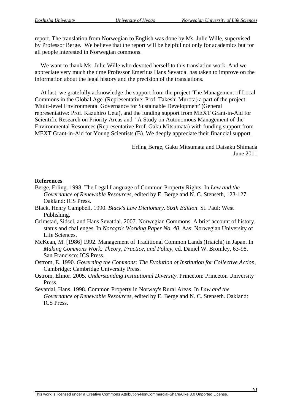report. The translation from Norwegian to English was done by Ms. Julie Wille, supervised by Professor Berge. We believe that the report will be helpful not only for academics but for all people interested in Norwegian commons.

We want to thank Ms. Julie Wille who devoted herself to this translation work. And we appreciate very much the time Professor Emeritus Hans Sevatdal has taken to improve on the information about the legal history and the precision of the translations.

At last, we gratefully acknowledge the support from the project 'The Management of Local Commons in the Global Age' (Representative; Prof. Takeshi Murota) a part of the project 'Multi-level Environmental Governance for Sustainable Development' (General representative: Prof. Kazuhiro Ueta), and the funding support from MEXT Grant-in-Aid for Scientific Research on Priority Areas and ''A Study on Autonomous Management of the Environmental Resources (Representative Prof. Gaku Mitsumata) with funding support from MEXT Grant-in-Aid for Young Scientists (B). We deeply appreciate their financial support.

> Erling Berge, Gaku Mitsumata and Daisaku Shimada June 2011

#### **References**

- Berge, Erling. 1998. The Legal Language of Common Property Rights. In *Law and the Governance of Renewable Resources*, edited by E. Berge and N. C. Stenseth, 123-127. Oakland: ICS Press.
- Black, Henry Campbell. 1990. *Black's Law Dictionary. Sixth Edition*. St. Paul: West Publishing.
- Grimstad, Sidsel, and Hans Sevatdal. 2007. Norwegian Commons. A brief account of history, status and challenges. In *Noragric Working Paper No. 40*. Aas: Norwegian University of Life Sciences.
- McKean, M. [1986] 1992. Management of Traditional Common Lands (Iriaichi) in Japan. In *Making Commons Work: Theory, Practice, and Policy,* ed. Daniel W. Bromley, 63-98. San Francisco: ICS Press.
- Ostrom, E. 1990. *Governing the Commons: The Evolution of Institution for Collective Action*, Cambridge: Cambridge University Press.
- Ostrom, Elinor. 2005. *Understanding Institutional Diversity*. Princeton: Princeton University Press.
- Sevatdal, Hans. 1998. Common Property in Norway's Rural Areas. In *Law and the Governance of Renewable Resources*, edited by E. Berge and N. C. Stenseth. Oakland: ICS Press.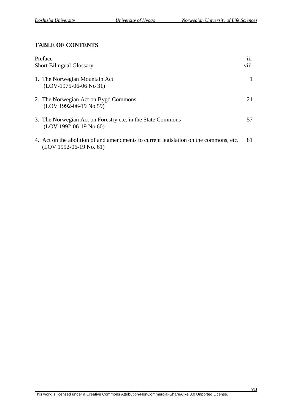### **TABLE OF CONTENTS**

| Preface<br><b>Short Bilingual Glossary</b>                                                                         | $\cdots$<br>111<br>viii |
|--------------------------------------------------------------------------------------------------------------------|-------------------------|
| 1. The Norwegian Mountain Act<br>$(LOV-1975-06-06$ No 31)                                                          |                         |
| 2. The Norwegian Act on Bygd Commons<br>$(LOV 1992-06-19 No 59)$                                                   | 21                      |
| 3. The Norwegian Act on Forestry etc. in the State Commons<br>$(LOV 1992-06-19 No 60)$                             | 57                      |
| 4. Act on the abolition of and amendments to current legislation on the commons, etc.<br>$(LOV 1992-06-19 No. 61)$ | 81                      |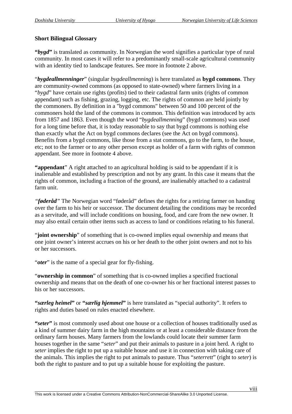#### **Short Bilingual Glossary**

**"***bygd***"** is translated as community. In Norwegian the word signifies a particular type of rural community. In most cases it will refer to a predominantly small-scale agricultural community with an identity tied to landscape features. See more in footnote 2 above.

"*bygdeallmenninger*" (singular *bygdeallmenning*) is here translated as **bygd commons**. They are community-owned commons (as opposed to state-owned) where farmers living in a "*bygd*" have certain use rights (profits) tied to their cadastral farm units (rights of common appendant) such as fishing, grazing, logging, etc. The rights of common are held jointly by the commoners. By definition in a "bygd commons" between 50 and 100 percent of the commoners hold the land of the commons in common. This definition was introduced by acts from 1857 and 1863. Even though the word "*bygdeallmenning*" (bygd commons) was used for a long time before that, it is today reasonable to say that bygd commons is nothing else than exactly what the Act on bygd commons declares (see the Act on bygd commons). Benefits from a bygd commons, like those from a stat commons, go to the farm, to the house, etc; not to the farmer or to any other person except as holder of a farm with rights of common appendant. See more in footnote 4 above.

**"appendant**" A right attached to an agricultural holding is said to be appendant if it is inalienable and established by prescription and not by any grant. In this case it means that the rights of common, including a fraction of the ground, are inalienably attached to a cadastral farm unit.

*"føderåd"* The Norwegian word "føderåd" defines the rights for a retiring farmer on handing over the farm to his heir or successor. The document detailing the conditions may be recorded as a servitude, and will include conditions on housing, food, and care from the new owner. It may also entail certain other items such as access to land or conditions relating to his funeral.

"**joint ownership**" of something that is co-owned implies equal ownership and means that one joint owner's interest accrues on his or her death to the other joint owners and not to his or her successors.

"*oter*" is the name of a special gear for fly-fishing.

l

"**ownership in common**" of something that is co-owned implies a specified fractional ownership and means that on the death of one co-owner his or her fractional interest passes to his or her successors.

**"***særleg heimel***"** or **"***særlig hjemmel***"** is here translated as "special authority". It refers to rights and duties based on rules enacted elsewhere.

**"***seter***"** is most commonly used about one house or a collection of houses traditionally used as a kind of summer dairy farm in the high mountains or at least a considerable distance from the ordinary farm houses. Many farmers from the lowlands could locate their summer farm houses together in the same "*seter*" and put their animals to pasture in a joint herd. A right to *seter* implies the right to put up a suitable house and use it in connection with taking care of the animals. This implies the right to put animals to pasture. Thus "*seterrett*" (right to *seter*) is both the right to pasture and to put up a suitable house for exploiting the pasture.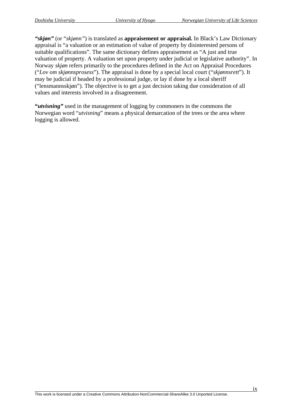*"skjøn"* (or "*skjønn"*) is translated as **appraisement or appraisal.** In Black's Law Dictionary appraisal is "a valuation or an estimation of value of property by disinterested persons of suitable qualifications". The same dictionary defines appraisement as "A just and true valuation of property. A valuation set upon property under judicial or legislative authority". In Norway *skjøn* refers primarily to the procedures defined in the Act on Appraisal Procedures ("*Lov om skjønnsprosess*"). The appraisal is done by a special local court ("*skjønnsrett*"). It may be judicial if headed by a professional judge, or lay if done by a local sheriff ("lensmannsskjøn"). The objective is to get a just decision taking due consideration of all values and interests involved in a disagreement.

**"***utvisning"* used in the management of logging by commoners in the commons the Norwegian word "*utvisning*" means a physical demarcation of the trees or the area where logging is allowed.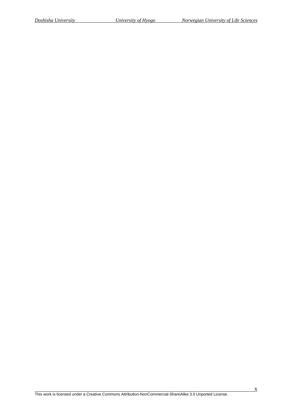l This work is licensed under a Creative Commons Attribution-NonCommercial-ShareAlike 3.0 Unported License.

 $\overline{\mathbf{X}}$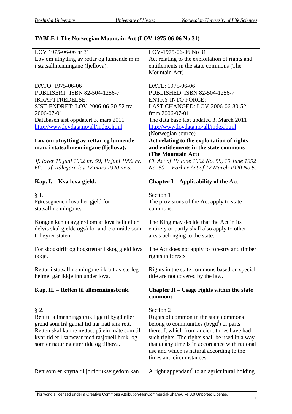## **TABLE 1 The Norwegian Mountain Act (LOV-1975-06-06 No 31)**

| LOV 1975-06-06 nr 31                              | LOV-1975-06-06 No 31                                       |
|---------------------------------------------------|------------------------------------------------------------|
| Lov om utnytting av rettar og lunnende m.m.       | Act relating to the exploitation of rights and             |
| i statsallmenningane (fjellova).                  | entitlements in the state commons (The                     |
|                                                   | Mountain Act)                                              |
|                                                   |                                                            |
| DATO: 1975-06-06<br>PUBLISERT: ISBN 82-504-1256-7 | DATE: 1975-06-06<br>PUBLISHED: ISBN 82-504-1256-7          |
| <b>IKRAFTTREDELSE:</b>                            | <b>ENTRY INTO FORCE:</b>                                   |
| SIST-ENDRET: LOV-2006-06-30-52 fra                | LAST CHANGED: LOV-2006-06-30-52                            |
| 2006-07-01                                        | from 2006-07-01                                            |
| Databasen sist oppdatert 3. mars 2011             | The data base last updated 3. March 2011                   |
| http://www.lovdata.no/all/index.html              | http://www.lovdata.no/all/index.html                       |
|                                                   | (Norwegian source)                                         |
| Lov om utnytting av rettar og lunnende            | Act relating to the exploitation of rights                 |
| m.m. i statsallmenningane (fjellova).             | and entitlements in the state commons                      |
|                                                   | (The Mountain Act)                                         |
| Jf. lover 19 juni 1992 nr. 59, 19 juni 1992 nr.   | Cf. Act of 19 June 1992 No. 59, 19 June 1992               |
| $60. - Jf.$ tidlegare lov 12 mars 1920 nr.5.      | No. 60. - Earlier Act of 12 March 1920 No.5.               |
|                                                   |                                                            |
| Kap. I. – Kva lova gjeld.                         | <b>Chapter I – Applicability of the Act</b>                |
| § 1.                                              | Section 1                                                  |
| Føresegnene i lova her gjeld for                  | The provisions of the Act apply to state                   |
| statsallmenningane.                               | commons.                                                   |
|                                                   |                                                            |
| Kongen kan ta avgjerd om at lova heilt eller      | The King may decide that the Act in its                    |
| delvis skal gjelde også for andre område som      | entirety or partly shall also apply to other               |
| tilhøyrer staten.                                 | areas belonging to the state.                              |
|                                                   |                                                            |
| For skogsdrift og hogstrettar i skog gjeld lova   | The Act does not apply to forestry and timber              |
| ikkje.                                            | rights in forests.                                         |
|                                                   |                                                            |
| Rettar i statsallmenningane i kraft av særleg     | Rights in the state commons based on special               |
| heimel går ikkje inn under lova.                  | title are not covered by the law.                          |
| Kap. II. – Retten til allmenningsbruk.            | Chapter II – Usage rights within the state                 |
|                                                   | commons                                                    |
|                                                   |                                                            |
| $§$ 2.                                            | Section 2                                                  |
| Rett til allmenningsbruk ligg til bygd eller      | Rights of common in the state commons                      |
| grend som frå gamal tid har hatt slik rett.       | belong to communities (bygd <sup>1</sup> ) or parts        |
| Retten skal kunne nyttast på ein måte som til     | thereof, which from ancient times have had                 |
| kvar tid er i samsvar med rasjonell bruk, og      | such rights. The rights shall be used in a way             |
| som er naturleg etter tida og tilhøva.            | that at any time is in accordance with rational            |
|                                                   | use and which is natural according to the                  |
|                                                   | times and circumstances.                                   |
|                                                   |                                                            |
| Rett som er knytta til jordbrukseigedom kan       | A right appendant <sup>ii</sup> to an agricultural holding |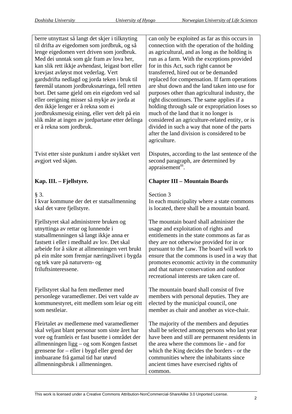| berre utnyttast så langt det skjer i tilknyting<br>til drifta av eigedomen som jordbruk, og så<br>lenge eigedomen vert driven som jordbruk.<br>Med dei unntak som går fram av lova her,<br>kan slik rett ikkje avhendast, leigast bort eller<br>krevjast avløyst mot vederlag. Vert<br>gardsdrifta nedlagd og jorda teken i bruk til<br>føremål utanom jordbruksnæringa, fell retten<br>bort. Det same gjeld om ein eigedom ved sal<br>eller oreigning misser så mykje av jorda at<br>den ikkje lenger er å rekna som ei<br>jordbruksmessig eining, eller vert delt på ein<br>slik måte at ingen av jordpartane etter delinga<br>er å rekna som jordbruk. | can only be exploited as far as this occurs in<br>connection with the operation of the holding<br>as agricultural, and as long as the holding is<br>run as a farm. With the exceptions provided<br>for in this Act, such right cannot be<br>transferred, hired out or be demanded<br>replaced for compensation. If farm operations<br>are shut down and the land taken into use for<br>purposes other than agricultural industry, the<br>right discontinues. The same applies if a<br>holding through sale or expropriation loses so<br>much of the land that it no longer is<br>considered an agriculture-related entity, or is<br>divided in such a way that none of the parts<br>after the land division is considered to be<br>agriculture. |
|-----------------------------------------------------------------------------------------------------------------------------------------------------------------------------------------------------------------------------------------------------------------------------------------------------------------------------------------------------------------------------------------------------------------------------------------------------------------------------------------------------------------------------------------------------------------------------------------------------------------------------------------------------------|-------------------------------------------------------------------------------------------------------------------------------------------------------------------------------------------------------------------------------------------------------------------------------------------------------------------------------------------------------------------------------------------------------------------------------------------------------------------------------------------------------------------------------------------------------------------------------------------------------------------------------------------------------------------------------------------------------------------------------------------------|
| Tvist etter siste punktum i andre stykket vert<br>avgjort ved skjøn.                                                                                                                                                                                                                                                                                                                                                                                                                                                                                                                                                                                      | Disputes, according to the last sentence of the<br>second paragraph, are determined by<br>appraisement" <sup>111</sup> .                                                                                                                                                                                                                                                                                                                                                                                                                                                                                                                                                                                                                        |
| Kap. III. - Fjellstyre.                                                                                                                                                                                                                                                                                                                                                                                                                                                                                                                                                                                                                                   | <b>Chapter III - Mountain Boards</b>                                                                                                                                                                                                                                                                                                                                                                                                                                                                                                                                                                                                                                                                                                            |
| $§$ 3.<br>I kvar kommune der det er statsallmenning<br>skal det være fjellstyre.                                                                                                                                                                                                                                                                                                                                                                                                                                                                                                                                                                          | Section 3<br>In each municipality where a state commons<br>is located, there shall be a mountain board.                                                                                                                                                                                                                                                                                                                                                                                                                                                                                                                                                                                                                                         |
| Fjellstyret skal administrere bruken og<br>utnyttinga av rettar og lunnende i<br>statsallmenningen så langt ikkje anna er<br>fastsett i eller i medhald av lov. Det skal<br>arbeide for å sikre at allmenningen vert brukt<br>på ein måte som fremjar næringslivet i bygda<br>og tek vare på naturvern- og<br>friluftsinteressene.                                                                                                                                                                                                                                                                                                                        | The mountain board shall administer the<br>usage and exploitation of rights and<br>entitlements in the state commons as far as<br>they are not otherwise provided for in or<br>pursuant to the Law. The board will work to<br>ensure that the commons is used in a way that<br>promotes economic activity in the community<br>and that nature conservation and outdoor<br>recreational interests are taken care of.                                                                                                                                                                                                                                                                                                                             |
| Fjellstyret skal ha fem medlemer med<br>personlege varamedlemer. Dei vert valde av<br>kommunestyret, eitt medlem som leiar og eitt<br>som nestleiar.                                                                                                                                                                                                                                                                                                                                                                                                                                                                                                      | The mountain board shall consist of five.<br>members with personal deputies. They are<br>elected by the municipal council, one<br>member as chair and another as vice-chair.                                                                                                                                                                                                                                                                                                                                                                                                                                                                                                                                                                    |
| Fleirtalet av medlemene med varamedlemer<br>skal veljast blant personar som siste året har<br>vore og framleis er fast busette i området der<br>allmenningen ligg – og som Kongen fastset<br>grensene for – eller i bygd eller grend der<br>innbuarane frå gamal tid har utøvd<br>allmenningsbruk i allmenningen.                                                                                                                                                                                                                                                                                                                                         | The majority of the members and deputies<br>shall be selected among persons who last year<br>have been and still are permanent residents in<br>the area where the commons lie - and for<br>which the King decides the borders - or the<br>communities where the inhabitants since<br>ancient times have exercised rights of<br>common.                                                                                                                                                                                                                                                                                                                                                                                                          |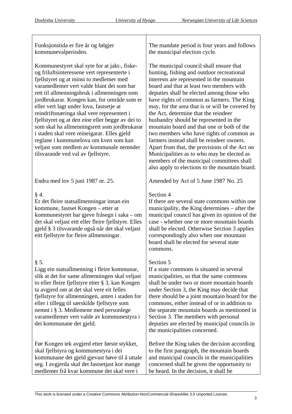Funksjonstida er fire år og følgjer kommunevalperioden.

Kommunestyret skal syte for at jakt-, fiskeog friluftsinteressene vert representerte i fjellstyret og at minst to medlemer med varamedlemer vert valde blant dei som har rett til allmenningsbruk i allmenningen som jordbrukarar. Kongen kan, for område som er eller vert lagt under lova, fastsetje at reindriftsnæringa skal vere representert i fjellstyret og at den eine eller begge av dei to som skal ha allmenningsrett som jordbrukarar i staden skal vere reineigarar. Elles gjeld reglane i kommunelova om kven som kan veljast som medlem av kommunale nemnder tilsvarande ved val av fjellstyre.

Endra med lov 5 juni 1987 nr. 25.

## § 4.

Er det fleire statsallmenningar innan ein kommune, fastset Kongen – etter at kommunestyret har gjeve fråsegn i saka – om det skal veljast eitt eller fleire fjellstyre. Elles gjeld § 3 tilsvarande også når det skal veljast eitt fjellstyre for fleire allmenningar.

## § 5.

Ligg ein statsallmenning i fleire kommunar, slik at det for same allmenningen skal veljast to eller fleire fjellstyre etter § 3, kan Kongen ta avgjerd om at det skal vere eit felles fjellstyre for allmenningen, anten i staden for eller i tillegg til særskilde fjellstyre som nemnt i § 3. Medlemene med personlege varamedlemer vert valde av kommunestyra i dei kommunane det gjeld.

Før Kongen tek avgjerd etter første stykket, skal fjellstyra og kommunestyra i dei kommunane det gjeld gjevast høve til å uttale seg. I avgjerda skal det fastsetjast kor mange medlemer frå kvar kommune det skal vere i

The mandate period is four years and follows the municipal election cycle.

The municipal council shall ensure that hunting, fishing and outdoor recreational interests are represented in the mountain board and that at least two members with deputies shall be elected among those who have rights of common as farmers. The King may, for the area that is or will be covered by the Act, determine that the reindeer husbandry should be represented in the mountain board and that one or both of the two members who have rights of common as farmers instead shall be reindeer owners. Apart from that, the provisions of the Act on Municipalities as to who may be elected as members of the municipal committees shall also apply to elections to the mountain board.

Amended by Act of 5 June 1987 No. 25

## Section 4

If there are several state commons within one municipality, the King determines – after the municipal council has given its opinion of the case - whether one or more mountain boards shall be elected. Otherwise Section 3 applies correspondingly also when one mountain board shall be elected for several state commons.

## Section 5

If a state commons is situated in several municipalities, so that the same commons shall be under two or more mountain boards under Section 3, the King may decide that there should be a joint mountain board for the commons, either instead of or in addition to the separate mountain boards as mentioned in Section 3. The members with personal deputies are elected by municipal councils in the municipalities concerned.

Before the King takes the decision according to the first paragraph, the mountain boards and municipal councils in the municipalities concerned shall be given the opportunity to be heard. In the decision, it shall be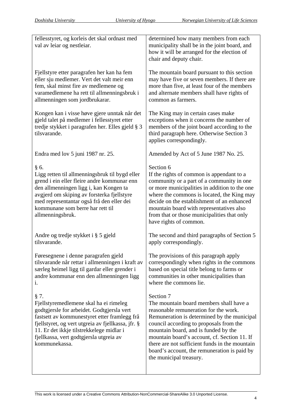| fellesstyret, og korleis det skal ordnast med<br>val av leiar og nestleiar.                                                                                                                                                                                                                                | determined how many members from each<br>municipality shall be in the joint board, and<br>how it will be arranged for the election of<br>chair and deputy chair.                                                                                                                                                                                                                                             |
|------------------------------------------------------------------------------------------------------------------------------------------------------------------------------------------------------------------------------------------------------------------------------------------------------------|--------------------------------------------------------------------------------------------------------------------------------------------------------------------------------------------------------------------------------------------------------------------------------------------------------------------------------------------------------------------------------------------------------------|
| Fjellstyre etter paragrafen her kan ha fem<br>eller sju medlemer. Vert det valt meir enn<br>fem, skal minst fire av medlemene og<br>varamedlemene ha rett til allmenningsbruk i<br>allmenningen som jordbrukarar.                                                                                          | The mountain board pursuant to this section<br>may have five or seven members. If there are<br>more than five, at least four of the members<br>and alternate members shall have rights of<br>common as farmers.                                                                                                                                                                                              |
| Kongen kan i visse høve gjere unntak når det<br>gjeld talet på medlemer i fellesstyret etter<br>tredje stykket i paragrafen her. Elles gjeld § 3<br>tilsvarande.                                                                                                                                           | The King may in certain cases make<br>exceptions when it concerns the number of<br>members of the joint board according to the<br>third paragraph here. Otherwise Section 3<br>applies correspondingly.                                                                                                                                                                                                      |
| Endra med lov 5 juni 1987 nr. 25.                                                                                                                                                                                                                                                                          | Amended by Act of 5 June 1987 No. 25.                                                                                                                                                                                                                                                                                                                                                                        |
| § 6.<br>Ligg retten til allmenningsbruk til bygd eller<br>grend i ein eller fleire andre kommunar enn<br>den allmenningen ligg i, kan Kongen ta<br>avgjerd om skiping av forsterka fjellstyre<br>med representantar også frå den eller dei<br>kommunane som berre har rett til<br>allmenningsbruk.         | Section 6<br>If the rights of common is appendant to a<br>community or a part of a community in one<br>or more municipalities in addition to the one<br>where the commons is located, the King may<br>decide on the establishment of an enhanced<br>mountain board with representatives also<br>from that or those municipalities that only<br>have rights of common.                                        |
| Andre og tredje stykket i § 5 gjeld<br>tilsvarande.                                                                                                                                                                                                                                                        | The second and third paragraphs of Section 5<br>apply correspondingly.                                                                                                                                                                                                                                                                                                                                       |
| Føresegnene i denne paragrafen gjeld<br>tilsvarande når rettar i allmenningen i kraft av<br>særleg heimel ligg til gardar eller grender i<br>andre kommunar enn den allmenningen ligg<br>i.                                                                                                                | The provisions of this paragraph apply<br>correspondingly when rights in the commons<br>based on special title belong to farms or<br>communities in other municipalities than<br>where the commons lie.                                                                                                                                                                                                      |
| § 7.<br>Fjellstyremedlemene skal ha ei rimeleg<br>godtgjersle for arbeidet. Godtgjersla vert<br>fastsett av kommunestyret etter framlegg frå<br>fjellstyret, og vert utgreia av fjellkassa, jfr. §<br>11. Er det ikkje tilstrekkelege midlar i<br>fjellkassa, vert godtgjersla utgreia av<br>kommunekassa. | Section 7<br>The mountain board members shall have a<br>reasonable remuneration for the work.<br>Remuneration is determined by the municipal<br>council according to proposals from the<br>mountain board, and is funded by the<br>mountain board's account, cf. Section 11. If<br>there are not sufficient funds in the mountain<br>board's account, the remuneration is paid by<br>the municipal treasury. |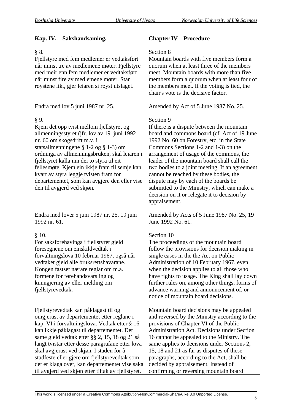| Kap. IV. - Sakshandsaming.                                                                                                                                                                                                                                                                                                                                                                                                                                                                   | <b>Chapter IV - Procedure</b>                                                                                                                                                                                                                                                                                                                                                                                                                                                                                                               |
|----------------------------------------------------------------------------------------------------------------------------------------------------------------------------------------------------------------------------------------------------------------------------------------------------------------------------------------------------------------------------------------------------------------------------------------------------------------------------------------------|---------------------------------------------------------------------------------------------------------------------------------------------------------------------------------------------------------------------------------------------------------------------------------------------------------------------------------------------------------------------------------------------------------------------------------------------------------------------------------------------------------------------------------------------|
| § 8.<br>Fjellstyre med fem medlemer er vedtaksført<br>når minst tre av medlemene møter. Fjellstyre<br>med meir enn fem medlemer er vedtaksført<br>når minst fire av medlemene møter. Står<br>røystene likt, gjer leiaren si røyst utslaget.                                                                                                                                                                                                                                                  | Section 8<br>Mountain boards with five members form a<br>quorum when at least three of the members<br>meet. Mountain boards with more than five<br>members form a quorum when at least four of<br>the members meet. If the voting is tied, the<br>chair's vote is the decisive factor.                                                                                                                                                                                                                                                      |
| Endra med lov 5 juni 1987 nr. 25.                                                                                                                                                                                                                                                                                                                                                                                                                                                            | Amended by Act of 5 June 1987 No. 25.                                                                                                                                                                                                                                                                                                                                                                                                                                                                                                       |
| § 9.<br>Kjem det opp tvist mellom fjellstyret og<br>allmenningsstyret (jfr. lov av 19. juni 1992<br>nr. 60 om skogsdrift m.v. i<br>statsallmenningene $\S 1-2$ og $\S 1-3$ ) om<br>ordninga av allmenningsbruken, skal leiaren i<br>fjellstyret kalla inn dei to styra til eit<br>fellesmøte. Kjem ein ikkje fram til semje kan<br>kvart av styra leggje tvisten fram for<br>departementet, som kan avgjere den eller vise<br>den til avgjerd ved skjøn.                                     | Section 9<br>If there is a dispute between the mountain<br>board and commons board (cf. Act of 19 June<br>1992 No. 60 on Forestry, etc. in the State<br>Commons Sections 1-2 and 1-3) on the<br>arrangement of usage of the commons, the<br>leader of the mountain board shall call the<br>two bodies to a joint meeting. If an agreement<br>cannot be reached by these bodies, the<br>dispute may by each of the boards be<br>submitted to the Ministry, which can make a<br>decision on it or relegate it to decision by<br>appraisement. |
| Endra med lover 5 juni 1987 nr. 25, 19 juni<br>1992 nr. 61.                                                                                                                                                                                                                                                                                                                                                                                                                                  | Amended by Acts of 5 June 1987 No. 25, 19<br>June 1992 No. 61.                                                                                                                                                                                                                                                                                                                                                                                                                                                                              |
| $§$ 10.<br>For saksførehavinga i fjellstyret gjeld<br>føresegnene om einskildvedtak i<br>forvaltningslova 10 februar 1967, også når<br>vedtaket gjeld alle bruksrettshavarane.<br>Kongen fastset nærare reglar om m.a.<br>formene for førehandsvarsling og<br>kunngjering av eller melding om<br>fjellstyrevedtak.                                                                                                                                                                           | Section 10<br>The proceedings of the mountain board<br>follow the provisions for decision making in<br>single cases in the the Act on Public<br>Administration of 10 February 1967, even<br>when the decision applies to all those who<br>have rights to usage. The King shall lay down<br>further rules on, among other things, forms of<br>advance warning and announcement of, or<br>notice of mountain board decisions.                                                                                                                 |
| Fjellstyrevedtak kan påklagast til og<br>omgjerast av departementet etter reglane i<br>kap. VI i forvaltningslova. Vedtak etter § 16<br>kan ikkje påklagast til departementet. Det<br>same gjeld vedtak etter §§ 2, 15, 18 og 21 så<br>langt tvistar etter desse paragrafane etter lova<br>skal avgjerast ved skjøn. I staden for å<br>stadfeste eller gjere om fjellstyrevedtak som<br>det er klaga over, kan departementet vise saka<br>til avgjerd ved skjøn etter tiltak av fjellstyret. | Mountain board decisions may be appealed<br>and reversed by the Ministry according to the<br>provisions of Chapter VI of the Public<br>Administration Act. Decisions under Section<br>16 cannot be appealed to the Ministry. The<br>same applies to decisions under Sections 2,<br>15, 18 and 21 as far as disputes of these<br>paragraphs, according to the Act, shall be<br>decided by appraisement. Instead of<br>confirming or reversing mountain board                                                                                 |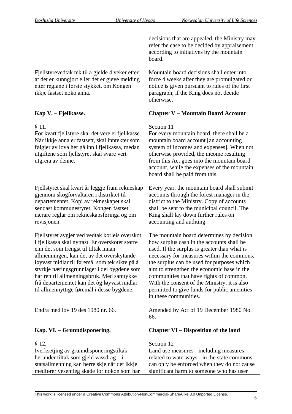|                                                                                                                                                                                                                                                                                                                                                                                                                                   | decisions that are appealed, the Ministry may<br>refer the case to be decided by appraisement<br>according to initiatives by the mountain<br>board.                                                                                                                                                                                                                                                                                                  |
|-----------------------------------------------------------------------------------------------------------------------------------------------------------------------------------------------------------------------------------------------------------------------------------------------------------------------------------------------------------------------------------------------------------------------------------|------------------------------------------------------------------------------------------------------------------------------------------------------------------------------------------------------------------------------------------------------------------------------------------------------------------------------------------------------------------------------------------------------------------------------------------------------|
| Fjellstyrevedtak tek til å gjelde 4 veker etter<br>at det er kunngjort eller det er gjeve melding<br>etter reglane i første stykket, om Kongen<br>ikkje fastset noko anna.                                                                                                                                                                                                                                                        | Mountain board decisions shall enter into<br>force 4 weeks after they are promulgated or<br>notice is given pursuant to rules of the first<br>paragraph, if the King does not decide<br>otherwise.                                                                                                                                                                                                                                                   |
| Kap V. – Fjellkasse.                                                                                                                                                                                                                                                                                                                                                                                                              | <b>Chapter V - Mountain Board Account</b>                                                                                                                                                                                                                                                                                                                                                                                                            |
| § 11.<br>For kvart fjellstyre skal det vere ei fjellkasse.<br>Når ikkje anna er fastsett, skal inntekter som<br>følgjer av lova her gå inn i fjellkassa, medan<br>utgiftene som fjellstyret skal svare vert<br>utgreia av denne.                                                                                                                                                                                                  | Section 11<br>For every mountain board, there shall be a<br>mountain board account [an accounting<br>system of incomes and expenses]. When not<br>otherwise provided, the income resulting<br>from this Act goes into the mountain board<br>account, while the expenses of the mountain<br>board shall be paid from this.                                                                                                                            |
| Fjellstyret skal kvart år leggje fram rekneskap<br>gjennom skogforvaltaren i distriktet til<br>departementet. Kopi av rekneskapet skal<br>sendast kommunestyret. Kongen fastset<br>nærare reglar om rekneskapsføringa og om<br>revisjonen.                                                                                                                                                                                        | Every year, the mountain board shall submit<br>accounts through the forest manager in the<br>district to the Ministry. Copy of accounts<br>shall be sent to the municipal council. The<br>King shall lay down further rules on<br>accounting and auditing.                                                                                                                                                                                           |
| Fjellstyret avgjer ved vedtak korleis overskot<br>i fjellkassa skal nyttast. Er overskotet større<br>enn det som trengst til tiltak innan<br>allmenningen, kan det av det overskytande<br>løyvast midlar til føremål som tek sikte på å<br>styrkje næringsgrunnlaget i dei bygdene som<br>har rett til allmenningsbruk. Med samtykke<br>frå departementet kan det òg løyvast midlar<br>til allmennyttige føremål i desse bygdene. | The mountain board determines by decision<br>how surplus cash in the accounts shall be<br>used. If the surplus is greater than what is<br>necessary for measures within the commons,<br>the surplus can be used for purposes which<br>aim to strengthen the economic base in the<br>communities that have rights of common.<br>With the consent of the Ministry, it is also<br>permitted to give funds for public amenities<br>in these communities. |
| Endra med lov 19 des 1980 nr. 66.                                                                                                                                                                                                                                                                                                                                                                                                 | Amended by Act of 19 December 1980 No.<br>66.                                                                                                                                                                                                                                                                                                                                                                                                        |
| Kap. VI. – Grunndisponering.                                                                                                                                                                                                                                                                                                                                                                                                      | <b>Chapter VI – Disposition of the land</b>                                                                                                                                                                                                                                                                                                                                                                                                          |
| $§$ 12.<br>Iverksetjing av grunndisponeringstiltak –<br>herunder tiltak som gjeld vassdrag $-i$<br>statsallmenning kan berre skje når det ikkje<br>medfører vesentleg skade for nokon som har                                                                                                                                                                                                                                     | Section 12<br>Land use measures - including measures<br>related to waterways - in the state commons<br>can only be enforced when they do not cause<br>significant harm to someone who has user                                                                                                                                                                                                                                                       |

 $\overline{a}$ This work is licensed under a Creative Commons Attribution-NonCommercial-ShareAlike 3.0 Unported License.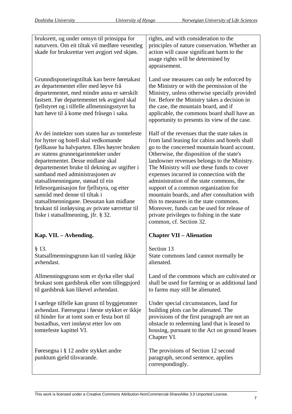| bruksrett, og under omsyn til prinsippa for<br>naturvern. Om eit tiltak vil medføre vesentleg<br>skade for bruksrettar vert avgjort ved skjøn.                                                                                                                                                                                                                                                                                                                                                                                                                      | rights, and with consideration to the<br>principles of nature conservation. Whether an<br>action will cause significant harm to the<br>usage rights will be determined by<br>appraisement.                                                                                                                                                                                                                                                                                                                                                                                                                                              |
|---------------------------------------------------------------------------------------------------------------------------------------------------------------------------------------------------------------------------------------------------------------------------------------------------------------------------------------------------------------------------------------------------------------------------------------------------------------------------------------------------------------------------------------------------------------------|-----------------------------------------------------------------------------------------------------------------------------------------------------------------------------------------------------------------------------------------------------------------------------------------------------------------------------------------------------------------------------------------------------------------------------------------------------------------------------------------------------------------------------------------------------------------------------------------------------------------------------------------|
| Grunndisponeringstiltak kan berre føretakast<br>av departementet eller med løyve frå<br>departementet, med mindre anna er særskilt<br>fastsett. Før departementet tek avgjerd skal<br>fjellstyret og i tilfelle allmenningsstyret ha<br>hatt høve til å kome med fråsegn i saka.                                                                                                                                                                                                                                                                                    | Land use measures can only be enforced by<br>the Ministry or with the permission of the<br>Ministry, unless otherwise specially provided<br>for. Before the Ministry takes a decision in<br>the case, the mountain board, and if<br>applicable, the commons board shall have an<br>opportunity to presents its view of the case.                                                                                                                                                                                                                                                                                                        |
| Av dei inntekter som staten har av tomtefeste<br>for hytter og hotell skal vedkomande<br>fjellkasse ha halvparten. Elles høyrer bruken<br>av statens grunneigarinntekter under<br>departementet. Desse midlane skal<br>departementet bruke til dekning av utgifter i<br>samband med administrasjonen av<br>statsallmenningane, stønad til ein<br>fellesorganisasjon for fjellstyra, og etter<br>samråd med denne til tiltak i<br>statsallmenningane. Dessutan kan midlane<br>brukast til innløysing av private særrettar til<br>fiske i statsallmenning, jfr. § 32. | Half of the revenues that the state takes in<br>from land leasing for cabins and hotels shall<br>go to the concerned mountain board account.<br>Otherwise, the disposition of the state's<br>landowner revenues belongs to the Ministry.<br>The Ministry will use these funds to cover<br>expenses incurred in connection with the<br>administration of the state commons, the<br>support of a common organization for<br>mountain boards, and after consultation with<br>this to measures in the state commons.<br>Moreover, funds can be used for release of<br>private privileges to fishing in the state<br>common, cf. Section 32. |
| Kap. VII. - Avhending.                                                                                                                                                                                                                                                                                                                                                                                                                                                                                                                                              | <b>Chapter VII - Alienation</b>                                                                                                                                                                                                                                                                                                                                                                                                                                                                                                                                                                                                         |
| $§$ 13.<br>Statsallmenningsgrunn kan til vanleg ikkje<br>avhendast.                                                                                                                                                                                                                                                                                                                                                                                                                                                                                                 | Section 13<br>State commons land cannot normally be<br>alienated.                                                                                                                                                                                                                                                                                                                                                                                                                                                                                                                                                                       |
| Allmenningsgrunn som er dyrka eller skal<br>brukast som gardsbruk eller som tilleggsjord<br>til gardsbruk kan likevel avhendast.                                                                                                                                                                                                                                                                                                                                                                                                                                    | Land of the commons which are cultivated or<br>shall be used for farming or as additional land<br>to farms may still be alienated.                                                                                                                                                                                                                                                                                                                                                                                                                                                                                                      |
| I særlege tilfelle kan grunn til byggjetomter<br>avhendast. Føresegna i første stykket er ikkje<br>til hinder for at tomt som er festa bort til<br>bustadhus, vert innløyst etter lov om<br>tomtefeste kapittel VI.                                                                                                                                                                                                                                                                                                                                                 | Under special circumstances, land for<br>building plots can be alienated. The<br>provisions of the first paragraph are not an<br>obstacle to redeeming land that is leased to<br>housing, pursuant to the Act on ground leases<br>Chapter VI.                                                                                                                                                                                                                                                                                                                                                                                           |
| Føresegna i § 12 andre stykket andre<br>punktum gjeld tilsvarande.                                                                                                                                                                                                                                                                                                                                                                                                                                                                                                  | The provisions of Section 12 second<br>paragraph, second sentence, applies<br>correspondingly.                                                                                                                                                                                                                                                                                                                                                                                                                                                                                                                                          |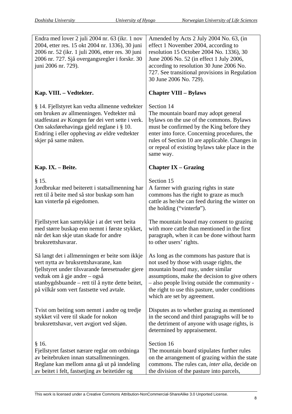| Endra med lover 2 juli 2004 nr. 63 (ikr. 1 nov<br>2004, etter res. 15 okt 2004 nr. 1336), 30 juni<br>2006 nr. 52 (ikr. 1 juli 2006, etter res. 30 juni<br>2006 nr. 727. Sjå overgangsregler i forskr. 30<br>juni 2006 nr. 729).                                             | Amended by Acts 2 July 2004 No. 63, (in<br>effect 1 November 2004, according to<br>resolution 15 October 2004 No. 1336), 30<br>June 2006 No. 52 (in effect 1 July 2006,<br>according to resolution 30 June 2006 No.<br>727. See transitional provisions in Regulation<br>30 June 2006 No. 729).                |
|-----------------------------------------------------------------------------------------------------------------------------------------------------------------------------------------------------------------------------------------------------------------------------|----------------------------------------------------------------------------------------------------------------------------------------------------------------------------------------------------------------------------------------------------------------------------------------------------------------|
| Kap. VIII. – Vedtekter.                                                                                                                                                                                                                                                     | <b>Chapter VIII - Bylaws</b>                                                                                                                                                                                                                                                                                   |
| § 14. Fjellstyret kan vedta allmenne vedtekter<br>om bruken av allmenningen. Vedtekter må<br>stadfestast av Kongen før dei vert sette i verk.<br>Om saksførehavinga gjeld reglane i § 10.<br>Endring i eller oppheving av eldre vedtekter<br>skjer på same måten.           | Section 14<br>The mountain board may adopt general<br>bylaws on the use of the commons. Bylaws<br>must be confirmed by the King before they<br>enter into force. Concerning procedures, the<br>rules of Section 10 are applicable. Changes in<br>or repeal of existing bylaws take place in the<br>same way.   |
| Kap. IX. - Beite.                                                                                                                                                                                                                                                           | <b>Chapter IX – Grazing</b>                                                                                                                                                                                                                                                                                    |
| $§$ 15.<br>Jordbrukar med beiterett i statsallmenning har<br>rett til å beite med så stor buskap som han<br>kan vinterfø på eigedomen.                                                                                                                                      | Section 15<br>A farmer with grazing rights in state<br>commons has the right to graze as much<br>cattle as he/she can feed during the winter on<br>the holding ("vinterf $\phi$ ").                                                                                                                            |
| Fjellstyret kan samtykkje i at det vert beita<br>med større buskap enn nemnt i første stykket,<br>når det kan skje utan skade for andre<br>bruksrettshavarar.                                                                                                               | The mountain board may consent to grazing<br>with more cattle than mentioned in the first<br>paragraph, when it can be done without harm<br>to other users' rights.                                                                                                                                            |
| Så langt det i allmenningen er beite som ikkje<br>vert nytta av bruksrettshavarane, kan<br>fjellstyret under tilsvarande føresetnader gjere<br>vedtak om å gje andre – også<br>utanbygdsbuande - rett til å nytte dette beitet,<br>på vilkår som vert fastsette ved avtale. | As long as the commons has pasture that is<br>not used by those with usage rights, the<br>mountain board may, under similar<br>assumptions, make the decision to give others<br>- also people living outside the community -<br>the right to use this pasture, under conditions<br>which are set by agreement. |
| Tvist om beiting som nemnt i andre og tredje<br>stykket vil vere til skade for nokon<br>bruksrettshavar, vert avgjort ved skjøn.                                                                                                                                            | Disputes as to whether grazing as mentioned<br>in the second and third paragraphs will be to<br>the detriment of anyone with usage rights, is<br>determined by appraisement.                                                                                                                                   |
| § 16.<br>Fjellstyret fastset nærare reglar om ordninga<br>av beitebruken innan statsallmenningen.<br>Reglane kan mellom anna gå ut på inndeling<br>av beitet i felt, fastsetjing av beitetider og                                                                           | Section 16<br>The mountain board stipulates further rules<br>on the arrangement of grazing within the state<br>commons. The rules can, inter alia, decide on<br>the division of the pasture into parcels,                                                                                                      |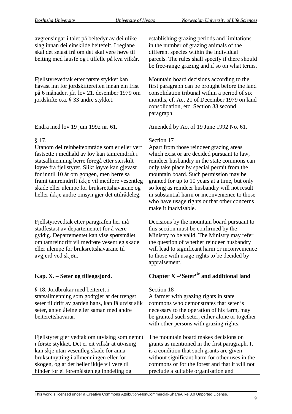| avgrensingar i talet på beitedyr av dei ulike<br>slag innan dei einskilde beitefelt. I reglane<br>skal det seiast frå om det skal vere høve til<br>beiting med lausfe og i tilfelle på kva vilkår.                                                                                                                                                                                                      | establishing grazing periods and limitations<br>in the number of grazing animals of the<br>different species within the individual<br>parcels. The rules shall specify if there should<br>be free-range grazing and if so on what terms.                                                                                                                                                                                                                                |
|---------------------------------------------------------------------------------------------------------------------------------------------------------------------------------------------------------------------------------------------------------------------------------------------------------------------------------------------------------------------------------------------------------|-------------------------------------------------------------------------------------------------------------------------------------------------------------------------------------------------------------------------------------------------------------------------------------------------------------------------------------------------------------------------------------------------------------------------------------------------------------------------|
| Fjellstyrevedtak etter første stykket kan<br>havast inn for jordskifteretten innan ein frist<br>på 6 månader, jfr. lov 21. desember 1979 om<br>jordskifte o.a. § 33 andre stykket.                                                                                                                                                                                                                      | Mountain board decisions according to the<br>first paragraph can be brought before the land<br>consolidation tribunal within a period of six<br>months, cf. Act 21 of December 1979 on land<br>consolidation, etc. Section 33 second<br>paragraph.                                                                                                                                                                                                                      |
| Endra med lov 19 juni 1992 nr. 61.                                                                                                                                                                                                                                                                                                                                                                      | Amended by Act of 19 June 1992 No. 61.                                                                                                                                                                                                                                                                                                                                                                                                                                  |
| § 17.<br>Utanom dei reinbeiteområde som er eller vert<br>fastsette i medhald av lov kan tamreindrift i<br>statsallmenning berre føregå etter særskilt<br>løyve frå fjellstyret. Slikt løyve kan gjevast<br>for inntil 10 år om gongen, men berre så<br>framt tamreindrift ikkje vil medføre vesentleg<br>skade eller ulempe for bruksrettshavarane og<br>heller ikkje andre omsyn gjer det utilrådeleg. | Section 17<br>Apart from those reindeer grazing areas<br>which exist or are decided pursuant to law,<br>reindeer husbandry in the state commons can<br>only take place by special permit from the<br>mountain board. Such permission may be<br>granted for up to 10 years at a time, but only<br>so long as reindeer husbandry will not result<br>in substantial harm or inconvenience to those<br>who have usage rights or that other concerns<br>make it inadvisable. |
| Fjellstyrevedtak etter paragrafen her må<br>stadfestast av departementet for å være<br>gyldig. Departementet kan vise spørsmålet<br>om tamreindrift vil medføre vesentleg skade<br>eller ulempe for bruksrettshavarane til<br>avgjerd ved skjøn.                                                                                                                                                        | Decisions by the mountain board pursuant to<br>this section must be confirmed by the<br>Ministry to be valid. The Ministry may refer<br>the question of whether reindeer husbandry<br>will lead to significant harm or inconvenience<br>to those with usage rights to be decided by<br>appraisement.                                                                                                                                                                    |
| Kap. X. – Seter og tilleggsjord.                                                                                                                                                                                                                                                                                                                                                                        | Chapter X - 'Seter' <sup>iv</sup> and additional land                                                                                                                                                                                                                                                                                                                                                                                                                   |
| § 18. Jordbrukar med beiterett i<br>statsallmenning som godtgjer at det trengst<br>seter til drift av garden hans, kan få utvist slik<br>seter, anten åleine eller saman med andre<br>beiterettshavarar.                                                                                                                                                                                                | Section 18<br>A farmer with grazing rights in state<br>commons who demonstrates that seter is<br>necessary to the operation of his farm, may<br>be granted such seter, either alone or together<br>with other persons with grazing rights.                                                                                                                                                                                                                              |
| Fjellstyret gjer vedtak om utvising som nemnt<br>i første stykket. Det er eit vilkår at utvising<br>kan skje utan vesentleg skade for anna<br>bruksutnytting i allmenningen eller for<br>skogen, og at det heller ikkje vil vere til<br>hinder for ei føremålstenleg inndeling og                                                                                                                       | The mountain board makes decisions on<br>grants as mentioned in the first paragraph. It<br>is a condition that such grants are given<br>without significant harm for other uses in the<br>commons or for the forest and that it will not<br>preclude a suitable organisation and                                                                                                                                                                                        |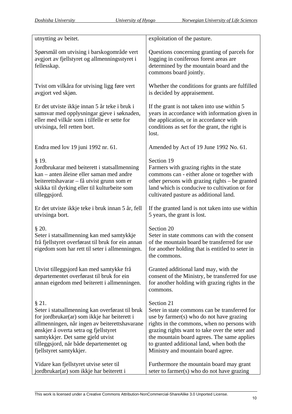| utnytting av beitet.                                                                                                                                                                                                                                                                                          | exploitation of the pasture.                                                                                                                                                                                                                                                                                                               |
|---------------------------------------------------------------------------------------------------------------------------------------------------------------------------------------------------------------------------------------------------------------------------------------------------------------|--------------------------------------------------------------------------------------------------------------------------------------------------------------------------------------------------------------------------------------------------------------------------------------------------------------------------------------------|
| Spørsmål om utvising i barskogområde vert<br>avgjort av fjellstyret og allmenningsstyret i<br>fellesskap.                                                                                                                                                                                                     | Questions concerning granting of parcels for<br>logging in coniferous forest areas are<br>determined by the mountain board and the<br>commons board jointly.                                                                                                                                                                               |
| Tvist om vilkåra for utvising ligg føre vert<br>avgjort ved skjøn.                                                                                                                                                                                                                                            | Whether the conditions for grants are fulfilled<br>is decided by appraisement.                                                                                                                                                                                                                                                             |
| Er det utviste ikkje innan 5 år teke i bruk i<br>samsvar med opplysningar gjeve i søknaden,<br>eller med vilkår som i tilfelle er sette for<br>utvisinga, fell retten bort.                                                                                                                                   | If the grant is not taken into use within 5<br>years in accordance with information given in<br>the application, or in accordance with<br>conditions as set for the grant, the right is<br>lost.                                                                                                                                           |
| Endra med lov 19 juni 1992 nr. 61.                                                                                                                                                                                                                                                                            | Amended by Act of 19 June 1992 No. 61.                                                                                                                                                                                                                                                                                                     |
| $§$ 19.<br>Jordbrukarar med beiterett i statsallmenning<br>kan – anten åleine eller saman med andre<br>beiterettshavarar – få utvist grunn som er<br>skikka til dyrking eller til kulturbeite som<br>tilleggsjord.                                                                                            | Section 19<br>Farmers with grazing rights in the state<br>commons can - either alone or together with<br>other persons with grazing rights – be granted<br>land which is conducive to cultivation or for<br>cultivated pasture as additional land.                                                                                         |
| Er det utviste ikkje teke i bruk innan 5 år, fell<br>utvisinga bort.                                                                                                                                                                                                                                          | If the granted land is not taken into use within<br>5 years, the grant is lost.                                                                                                                                                                                                                                                            |
| $§$ 20.<br>Seter i statsallmenning kan med samtykkje<br>frå fjellstyret overførast til bruk for ein annan<br>eigedom som har rett til seter i allmenningen.                                                                                                                                                   | Section 20<br>Seter in state commons can with the consent<br>of the mountain board be transferred for use<br>for another holding that is entitled to seter in<br>the commons.                                                                                                                                                              |
| Utvist tilleggsjord kan med samtykke frå<br>departementet overførast til bruk for ein<br>annan eigedom med beiterett i allmenningen.                                                                                                                                                                          | Granted additional land may, with the<br>consent of the Ministry, be transferred for use<br>for another holding with grazing rights in the<br>commons.                                                                                                                                                                                     |
| § 21.<br>Seter i statsallmenning kan overførast til bruk<br>for jordbrukar(ar) som ikkje har beiterett i<br>allmenningen, når ingen av beiterettshavarane<br>ønskjer å overta setra og fjellstyret<br>samtykkjer. Det same gjeld utvist<br>tilleggsjord, når både departementet og<br>fjellstyret samtykkjer. | Section 21<br>Seter in state commons can be transferred for<br>use by farmer(s) who do not have grazing<br>rights in the commons, when no persons with<br>grazing rights want to take over the seter and<br>the mountain board agrees. The same applies<br>to granted additional land, when both the<br>Ministry and mountain board agree. |
| Vidare kan fjellstyret utvise seter til<br>jordbrukar(ar) som ikkje har beiterett i                                                                                                                                                                                                                           | Furthermore the mountain board may grant<br>seter to farmer(s) who do not have grazing                                                                                                                                                                                                                                                     |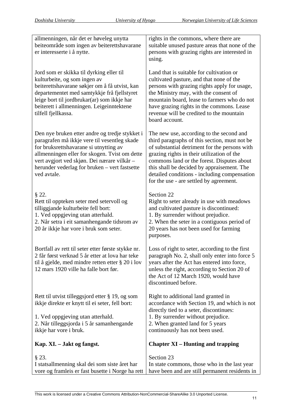| allmenningen, når det er høveleg unytta<br>beiteområde som ingen av beiterettshavarane<br>er interesserte i å nytte.                                                                                                                                                                                     | rights in the commons, where there are<br>suitable unused pasture areas that none of the<br>persons with grazing rights are interested in<br>using.                                                                                                                                                                                                                             |
|----------------------------------------------------------------------------------------------------------------------------------------------------------------------------------------------------------------------------------------------------------------------------------------------------------|---------------------------------------------------------------------------------------------------------------------------------------------------------------------------------------------------------------------------------------------------------------------------------------------------------------------------------------------------------------------------------|
| Jord som er skikka til dyrking eller til<br>kulturbeite, og som ingen av<br>beiterettshavarane søkjer om å få utvist, kan<br>departementet med samtykkje frå fjellstyret<br>leige bort til jordbrukar(ar) som ikkje har<br>beiterett i allmenningen. Leigeinntektene<br>tilfell fjellkassa.              | Land that is suitable for cultivation or<br>cultivated pasture, and that none of the<br>persons with grazing rights apply for usage,<br>the Ministry may, with the consent of<br>mountain board, lease to farmers who do not<br>have grazing rights in the commons. Lease<br>revenue will be credited to the mountain<br>board account.                                         |
| Den nye bruken etter andre og tredje stykket i<br>paragrafen må ikkje vere til vesentleg skade<br>for bruksrettshavarane si utnytting av<br>allmenningen eller for skogen. Tvist om dette<br>vert avgjort ved skjøn. Dei nærare vilkår -<br>herunder vederlag for bruken - vert fastsette<br>ved avtale. | The new use, according to the second and<br>third paragraphs of this section, must not be<br>of substantial detriment for the persons with<br>grazing rights in their utilization of the<br>commons land or the forest. Disputes about<br>this shall be decided by appraisement. The<br>detailed conditions - including compensation<br>for the use - are settled by agreement. |
| $§$ 22.<br>Rett til oppteken seter med setervoll og<br>tilliggjande kulturbeite fell bort:<br>1. Ved oppgjeving utan atterhald.<br>2. Når setra i eit samanhengande tidsrom av<br>20 år ikkje har vore i bruk som seter.                                                                                 | Section 22<br>Right to seter already in use with meadows<br>and cultivated pasture is discontinued:<br>1. By surrender without prejudice.<br>2. When the seter in a contiguous period of<br>20 years has not been used for farming<br>purposes.                                                                                                                                 |
| Bortfall av rett til seter etter første stykke nr.<br>2 får først verknad 5 år etter at lova har teke<br>til å gjelde, med mindre retten etter $\S 20$ i lov<br>12 mars 1920 ville ha falle bort før.                                                                                                    | Loss of right to seter, according to the first<br>paragraph No. 2, shall only enter into force 5<br>years after the Act has entered into force,<br>unless the right, according to Section 20 of<br>the Act of 12 March 1920, would have<br>discontinued before.                                                                                                                 |
| Rett til utvist tilleggsjord etter $\S$ 19, og som<br>ikkje direkte er knytt til ei seter, fell bort:<br>1. Ved oppgjeving utan atterhald.<br>2. Når tilleggsjorda i 5 år samanhengande<br>ikkje har vore i bruk.                                                                                        | Right to additional land granted in<br>accordance with Section 19, and which is not<br>directly tied to a seter, discontinues:<br>1. By surrender without prejudice.<br>2. When granted land for 5 years<br>continuously has not been used.                                                                                                                                     |
| Kap. XI. – Jakt og fangst.                                                                                                                                                                                                                                                                               | <b>Chapter XI – Hunting and trapping</b>                                                                                                                                                                                                                                                                                                                                        |
| $§$ 23.<br>I statsallmenning skal dei som siste året har<br>vore og framleis er fast busette i Norge ha rett                                                                                                                                                                                             | Section 23<br>In state commons, those who in the last year<br>have been and are still permanent residents in                                                                                                                                                                                                                                                                    |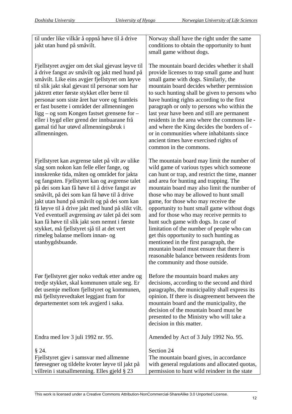| til under like vilkår å oppnå høve til å drive                                                                                                                                                                                                                                                                                                                                                                                                                                                                | Norway shall have the right under the same                                                                                                                                                                                                                                                                                                                                                                                                                                                                                                                                                     |
|---------------------------------------------------------------------------------------------------------------------------------------------------------------------------------------------------------------------------------------------------------------------------------------------------------------------------------------------------------------------------------------------------------------------------------------------------------------------------------------------------------------|------------------------------------------------------------------------------------------------------------------------------------------------------------------------------------------------------------------------------------------------------------------------------------------------------------------------------------------------------------------------------------------------------------------------------------------------------------------------------------------------------------------------------------------------------------------------------------------------|
| jakt utan hund på småvilt.                                                                                                                                                                                                                                                                                                                                                                                                                                                                                    | conditions to obtain the opportunity to hunt                                                                                                                                                                                                                                                                                                                                                                                                                                                                                                                                                   |
|                                                                                                                                                                                                                                                                                                                                                                                                                                                                                                               | small game without dogs.                                                                                                                                                                                                                                                                                                                                                                                                                                                                                                                                                                       |
| Fjellstyret avgjer om det skal gjevast løyve til<br>å drive fangst av småvilt og jakt med hund på<br>småvilt. Like eins avgjer fjellstyret om løyve<br>til slik jakt skal gjevast til personar som har<br>jaktrett etter første stykket eller berre til<br>personar som siste året har vore og framleis<br>er fast busette i området der allmenningen<br>ligg – og som Kongen fastset grensene for –<br>eller i bygd eller grend der innbuarane frå<br>gamal tid har utøvd allmenningsbruk i<br>allmenningen. | The mountain board decides whether it shall<br>provide licenses to trap small game and hunt<br>small game with dogs. Similarly, the<br>mountain board decides whether permission<br>to such hunting shall be given to persons who<br>have hunting rights according to the first<br>paragraph or only to persons who within the<br>last year have been and still are permanent<br>residents in the area where the commons lie -<br>and where the King decides the borders of -<br>or in communities where inhabitants since<br>ancient times have exercised rights of<br>common in the commons. |
| Fjellstyret kan avgrense talet på vilt av ulike                                                                                                                                                                                                                                                                                                                                                                                                                                                               | The mountain board may limit the number of                                                                                                                                                                                                                                                                                                                                                                                                                                                                                                                                                     |
| slag som nokon kan felle eller fange, og                                                                                                                                                                                                                                                                                                                                                                                                                                                                      | wild game of various types which someone                                                                                                                                                                                                                                                                                                                                                                                                                                                                                                                                                       |
| innskrenke tida, måten og området for jakta                                                                                                                                                                                                                                                                                                                                                                                                                                                                   | can hunt or trap, and restrict the time, manner                                                                                                                                                                                                                                                                                                                                                                                                                                                                                                                                                |
| og fangsten. Fjellstyret kan og avgrense talet<br>på dei som kan få høve til å drive fangst av                                                                                                                                                                                                                                                                                                                                                                                                                | and area for hunting and trapping. The<br>mountain board may also limit the number of                                                                                                                                                                                                                                                                                                                                                                                                                                                                                                          |
| småvilt, på dei som kan få høve til å drive                                                                                                                                                                                                                                                                                                                                                                                                                                                                   | those who may be allowed to hunt small                                                                                                                                                                                                                                                                                                                                                                                                                                                                                                                                                         |
| jakt utan hund på småvilt og på dei som kan                                                                                                                                                                                                                                                                                                                                                                                                                                                                   | game, for those who may receive the                                                                                                                                                                                                                                                                                                                                                                                                                                                                                                                                                            |
| få løyve til å drive jakt med hund på slikt vilt.                                                                                                                                                                                                                                                                                                                                                                                                                                                             | opportunity to hunt small game without dogs                                                                                                                                                                                                                                                                                                                                                                                                                                                                                                                                                    |
| Ved eventuell avgrensing av talet på dei som                                                                                                                                                                                                                                                                                                                                                                                                                                                                  | and for those who may receive permits to                                                                                                                                                                                                                                                                                                                                                                                                                                                                                                                                                       |
| kan få høve til slik jakt som nemnt i første<br>stykket, må fjellstyret sjå til at det vert                                                                                                                                                                                                                                                                                                                                                                                                                   | hunt such game with dogs. In case of<br>limitation of the number of people who can                                                                                                                                                                                                                                                                                                                                                                                                                                                                                                             |
| rimeleg balanse mellom innan- og                                                                                                                                                                                                                                                                                                                                                                                                                                                                              | get this opportunity to such hunting as                                                                                                                                                                                                                                                                                                                                                                                                                                                                                                                                                        |
| utanbygdsbuande.                                                                                                                                                                                                                                                                                                                                                                                                                                                                                              | mentioned in the first paragraph, the                                                                                                                                                                                                                                                                                                                                                                                                                                                                                                                                                          |
|                                                                                                                                                                                                                                                                                                                                                                                                                                                                                                               | mountain board must ensure that there is                                                                                                                                                                                                                                                                                                                                                                                                                                                                                                                                                       |
|                                                                                                                                                                                                                                                                                                                                                                                                                                                                                                               | reasonable balance between residents from<br>the community and those outside.                                                                                                                                                                                                                                                                                                                                                                                                                                                                                                                  |
|                                                                                                                                                                                                                                                                                                                                                                                                                                                                                                               |                                                                                                                                                                                                                                                                                                                                                                                                                                                                                                                                                                                                |
| Før fjellstyret gjer noko vedtak etter andre og                                                                                                                                                                                                                                                                                                                                                                                                                                                               | Before the mountain board makes any                                                                                                                                                                                                                                                                                                                                                                                                                                                                                                                                                            |
| tredje stykket, skal kommunen uttale seg. Er                                                                                                                                                                                                                                                                                                                                                                                                                                                                  | decisions, according to the second and third                                                                                                                                                                                                                                                                                                                                                                                                                                                                                                                                                   |
| det usemje mellom fjellstyret og kommunen,<br>må fjellstyrevedtaket leggjast fram for                                                                                                                                                                                                                                                                                                                                                                                                                         | paragraphs, the municipality shall express its<br>opinion. If there is disagreement between the                                                                                                                                                                                                                                                                                                                                                                                                                                                                                                |
| departementet som tek avgjerd i saka.                                                                                                                                                                                                                                                                                                                                                                                                                                                                         | mountain board and the municipality, the                                                                                                                                                                                                                                                                                                                                                                                                                                                                                                                                                       |
|                                                                                                                                                                                                                                                                                                                                                                                                                                                                                                               | decision of the mountain board must be                                                                                                                                                                                                                                                                                                                                                                                                                                                                                                                                                         |
|                                                                                                                                                                                                                                                                                                                                                                                                                                                                                                               | presented to the Ministry who will take a                                                                                                                                                                                                                                                                                                                                                                                                                                                                                                                                                      |
|                                                                                                                                                                                                                                                                                                                                                                                                                                                                                                               | decision in this matter.                                                                                                                                                                                                                                                                                                                                                                                                                                                                                                                                                                       |
| Endra med lov 3 juli 1992 nr. 95.                                                                                                                                                                                                                                                                                                                                                                                                                                                                             | Amended by Act of 3 July 1992 No. 95.                                                                                                                                                                                                                                                                                                                                                                                                                                                                                                                                                          |
| § 24.                                                                                                                                                                                                                                                                                                                                                                                                                                                                                                         | Section 24                                                                                                                                                                                                                                                                                                                                                                                                                                                                                                                                                                                     |
| Fjellstyret gjev i samsvar med allmenne                                                                                                                                                                                                                                                                                                                                                                                                                                                                       | The mountain board gives, in accordance                                                                                                                                                                                                                                                                                                                                                                                                                                                                                                                                                        |
| føresegner og tildelte kvoter løyve til jakt på                                                                                                                                                                                                                                                                                                                                                                                                                                                               | with general regulations and allocated quotas,                                                                                                                                                                                                                                                                                                                                                                                                                                                                                                                                                 |
| villrein i statsallmenning. Elles gjeld § 23                                                                                                                                                                                                                                                                                                                                                                                                                                                                  | permission to hunt wild reindeer in the state                                                                                                                                                                                                                                                                                                                                                                                                                                                                                                                                                  |

 $\overline{a}$ This work is licensed under a Creative Commons Attribution-NonCommercial-ShareAlike 3.0 Unported License.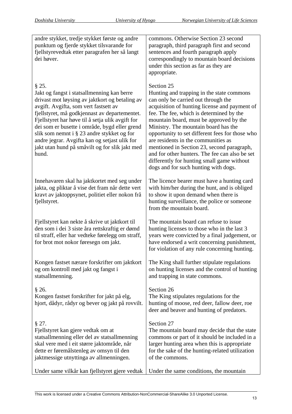| andre stykket, tredje stykket første og andre<br>punktum og fjerde stykket tilsvarande for<br>fjellstyrevedtak etter paragrafen her så langt<br>dei høver.                                                                                                                                                                                                                                                                                                     | commons. Otherwise Section 23 second<br>paragraph, third paragraph first and second<br>sentences and fourth paragraph apply<br>correspondingly to mountain board decisions<br>under this section as far as they are<br>appropriate.                                                                                                                                                                                                                                                                                                                            |
|----------------------------------------------------------------------------------------------------------------------------------------------------------------------------------------------------------------------------------------------------------------------------------------------------------------------------------------------------------------------------------------------------------------------------------------------------------------|----------------------------------------------------------------------------------------------------------------------------------------------------------------------------------------------------------------------------------------------------------------------------------------------------------------------------------------------------------------------------------------------------------------------------------------------------------------------------------------------------------------------------------------------------------------|
| § 25.<br>Jakt og fangst i statsallmenning kan berre<br>drivast mot løysing av jaktkort og betaling av<br>avgift. Avgifta, som vert fastsett av<br>fjellstyret, må godkjennast av departementet.<br>Fjellstyret har høve til å setja ulik avgift for<br>dei som er busette i område, bygd eller grend<br>slik som nemnt i § 23 andre stykket og for<br>andre jegrar. Avgifta kan og setjast ulik for<br>jakt utan hund på småvilt og for slik jakt med<br>hund. | Section 25<br>Hunting and trapping in the state commons<br>can only be carried out through the<br>acquisition of hunting license and payment of<br>fee. The fee, which is determined by the<br>mountain board, must be approved by the<br>Ministry. The mountain board has the<br>opportunity to set different fees for those who<br>are residents in the communities as<br>mentioned in Section 23, second paragraph,<br>and for other hunters. The fee can also be set<br>differently for hunting small game without<br>dogs and for such hunting with dogs. |
| Innehavaren skal ha jaktkortet med seg under<br>jakta, og pliktar å vise det fram når dette vert<br>kravt av jaktoppsynet, politiet eller nokon frå<br>fjellstyret.                                                                                                                                                                                                                                                                                            | The licence bearer must have a hunting card<br>with him/her during the hunt, and is obliged<br>to show it upon demand when there is<br>hunting surveillance, the police or someone<br>from the mountain board.                                                                                                                                                                                                                                                                                                                                                 |
| Fjellstyret kan nekte å skrive ut jaktkort til<br>den som i dei 3 siste åra rettskraftig er dømd<br>til straff, eller har vedteke førelegg om straff,<br>for brot mot nokor føresegn om jakt.                                                                                                                                                                                                                                                                  | The mountain board can refuse to issue<br>hunting licenses to those who in the last 3<br>years were convicted by a final judgement, or<br>have endorsed a writ concerning punishment,<br>for violation of any rule concerning hunting.                                                                                                                                                                                                                                                                                                                         |
| Kongen fastset nærare forskrifter om jaktkort<br>og om kontroll med jakt og fangst i<br>statsallmenning.                                                                                                                                                                                                                                                                                                                                                       | The King shall further stipulate regulations<br>on hunting licenses and the control of hunting<br>and trapping in state commons.                                                                                                                                                                                                                                                                                                                                                                                                                               |
| § 26.<br>Kongen fastset forskrifter for jakt på elg,<br>hjort, dådyr, rådyr og bever og jakt på rovvilt.                                                                                                                                                                                                                                                                                                                                                       | Section 26<br>The King stipulates regulations for the<br>hunting of moose, red deer, fallow deer, roe<br>deer and beaver and hunting of predators.                                                                                                                                                                                                                                                                                                                                                                                                             |
| $§$ 27.<br>Fjellstyret kan gjere vedtak om at<br>statsallmenning eller del av statsallmenning<br>skal vere med i eit større jaktområde, når<br>dette er føremålstenleg av omsyn til den<br>jaktmessige utnyttinga av allmenningen.                                                                                                                                                                                                                             | Section 27<br>The mountain board may decide that the state<br>commons or part of it should be included in a<br>larger hunting area when this is appropriate<br>for the sake of the hunting-related utilization<br>of the commons.                                                                                                                                                                                                                                                                                                                              |
| Under same vilkår kan fjellstyret gjere vedtak                                                                                                                                                                                                                                                                                                                                                                                                                 | Under the same conditions, the mountain                                                                                                                                                                                                                                                                                                                                                                                                                                                                                                                        |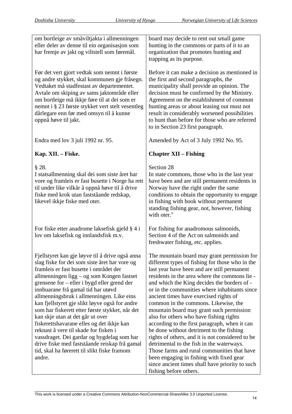| om bortleige av småviltjakta i allmenningen<br>eller deler av denne til ein organisasjon som<br>har fremje av jakt og viltstell som føremål.                                                                                                                                                                                                                                                                                                                                                                                                                                                                                                                                                                      | board may decide to rent out small game<br>hunting in the commons or parts of it to an<br>organization that promotes hunting and                                                                                                                                                                                                                                                                                                                                                                                                                                                                                                                                                                                                                                                                                                              |
|-------------------------------------------------------------------------------------------------------------------------------------------------------------------------------------------------------------------------------------------------------------------------------------------------------------------------------------------------------------------------------------------------------------------------------------------------------------------------------------------------------------------------------------------------------------------------------------------------------------------------------------------------------------------------------------------------------------------|-----------------------------------------------------------------------------------------------------------------------------------------------------------------------------------------------------------------------------------------------------------------------------------------------------------------------------------------------------------------------------------------------------------------------------------------------------------------------------------------------------------------------------------------------------------------------------------------------------------------------------------------------------------------------------------------------------------------------------------------------------------------------------------------------------------------------------------------------|
|                                                                                                                                                                                                                                                                                                                                                                                                                                                                                                                                                                                                                                                                                                                   | trapping as its purpose.                                                                                                                                                                                                                                                                                                                                                                                                                                                                                                                                                                                                                                                                                                                                                                                                                      |
| Før det vert gjort vedtak som nemnt i første<br>og andre stykket, skal kommunen gje fråsegn.<br>Vedtaket må stadfestast av departementet.<br>Avtale om skiping av sams jaktområde eller<br>om bortleige må ikkje føre til at dei som er<br>nemnt i § 23 første stykket vert stelt vesentleg<br>dårlegare enn før med omsyn til å kunne<br>oppnå høve til jakt.                                                                                                                                                                                                                                                                                                                                                    | Before it can make a decision as mentioned in<br>the first and second paragraphs, the<br>municipality shall provide an opinion. The<br>decision must be confirmed by the Ministry.<br>Agreement on the establishment of common<br>hunting areas or about leasing out must not<br>result in considerably worsened possibilities<br>to hunt than before for those who are referred<br>to in Section 23 first paragraph.                                                                                                                                                                                                                                                                                                                                                                                                                         |
| Endra med lov 3 juli 1992 nr. 95.                                                                                                                                                                                                                                                                                                                                                                                                                                                                                                                                                                                                                                                                                 | Amended by Act of 3 July 1992 No. 95.                                                                                                                                                                                                                                                                                                                                                                                                                                                                                                                                                                                                                                                                                                                                                                                                         |
| Kap. XII. – Fiske.                                                                                                                                                                                                                                                                                                                                                                                                                                                                                                                                                                                                                                                                                                | <b>Chapter XII – Fishing</b>                                                                                                                                                                                                                                                                                                                                                                                                                                                                                                                                                                                                                                                                                                                                                                                                                  |
| $§$ 28.<br>I statsallmenning skal dei som siste året har<br>vore og framleis er fast busette i Norge ha rett<br>til under like vilkår å oppnå høve til å drive<br>fiske med krok utan fastståande redskap,<br>likevel ikkje fiske med oter.                                                                                                                                                                                                                                                                                                                                                                                                                                                                       | Section 28<br>In state commons, those who in the last year<br>have been and are still permanent residents in<br>Norway have the right under the same<br>conditions to obtain the opportunity to engage<br>in fishing with hook without permanent<br>standing fishing gear, not, however, fishing<br>with oter.                                                                                                                                                                                                                                                                                                                                                                                                                                                                                                                                |
| For fiske etter anadrome laksefisk gjeld § 4 i<br>lov om laksefisk og innlandsfisk m.v.                                                                                                                                                                                                                                                                                                                                                                                                                                                                                                                                                                                                                           | For fishing for anadromous salmonids,<br>Section 4 of the Act on salmonids and<br>freshwater fishing, etc. applies.                                                                                                                                                                                                                                                                                                                                                                                                                                                                                                                                                                                                                                                                                                                           |
| Fjellstyret kan gje løyve til å drive også anna<br>slag fiske for dei som siste året har vore og<br>framleis er fast busette i området der<br>allmenningen ligg – og som Kongen fastset<br>grensene for – eller i bygd eller grend der<br>innbuarane frå gamal tid har utøvd<br>allmenningsbruk i allmenningen. Like eins<br>kan fjellstyret gje slikt løyve også for andre<br>som har fiskerett etter første stykket, når det<br>kan skje utan at det går ut over<br>fiskerettshavarane elles og det ikkje kan<br>reknast å vere til skade for fisken i<br>vassdraget. Dei gardar og bygdelag som har<br>drive fiske med fastståande reiskap frå gamal<br>tid, skal ha førerett til slikt fiske framom<br>andre. | The mountain board may grant permission for<br>different types of fishing for those who in the<br>last year have been and are still permanent<br>residents in the area where the commons lie -<br>and which the King decides the borders of -<br>or in the communities where inhabitants since<br>ancient times have exercised rights of<br>common in the commons. Likewise, the<br>mountain board may grant such permission<br>also for others who have fishing rights<br>according to the first paragraph, when it can<br>be done without detriment to the fishing<br>rights of others, and it is not considered to be<br>detrimental to the fish in the waterways.<br>Those farms and rural communities that have<br>been engaging in fishing with fixed gear<br>since ancient times shall have priority to such<br>fishing before others. |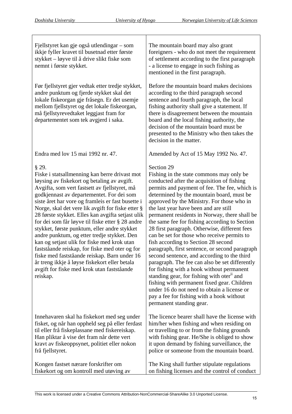| Fjellstyret kan gje også utlendingar – som<br>ikkje fyller kravet til busetnad etter første<br>stykket – løyve til å drive slikt fiske som<br>nemnt i første stykket.                                                                                                                                                                                                                                                                                                                                                                                                                                                                                                                                                                                                               | The mountain board may also grant<br>foreigners - who do not meet the requirement<br>of settlement according to the first paragraph<br>- a license to engage in such fishing as<br>mentioned in the first paragraph.                                                                                                                                                                                                                                                                                                                                                                                                                                                                                                                                                                                                                                                                                                                                                |
|-------------------------------------------------------------------------------------------------------------------------------------------------------------------------------------------------------------------------------------------------------------------------------------------------------------------------------------------------------------------------------------------------------------------------------------------------------------------------------------------------------------------------------------------------------------------------------------------------------------------------------------------------------------------------------------------------------------------------------------------------------------------------------------|---------------------------------------------------------------------------------------------------------------------------------------------------------------------------------------------------------------------------------------------------------------------------------------------------------------------------------------------------------------------------------------------------------------------------------------------------------------------------------------------------------------------------------------------------------------------------------------------------------------------------------------------------------------------------------------------------------------------------------------------------------------------------------------------------------------------------------------------------------------------------------------------------------------------------------------------------------------------|
| Før fjellstyret gjer vedtak etter tredje stykket,<br>andre punktum og fjerde stykket skal det<br>lokale fiskeorgan gje fråsegn. Er det usemje<br>mellom fjellstyret og det lokale fiskeorgan,<br>må fjellstyrevedtaket leggjast fram for<br>departementet som tek avgjerd i saka.                                                                                                                                                                                                                                                                                                                                                                                                                                                                                                   | Before the mountain board makes decisions<br>according to the third paragraph second<br>sentence and fourth paragraph, the local<br>fishing authority shall give a statement. If<br>there is disagreement between the mountain<br>board and the local fishing authority, the<br>decision of the mountain board must be<br>presented to the Ministry who then takes the<br>decision in the matter.                                                                                                                                                                                                                                                                                                                                                                                                                                                                                                                                                                   |
| Endra med lov 15 mai 1992 nr. 47.                                                                                                                                                                                                                                                                                                                                                                                                                                                                                                                                                                                                                                                                                                                                                   | Amended by Act of 15 May 1992 No. 47.                                                                                                                                                                                                                                                                                                                                                                                                                                                                                                                                                                                                                                                                                                                                                                                                                                                                                                                               |
| $§$ 29.<br>Fiske i statsallmenning kan berre drivast mot<br>løysing av fiskekort og betaling av avgift.<br>Avgifta, som vert fastsett av fjellstyret, må<br>godkjennast av departementet. For dei som<br>siste året har vore og framleis er fast busette i<br>Norge, skal det vere lik avgift for fiske etter §<br>28 første stykket. Elles kan avgifta setjast ulik<br>for dei som får løyve til fiske etter § 28 andre<br>stykket, første punktum, eller andre stykket<br>andre punktum, og etter tredje stykket. Den<br>kan og setjast ulik for fiske med krok utan<br>fastståande reiskap, for fiske med oter og for<br>fiske med fastståande reiskap. Barn under 16<br>år treng ikkje å løyse fiskekort eller betala<br>avgift for fiske med krok utan fastståande<br>reiskap. | Section 29<br>Fishing in the state commons may only be<br>conducted after the acquisition of fishing<br>permits and payment of fee. The fee, which is<br>determined by the mountain board, must be<br>approved by the Ministry. For those who in<br>the last year have been and are still<br>permanent residents in Norway, there shall be<br>the same fee for fishing according to Section<br>28 first paragraph. Otherwise, different fees<br>can be set for those who receive permits to<br>fish according to Section 28 second<br>paragraph, first sentence, or second paragraph<br>second sentence, and according to the third<br>paragraph. The fee can also be set differently<br>for fishing with a hook without permanent<br>standing gear, for fishing with oter <sup>ii</sup> and<br>fishing with permanent fixed gear. Children<br>under 16 do not need to obtain a license or<br>pay a fee for fishing with a hook without<br>permanent standing gear. |
| Innehavaren skal ha fiskekort med seg under<br>fisket, og når han oppheld seg på eller ferdast<br>til eller frå fiskeplassane med fiskereiskap.<br>Han pliktar å vise det fram når dette vert<br>kravt av fiskeoppsynet, politiet eller nokon<br>frå fjellstyret.                                                                                                                                                                                                                                                                                                                                                                                                                                                                                                                   | The licence bearer shall have the license with<br>him/her when fishing and when residing on<br>or travelling to or from the fishing grounds<br>with fishing gear. He/She is obliged to show<br>it upon demand by fishing surveillance, the<br>police or someone from the mountain board.                                                                                                                                                                                                                                                                                                                                                                                                                                                                                                                                                                                                                                                                            |
| Kongen fastset nærare forskrifter om<br>fiskekort og om kontroll med utøving av                                                                                                                                                                                                                                                                                                                                                                                                                                                                                                                                                                                                                                                                                                     | The King shall further stipulate regulations<br>on fishing licenses and the control of conduct                                                                                                                                                                                                                                                                                                                                                                                                                                                                                                                                                                                                                                                                                                                                                                                                                                                                      |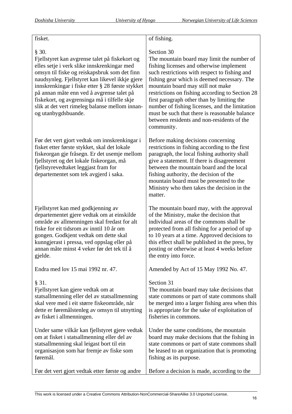| fisket.                                                                                                                                                                                                                                                                                                                                                                                                                             | of fishing.                                                                                                                                                                                                                                                                                                                                                                                                                                                                                               |
|-------------------------------------------------------------------------------------------------------------------------------------------------------------------------------------------------------------------------------------------------------------------------------------------------------------------------------------------------------------------------------------------------------------------------------------|-----------------------------------------------------------------------------------------------------------------------------------------------------------------------------------------------------------------------------------------------------------------------------------------------------------------------------------------------------------------------------------------------------------------------------------------------------------------------------------------------------------|
| § 30.<br>Fjellstyret kan avgrense talet på fiskekort og<br>elles setje i verk slike innskrenkingar med<br>omsyn til fiske og reiskapsbruk som det finn<br>naudsynleg. Fjellstyret kan likevel ikkje gjere<br>innskrenkingar i fiske etter § 28 første stykket<br>på annan måte enn ved å avgrense talet på<br>fiskekort, og avgrensinga må i tilfelle skje<br>slik at det vert rimeleg balanse mellom innan-<br>og utanbygdsbuande. | Section 30<br>The mountain board may limit the number of<br>fishing licenses and otherwise implement<br>such restrictions with respect to fishing and<br>fishing gear which is deemed necessary. The<br>mountain board may still not make<br>restrictions on fishing according to Section 28<br>first paragraph other than by limiting the<br>number of fishing licenses, and the limitation<br>must be such that there is reasonable balance<br>between residents and non-residents of the<br>community. |
| Før det vert gjort vedtak om innskrenkingar i<br>fisket etter første stykket, skal det lokale<br>fiskeorgan gje fråsegn. Er det usemje mellom<br>fjellstyret og det lokale fiskeorgan, må<br>fjellstyrevedtaket leggjast fram for<br>departementet som tek avgjerd i saka.                                                                                                                                                          | Before making decisions concerning<br>restrictions in fishing according to the first<br>paragraph, the local fishing authority shall<br>give a statement. If there is disagreement<br>between the mountain board and the local<br>fishing authority, the decision of the<br>mountain board must be presented to the<br>Ministry who then takes the decision in the<br>matter.                                                                                                                             |
| Fjellstyret kan med godkjenning av<br>departementet gjere vedtak om at einskilde<br>område av allmenningen skal fredast for alt<br>fiske for eit tidsrom av inntil 10 år om<br>gongen. Godkjent vedtak om dette skal<br>kunngjerast i pressa, ved oppslag eller på<br>annan måte minst 4 veker før det tek til å<br>gjelde.                                                                                                         | The mountain board may, with the approval<br>of the Ministry, make the decision that<br>individual areas of the commons shall be<br>protected from all fishing for a period of up<br>to 10 years at a time. Approved decisions to<br>this effect shall be published in the press, by<br>posting or otherwise at least 4 weeks before<br>the entry into force.                                                                                                                                             |
| Endra med lov 15 mai 1992 nr. 47.                                                                                                                                                                                                                                                                                                                                                                                                   | Amended by Act of 15 May 1992 No. 47.                                                                                                                                                                                                                                                                                                                                                                                                                                                                     |
| § 31.<br>Fjellstyret kan gjere vedtak om at<br>statsallmenning eller del av statsallmenning<br>skal vere med i eit større fiskeområde, når<br>dette er føremålstenleg av omsyn til utnytting<br>av fisket i allmenningen.                                                                                                                                                                                                           | Section 31<br>The mountain board may take decisions that<br>state commons or part of state commons shall<br>be merged into a larger fishing area when this<br>is appropriate for the sake of exploitation of<br>fisheries in commons.                                                                                                                                                                                                                                                                     |
| Under same vilkår kan fjellstyret gjere vedtak<br>om at fisket i statsallmenning eller del av<br>statsallmenning skal leigast bort til ein<br>organisasjon som har fremje av fiske som<br>føremål.                                                                                                                                                                                                                                  | Under the same conditions, the mountain<br>board may make decisions that the fishing in<br>state commons or part of state commons shall<br>be leased to an organization that is promoting<br>fishing as its purpose.                                                                                                                                                                                                                                                                                      |
| Før det vert gjort vedtak etter første og andre                                                                                                                                                                                                                                                                                                                                                                                     | Before a decision is made, according to the                                                                                                                                                                                                                                                                                                                                                                                                                                                               |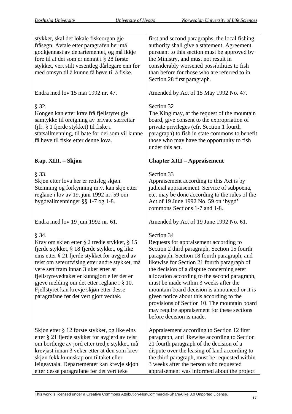| stykket, skal det lokale fiskeorgan gje<br>fråsegn. Avtale etter paragrafen her må<br>godkjennast av departementet, og må ikkje<br>føre til at dei som er nemnt i § 28 første<br>stykket, vert stilt vesentleg dårlegare enn før<br>med omsyn til å kunne få høve til å fiske.                                                                                                                                                       | first and second paragraphs, the local fishing<br>authority shall give a statement. Agreement<br>pursuant to this section must be approved by<br>the Ministry, and must not result in<br>considerably worsened possibilities to fish<br>than before for those who are referred to in<br>Section 28 first paragraph.                                                                                                                                                                                                                                                |
|--------------------------------------------------------------------------------------------------------------------------------------------------------------------------------------------------------------------------------------------------------------------------------------------------------------------------------------------------------------------------------------------------------------------------------------|--------------------------------------------------------------------------------------------------------------------------------------------------------------------------------------------------------------------------------------------------------------------------------------------------------------------------------------------------------------------------------------------------------------------------------------------------------------------------------------------------------------------------------------------------------------------|
| Endra med lov 15 mai 1992 nr. 47.                                                                                                                                                                                                                                                                                                                                                                                                    | Amended by Act of 15 May 1992 No. 47.                                                                                                                                                                                                                                                                                                                                                                                                                                                                                                                              |
| § 32.<br>Kongen kan etter krav frå fjellstyret gje<br>samtykke til oreigning av private særrettar<br>(jfr. § 1 fjerde stykket) til fiske i<br>statsallmenning, til bate for dei som vil kunne<br>få høve til fiske etter denne lova.                                                                                                                                                                                                 | Section 32<br>The King may, at the request of the mountain<br>board, give consent to the expropriation of<br>private privileges (cfr. Section 1 fourth<br>paragraph) to fish in state commons to benefit<br>those who may have the opportunity to fish<br>under this act.                                                                                                                                                                                                                                                                                          |
| Kap. XIII. - Skjøn                                                                                                                                                                                                                                                                                                                                                                                                                   | <b>Chapter XIII – Appraisement</b>                                                                                                                                                                                                                                                                                                                                                                                                                                                                                                                                 |
| § 33.<br>Skjøn etter lova her er rettsleg skjøn.<br>Stemning og forkynning m.v. kan skje etter<br>reglane i lov av 19. juni 1992 nr. 59 om<br>bygdeallmenninger §§ 1-7 og 1-8.                                                                                                                                                                                                                                                       | Section 33<br>Appraisement according to this Act is by<br>judicial appraisement. Service of subpoena,<br>etc. may be done according to the rules of the<br>Act of 19 June 1992 No. 59 on 'bygd' <sup>1</sup><br>commons Sections 1-7 and 1-8.                                                                                                                                                                                                                                                                                                                      |
| Endra med lov 19 juni 1992 nr. 61.                                                                                                                                                                                                                                                                                                                                                                                                   | Amended by Act of 19 June 1992 No. 61.                                                                                                                                                                                                                                                                                                                                                                                                                                                                                                                             |
| § 34.<br>Krav om skjøn etter § 2 tredje stykket, § 15<br>fjerde stykket, § 18 fjerde stykket, og like<br>eins etter § 21 fjerde stykket for avgjerd av<br>tvist om seterutvising etter andre stykket, må<br>vere sett fram innan 3 uker etter at<br>fjellstyrevedtaket er kunngjort eller det er<br>gjeve melding om det etter reglane i § 10.<br>Fjellstyret kan krevje skjøn etter desse<br>paragrafane før det vert gjort vedtak. | Section 34<br>Requests for appraisement according to<br>Section 2 third paragraph, Section 15 fourth<br>paragraph, Section 18 fourth paragraph, and<br>likewise for Section 21 fourth paragraph of<br>the decision of a dispute concerning seter<br>allocation according to the second paragraph,<br>must be made within 3 weeks after the<br>mountain board decision is announced or it is<br>given notice about this according to the<br>provisions of Section 10. The mountain board<br>may require appraisement for these sections<br>before decision is made. |
| Skjøn etter § 12 første stykket, og like eins<br>etter § 21 fjerde stykket for avgjerd av tvist<br>om bortleige av jord etter tredje stykket, må<br>krevjast innan 3 veker etter at den som krev<br>skjøn fekk kunnskap om tiltaket eller<br>leigeavtala. Departementet kan krevje skjøn<br>etter desse paragrafane før det vert teke                                                                                                | Appraisement according to Section 12 first<br>paragraph, and likewise according to Section<br>21 fourth paragraph of the decision of a<br>dispute over the leasing of land according to<br>the third paragraph, must be requested within<br>3 weeks after the person who requested<br>appraisement was informed about the project                                                                                                                                                                                                                                  |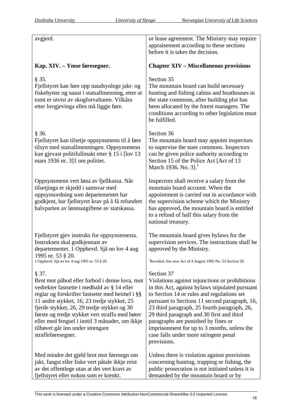| avgjerd.                                                                                                                                                                                                                                                                                                                                                                                                              | or lease agreement. The Ministry may require<br>appraisement according to these sections<br>before it is takes the decision.                                                                                                                                                                                                                                                                                                                              |
|-----------------------------------------------------------------------------------------------------------------------------------------------------------------------------------------------------------------------------------------------------------------------------------------------------------------------------------------------------------------------------------------------------------------------|-----------------------------------------------------------------------------------------------------------------------------------------------------------------------------------------------------------------------------------------------------------------------------------------------------------------------------------------------------------------------------------------------------------------------------------------------------------|
| Kap. XIV. - Ymse føresegner.                                                                                                                                                                                                                                                                                                                                                                                          | <b>Chapter XIV – Miscellaneous provisions</b>                                                                                                                                                                                                                                                                                                                                                                                                             |
| § 35.<br>Fjellstyret kan føre opp naudsynlege jakt- og<br>fiskehytter og naust i statsallmenning, etter at<br>tomt er utvist av skogforvaltaren. Vilkåra<br>etter lovgjevinga elles må liggje føre.                                                                                                                                                                                                                   | Section 35<br>The mountain board can build necessary<br>hunting and fishing cabins and boathouses in<br>the state commons, after building plot has<br>been allocated by the forest managers. The<br>conditions according to other legislation must<br>be fulfilled.                                                                                                                                                                                       |
| § 36.<br>Fjellstyret kan tilsetje oppsynsmenn til å føre<br>tilsyn med statsallmenningen. Oppsynsmenn<br>kan gjevast politifullmakt etter § 15 i [lov 13<br>mars 1936 nr. 3]1 om politiet.                                                                                                                                                                                                                            | Section 36<br>The mountain board may appoint inspectors<br>to supervise the state commons. Inspectors<br>can be given police authority according to<br>Section 15 of the Police Act [Act of 13<br>March 1936. No. 3].                                                                                                                                                                                                                                     |
| Oppsynsmenn vert løna av fjellkassa. Når<br>tilsetjinga er skjedd i samsvar med<br>oppsynsordning som departementet har<br>godkjent, har fjellstyret krav på å få refundert<br>halvparten av lønnsutgiftene av statskassa.                                                                                                                                                                                            | Inspectors shall receive a salary from the<br>mountain board account. When the<br>appointment is carried out in accordance with<br>the supervision scheme which the Ministry<br>has approved, the mountain board is entitled<br>to a refund of half this salary from the<br>national treasury.                                                                                                                                                            |
| Fiellstyret gjev instruks for oppsynstenesta.<br>Instruksen skal godkjennast av<br>departementet. 1 Opphevd. Sjå no lov 4 aug<br>1995 nr. 53 § 20.<br>1 Opphevd. Sjå no lov 4 aug 1995 nr. 53 § 20.                                                                                                                                                                                                                   | The mountain board gives bylaws for the<br>supervision services. The instructions shall be<br>approved by the Ministry.<br><sup>1</sup> Revoked. See now Act of 4 August 1995 No. 53 Section 20.                                                                                                                                                                                                                                                          |
| § 37.<br>Brot mot påbod eller forbod i denne lova, mot<br>vedtekter fastsette i medhald av § 14 eller<br>reglar og forskrifter fastsette med heimel i §§<br>11 andre stykket, 16, 23 tredje stykket, 25<br>fjerde stykket, 26, 29 tredje stykket og 30<br>første og tredje stykket vert straffa med bøter<br>eller med fengsel i inntil 3 månader, om ikkje<br>tilhøvet går inn under strengare<br>straffeføresegner. | Section 37<br>Violations against injunctions or prohibitions<br>in this Act, against bylaws stipulated pursuant<br>to Section 14 or rules and regulations set<br>pursuant to Sections 11 second paragraph, 16,<br>23 third paragraph, 25 fourth paragraph, 26,<br>29 third paragraph and 30 first and third<br>paragraphs are punished by fines or<br>imprisonment for up to 3 months, unless the<br>case falls under more stringent penal<br>provisions. |
| Med mindre det gjeld brot mot føresegn om<br>jakt, fangst eller fiske vert påtale ikkje reist<br>av det offentlege utan at det vert kravt av<br>fjellstyret eller nokon som er krenkt.                                                                                                                                                                                                                                | Unless there is violation against provisions<br>concerning hunting, trapping or fishing, the<br>public prosecution is not initiated unless it is<br>demanded by the mountain board or by                                                                                                                                                                                                                                                                  |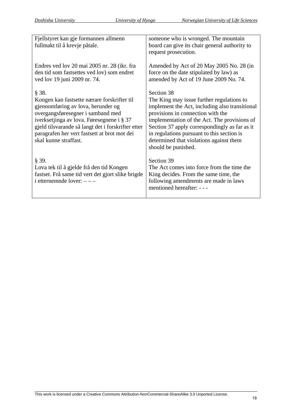| Fjellstyret kan gje formannen allmenn                                                              | someone who is wronged. The mountain                                                        |
|----------------------------------------------------------------------------------------------------|---------------------------------------------------------------------------------------------|
| fullmakt til å krevje påtale.                                                                      | board can give its chair general authority to                                               |
|                                                                                                    | request prosecution.                                                                        |
| Endres ved lov 20 mai 2005 nr. 28 (ikr. fra                                                        | Amended by Act of 20 May 2005 No. 28 (in                                                    |
| den tid som fastsettes ved lov) som endret                                                         | force on the date stipulated by law) as                                                     |
| ved lov 19 juni 2009 nr. 74.                                                                       | amended by Act of 19 June 2009 No. 74.                                                      |
|                                                                                                    |                                                                                             |
| § 38.                                                                                              | Section 38                                                                                  |
| Kongen kan fastsette nærare forskrifter til                                                        | The King may issue further regulations to                                                   |
| gjennomføring av lova, herunder og                                                                 | implement the Act, including also transitional                                              |
| overgangsføresegner i samband med                                                                  | provisions in connection with the                                                           |
| iverksetjinga av lova. Føresegnene i § 37                                                          | implementation of the Act. The provisions of                                                |
| gjeld tilsvarande så langt det i forskrifter etter<br>paragrafen her vert fastsett at brot mot dei | Section 37 apply correspondingly as far as it<br>in regulations pursuant to this section is |
| skal kunne straffast.                                                                              | determined that violations against them                                                     |
|                                                                                                    | should be punished.                                                                         |
|                                                                                                    |                                                                                             |
| § 39.                                                                                              | Section 39                                                                                  |
| Lova tek til å gjelde frå den tid Kongen                                                           | The Act comes into force from the time the                                                  |
| fastset. Frå same tid vert det gjort slike brigde                                                  | King decides. From the same time, the                                                       |
| i etternemnde lover: $---$                                                                         | following amendments are made in laws                                                       |
|                                                                                                    | mentioned hereafter: - - -                                                                  |
|                                                                                                    |                                                                                             |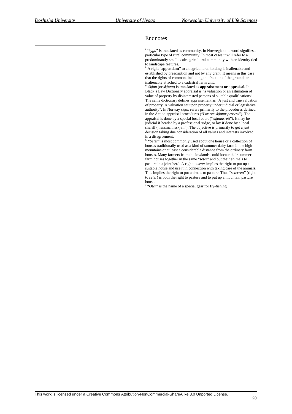#### Endnotes

<u>in die Staatsbeskip van die Staatsbeskip van die Staatsbeskip van die Staatsbeskip van die Staatsbeskip van di</u><br>Gebeure <sup>i</sup> "bygd" is translated as community. In Norwegian the word signifies a particular type of rural community. In most cases it will refer to a predominantly small-scale agricultural community with an identity tied to landscape features.

> ii A right "a**ppendant**" to an agricultural holding is inalienable and established by prescription and not by any grant. It means in this case that the rights of common, including the fraction of the ground, are inalienably attached to a cadastral farm unit.

iii *Skjøn* (or *skjønn*) is translated as **appraisement or appraisal.** In Black's Law Dictionary appraisal is "a valuation or an estimation of value of property by disinterested persons of suitable qualifications". The same dictionary defines appraisement as "A just and true valuation of property. A valuation set upon property under judicial or legislative authority". In Norway *skjøn* refers primarily to the procedures defined in the Act on appraisal procedures ("*Lov om skjønnsprosess*"). The appraisal is done by a special local court ("*skjønnsrett*"). It may be judicial if headed by a professional judge, or lay if done by a local sheriff ("lensmannsskjøn"). The objective is primarily to get a just decision taking due consideration of all values and interests involved in a disagreement.

<sup>iv</sup> "*Seter*" is most commonly used about one house or a collection of houses traditionally used as a kind of summer dairy farm in the high mountains or at least a considerable distance from the ordinary farm houses. Many farmers from the lowlands could locate their summer farm houses together in the same "*seter*" and put their animals to pasture in a joint herd. A right to *seter* implies the right to put up a suitable house and use it in connection with taking care of the animals. This implies the right to put animals to pasture. Thus "*seterrett*" (right to *seter*) is both the right to pasture and to put up a mountain pasture house.

<sup>v</sup> "Oter" is the name of a special gear for fly-fishing.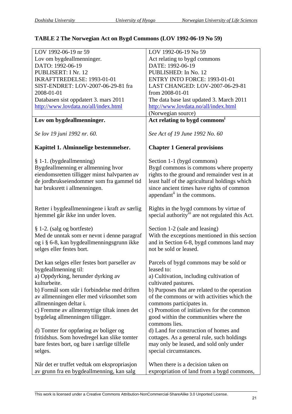# **TABLE 2 The Norwegian Act on Bygd Commons (LOV 1992-06-19 No 59)**

| LOV 1992-06-19 nr 59                                                                                                                                                                         | LOV 1992-06-19 No 59                                                                                                                                                                                                                                           |
|----------------------------------------------------------------------------------------------------------------------------------------------------------------------------------------------|----------------------------------------------------------------------------------------------------------------------------------------------------------------------------------------------------------------------------------------------------------------|
| Lov om bygdeallmenninger.                                                                                                                                                                    | Act relating to bygd commons                                                                                                                                                                                                                                   |
| DATO: 1992-06-19                                                                                                                                                                             | DATE: 1992-06-19                                                                                                                                                                                                                                               |
| PUBLISERT: I Nr. 12                                                                                                                                                                          | PUBLISHED: In No. 12                                                                                                                                                                                                                                           |
| IKRAFTTREDELSE: 1993-01-01                                                                                                                                                                   | <b>ENTRY INTO FORCE: 1993-01-01</b>                                                                                                                                                                                                                            |
| SIST-ENDRET: LOV-2007-06-29-81 fra                                                                                                                                                           | LAST CHANGED: LOV-2007-06-29-81                                                                                                                                                                                                                                |
| 2008-01-01                                                                                                                                                                                   | from 2008-01-01                                                                                                                                                                                                                                                |
| Databasen sist oppdatert 3. mars 2011                                                                                                                                                        | The data base last updated 3. March 2011                                                                                                                                                                                                                       |
| http://www.lovdata.no/all/index.html                                                                                                                                                         | http://www.lovdata.no/all/index.html                                                                                                                                                                                                                           |
|                                                                                                                                                                                              | (Norwegian source)                                                                                                                                                                                                                                             |
| Lov om bygdeallmenninger.                                                                                                                                                                    | Act relating to bygd commons <sup>i</sup>                                                                                                                                                                                                                      |
|                                                                                                                                                                                              |                                                                                                                                                                                                                                                                |
| Se lov 19 juni 1992 nr. 60.                                                                                                                                                                  | See Act of 19 June 1992 No. 60                                                                                                                                                                                                                                 |
| Kapittel 1. Alminnelige bestemmelser.                                                                                                                                                        | <b>Chapter 1 General provisions</b>                                                                                                                                                                                                                            |
| § 1-1. (bygdeallmenning)<br>Bygdeallmenning er allmenning hvor<br>eiendomsretten tilligger minst halvparten av<br>de jordbrukseiendommer som fra gammel tid<br>har bruksrett i allmenningen. | Section 1-1 (bygd commons)<br>Bygd commons is commons where property<br>rights to the ground and remainder vest in at<br>least half of the agricultural holdings which<br>since ancient times have rights of common<br>appendant <sup>ii</sup> in the commons. |
| Retter i bygdeallmenningene i kraft av særlig<br>hjemmel går ikke inn under loven.                                                                                                           | Rights in the bygd commons by virtue of<br>special authority <sup>iii</sup> are not regulated this Act.                                                                                                                                                        |
| § 1-2. (salg og bortfeste)<br>Med de unntak som er nevnt i denne paragraf<br>og i § 6-8, kan bygdeallmenningsgrunn ikke<br>selges eller festes bort.                                         | Section 1-2 (sale and leasing)<br>With the exceptions mentioned in this section<br>and in Section 6-8, bygd commons land may<br>not be sold or leased.                                                                                                         |
| Det kan selges eller festes bort parseller av                                                                                                                                                | Parcels of bygd commons may be sold or                                                                                                                                                                                                                         |
| bygdeallmenning til:                                                                                                                                                                         | leased to:                                                                                                                                                                                                                                                     |
| a) Oppdyrking, herunder dyrking av                                                                                                                                                           | a) Cultivation, including cultivation of                                                                                                                                                                                                                       |
| kulturbeite.                                                                                                                                                                                 | cultivated pastures.                                                                                                                                                                                                                                           |
| b) Formål som står i forbindelse med driften                                                                                                                                                 | b) Purposes that are related to the operation                                                                                                                                                                                                                  |
| av allmenningen eller med virksomhet som                                                                                                                                                     | of the commons or with activities which the                                                                                                                                                                                                                    |
| allmenningen deltar i.                                                                                                                                                                       | commons participates in.                                                                                                                                                                                                                                       |
| c) Fremme av allmennyttige tiltak innen det                                                                                                                                                  | c) Promotion of initiatives for the common                                                                                                                                                                                                                     |
| bygdelag allmenningen tilligger.                                                                                                                                                             | good within the communities where the                                                                                                                                                                                                                          |
|                                                                                                                                                                                              | commons lies.                                                                                                                                                                                                                                                  |
| d) Tomter for oppføring av boliger og                                                                                                                                                        | d) Land for construction of homes and                                                                                                                                                                                                                          |
| fritidshus. Som hovedregel kan slike tomter                                                                                                                                                  | cottages. As a general rule, such holdings                                                                                                                                                                                                                     |
| bare festes bort, og bare i særlige tilfelle                                                                                                                                                 | may only be leased, and sold only under                                                                                                                                                                                                                        |
| selges.                                                                                                                                                                                      | special circumstances.                                                                                                                                                                                                                                         |
| Når det er truffet vedtak om ekspropriasjon                                                                                                                                                  | When there is a decision taken on                                                                                                                                                                                                                              |
| av grunn fra en bygdeallmenning, kan salg                                                                                                                                                    | expropriation of land from a bygd commons,                                                                                                                                                                                                                     |
|                                                                                                                                                                                              |                                                                                                                                                                                                                                                                |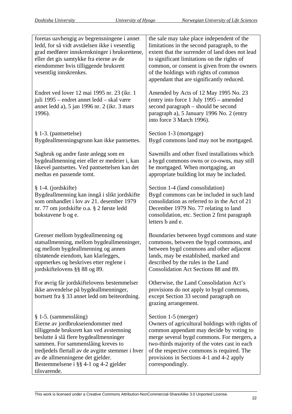| foretas uavhengig av begrensningene i annet<br>ledd, for så vidt avståelsen ikke i vesentlig<br>grad medfører innskrenkninger i bruksrettene,<br>eller det gis samtykke fra eierne av de<br>eiendommer hvis tilliggende bruksrett<br>vesentlig innskrenkes.                                                                             | the sale may take place independent of the<br>limitations in the second paragraph, to the<br>extent that the surrender of land does not lead<br>to significant limitations on the rights of<br>common, or consent is given from the owners<br>of the holdings with rights of common<br>appendant that are significantly reduced. |
|-----------------------------------------------------------------------------------------------------------------------------------------------------------------------------------------------------------------------------------------------------------------------------------------------------------------------------------------|----------------------------------------------------------------------------------------------------------------------------------------------------------------------------------------------------------------------------------------------------------------------------------------------------------------------------------|
| Endret ved lover 12 mai 1995 nr. 23 (ikr. 1<br>juli 1995 – endret annet ledd – skal være<br>annet ledd a), 5 jan 1996 nr. 2 (ikr. 3 mars<br>1996).                                                                                                                                                                                      | Amended by Acts of 12 May 1995 No. 23<br>(entry into force 1 July 1995 - amended<br>second paragraph - should be second<br>paragraph a), 5 January 1996 No. 2 (entry<br>into force 3 March 1996).                                                                                                                                |
| § 1-3. (pantsettelse)<br>Bygdeallmenningsgrunn kan ikke pantsettes.                                                                                                                                                                                                                                                                     | Section 1-3 (mortgage)<br>Bygd commons land may not be mortgaged.                                                                                                                                                                                                                                                                |
| Sagbruk og andre faste anlegg som en<br>bygdeallmenning eier eller er medeier i, kan<br>likevel pantsettes. Ved pantsettelsen kan det<br>medtas en passende tomt.                                                                                                                                                                       | Sawmills and other fixed installations which<br>a bygd commons owns or co-owns, may still<br>be mortgaged. When mortgaging, an<br>appropriate building lot may be included.                                                                                                                                                      |
| $§ 1-4.$ (jordskifte)<br>Bygdeallmenning kan inngå i slikt jordskifte<br>som omhandlet i lov av 21. desember 1979<br>nr. 77 om jordskifte o.a. § 2 første ledd<br>bokstavene b og e.                                                                                                                                                    | Section 1-4 (land consolidation)<br>Bygd commons can be included in such land<br>consolidation as referred to in the Act of 21<br>December 1979 No. 77 relating to land<br>consolidation, etc. Section 2 first paragraph<br>letters b and e.                                                                                     |
| Grenser mellom bygdeallmenning og<br>statsallmenning, mellom bygdeallmenninger,<br>og mellom bygdeallmenning og annen<br>tilstøtende eiendom, kan klarlegges,<br>oppmerkes og beskrives etter reglene i<br>jordskiftelovens §§ 88 og 89.                                                                                                | Boundaries between bygd commons and state<br>commons, between the bygd commons, and<br>between bygd commons and other adjacent<br>lands, may be established, marked and<br>described by the rules in the Land<br>Consolidation Act Sections 88 and 89.                                                                           |
| For øvrig får jordskiftelovens bestemmelser<br>ikke anvendelse på bygdeallmenninger,<br>bortsett fra § 33 annet ledd om beiteordning.                                                                                                                                                                                                   | Otherwise, the Land Consolidation Act's<br>provisions do not apply to bygd commons,<br>except Section 33 second paragraph on<br>grazing arrangement.                                                                                                                                                                             |
| § 1-5. (sammenslåing)<br>Eierne av jordbrukseiendommer med<br>tilliggende bruksrett kan ved avstemning<br>beslutte å slå flere bygdeallmenninger<br>sammen. For sammenslåing kreves to<br>tredjedels flertall av de avgitte stemmer i hver<br>av de allmenningene det gjelder.<br>Bestemmelsene i §§ 4-1 og 4-2 gjelder<br>tilsvarende. | Section 1-5 (merger)<br>Owners of agricultural holdings with rights of<br>common appendant may decide by voting to<br>merge several bygd commons. For mergers, a<br>two-thirds majority of the votes cast in each<br>of the respective commons is required. The<br>provisions in Sections 4-1 and 4-2 apply<br>correspondingly.  |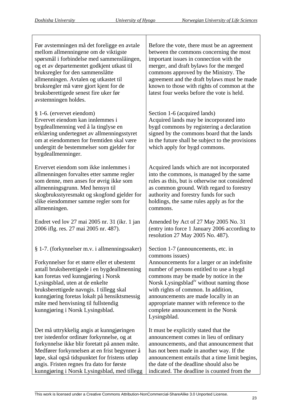| Før avstemningen må det foreligge en avtale<br>mellom allmenningene om de viktigste<br>spørsmål i forbindelse med sammenslåingen,<br>og et av departementet godkjent utkast til<br>bruksregler for den sammenslåtte<br>allmenningen. Avtalen og utkastet til<br>bruksregler må være gjort kjent for de<br>bruksberettigede senest fire uker før<br>avstemningen holdes.                        | Before the vote, there must be an agreement<br>between the commons concerning the most<br>important issues in connection with the<br>merger, and draft bylaws for the merged<br>commons approved by the Ministry. The<br>agreement and the draft bylaws must be made<br>known to those with rights of common at the<br>latest four weeks before the vote is held.                                                                  |
|------------------------------------------------------------------------------------------------------------------------------------------------------------------------------------------------------------------------------------------------------------------------------------------------------------------------------------------------------------------------------------------------|------------------------------------------------------------------------------------------------------------------------------------------------------------------------------------------------------------------------------------------------------------------------------------------------------------------------------------------------------------------------------------------------------------------------------------|
| § 1-6. (ervervet eiendom)<br>Ervervet eiendom kan innlemmes i<br>bygdeallmenning ved å la tinglyse en<br>erklæring undertegnet av allmenningsstyret<br>om at eiendommen for fremtiden skal være<br>undergitt de bestemmelser som gjelder for<br>bygdeallmenninger.                                                                                                                             | Section 1-6 (acquired lands)<br>Acquired lands may be incorporated into<br>bygd commons by registering a declaration<br>signed by the commons board that the lands<br>in the future shall be subject to the provisions<br>which apply for bygd commons.                                                                                                                                                                            |
| Ervervet eiendom som ikke innlemmes i<br>allmenningen forvaltes etter samme regler<br>som denne, men anses for øvrig ikke som<br>allmenningsgrunn. Med hensyn til<br>skogbruksstyresmakt og skogfond gjelder for<br>slike eiendommer samme regler som for<br>allmenningen.                                                                                                                     | Acquired lands which are not incorporated<br>into the commons, is managed by the same<br>rules as this, but is otherwise not considered<br>as common ground. With regard to forestry<br>authority and forestry funds for such<br>holdings, the same rules apply as for the<br>commons.                                                                                                                                             |
| Endret ved lov 27 mai 2005 nr. 31 (ikr. 1 jan<br>2006 iflg. res. 27 mai 2005 nr. 487).                                                                                                                                                                                                                                                                                                         | Amended by Act of 27 May 2005 No. 31<br>(entry into force 1 January 2006 according to<br>resolution 27 May 2005 No. 487).                                                                                                                                                                                                                                                                                                          |
| § 1-7. (forkynnelser m.v. i allmenningssaker)<br>Forkynnelser for et større eller et ubestemt<br>antall bruksberettigede i en bygdeallmenning<br>kan foretas ved kunngjøring i Norsk<br>Lysingsblad, uten at de enkelte<br>bruksberettigede navngis. I tillegg skal<br>kunngjøring foretas lokalt på hensiktsmessig<br>måte med henvisning til fullstendig<br>kunngjøring i Norsk Lysingsblad. | Section 1-7 (announcements, etc. in<br>commons issues)<br>Announcements for a larger or an indefinite<br>number of persons entitled to use a bygd<br>commons may be made by notice in the<br>Norsk Lysingsblad <sup>1v</sup> without naming those<br>with rights of common. In addition,<br>announcements are made locally in an<br>appropriate manner with reference to the<br>complete announcement in the Norsk<br>Lysingsblad. |
| Det må uttrykkelig angis at kunngjøringen<br>trer istedenfor ordinær forkynnelse, og at<br>forkynnelse ikke blir foretatt på annen måte.<br>Medfører forkynnelsen at en frist begynner å<br>løpe, skal også tidspunktet for fristens utløp<br>angis. Fristen regnes fra dato for første<br>kunngjøring i Norsk Lysingsblad, med tillegg                                                        | It must be explicitly stated that the<br>announcement comes in lieu of ordinary<br>announcements, and that announcement that<br>has not been made in another way. If the<br>announcement entails that a time limit begins,<br>the date of the deadline should also be<br>indicated. The deadline is counted from the                                                                                                               |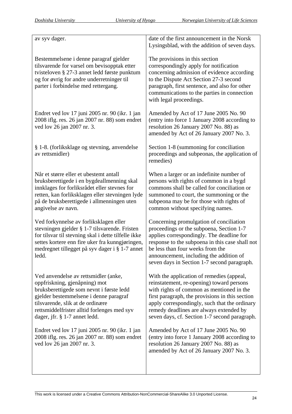| av syv dager.                                                                                                                                                                                                                                                                   | date of the first announcement in the Norsk<br>Lysingsblad, with the addition of seven days.                                                                                                                                                                                                                                        |
|---------------------------------------------------------------------------------------------------------------------------------------------------------------------------------------------------------------------------------------------------------------------------------|-------------------------------------------------------------------------------------------------------------------------------------------------------------------------------------------------------------------------------------------------------------------------------------------------------------------------------------|
| Bestemmelsene i denne paragraf gjelder<br>tilsvarende for varsel om bevisopptak etter<br>tvisteloven § 27-3 annet ledd første punktum<br>og for øvrig for andre underretninger til<br>parter i forbindelse med rettergang.                                                      | The provisions in this section<br>correspondingly apply for notification<br>concerning admission of evidence according<br>to the Dispute Act Section 27-3 second<br>paragraph, first sentence, and also for other<br>communications to the parties in connection<br>with legal proceedings.                                         |
| Endret ved lov 17 juni 2005 nr. 90 (ikr. 1 jan<br>2008 iflg. res. 26 jan 2007 nr. 88) som endret<br>ved lov 26 jan 2007 nr. 3.                                                                                                                                                  | Amended by Act of 17 June 2005 No. 90<br>(entry into force 1 January 2008 according to<br>resolution 26 January 2007 No. 88) as<br>amended by Act of 26 January 2007 No. 3.                                                                                                                                                         |
| § 1-8. (forliksklage og stevning, anvendelse<br>av rettsmidler)                                                                                                                                                                                                                 | Section 1-8 (summoning for conciliation<br>proceedings and subpeonas, the application of<br>remedies)                                                                                                                                                                                                                               |
| Når et større eller et ubestemt antall<br>bruksberettigede i en bygdeallmenning skal<br>innklages for forliksrådet eller stevnes for<br>retten, kan forliksklagen eller stevningen lyde<br>på de bruksberettigede i allmenningen uten<br>angivelse av navn.                     | When a larger or an indefinite number of<br>persons with rights of common in a bygd<br>commons shall be called for conciliation or<br>summoned to court, the summoning or the<br>subpeona may be for those with rights of<br>common without specifying names.                                                                       |
| Ved forkynnelse av forliksklagen eller<br>stevningen gjelder § 1-7 tilsvarende. Fristen<br>for tilsvar til stevning skal i dette tilfelle ikke<br>settes kortere enn fire uker fra kunngjøringen,<br>medregnet tillegget på syv dager i § 1-7 annet<br>ledd.                    | Concerning promulgation of conciliation<br>proceedings or the subpoena, Section 1-7<br>applies correspondingly. The deadline for<br>response to the subpoena in this case shall not<br>be less than four weeks from the<br>announcement, including the addition of<br>seven days in Section 1-7 second paragraph.                   |
| Ved anvendelse av rettsmidler (anke,<br>oppfriskning, gjenåpning) mot<br>bruksberettigede som nevnt i første ledd<br>gjelder bestemmelsene i denne paragraf<br>tilsvarende, slik at de ordinære<br>rettsmiddelfrister alltid forlenges med syv<br>dager, jfr. § 1-7 annet ledd. | With the application of remedies (appeal,<br>reinstatement, re-opening) toward persons<br>with rights of common as mentioned in the<br>first paragraph, the provisions in this section<br>apply correspondingly, such that the ordinary<br>remedy deadlines are always extended by<br>seven days, cf. Section 1-7 second paragraph. |
| Endret ved lov 17 juni 2005 nr. 90 (ikr. 1 jan<br>2008 iflg. res. 26 jan 2007 nr. 88) som endret<br>ved lov 26 jan 2007 nr. 3.                                                                                                                                                  | Amended by Act of 17 June 2005 No. 90<br>(entry into force 1 January 2008 according to<br>resolution 26 January 2007 No. 88) as<br>amended by Act of 26 January 2007 No. 3.                                                                                                                                                         |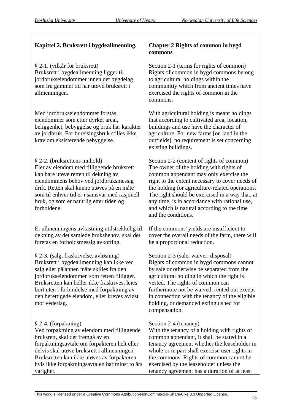| Kapittel 2. Bruksrett i bygdeallmenning.                                                                                                                                                                                                                                                                                                    | <b>Chapter 2 Rights of common in bygd</b><br>commons                                                                                                                                                                                                                                                                                                                                                          |
|---------------------------------------------------------------------------------------------------------------------------------------------------------------------------------------------------------------------------------------------------------------------------------------------------------------------------------------------|---------------------------------------------------------------------------------------------------------------------------------------------------------------------------------------------------------------------------------------------------------------------------------------------------------------------------------------------------------------------------------------------------------------|
| § 2-1. (vilkår for bruksrett)<br>Bruksrett i bygdeallmenning ligger til<br>jordbrukseiendommer innen det bygdelag<br>som fra gammel tid har utøvd bruksrett i<br>allmenningen.                                                                                                                                                              | Section 2-1 (terms for rights of common)<br>Rights of common in bygd commons belong<br>to agricultural holdings within the<br>communitiy which from ancient times have<br>exercised the rights of common in the<br>commons.                                                                                                                                                                                   |
| Med jordbrukseiendommer forstås<br>eiendommer som etter dyrket areal,<br>beliggenhet, bebyggelse og bruk har karakter<br>av jordbruk. For bureisingsbruk stilles ikke<br>krav om eksisterende bebyggelse.                                                                                                                                   | With agricultural holding is meant holdings<br>that according to cultivated area, location,<br>buildings and use have the character of<br>agriculture. For new farms [on land in the<br>outfields], no requirement is set concerning<br>existing buildings.                                                                                                                                                   |
| § 2-2. (bruksrettens innhold)<br>Eier av eiendom med tilliggende bruksrett<br>kan bare utøve retten til dekning av<br>eiendommens behov ved jordbruksmessig<br>drift. Retten skal kunne utøves på en måte<br>som til enhver tid er i samsvar med rasjonell<br>bruk, og som er naturlig etter tiden og<br>forholdene.                        | Section 2-2 (content of rights of common)<br>The owner of the holding with rights of<br>common appendant may only exercise the<br>right to the extent necessary to cover needs of<br>the holding for agriculture-related operations.<br>The right should be exercised in a way that, at<br>any time, is in accordance with rational use,<br>and which is natural according to the time<br>and the conditions. |
| Er allmenningens avkastning utilstrekkelig til<br>dekning av det samlede bruksbehov, skal det<br>foretas en forholdsmessig avkorting.                                                                                                                                                                                                       | If the commons' yields are insufficient to<br>cover the overall needs of the farm, there will<br>be a proportional reduction.                                                                                                                                                                                                                                                                                 |
| § 2-3. (salg, fraskrivelse, avløsning)<br>Bruksrett i bygdeallmenning kan ikke ved<br>salg eller på annen måte skilles fra den<br>jordbrukseiendommen som retten tilligger.<br>Bruksretten kan heller ikke fraskrives, leies<br>bort uten i forbindelse med forpaktning av<br>den berettigede eiendom, eller kreves avløst<br>mot vederlag. | Section 2-3 (sale, waiver, disposal)<br>Rights of common in bygd commons cannot<br>by sale or otherwise be separated from the<br>agricultural holding in which the right is<br>vested. The rights of common can<br>furthermore not be waived, rented out except<br>in connection with the tenancy of the eligible<br>holding, or demanded extinguished for<br>compensation.                                   |
| § 2-4. (forpaktning)<br>Ved forpaktning av eiendom med tilliggende<br>bruksrett, skal det fremgå av en<br>forpaktningsavtale om forpakteren helt eller<br>delvis skal utøve bruksrett i allmenningen.<br>Bruksretten kan ikke utøves av forpakteren<br>hvis ikke forpaktningsavtalen har minst to års<br>varighet.                          | Section 2-4 (tenancy)<br>With the tenancy of a holding with rights of<br>common appendant, it shall be stated in a<br>tenancy agreement whether the leaseholder in<br>whole or in part shall exercise user rights in<br>the commons. Rights of common cannot be<br>exercised by the leaseholder unless the<br>tenancy agreement has a duration of at least                                                    |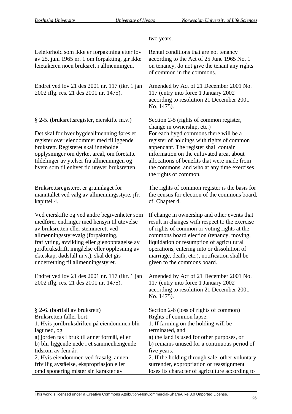|                                                                                                                                                                                                                                                                                                                                                                            | two years.                                                                                                                                                                                                                                                                                                                                                                                  |
|----------------------------------------------------------------------------------------------------------------------------------------------------------------------------------------------------------------------------------------------------------------------------------------------------------------------------------------------------------------------------|---------------------------------------------------------------------------------------------------------------------------------------------------------------------------------------------------------------------------------------------------------------------------------------------------------------------------------------------------------------------------------------------|
| Leieforhold som ikke er forpaktning etter lov<br>av 25. juni 1965 nr. 1 om forpakting, gir ikke<br>leietakeren noen bruksrett i allmenningen.                                                                                                                                                                                                                              | Rental conditions that are not tenancy<br>according to the Act of 25 June 1965 No. 1<br>on tenancy, do not give the tenant any rights<br>of common in the commons.                                                                                                                                                                                                                          |
| Endret ved lov 21 des 2001 nr. 117 (ikr. 1 jan<br>2002 iflg. res. 21 des 2001 nr. 1475).                                                                                                                                                                                                                                                                                   | Amended by Act of 21 December 2001 No.<br>117 (entry into force 1 January 2002<br>according to resolution 21 December 2001<br>No. 1475).                                                                                                                                                                                                                                                    |
| § 2-5. (bruksrettsregister, eierskifte m.v.)<br>Det skal for hver bygdeallmenning føres et<br>register over eiendommer med tilliggende<br>bruksrett. Registeret skal inneholde<br>opplysninger om dyrket areal, om foretatte<br>tildelinger av ytelser fra allmenningen og<br>hvem som til enhver tid utøver bruksretten.                                                  | Section 2-5 (rights of common register,<br>change in ownership, etc.)<br>For each bygd commons there will be a<br>register of holdings with rights of common<br>appendant. The register shall contain<br>information on the cultivated area, about<br>allocations of benefits that were made from<br>the commons, and who at any time exercises<br>the rights of common.                    |
| Bruksrettsregisteret er grunnlaget for<br>manntallet ved valg av allmenningsstyre, jfr.<br>kapittel 4.                                                                                                                                                                                                                                                                     | The rights of common register is the basis for<br>the census for election of the commons board,<br>cf. Chapter 4.                                                                                                                                                                                                                                                                           |
| Ved eierskifte og ved andre begivenheter som<br>medfører endringer med hensyn til utøvelse<br>av bruksretten eller stemmerett ved<br>allmenningsstyrevalg (forpaktning,<br>fraflytting, avvikling eller gjenopptagelse av<br>jordbruksdrift, inngåelse eller oppløsning av<br>ekteskap, dødsfall m.v.), skal det gis<br>underretning til allmenningsstyret.                | If change in ownership and other events that<br>result in changes with respect to the exercise<br>of rights of common or voting rights at the<br>commons board election (tenancy, moving,<br>liquidation or resumption of agricultural<br>operations, entering into or dissolution of<br>marriage, death, etc.), notification shall be<br>given to the commons board.                       |
| Endret ved lov 21 des 2001 nr. 117 (ikr. 1 jan<br>2002 iflg. res. 21 des 2001 nr. 1475).                                                                                                                                                                                                                                                                                   | Amended by Act of 21 December 2001 No.<br>117 (entry into force 1 January 2002)<br>according to resolution 21 December 2001<br>No. 1475).                                                                                                                                                                                                                                                   |
| § 2-6. (bortfall av bruksrett)<br>Bruksretten faller bort:<br>1. Hvis jordbruksdriften på eiendommen blir<br>lagt ned, og<br>a) jorden tas i bruk til annet formål, eller<br>b) blir liggende nede i et sammenhengende<br>tidsrom av fem år.<br>2. Hvis eiendommen ved frasalg, annen<br>frivillig avståelse, ekspropriasjon eller<br>omdisponering mister sin karakter av | Section 2-6 (loss of rights of common)<br>Rights of common lapse:<br>1. If farming on the holding will be<br>terminated, and<br>a) the land is used for other purposes, or<br>b) remains unused for a continuous period of<br>five years.<br>2. If the holding through sale, other voluntary<br>surrender, expropriation or reassignment<br>loses its character of agriculture according to |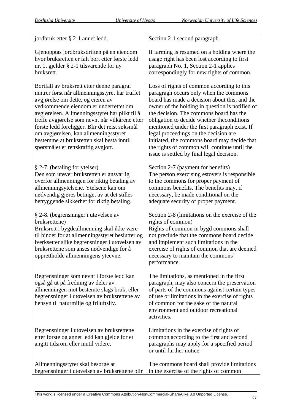| jordbruk etter § 2-1 annet ledd.                                                                                                                                                                                                                                                                                                                                                                                                                                | Section 2-1 second paragraph.                                                                                                                                                                                                                                                                                                                                                                                                                                                                                             |
|-----------------------------------------------------------------------------------------------------------------------------------------------------------------------------------------------------------------------------------------------------------------------------------------------------------------------------------------------------------------------------------------------------------------------------------------------------------------|---------------------------------------------------------------------------------------------------------------------------------------------------------------------------------------------------------------------------------------------------------------------------------------------------------------------------------------------------------------------------------------------------------------------------------------------------------------------------------------------------------------------------|
| Gjenopptas jordbruksdriften på en eiendom<br>hvor bruksretten er falt bort etter første ledd<br>nr. 1, gjelder § 2-1 tilsvarende for ny<br>bruksrett.                                                                                                                                                                                                                                                                                                           | If farming is resumed on a holding where the<br>usage right has been lost according to first<br>paragraph No. 1, Section 2-1 applies<br>correspondingly for new rights of common.                                                                                                                                                                                                                                                                                                                                         |
| Bortfall av bruksrett etter denne paragraf<br>inntrer først når allmenningsstyret har truffet<br>avgjørelse om dette, og eieren av<br>vedkommende eiendom er underrettet om<br>avgjørelsen. Allmenningsstyret har plikt til å<br>treffe avgjørelse som nevnt når vilkårene etter<br>første ledd foreligger. Blir det reist søksmål<br>om avgjørelsen, kan allmenningsstyret<br>bestemme at bruksretten skal bestå inntil<br>spørsmålet er rettskraftig avgjort. | Loss of rights of common according to this<br>paragragh occurs only when the commons<br>board has made a decision about this, and the<br>owner of the holding in question is notified of<br>the decision. The commons board has the<br>obligation to decide whether the conditions<br>mentioned under the first paragraph exist. If<br>legal proceedings on the decision are<br>initiated, the commons board may decide that<br>the rights of common will continue until the<br>issue is settled by final legal decision. |
| § 2-7. (betaling for ytelser)<br>Den som utøver bruksretten er ansvarlig<br>overfor allmenningen for riktig betaling av<br>allmenningsytelsene. Ytelsene kan om<br>nødvendig gjøres betinget av at det stilles<br>betryggende sikkerhet for riktig betaling.                                                                                                                                                                                                    | Section 2-7 (payment for benefits)<br>The person exercising estovers is responsible<br>to the commons for proper payment of<br>commons benefits. The benefits may, if<br>necessary, be made conditional on the<br>adequate security of proper payment.                                                                                                                                                                                                                                                                    |
| § 2-8. (begrensninger i utøvelsen av<br>bruksrettene)<br>Bruksrett i bygdeallmenning skal ikke være<br>til hinder for at allmenningsstyret beslutter og<br>iverksetter slike begrensninger i utøvelsen av<br>bruksrettene som anses nødvendige for å<br>opprettholde allmenningens yteevne.                                                                                                                                                                     | Section 2-8 (limitations on the exercise of the<br>rights of common)<br>Rights of common in bygd commons shall<br>not preclude that the commons board decide<br>and implement such limitations in the<br>exercise of rights of common that are deemed<br>necessary to maintain the commons'<br>performance.                                                                                                                                                                                                               |
| Begrensninger som nevnt i første ledd kan<br>også gå ut på fredning av deler av<br>allmenningen mot bestemte slags bruk, eller<br>begrensninger i utøvelsen av bruksrettene av<br>hensyn til naturmiljø og friluftsliv.                                                                                                                                                                                                                                         | The limitations, as mentioned in the first<br>paragraph, may also concern the preservation<br>of parts of the commons against certain types<br>of use or limitations in the exercise of rights<br>of common for the sake of the natural<br>environment and outdoor recreational<br>activities.                                                                                                                                                                                                                            |
| Begrensninger i utøvelsen av bruksrettene<br>etter første og annet ledd kan gjelde for et<br>angitt tidsrom eller inntil videre.                                                                                                                                                                                                                                                                                                                                | Limitations in the exercise of rights of<br>common according to the first and second<br>paragraphs may apply for a specified period<br>or until further notice.                                                                                                                                                                                                                                                                                                                                                           |
| Allmenningsstyret skal besørge at<br>begrensninger i utøvelsen av bruksrettene blir                                                                                                                                                                                                                                                                                                                                                                             | The commons board shall provide limitations<br>in the exercise of the rights of common                                                                                                                                                                                                                                                                                                                                                                                                                                    |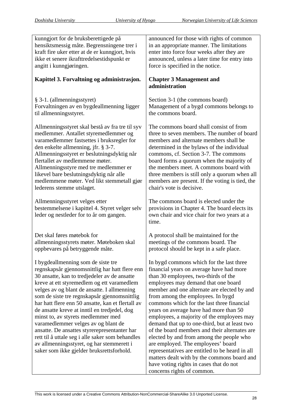| kunngjort for de bruksberettigede på                                                                                                                                                                                                                                                                                                                                                                                                                                                                                                                                                                                                                              | announced for those with rights of common                                                                                                                                                                                                                                                                                                                                                                                                                                                                                                                                                                                                                                                                                                                    |
|-------------------------------------------------------------------------------------------------------------------------------------------------------------------------------------------------------------------------------------------------------------------------------------------------------------------------------------------------------------------------------------------------------------------------------------------------------------------------------------------------------------------------------------------------------------------------------------------------------------------------------------------------------------------|--------------------------------------------------------------------------------------------------------------------------------------------------------------------------------------------------------------------------------------------------------------------------------------------------------------------------------------------------------------------------------------------------------------------------------------------------------------------------------------------------------------------------------------------------------------------------------------------------------------------------------------------------------------------------------------------------------------------------------------------------------------|
|                                                                                                                                                                                                                                                                                                                                                                                                                                                                                                                                                                                                                                                                   |                                                                                                                                                                                                                                                                                                                                                                                                                                                                                                                                                                                                                                                                                                                                                              |
| hensiktsmessig måte. Begrensningene trer i                                                                                                                                                                                                                                                                                                                                                                                                                                                                                                                                                                                                                        | in an appropriate manner. The limitations                                                                                                                                                                                                                                                                                                                                                                                                                                                                                                                                                                                                                                                                                                                    |
| kraft fire uker etter at de er kunngjort, hvis                                                                                                                                                                                                                                                                                                                                                                                                                                                                                                                                                                                                                    | enter into force four weeks after they are                                                                                                                                                                                                                                                                                                                                                                                                                                                                                                                                                                                                                                                                                                                   |
| ikke et senere ikrafttredelsestidspunkt er                                                                                                                                                                                                                                                                                                                                                                                                                                                                                                                                                                                                                        | announced, unless a later time for entry into                                                                                                                                                                                                                                                                                                                                                                                                                                                                                                                                                                                                                                                                                                                |
| angitt i kunngjøringen.                                                                                                                                                                                                                                                                                                                                                                                                                                                                                                                                                                                                                                           | force is specified in the notice.                                                                                                                                                                                                                                                                                                                                                                                                                                                                                                                                                                                                                                                                                                                            |
| Kapittel 3. Forvaltning og administrasjon.                                                                                                                                                                                                                                                                                                                                                                                                                                                                                                                                                                                                                        | <b>Chapter 3 Management and</b><br>administration                                                                                                                                                                                                                                                                                                                                                                                                                                                                                                                                                                                                                                                                                                            |
| § 3-1. (allmenningsstyret)<br>Forvaltningen av en bygdeallmenning ligger<br>til allmenningsstyret.                                                                                                                                                                                                                                                                                                                                                                                                                                                                                                                                                                | Section 3-1 (the commons board)<br>Management of a bygd commons belongs to<br>the commons board.                                                                                                                                                                                                                                                                                                                                                                                                                                                                                                                                                                                                                                                             |
| Allmenningsstyret skal bestå av fra tre til syv<br>medlemmer. Antallet styremedlemmer og<br>varamedlemmer fastsettes i bruksregler for<br>den enkelte allmenning, jfr. § 3-7.<br>Allmenningsstyret er beslutningsdyktig når<br>flertallet av medlemmene møter.<br>Allmenningsstyre med tre medlemmer er<br>likevel bare beslutningsdyktig når alle<br>medlemmene møter. Ved likt stemmetall gjør<br>lederens stemme utslaget.                                                                                                                                                                                                                                     | The commons board shall consist of from<br>three to seven members. The number of board<br>members and alternate members shall be<br>determined in the bylaws of the individual<br>commons, cf. Section 3-7. The commons<br>board forms a quorum when the majority of<br>the members meet. A commons board with<br>three members is still only a quorum when all<br>members are present. If the voting is tied, the<br>chair's vote is decisive.                                                                                                                                                                                                                                                                                                              |
| Allmenningsstyret velges etter<br>bestemmelsene i kapittel 4. Styret velger selv<br>leder og nestleder for to år om gangen.                                                                                                                                                                                                                                                                                                                                                                                                                                                                                                                                       | The commons board is elected under the<br>provisions in Chapter 4. The board elects its<br>own chair and vice chair for two years at a<br>time.                                                                                                                                                                                                                                                                                                                                                                                                                                                                                                                                                                                                              |
| Det skal føres møtebok for<br>allmenningsstyrets møter. Møteboken skal<br>oppbevares på betryggende måte.                                                                                                                                                                                                                                                                                                                                                                                                                                                                                                                                                         | A protocol shall be maintained for the<br>meetings of the commons board. The<br>protocol should be kept in a safe place.                                                                                                                                                                                                                                                                                                                                                                                                                                                                                                                                                                                                                                     |
| I bygdeallmenning som de siste tre<br>regnskapsår gjennomsnittlig har hatt flere enn<br>30 ansatte, kan to tredjedeler av de ansatte<br>kreve at ett styremedlem og ett varamedlem<br>velges av og blant de ansatte. I allmenning<br>som de siste tre regnskapsår gjennomsnittlig<br>har hatt flere enn 50 ansatte, kan et flertall av<br>de ansatte kreve at inntil en tredjedel, dog<br>minst to, av styrets medlemmer med<br>varamedlemmer velges av og blant de<br>ansatte. De ansattes styrerepresentanter har<br>rett til å uttale seg i alle saker som behandles<br>av allmenningsstyret, og har stemmerett i<br>saker som ikke gjelder bruksrettsforhold. | In bygd commons which for the last three<br>financial years on average have had more<br>than 30 employees, two-thirds of the<br>employees may demand that one board<br>member and one alternate are elected by and<br>from among the employees. In bygd<br>commons which for the last three financial<br>years on average have had more than 50<br>employees, a majority of the employees may<br>demand that up to one-third, but at least two<br>of the board members and their alternates are<br>elected by and from among the people who<br>are employed. The employees' board<br>representatives are entitled to be heard in all<br>matters dealt with by the commons board and<br>have voting rights in cases that do not<br>concerns rights of common. |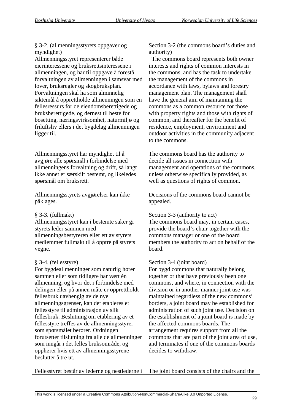§ 3-2. (allmenningsstyrets oppgaver og myndighet)

Allmenningsstyret representerer både eierinteressene og bruksrettsinteressene i allmenningen, og har til oppgave å forestå forvaltningen av allmenningen i samsvar med lover, bruksregler og skogbruksplan. Forvaltningen skal ha som alminnelig siktemål å opprettholde allmenningen som en fellesressurs for de eiendomsberettigede og bruksberettigede, og dernest til beste for bosetting, næringsvirksomhet, naturmiljø og friluftsliv ellers i det bygdelag allmenningen ligger til.

Allmenningsstyret har myndighet til å avgjøre alle spørsmål i forbindelse med allmenningens forvaltning og drift, så langt ikke annet er særskilt bestemt, og likeledes spørsmål om bruksrett.

Allmenningsstyrets avgjørelser kan ikke påklages.

## § 3-3. (fullmakt)

Allmenningsstyret kan i bestemte saker gi styrets leder sammen med allmenningsbestyreren eller ett av styrets medlemmer fullmakt til å opptre på styrets vegne.

## § 3-4. (fellesstyre)

 $\overline{a}$ 

For bygdeallmenninger som naturlig hører sammen eller som tidligere har vært én allmenning, og hvor det i forbindelse med delingen eller på annen måte er opprettholdt fellesbruk uavhengig av de nye allmenningsgrenser, kan det etableres et fellesstyre til administrasjon av slik fellesbruk. Beslutning om etablering av et fellesstyre treffes av de allmenningsstyrer som spørsmålet berører. Ordningen forutsetter tilslutning fra alle de allmenninger som inngår i det felles bruksområde, og opphører hvis ett av allmenningsstyrene beslutter å tre ut.

Section 3-2 (the commons board's duties and authority)

 The commons board represents both owner interests and rights of common interests in the commons, and has the task to undertake the management of the commons in accordance with laws, bylaws and forestry management plan. The management shall have the general aim of maintaining the commons as a common resource for those with property rights and those with rights of common, and thereafter for the benefit of residence, employment, environment and outdoor activities in the community adjacent to the commons.

The commons board has the authority to decide all issues in connection with management and operations of the commons, unless otherwise specifically provided, as well as questions of rights of common.

Decisions of the commons board cannot be appealed.

## Section 3-3 (authority to act)

The commons board may, in certain cases, provide the board's chair together with the commons manager or one of the board members the authority to act on behalf of the board.

## Section 3-4 (joint board)

For bygd commons that naturally belong together or that have previously been one commons, and where, in connection with the division or in another manner joint use was maintained regardless of the new commons' borders, a joint board may be established for administration of such joint use. Decision on the establishment of a joint board is made by the affected commons boards. The arrangement requires support from all the commons that are part of the joint area of use, and terminates if one of the commons boards decides to withdraw.

Fellesstyret består av lederne og nestlederne i

The joint board consists of the chairs and the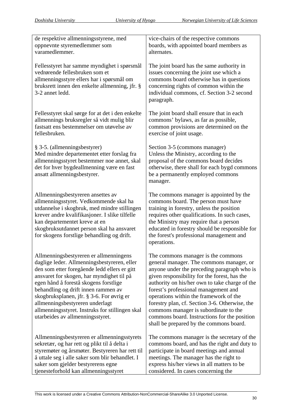| de respektive allmenningsstyrene, med<br>oppnevnte styremedlemmer som<br>varamedlemmer.                                                                                                                                                                                                                                                                                                                                                   | vice-chairs of the respective commons<br>boards, with appointed board members as<br>alternates.                                                                                                                                                                                                                                                                                                                                                                                                         |
|-------------------------------------------------------------------------------------------------------------------------------------------------------------------------------------------------------------------------------------------------------------------------------------------------------------------------------------------------------------------------------------------------------------------------------------------|---------------------------------------------------------------------------------------------------------------------------------------------------------------------------------------------------------------------------------------------------------------------------------------------------------------------------------------------------------------------------------------------------------------------------------------------------------------------------------------------------------|
| Fellesstyret har samme myndighet i spørsmål<br>vedrørende fellesbruken som et<br>allmenningsstyre ellers har i spørsmål om<br>bruksrett innen den enkelte allmenning, jfr. §<br>3-2 annet ledd.                                                                                                                                                                                                                                           | The joint board has the same authority in<br>issues concerning the joint use which a<br>commons board otherwise has in questions<br>concerning rights of common within the<br>individual commons, cf. Section 3-2 second<br>paragraph.                                                                                                                                                                                                                                                                  |
| Fellesstyret skal sørge for at det i den enkelte<br>allmennings bruksregler så vidt mulig blir<br>fastsatt ens bestemmelser om utøvelse av<br>fellesbruken.                                                                                                                                                                                                                                                                               | The joint board shall ensure that in each<br>commons' bylaws, as far as possible,<br>common provisions are determined on the<br>exercise of joint usage.                                                                                                                                                                                                                                                                                                                                                |
| § 3-5. (allmenningsbestyrer)<br>Med mindre departementet etter forslag fra<br>allmenningsstyret bestemmer noe annet, skal<br>det for hver bygdeallmenning være en fast<br>ansatt allmenningsbestyrer.                                                                                                                                                                                                                                     | Section 3-5 (commons manager)<br>Unless the Ministry, according to the<br>proposal of the commons board decides<br>otherwise, there shall for each bygd commons<br>be a permanently employed commons<br>manager.                                                                                                                                                                                                                                                                                        |
| Allmenningsbestyreren ansettes av<br>allmenningsstyret. Vedkommende skal ha<br>utdannelse i skogbruk, med mindre stillingen<br>krever andre kvalifikasjoner. I slike tilfelle<br>kan departementet kreve at en<br>skogbruksutdannet person skal ha ansvaret<br>for skogens forstlige behandling og drift.                                                                                                                                 | The commons manager is appointed by the<br>commons board. The person must have<br>training in forestry, unless the position<br>requires other qualifications. In such cases,<br>the Ministry may require that a person<br>educated in forestry should be responsible for<br>the forest's professional management and<br>operations.                                                                                                                                                                     |
| Allmenningsbestyreren er allmenningens<br>daglige leder. Allmenningsbestyreren, eller<br>den som etter foregående ledd ellers er gitt<br>ansvaret for skogen, har myndighet til på<br>egen hånd å forestå skogens forstlige<br>behandling og drift innen rammen av<br>skogbruksplanen, jfr. § 3-6. For øvrig er<br>allmenningsbestyreren underlagt<br>allmenningsstyret. Instruks for stillingen skal<br>utarbeides av allmenningsstyret. | The commons manager is the commons<br>general manager. The commons manager, or<br>anyone under the preceding paragraph who is<br>given responsibility for the forest, has the<br>authority on his/her own to take charge of the<br>forest's professional management and<br>operations within the framework of the<br>forestry plan, cf. Section 3-6. Otherwise, the<br>commons manager is subordinate to the<br>commons board. Instructions for the position<br>shall be prepared by the commons board. |
| Allmenningsbestyreren er allmenningsstyrets<br>sekretær, og har rett og plikt til å delta i<br>styremøter og årsmøter. Bestyreren har rett til<br>å uttale seg i alle saker som blir behandlet. I<br>saker som gjelder bestyrerens egne<br>tjenesteforhold kan allmenningsstyret                                                                                                                                                          | The commons manager is the secretary of the<br>commons board, and has the right and duty to<br>participate in board meetings and annual<br>meetings. The manager has the right to<br>express his/her views in all matters to be<br>considered. In cases concerning the                                                                                                                                                                                                                                  |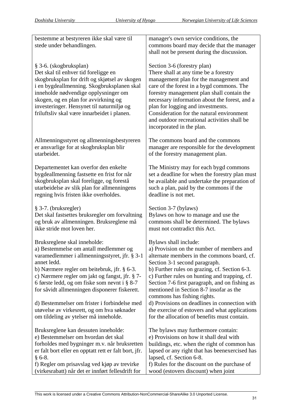| bestemme at bestyreren ikke skal være til                                                                                                                                                                                                                                                                                                 | manager's own service conditions, the                                                                                                                                                                                                                                                                                                                                                                                     |
|-------------------------------------------------------------------------------------------------------------------------------------------------------------------------------------------------------------------------------------------------------------------------------------------------------------------------------------------|---------------------------------------------------------------------------------------------------------------------------------------------------------------------------------------------------------------------------------------------------------------------------------------------------------------------------------------------------------------------------------------------------------------------------|
| stede under behandlingen.                                                                                                                                                                                                                                                                                                                 | commons board may decide that the manager                                                                                                                                                                                                                                                                                                                                                                                 |
|                                                                                                                                                                                                                                                                                                                                           | shall not be present during the discussion.                                                                                                                                                                                                                                                                                                                                                                               |
| § 3-6. (skogbruksplan)<br>Det skal til enhver tid foreligge en<br>skogbruksplan for drift og skjøtsel av skogen<br>i en bygdeallmenning. Skogbruksplanen skal<br>inneholde nødvendige opplysninger om<br>skogen, og en plan for avvirkning og<br>investeringer. Hensynet til naturmiljø og<br>friluftsliv skal være innarbeidet i planen. | Section 3-6 (forestry plan)<br>There shall at any time be a forestry<br>management plan for the management and<br>care of the forest in a bygd commons. The<br>forestry management plan shall contain the<br>necessary information about the forest, and a<br>plan for logging and investments.<br>Consideration for the natural environment<br>and outdoor recreational activities shall be<br>incorporated in the plan. |
| Allmenningsstyret og allmenningsbestyreren                                                                                                                                                                                                                                                                                                | The commons board and the commons                                                                                                                                                                                                                                                                                                                                                                                         |
| er ansvarlige for at skogbruksplan blir                                                                                                                                                                                                                                                                                                   | manager are responsible for the development                                                                                                                                                                                                                                                                                                                                                                               |
| utarbeidet.                                                                                                                                                                                                                                                                                                                               | of the forestry management plan.                                                                                                                                                                                                                                                                                                                                                                                          |
| Departementet kan overfor den enkelte                                                                                                                                                                                                                                                                                                     | The Ministry may for each bygd commons                                                                                                                                                                                                                                                                                                                                                                                    |
| bygdeallmenning fastsette en frist for når                                                                                                                                                                                                                                                                                                | set a deadline for when the forestry plan must                                                                                                                                                                                                                                                                                                                                                                            |
| skogbruksplan skal foreligge, og forestå                                                                                                                                                                                                                                                                                                  | be available and undertake the preparation of                                                                                                                                                                                                                                                                                                                                                                             |
| utarbeidelse av slik plan for allmenningens                                                                                                                                                                                                                                                                                               | such a plan, paid by the commons if the                                                                                                                                                                                                                                                                                                                                                                                   |
| regning hvis fristen ikke overholdes.                                                                                                                                                                                                                                                                                                     | deadline is not met.                                                                                                                                                                                                                                                                                                                                                                                                      |
| § 3-7. (bruksregler)                                                                                                                                                                                                                                                                                                                      | Section 3-7 (bylaws)                                                                                                                                                                                                                                                                                                                                                                                                      |
| Det skal fastsettes bruksregler om forvaltning                                                                                                                                                                                                                                                                                            | Bylaws on how to manage and use the                                                                                                                                                                                                                                                                                                                                                                                       |
| og bruk av allmenningen. Bruksreglene må                                                                                                                                                                                                                                                                                                  | commons shall be determined. The bylaws                                                                                                                                                                                                                                                                                                                                                                                   |
| ikke stride mot loven her.                                                                                                                                                                                                                                                                                                                | must not contradict this Act.                                                                                                                                                                                                                                                                                                                                                                                             |
| Bruksreglene skal inneholde:<br>a) Bestemmelse om antall medlemmer og<br>varamedlemmer i allmenningsstyret, jfr. § 3-1<br>annet ledd.<br>b) Nærmere regler om beitebruk, jfr. § 6-3.<br>c) Nærmere regler om jakt og fangst, jfr. § 7-<br>6 første ledd, og om fiske som nevnt i § 8-7<br>for såvidt allmenningen disponerer fiskerett.   | Bylaws shall include:<br>a) Provision on the number of members and<br>alternate members in the commons board, cf.<br>Section 3-1 second paragraph.<br>b) Further rules on grazing, cf. Section 6-3.<br>c) Further rules on hunting and trapping, cf.<br>Section 7-6 first paragraph, and on fishing as<br>mentioned in Section 8-7 insofar as the<br>commons has fishing rights.                                          |
| d) Bestemmelser om frister i forbindelse med                                                                                                                                                                                                                                                                                              | d) Provisions on deadlines in connection with                                                                                                                                                                                                                                                                                                                                                                             |
| utøvelse av virkesrett, og om hva søknader                                                                                                                                                                                                                                                                                                | the exercise of estovers and what applications                                                                                                                                                                                                                                                                                                                                                                            |
| om tildeling av ytelser må inneholde.                                                                                                                                                                                                                                                                                                     | for the allocation of benefits must contain.                                                                                                                                                                                                                                                                                                                                                                              |
| Bruksreglene kan dessuten inneholde:                                                                                                                                                                                                                                                                                                      | The bylaws may furthermore contain:                                                                                                                                                                                                                                                                                                                                                                                       |
| e) Bestemmelser om hvordan det skal                                                                                                                                                                                                                                                                                                       | e) Provisions on how it shall deal with                                                                                                                                                                                                                                                                                                                                                                                   |
| forholdes med bygninger m.v. når bruksretten                                                                                                                                                                                                                                                                                              | buildings, etc. when the right of common has                                                                                                                                                                                                                                                                                                                                                                              |
| er falt bort eller en opptatt rett er falt bort, jfr.                                                                                                                                                                                                                                                                                     | lapsed or any right that has been<br>exercised has                                                                                                                                                                                                                                                                                                                                                                        |
| $§ 6-8.$                                                                                                                                                                                                                                                                                                                                  | lapsed, cf. Section 6-8.                                                                                                                                                                                                                                                                                                                                                                                                  |
| f) Regler om prisavslag ved kjøp av trevirke                                                                                                                                                                                                                                                                                              | f) Rules for the discount on the purchase of                                                                                                                                                                                                                                                                                                                                                                              |
| (virkesrabatt) når det er innført fellesdrift for                                                                                                                                                                                                                                                                                         | wood (estovers discount) when joint                                                                                                                                                                                                                                                                                                                                                                                       |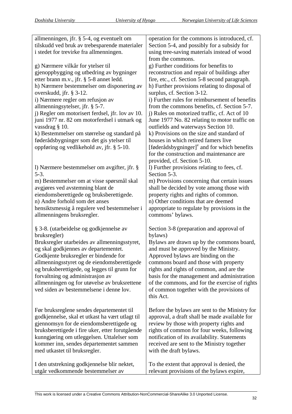| allmenningen, jfr. § 5-4, og eventuelt om                                  | operation for the commons is introduced, cf.                                            |
|----------------------------------------------------------------------------|-----------------------------------------------------------------------------------------|
| tilskudd ved bruk av trebesparende materialer                              | Section 5-4, and possibly for a subsidy for                                             |
| i stedet for trevirke fra allmenningen.                                    | using tree-saving materials instead of wood                                             |
|                                                                            | from the commons.                                                                       |
| g) Nærmere vilkår for ytelser til                                          | g) Further conditions for benefits to                                                   |
| gjenoppbygging og utbedring av bygninger                                   | reconstruction and repair of buildings after                                            |
| etter brann m.v., jfr. § 5-8 annet ledd.                                   | fire, etc., cf. Section 5-8 second paragraph.                                           |
| h) Nærmere bestemmelser om disponering av                                  | h) Further provisions relating to disposal of                                           |
| overskudd, jfr. § 3-12.                                                    | surplus, cf. Section 3-12.                                                              |
| i) Nærmere regler om refusjon av                                           | i) Further rules for reimbursement of benefits                                          |
| allmenningsytelser, jfr. § 5-7.                                            | from the commons benefits, cf. Section 5-7.                                             |
| j) Regler om motorisert ferdsel, jfr. lov av 10.                           | j) Rules on motorized traffic, cf. Act of 10                                            |
| juni 1977 nr. 82 om motorferdsel i utmark og                               | June 1977 No. 82 relating to motor traffic on                                           |
| vassdrag § 10.                                                             | outfields and waterways Section 10.                                                     |
| k) Bestemmelser om størrelse og standard på                                | k) Provisions on the size and standard of                                               |
| føderådsbygninger som det gis ytelser til                                  | houses in which retired famers live                                                     |
| oppføring og vedlikehold av, jfr. § 5-10.                                  | [føderådsbygninger] <sup>v</sup> and for which benefits                                 |
|                                                                            | for the construction and maintenance are                                                |
|                                                                            | provided, cf. Section 5-10.                                                             |
| l) Nærmere bestemmelser om avgifter, jfr. §                                | 1) Further provisions relating to fees, cf.                                             |
| $5-3.$                                                                     | Section 5-3.                                                                            |
| m) Bestemmelser om at visse spørsmål skal                                  | m) Provisions concerning that certain issues                                            |
| avgjøres ved avstemning blant de                                           | shall be decided by vote among those with                                               |
| eiendomsberettigede og bruksberettigede.                                   | property rights and rights of common.                                                   |
| n) Andre forhold som det anses                                             | n) Other conditions that are deemed                                                     |
| hensiktsmessig å regulere ved bestemmelser i<br>allmenningens bruksregler. | appropriate to regulate by provisions in the<br>commons' bylaws.                        |
|                                                                            |                                                                                         |
| § 3-8. (utarbeidelse og godkjennelse av                                    | Section 3-8 (preparation and approval of                                                |
| bruksregler)                                                               | bylaws)                                                                                 |
| Bruksregler utarbeides av allmenningsstyret,                               | Bylaws are drawn up by the commons board,                                               |
| og skal godkjennes av departementet.                                       | and must be approved by the Ministry.                                                   |
| Godkjente bruksregler er bindende for                                      | Approved by laws are binding on the                                                     |
| allmenningsstyret og de eiendomsberettigede                                | commons board and those with property                                                   |
| og bruksberettigede, og legges til grunn for                               | rights and rights of common, and are the                                                |
| forvaltning og administrasjon av                                           | basis for the management and administration                                             |
| allmenningen og for utøvelse av bruksrettene                               | of the commons, and for the exercise of rights                                          |
| ved siden av bestemmelsene i denne lov.                                    | of common together with the provisions of                                               |
|                                                                            | this Act.                                                                               |
|                                                                            |                                                                                         |
| Før bruksreglene sendes departementet til                                  | Before the bylaws are sent to the Ministry for                                          |
| godkjennelse, skal et utkast ha vært utlagt til                            | approval, a draft shall be made available for                                           |
| gjennomsyn for de eiendomsberettigede og                                   | review by those with property rights and                                                |
| bruksberettigede i fire uker, etter forutgående                            | rights of common for four weeks, following                                              |
| kunngjøring om utleggelsen. Uttalelser som                                 | notification of its availability. Statements                                            |
| kommer inn, sendes departementet sammen                                    | received are sent to the Ministry together                                              |
| med utkastet til bruksregler.                                              | with the draft bylaws.                                                                  |
|                                                                            |                                                                                         |
| I den utstrekning godkjennelse blir nektet,                                | To the extent that approval is denied, the<br>relevant provisions of the bylaws expire, |
| utgår vedkommende bestemmelser av                                          |                                                                                         |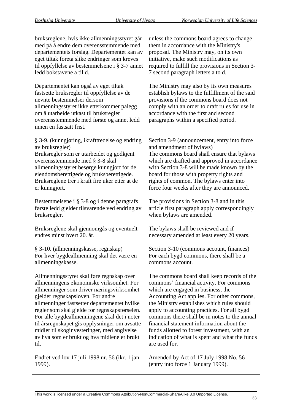| bruksreglene, hvis ikke allmenningsstyret går                                                                                                                                                                                                                                     | unless the commons board agrees to change                                                                                                                                                                                                                                   |
|-----------------------------------------------------------------------------------------------------------------------------------------------------------------------------------------------------------------------------------------------------------------------------------|-----------------------------------------------------------------------------------------------------------------------------------------------------------------------------------------------------------------------------------------------------------------------------|
| med på å endre dem overensstemmende med                                                                                                                                                                                                                                           | them in accordance with the Ministry's                                                                                                                                                                                                                                      |
| departementets forslag. Departementet kan av                                                                                                                                                                                                                                      | proposal. The Ministry may, on its own                                                                                                                                                                                                                                      |
| eget tiltak foreta slike endringer som kreves                                                                                                                                                                                                                                     | initiative, make such modifications as                                                                                                                                                                                                                                      |
| til oppfyllelse av bestemmelsene i § 3-7 annet                                                                                                                                                                                                                                    | required to fulfill the provisions in Section 3-                                                                                                                                                                                                                            |
| ledd bokstavene a til d.                                                                                                                                                                                                                                                          | 7 second paragraph letters a to d.                                                                                                                                                                                                                                          |
| Departementet kan også av eget tiltak<br>fastsette bruksregler til oppfyllelse av de<br>nevnte bestemmelser dersom<br>allmenningsstyret ikke etterkommer pålegg<br>om å utarbeide utkast til bruksregler<br>overensstemmende med første og annet ledd<br>innen en fastsatt frist. | The Ministry may also by its own measures<br>establish bylaws to the fulfillment of the said<br>provisions if the commons board does not<br>comply with an order to draft rules for use in<br>accordance with the first and second<br>paragraphs within a specified period. |
| § 3-9. (kunngjøring, ikrafttredelse og endring                                                                                                                                                                                                                                    | Section 3-9 (announcement, entry into force                                                                                                                                                                                                                                 |
| av bruksregler)                                                                                                                                                                                                                                                                   | and amendment of bylaws)                                                                                                                                                                                                                                                    |
| Bruksregler som er utarbeidet og godkjent                                                                                                                                                                                                                                         | The commons board shall ensure that bylaws                                                                                                                                                                                                                                  |
| overensstemmende med § 3-8 skal                                                                                                                                                                                                                                                   | which are drafted and approved in accordance                                                                                                                                                                                                                                |
| allmenningsstyret besørge kunngjort for de                                                                                                                                                                                                                                        | with Section 3-8 will be made known by the                                                                                                                                                                                                                                  |
| eiendomsberettigede og bruksberettigede.                                                                                                                                                                                                                                          | board for those with property rights and                                                                                                                                                                                                                                    |
| Bruksreglene trer i kraft fire uker etter at de                                                                                                                                                                                                                                   | rights of common. The bylaws enter into                                                                                                                                                                                                                                     |
| er kunngjort.                                                                                                                                                                                                                                                                     | force four weeks after they are announced.                                                                                                                                                                                                                                  |
| Bestemmelsene i § 3-8 og i denne paragrafs                                                                                                                                                                                                                                        | The provisions in Section 3-8 and in this                                                                                                                                                                                                                                   |
| første ledd gjelder tilsvarende ved endring av                                                                                                                                                                                                                                    | article first paragraph apply correspondingly                                                                                                                                                                                                                               |
| bruksregler.                                                                                                                                                                                                                                                                      | when bylaws are amended.                                                                                                                                                                                                                                                    |
| Bruksreglene skal gjennomgås og eventuelt                                                                                                                                                                                                                                         | The bylaws shall be reviewed and if                                                                                                                                                                                                                                         |
| endres minst hvert 20. år.                                                                                                                                                                                                                                                        | necessary amended at least every 20 years.                                                                                                                                                                                                                                  |
| § 3-10. (allmenningskasse, regnskap)                                                                                                                                                                                                                                              | Section 3-10 (commons account, finances)                                                                                                                                                                                                                                    |
| For hver bygdeallmenning skal det være en                                                                                                                                                                                                                                         | For each bygd commons, there shall be a                                                                                                                                                                                                                                     |
| allmenningskasse.                                                                                                                                                                                                                                                                 | commons account.                                                                                                                                                                                                                                                            |
| Allmenningsstyret skal føre regnskap over                                                                                                                                                                                                                                         | The commons board shall keep records of the                                                                                                                                                                                                                                 |
| allmenningens økonomiske virksomhet. For                                                                                                                                                                                                                                          | commons' financial activity. For commons                                                                                                                                                                                                                                    |
| allmenninger som driver næringsvirksomhet                                                                                                                                                                                                                                         | which are engaged in business, the                                                                                                                                                                                                                                          |
| gjelder regnskapsloven. For andre                                                                                                                                                                                                                                                 | Accounting Act applies. For other commons,                                                                                                                                                                                                                                  |
| allmenninger fastsetter departementet hvilke                                                                                                                                                                                                                                      | the Ministry establishes which rules should                                                                                                                                                                                                                                 |
| regler som skal gjelde for regnskapsførselen.                                                                                                                                                                                                                                     | apply to accounting practices. For all bygd                                                                                                                                                                                                                                 |
| For alle bygdeallmenningene skal det i noter                                                                                                                                                                                                                                      | commons there shall be in notes to the annual                                                                                                                                                                                                                               |
| til årsregnskapet gis opplysninger om avsatte                                                                                                                                                                                                                                     | financial statement information about the                                                                                                                                                                                                                                   |
| midler til skoginvesteringer, med angivelse                                                                                                                                                                                                                                       | funds allotted to forest investment, with an                                                                                                                                                                                                                                |
| av hva som er brukt og hva midlene er brukt                                                                                                                                                                                                                                       | indication of what is spent and what the funds                                                                                                                                                                                                                              |
| til.                                                                                                                                                                                                                                                                              | are used for.                                                                                                                                                                                                                                                               |
| Endret ved lov 17 juli 1998 nr. 56 (ikr. 1 jan                                                                                                                                                                                                                                    | Amended by Act of 17 July 1998 No. 56                                                                                                                                                                                                                                       |
| 1999).                                                                                                                                                                                                                                                                            | (entry into force 1 January 1999).                                                                                                                                                                                                                                          |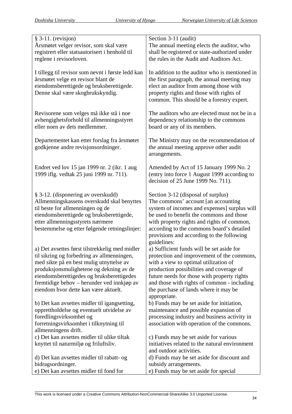| $§$ 3-11. (revisjon)                              | Section 3-11 (audit)                                                                      |
|---------------------------------------------------|-------------------------------------------------------------------------------------------|
|                                                   |                                                                                           |
| Årsmøtet velger revisor, som skal være            | The annual meeting elects the auditor, who                                                |
| registrert eller statsautorisert i henhold til    | shall be registered or state-authorized under<br>the rules in the Audit and Auditors Act. |
| reglene i revisorloven.                           |                                                                                           |
| I tillegg til revisor som nevnt i første ledd kan | In addition to the auditor who is mentioned in                                            |
| årsmøtet velge en revisor blant de                | the first paragraph, the annual meeting may                                               |
| eiendomsberettigede og bruksberettigede.          | elect an auditor from among those with                                                    |
| Denne skal være skogbrukskyndig.                  | property rights and those with rights of                                                  |
|                                                   | common. This should be a forestry expert.                                                 |
|                                                   |                                                                                           |
| Revisorene som velges må ikke stå i noe           | The auditors who are elected must not be in a                                             |
| avhengighetsforhold til allmenningsstyret         | dependency relationship to the commons                                                    |
| eller noen av dets medlemmer.                     | board or any of its members.                                                              |
| Departementet kan etter forslag fra årsmøtet      | The Ministry may on the recommendation of                                                 |
| godkjenne andre revisjonsordninger.               | the annual meeting approve other audit                                                    |
|                                                   | arrangements.                                                                             |
|                                                   |                                                                                           |
| Endret ved lov 15 jan 1999 nr. 2 (ikr. 1 aug      | Amended by Act of 15 January 1999 No. 2                                                   |
| 1999 iflg. vedtak 25 juni 1999 nr. 711).          | (entry into force 1 August 1999 according to                                              |
|                                                   | decision of 25 June 1999 No. 711).                                                        |
| § 3-12. (disponering av overskudd)                | Section 3-12 (disposal of surplus)                                                        |
| Allmenningskassens overskudd skal benyttes        | The commons' account [an accounting]                                                      |
| til beste for allmenningen og de                  | system of incomes and expenses] surplus will                                              |
| eiendomsberettigede og bruksberettigede,          | be used to benefit the commons and those                                                  |
| etter allmenningsstyrets nærmere                  | with property rights and rights of common,                                                |
| bestemmelse og etter følgende retningslinjer:     | according to the commons board's detailed                                                 |
|                                                   | provisions and according to the following                                                 |
|                                                   | guidelines:                                                                               |
| a) Det avsettes først tilstrekkelig med midler    | a) Sufficient funds will be set aside for                                                 |
| til sikring og forbedring av allmenningen,        | protection and improvement of the commons,                                                |
| med sikte på en best mulig utnyttelse av          | with a view to optimal utilization of                                                     |
| produksjonsmulighetene og dekning av de           | production possibilities and coverage of                                                  |
| eiendomsberettigedes og bruksberettigedes         | future needs for those with property rights                                               |
| fremtidige behov – herunder ved innkjøp av        | and those with rights of common - including                                               |
| eiendom hvor dette kan være aktuelt.              | the purchase of lands where it may be<br>appropriate.                                     |
| b) Det kan avsettes midler til igangsetting,      | b) Funds may be set aside for initiation,                                                 |
| opprettholdelse og eventuelt utvidelse av         | maintenance and possible expansion of                                                     |
| foredlingsvirksomhet og                           | processing industry and business activity in                                              |
| forretningsvirksomhet i tilknytning til           | association with operation of the commons.                                                |
| allmenningens drift.                              |                                                                                           |
| c) Det kan avsettes midler til ulike tiltak       | c) Funds may be set aside for various                                                     |
| knyttet til naturmiljø og friluftsliv.            | initiatives related to the natural environment                                            |
|                                                   | and outdoor activities.                                                                   |
| d) Det kan avsettes midler til rabatt- og         | d) Funds may be set aside for discount and                                                |
| bidragsordninger.                                 | subsidy arrangements.                                                                     |
| e) Det kan avsettes midler til fond for           | e) Funds may be set aside for special                                                     |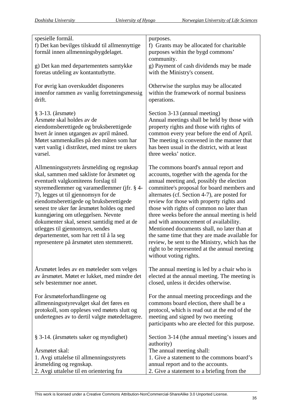| spesielle formål.                                                                     | purposes.                                                                              |
|---------------------------------------------------------------------------------------|----------------------------------------------------------------------------------------|
| f) Det kan bevilges tilskudd til allmennyttige                                        | f) Grants may be allocated for charitable                                              |
| formål innen allmenningsbygdelaget.                                                   | purposes within the bygd commons'                                                      |
|                                                                                       | community.                                                                             |
| g) Det kan med departementets samtykke                                                | g) Payment of cash dividends may be made                                               |
| foretas utdeling av kontantutbytte.                                                   | with the Ministry's consent.                                                           |
| For øvrig kan overskuddet disponeres                                                  | Otherwise the surplus may be allocated                                                 |
| innenfor rammen av vanlig forretningsmessig                                           | within the framework of normal business                                                |
| drift.                                                                                | operations.                                                                            |
|                                                                                       |                                                                                        |
| $§$ 3-13. (årsmøte)                                                                   | Section 3-13 (annual meeting)                                                          |
| Årsmøte skal holdes av de                                                             | Annual meetings shall be held by those with                                            |
| eiendomsberettigede og bruksberettigede                                               | property rights and those with rights of                                               |
| hvert år innen utgangen av april måned.                                               | common every year before the end of April.                                             |
| Møtet sammenkalles på den måten som har                                               | The meeting is convened in the manner that                                             |
| vært vanlig i distriktet, med minst tre ukers<br>varsel.                              | has been usual in the district, with at least<br>three weeks' notice.                  |
|                                                                                       |                                                                                        |
| Allmenningsstyrets årsmelding og regnskap                                             | The commons board's annual report and                                                  |
| skal, sammen med sakliste for årsmøtet og                                             | accounts, together with the agenda for the                                             |
| eventuelt valgkomiteens forslag til                                                   | annual meeting and, possibly the election                                              |
| styremedlemmer og varamedlemmer (jfr. § 4-                                            | committee's proposal for board members and                                             |
| 7), legges ut til gjennomsyn for de                                                   | alternates (cf. Section 4-7), are posted for                                           |
| eiendomsberettigede og bruksberettigede<br>senest tre uker før årsmøtet holdes og med | review for those with property rights and<br>those with rights of common no later than |
| kunngjøring om utleggelsen. Nevnte                                                    | three weeks before the annual meeting is held                                          |
| dokumenter skal, senest samtidig med at de                                            | and with announcement of availability.                                                 |
| utlegges til gjennomsyn, sendes                                                       | Mentioned documents shall, no later than at                                            |
| departementet, som har rett til å la seg                                              | the same time that they are made available for                                         |
| representere på årsmøtet uten stemmerett.                                             | review, be sent to the Ministry, which has the                                         |
|                                                                                       | right to be represented at the annual meeting                                          |
|                                                                                       | without voting rights.                                                                 |
| Årsmøtet ledes av en møteleder som velges                                             | The annual meeting is led by a chair who is                                            |
| av årsmøtet. Møtet er lukket, med mindre det                                          | elected at the annual meeting. The meeting is                                          |
| selv bestemmer noe annet.                                                             | closed, unless it decides otherwise.                                                   |
| For årsmøteforhandlingene og                                                          | For the annual meeting proceedings and the                                             |
| allmenningsstyrevalget skal det føres en                                              | commons board election, there shall be a                                               |
| protokoll, som oppleses ved møtets slutt og                                           | protocol, which is read out at the end of the                                          |
| undertegnes av to dertil valgte møtedeltagere.                                        | meeting and signed by two meeting                                                      |
|                                                                                       | participants who are elected for this purpose.                                         |
|                                                                                       |                                                                                        |
| § 3-14. (årsmøtets saker og myndighet)                                                | Section 3-14 (the annual meeting's issues and<br>authority)                            |
| Årsmøtet skal:                                                                        | The annual meeting shall:                                                              |
| 1. Avgi uttalelse til allmenningsstyrets                                              | 1. Give a statement to the commons board's                                             |
| årsmelding og regnskap.                                                               | annual report and to the accounts.                                                     |
| 2. Avgi uttalelse til en orientering fra                                              | 2. Give a statement to a briefing from the                                             |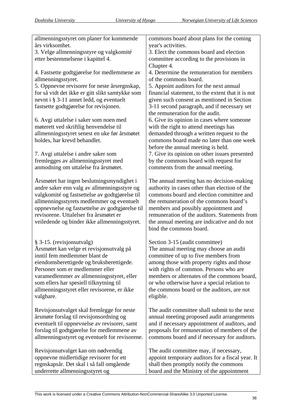| allmenningsstyret om planer for kommende        | commons board about plans for the coming                                |
|-------------------------------------------------|-------------------------------------------------------------------------|
| års virksomhet.                                 | year's activities.                                                      |
| 3. Velge allmenningsstyre og valgkomité         | 3. Elect the commons board and election                                 |
| etter bestemmelsene i kapittel 4.               | committee according to the provisions in                                |
|                                                 | Chapter 4.                                                              |
| 4. Fastsette godtgjørelse for medlemmene av     | 4. Determine the remuneration for members                               |
| allmenningsstyret.                              | of the commons board.                                                   |
| 5. Oppnevne revisorer for neste årsregnskap,    | 5. Appoint auditors for the next annual                                 |
| for så vidt det ikke er gitt slikt samtykke som | financial statement, to the extent that it is not                       |
| nevnt i § 3-11 annet ledd, og eventuelt         | given such consent as mentioned in Section                              |
| fastsette godtgjørelse for revisjonen.          | 3-11 second paragraph, and if necessary set                             |
|                                                 | the remuneration for the audit.                                         |
| 6. Avgi uttalelse i saker som noen med          | 6. Give its opinion in cases where someone                              |
| møterett ved skriftlig henvendelse til          | with the right to attend meetings has                                   |
| allmenningsstyret senest en uke før årsmøtet    | demanded through a written request to the                               |
| holdes, har krevd behandlet.                    | commons board made no later than one week                               |
|                                                 | before the annual meeting is held.                                      |
| 7. Avgi uttalelse i andre saker som             | 7. Give its opinion on other issues presented                           |
| fremlegges av allmenningsstyret med             | by the commons board with request for                                   |
| anmodning om uttalelse fra årsmøtet.            | comments from the annual meeting.                                       |
|                                                 |                                                                         |
| Årsmøtet har ingen beslutningsmyndighet i       | The annual meeting has no decision-making                               |
| andre saker enn valg av allmenningsstyre og     | authority in cases other than election of the                           |
| valgkomité og fastsettelse av godtgjørelse til  | commons board and election committee and                                |
| allmenningsstyrets medlemmer og eventuelt       | the remuneration of the commons board's                                 |
| oppnevnelse og fastsettelse av godtgjørelse til | members and possibly appointment and                                    |
| revisorene. Uttalelser fra årsmøtet er          | remuneration of the auditors. Statements from                           |
| veiledende og binder ikke allmenningsstyret.    | the annual meeting are indicative and do not<br>bind the commons board. |
|                                                 |                                                                         |
| § 3-15. (revisjonsutvalg)                       | Section 3-15 (audit committee)                                          |
| Årsmøtet kan velge et revisjonsutvalg på        | The annual meeting may choose an audit                                  |
| inntil fem medlemmer blant de                   | committee of up to five members from                                    |
| eiendomsberettigede og bruksberettigede.        | among those with property rights and those                              |
| Personer som er medlemmer eller                 | with rights of common. Persons who are                                  |
| varamedlemmer av allmenningsstyret, eller       | members or alternates of the commons board,                             |
| som ellers har spesiell tilknytning til         | or who otherwise have a special relation to                             |
| allmenningsstyret eller revisorene, er ikke     | the commons board or the auditors, are not                              |
| valgbare.                                       | eligible.                                                               |
|                                                 |                                                                         |
| Revisjonsutvalget skal fremlegge for neste      | The audit committee shall submit to the next                            |
| årsmøte forslag til revisjonsordning og         | annual meeting proposed audit arrangements                              |
| eventuelt til oppnevnelse av revisorer, samt    | and if necessary appointment of auditors, and                           |
| forslag til godtgjørelse for medlemmene av      | proposals for remuneration of members of the                            |
| allmenningsstyret og eventuelt for revisorene.  | commons board and if necessary for auditors.                            |
|                                                 |                                                                         |
| Revisjonsutvalget kan om nødvendig              | The audit committee may, if necessary,                                  |
| oppnevne midlertidige revisorer for ett         | appoint temporary auditors for a fiscal year. It                        |
| regnskapsår. Det skal i så fall omgående        | shall then promptly notify the commons                                  |
| underrette allmenningsstyret og                 | board and the Ministry of the appointment                               |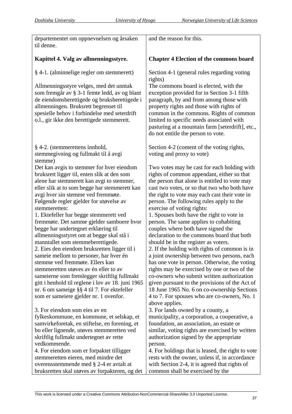| departementet om oppnevnelsen og årsaken<br>til denne.                                                                                                                                                                                                                                                                                                                                                                                                                                                                                                                                                                                                                                                                                                                                                                                                                       | and the reason for this.                                                                                                                                                                                                                                                                                                                                                                                                                                                                                                                                                                                                                                                                                                                                                                                                                                                                                                                                   |
|------------------------------------------------------------------------------------------------------------------------------------------------------------------------------------------------------------------------------------------------------------------------------------------------------------------------------------------------------------------------------------------------------------------------------------------------------------------------------------------------------------------------------------------------------------------------------------------------------------------------------------------------------------------------------------------------------------------------------------------------------------------------------------------------------------------------------------------------------------------------------|------------------------------------------------------------------------------------------------------------------------------------------------------------------------------------------------------------------------------------------------------------------------------------------------------------------------------------------------------------------------------------------------------------------------------------------------------------------------------------------------------------------------------------------------------------------------------------------------------------------------------------------------------------------------------------------------------------------------------------------------------------------------------------------------------------------------------------------------------------------------------------------------------------------------------------------------------------|
| Kapittel 4. Valg av allmenningsstyre.                                                                                                                                                                                                                                                                                                                                                                                                                                                                                                                                                                                                                                                                                                                                                                                                                                        | <b>Chapter 4 Election of the commons board</b>                                                                                                                                                                                                                                                                                                                                                                                                                                                                                                                                                                                                                                                                                                                                                                                                                                                                                                             |
| § 4-1. (alminnelige regler om stemmerett)                                                                                                                                                                                                                                                                                                                                                                                                                                                                                                                                                                                                                                                                                                                                                                                                                                    | Section 4-1 (general rules regarding voting<br>rights)                                                                                                                                                                                                                                                                                                                                                                                                                                                                                                                                                                                                                                                                                                                                                                                                                                                                                                     |
| Allmenningsstyre velges, med det unntak<br>som fremgår av § 3-1 femte ledd, av og blant<br>de eiendomsberettigede og bruksberettigede i<br>allmenningen. Bruksrett begrenset til<br>spesielle behov i forbindelse med seterdrift<br>o.l., gir ikke den berettigede stemmerett.                                                                                                                                                                                                                                                                                                                                                                                                                                                                                                                                                                                               | The commons board is elected, with the<br>exception provided for in Section 3-1 fifth<br>paragraph, by and from among those with<br>property rights and those with rights of<br>common in the commons. Rights of common<br>limited to specific needs associated with<br>pasturing at a mountain farm [seterdrift], etc.,<br>do not entitle the person to vote.                                                                                                                                                                                                                                                                                                                                                                                                                                                                                                                                                                                             |
| § 4-2. (stemmerettens innhold,<br>stemmegivning og fullmakt til å avgi<br>stemme)                                                                                                                                                                                                                                                                                                                                                                                                                                                                                                                                                                                                                                                                                                                                                                                            | Section 4-2 (content of the voting rights,<br>voting and proxy to vote)                                                                                                                                                                                                                                                                                                                                                                                                                                                                                                                                                                                                                                                                                                                                                                                                                                                                                    |
| Det kan avgis to stemmer for hver eiendom<br>bruksrett ligger til, enten slik at den som<br>alene har stemmerett kan avgi to stemmer,<br>eller slik at to som begge har stemmerett kan<br>avgi hver sin stemme ved fremmøte.<br>Følgende regler gjelder for utøvelse av<br>stemmeretten:<br>1. Ektefeller har begge stemmerett ved<br>fremmøte. Det samme gjelder samboere hvor<br>begge har undertegnet erklæring til<br>allmenningsstyret om at begge skal stå i<br>manntallet som stemmeberettigede.<br>2. Eies den eiendom bruksretten ligger til i<br>sameie mellom to personer, har hver én<br>stemme ved fremmøte. Ellers kan<br>stemmeretten utøves av én eller to av<br>sameierne som fremlegger skriftlig fullmakt<br>gitt i henhold til reglene i lov av 18. juni 1965<br>nr. 6 om sameige $\S$ 4 til 7. For ektefeller<br>som er sameiere gjelder nr. 1 ovenfor. | Two votes may be cast for each holding with<br>rights of common appendant, either so that<br>the person that alone is entitled to vote may<br>cast two votes, or so that two who both have<br>the right to vote may each cast their vote in<br>person. The following rules apply to the<br>exercise of voting rights:<br>1. Spouses both have the right to vote in<br>person. The same applies to cohabiting<br>couples where both have signed the<br>declaration to the commons board that both<br>should be in the register as voters.<br>2. If the holding with rights of common is in<br>a joint ownership between two persons, each<br>has one vote in person. Otherwise, the voting<br>rights may be exercised by one or two of the<br>co-owners who submit written authorization<br>given pursuant to the provisions of the Act of<br>18 June 1965 No. 6 on co-ownership Sections<br>4 to 7. For spouses who are co-owners, No. 1<br>above applies. |
| 3. For eiendom som eies av en<br>fylkeskommune, en kommune, et selskap, et<br>samvirkeforetak, en stiftelse, en forening, et<br>bo eller lignende, utøves stemmeretten ved<br>skriftlig fullmakt undertegnet av rette<br>vedkommende.<br>4. For eiendom som er forpaktet tilligger                                                                                                                                                                                                                                                                                                                                                                                                                                                                                                                                                                                           | 3. For lands owned by a county, a<br>municipality, a corporation, a cooperative, a<br>foundation, an association, an estate or<br>similar, voting rights are exercised by written<br>authorization signed by the appropriate<br>person.<br>4. For holdings that is leased, the right to vote                                                                                                                                                                                                                                                                                                                                                                                                                                                                                                                                                                                                                                                               |
| stemmeretten eieren, med mindre det<br>overensstemmende med § 2-4 er avtalt at<br>bruksretten skal utøves av forpakteren, og det                                                                                                                                                                                                                                                                                                                                                                                                                                                                                                                                                                                                                                                                                                                                             | rests with the owner, unless if, in accordance<br>with Section 2-4, it is agreed that rights of<br>common shall be exercised by the                                                                                                                                                                                                                                                                                                                                                                                                                                                                                                                                                                                                                                                                                                                                                                                                                        |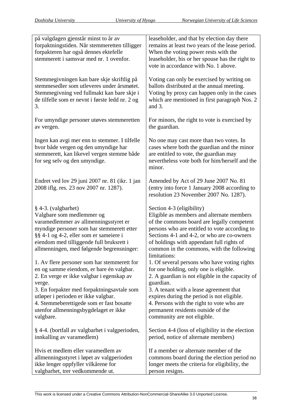| på valgdagen gjenstår minst to år av<br>forpaktningstiden. Når stemmeretten tilligger<br>forpakteren har også dennes ektefelle<br>stemmerett i samsvar med nr. 1 ovenfor.                                                                                                                                                                                                                                                                                                                                                                                                                                                                                              | leaseholder, and that by election day there<br>remains at least two years of the lease period.<br>When the voting power rests with the<br>leaseholder, his or her spouse has the right to<br>vote in accordance with No. 1 above.                                                                                                                                                                                                                                                                                                                                                                                                                                                                                                                       |
|------------------------------------------------------------------------------------------------------------------------------------------------------------------------------------------------------------------------------------------------------------------------------------------------------------------------------------------------------------------------------------------------------------------------------------------------------------------------------------------------------------------------------------------------------------------------------------------------------------------------------------------------------------------------|---------------------------------------------------------------------------------------------------------------------------------------------------------------------------------------------------------------------------------------------------------------------------------------------------------------------------------------------------------------------------------------------------------------------------------------------------------------------------------------------------------------------------------------------------------------------------------------------------------------------------------------------------------------------------------------------------------------------------------------------------------|
| Stemmegivningen kan bare skje skriftlig på<br>stemmesedler som utleveres under årsmøtet.<br>Stemmegivning ved fullmakt kan bare skje i<br>de tilfelle som er nevnt i første ledd nr. 2 og<br>3.                                                                                                                                                                                                                                                                                                                                                                                                                                                                        | Voting can only be exercised by writing on<br>ballots distributed at the annual meeting.<br>Voting by proxy can happen only in the cases<br>which are mentioned in first paragraph Nos. 2<br>and 3.                                                                                                                                                                                                                                                                                                                                                                                                                                                                                                                                                     |
| For umyndige personer utøves stemmeretten<br>av vergen.                                                                                                                                                                                                                                                                                                                                                                                                                                                                                                                                                                                                                | For minors, the right to vote is exercised by<br>the guardian.                                                                                                                                                                                                                                                                                                                                                                                                                                                                                                                                                                                                                                                                                          |
| Ingen kan avgi mer enn to stemmer. I tilfelle<br>hvor både vergen og den umyndige har<br>stemmerett, kan likevel vergen stemme både<br>for seg selv og den umyndige.                                                                                                                                                                                                                                                                                                                                                                                                                                                                                                   | No one may cast more than two votes. In<br>cases where both the guardian and the minor<br>are entitled to vote, the guardian may<br>nevertheless vote both for him/herself and the<br>minor.                                                                                                                                                                                                                                                                                                                                                                                                                                                                                                                                                            |
| Endret ved lov 29 juni 2007 nr. 81 (ikr. 1 jan<br>2008 iflg. res. 23 nov 2007 nr. 1287).                                                                                                                                                                                                                                                                                                                                                                                                                                                                                                                                                                               | Amended by Act of 29 June 2007 No. 81<br>(entry into force 1 January 2008 according to<br>resolution 23 November 2007 No. 1287).                                                                                                                                                                                                                                                                                                                                                                                                                                                                                                                                                                                                                        |
| $§$ 4-3. (valgbarhet)<br>Valgbare som medlemmer og<br>varamedlemmer av allmenningsstyret er<br>myndige personer som har stemmerett etter<br>§§ 4-1 og 4-2, eller som er sameiere i<br>eiendom med tilliggende full bruksrett i<br>allmenningen, med følgende begrensninger:<br>1. Av flere personer som har stemmerett for<br>en og samme eiendom, er bare én valgbar.<br>2. En verge er ikke valgbar i egenskap av<br>verge.<br>3. En forpakter med forpaktningsavtale som<br>utløper i perioden er ikke valgbar.<br>4. Stemmeberettigede som er fast bosatte<br>utenfor allmenningsbygdelaget er ikke<br>valgbare.<br>§ 4-4. (bortfall av valgbarhet i valgperioden, | Section 4-3 (eligibility)<br>Eligible as members and alternate members<br>of the commons board are legally competent<br>persons who are entitled to vote according to<br>Sections 4-1 and 4-2, or who are co-owners<br>of holdings with appendant full rights of<br>common in the commons, with the following<br>limitations:<br>1. Of several persons who have voting rights<br>for one holding, only one is eligible.<br>2. A guardian is not eligible in the capacity of<br>guardian.<br>3. A tenant with a lease agreement that<br>expires during the period is not eligible.<br>4. Persons with the right to vote who are<br>permanent residents outside of the<br>community are not eligible.<br>Section 4-4 (loss of eligibility in the election |
| innkalling av varamedlem)                                                                                                                                                                                                                                                                                                                                                                                                                                                                                                                                                                                                                                              | period, notice of alternate members)                                                                                                                                                                                                                                                                                                                                                                                                                                                                                                                                                                                                                                                                                                                    |
| Hy is et medlem eller varamedlem av<br>allmenningsstyret i løpet av valgperioden<br>ikke lenger oppfyller vilkårene for<br>valgbarhet, trer vedkommende ut.                                                                                                                                                                                                                                                                                                                                                                                                                                                                                                            | If a member or alternate member of the<br>commons board during the election period no<br>longer meets the criteria for eligibility, the<br>person resigns.                                                                                                                                                                                                                                                                                                                                                                                                                                                                                                                                                                                              |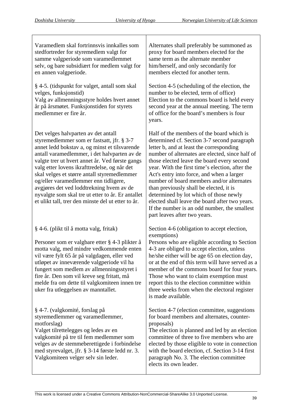| Varamedlem skal fortrinnsvis innkalles som<br>stedfortreder for styremedlem valgt for<br>samme valgperiode som varamedlemmet<br>selv, og bare subsidiært for medlem valgt for<br>en annen valgperiode.<br>§ 4-5. (tidspunkt for valget, antall som skal                                                                                                                                                                                                                                                                              | Alternates shall preferably be summoned as<br>proxy for board members elected for the<br>same term as the alternate member<br>him/herself, and only secondarily for<br>members elected for another term.<br>Section 4-5 (scheduling of the election, the                                                                                                                                                                                                                                                                                                                                                  |
|--------------------------------------------------------------------------------------------------------------------------------------------------------------------------------------------------------------------------------------------------------------------------------------------------------------------------------------------------------------------------------------------------------------------------------------------------------------------------------------------------------------------------------------|-----------------------------------------------------------------------------------------------------------------------------------------------------------------------------------------------------------------------------------------------------------------------------------------------------------------------------------------------------------------------------------------------------------------------------------------------------------------------------------------------------------------------------------------------------------------------------------------------------------|
| velges, funksjonstid)<br>Valg av allmenningsstyre holdes hvert annet<br>år på årsmøtet. Funksjonstiden for styrets<br>medlemmer er fire år.                                                                                                                                                                                                                                                                                                                                                                                          | number to be elected, term of office)<br>Election to the commons board is held every<br>second year at the annual meeting. The term<br>of office for the board's members is four<br>years.                                                                                                                                                                                                                                                                                                                                                                                                                |
| Det velges halvparten av det antall<br>styremedlemmer som er fastsatt, jfr. § 3-7<br>annet ledd bokstav a, og minst et tilsvarende<br>antall varamedlemmer, i det halvparten av de<br>valgte trer ut hvert annet år. Ved første gangs<br>valg etter lovens ikrafttredelse, og når det<br>skal velges et større antall styremedlemmer<br>og/eller varamedlemmer enn tidligere,<br>avgjøres det ved loddtrekning hvem av de<br>nyvalgte som skal tre ut etter to år. Er antallet<br>et ulikt tall, trer den minste del ut etter to år. | Half of the members of the board which is<br>determined cf. Section 3-7 second paragraph<br>letter b, and at least the corresponding<br>number of alternates are elected, since half of<br>those elected leave the board every second<br>year. With the first time's election, after the<br>Act's entry into force, and when a larger<br>number of board members and/or alternates<br>than previously shall be elected, it is<br>determined by lot which of those newly<br>elected shall leave the board after two years.<br>If the number is an odd number, the smallest<br>part leaves after two years. |
| § 4-6. (plikt til å motta valg, fritak)<br>Personer som er valgbare etter § 4-3 plikter å<br>motta valg, med mindre vedkommende enten<br>vil være fylt 65 år på valgdagen, eller ved<br>utløpet av inneværende valgperiode vil ha<br>fungert som medlem av allmenningsstyret i<br>fire år. Den som vil kreve seg fritatt, må<br>melde fra om dette til valgkomiteen innen tre<br>uker fra utleggelsen av manntallet.                                                                                                                 | Section 4-6 (obligation to accept election,<br>exemptions)<br>Persons who are eligible according to Section<br>4-3 are obliged to accept election, unless<br>he/she either will be age 65 on election day,<br>or at the end of this term will have served as a<br>member of the commons board for four years.<br>Those who want to claim exemption must<br>report this to the election committee within<br>three weeks from when the electoral register<br>is made available.                                                                                                                             |
| § 4-7. (valgkomité, forslag på<br>styremedlemmer og varamedlemmer,<br>motforslag)<br>Valget tilrettelegges og ledes av en<br>valgkomité på tre til fem medlemmer som<br>velges av de stemmeberettigede i forbindelse<br>med styrevalget, jfr. § 3-14 første ledd nr. 3.<br>Valgkomiteen velger selv sin leder.                                                                                                                                                                                                                       | Section 4-7 (election committee, suggestions<br>for board members and alternates, counter-<br>proposals)<br>The election is planned and led by an election<br>committee of three to five members who are<br>elected by those eligible to vote in connection<br>with the board election, cf. Section 3-14 first<br>paragraph No. 3. The election committee<br>elects its own leader.                                                                                                                                                                                                                       |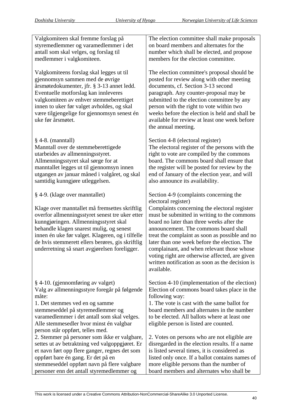| Valgkomiteen skal fremme forslag på<br>styremedlemmer og varamedlemmer i det<br>antall som skal velges, og forslag til<br>medlemmer i valgkomiteen.<br>Valgkomiteens forslag skal legges ut til<br>gjennomsyn sammen med de øvrige<br>årsmøtedokumenter, jfr. § 3-13 annet ledd.<br>Eventuelle motforslag kan innleveres<br>valgkomiteen av enhver stemmeberettiget<br>innen to uker før valget avholdes, og skal<br>være tilgjengelige for gjennomsyn senest én<br>uke før årsmøtet.    | The election committee shall make proposals<br>on board members and alternates for the<br>number which shall be elected, and propose<br>members for the election committee.<br>The election committee's proposal should be<br>posted for review along with other meeting<br>documents, cf. Section 3-13 second<br>paragraph. Any counter-proposal may be<br>submitted to the election committee by any<br>person with the right to vote within two<br>weeks before the election is held and shall be<br>available for review at least one week before |
|------------------------------------------------------------------------------------------------------------------------------------------------------------------------------------------------------------------------------------------------------------------------------------------------------------------------------------------------------------------------------------------------------------------------------------------------------------------------------------------|-------------------------------------------------------------------------------------------------------------------------------------------------------------------------------------------------------------------------------------------------------------------------------------------------------------------------------------------------------------------------------------------------------------------------------------------------------------------------------------------------------------------------------------------------------|
| $§$ 4-8. (manntall)<br>Manntall over de stemmeberettigede<br>utarbeides av allmenningsstyret.<br>Allmenningsstyret skal sørge for at<br>manntallet legges ut til gjennomsyn innen<br>utgangen av januar måned i valgåret, og skal<br>samtidig kunngjøre utleggelsen.                                                                                                                                                                                                                     | the annual meeting.<br>Section 4-8 (electoral register)<br>The electoral register of the persons with the<br>right to vote are compiled by the commons<br>board. The commons board shall ensure that<br>the register will be posted for review by the<br>end of January of the election year, and will<br>also announce its availability.                                                                                                                                                                                                             |
| § 4-9. (klage over manntallet)<br>Klage over manntallet må fremsettes skriftlig<br>overfor allmenningsstyret senest tre uker etter<br>kunngjøringen. Allmenningsstyret skal<br>behandle klagen snarest mulig, og senest<br>innen én uke før valget. Klageren, og i tilfelle<br>de hvis stemmerett ellers berøres, gis skriftlig<br>underretning så snart avgjørelsen foreligger.                                                                                                         | Section 4-9 (complaints concerning the<br>electoral register)<br>Complaints concerning the electoral register<br>must be submitted in writing to the commons<br>board no later than three weeks after the<br>announcement. The commons board shall<br>treat the complaint as soon as possible and no<br>later than one week before the election. The<br>complainant, and when relevant those whose<br>voting right are otherwise affected, are given<br>written notification as soon as the decision is<br>available.                                 |
| § 4-10. (gjennomføring av valget)<br>Valg av allmenningsstyre foregår på følgende<br>måte:<br>1. Det stemmes ved en og samme<br>stemmeseddel på styremedlemmer og<br>varamedlemmer i det antall som skal velges.<br>Alle stemmesedler hvor minst én valgbar<br>person står oppført, telles med.<br>2. Stemmer på personer som ikke er valgbare,<br>settes ut av betraktning ved valgoppgjøret. Er<br>et navn ført opp flere ganger, regnes det som<br>oppført bare én gang. Er det på en | Section 4-10 (implementation of the election)<br>Election of commons board takes place in the<br>following way:<br>1. The vote is cast with the same ballot for<br>board members and alternates in the number<br>to be elected. All ballots where at least one<br>eligible person is listed are counted.<br>2. Votes on persons who are not eligible are<br>disregarded in the election results. If a name<br>is listed several times, it is considered as<br>listed only once. If a ballot contains names of                                         |
| stemmeseddel oppført navn på flere valgbare<br>personer enn det antall styremedlemmer og                                                                                                                                                                                                                                                                                                                                                                                                 | more eligible persons than the number of<br>board members and alternates who shall be                                                                                                                                                                                                                                                                                                                                                                                                                                                                 |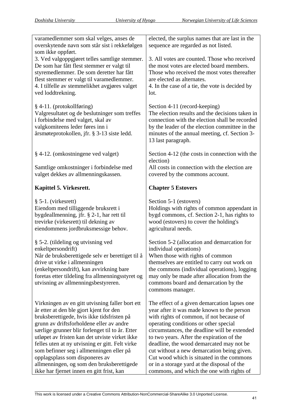| varamedlemmer som skal velges, anses de<br>overskytende navn som står sist i rekkefølgen<br>som ikke oppført.                                                                                                                                                                                                                                                                                                                                                                                                        | elected, the surplus names that are last in the<br>sequence are regarded as not listed.                                                                                                                                                                                                                                                                                                                                                                                                                         |
|----------------------------------------------------------------------------------------------------------------------------------------------------------------------------------------------------------------------------------------------------------------------------------------------------------------------------------------------------------------------------------------------------------------------------------------------------------------------------------------------------------------------|-----------------------------------------------------------------------------------------------------------------------------------------------------------------------------------------------------------------------------------------------------------------------------------------------------------------------------------------------------------------------------------------------------------------------------------------------------------------------------------------------------------------|
| 3. Ved valgoppgjøret telles samtlige stemmer.<br>De som har fått flest stemmer er valgt til<br>styremedlemmer. De som deretter har fått<br>flest stemmer er valgt til varamedlemmer.<br>4. I tilfelle av stemmelikhet avgjøres valget<br>ved loddtrekning.                                                                                                                                                                                                                                                           | 3. All votes are counted. Those who received<br>the most votes are elected board members.<br>Those who received the most votes thereafter<br>are elected as alternates.<br>4. In the case of a tie, the vote is decided by<br>lot.                                                                                                                                                                                                                                                                              |
| § 4-11. (protokollføring)<br>Valgresultatet og de beslutninger som treffes<br>i forbindelse med valget, skal av<br>valgkomiteens leder føres inn i<br>årsmøteprotokollen, jfr. § 3-13 siste ledd.                                                                                                                                                                                                                                                                                                                    | Section 4-11 (record-keeping)<br>The election results and the decisions taken in<br>connection with the election shall be recorded<br>by the leader of the election committee in the<br>minutes of the annual meeting, cf. Section 3-<br>13 last paragraph.                                                                                                                                                                                                                                                     |
| § 4-12. (omkostningene ved valget)<br>Samtlige omkostninger i forbindelse med<br>valget dekkes av allmenningskassen.                                                                                                                                                                                                                                                                                                                                                                                                 | Section 4-12 (the costs in connection with the<br>election)<br>All costs in connection with the election are<br>covered by the commons account.                                                                                                                                                                                                                                                                                                                                                                 |
| Kapittel 5. Virkesrett.                                                                                                                                                                                                                                                                                                                                                                                                                                                                                              | <b>Chapter 5 Estovers</b>                                                                                                                                                                                                                                                                                                                                                                                                                                                                                       |
| $§ 5-1.$ (virkesrett)<br>Eiendom med tilliggende bruksrett i<br>bygdeallmenning, jfr. § 2-1, har rett til<br>trevirke (virkesrett) til dekning av<br>eiendommens jordbruksmessige behov.                                                                                                                                                                                                                                                                                                                             | Section 5-1 (estovers)<br>Holdings with rights of common appendant in<br>bygd commons, cf. Section 2-1, has rights to<br>wood (estovers) to cover the holding's<br>agricultural needs.                                                                                                                                                                                                                                                                                                                          |
| § 5-2. (tildeling og utvisning ved<br>enkeltpersondrift)<br>Når de bruksberettigede selv er berettiget til å<br>drive ut virke i allmenningen<br>(enkeltpersondrift), kan avvirkning bare<br>foretas etter tildeling fra allmenningsstyret og<br>utvisning av allmenningsbestyreren.                                                                                                                                                                                                                                 | Section 5-2 (allocation and demarcation for<br>individual operations)<br>When those with rights of common<br>themselves are entitled to carry out work on<br>the commons (individual operations), logging<br>may only be made after allocation from the<br>commons board and demarcation by the<br>commons manager.                                                                                                                                                                                             |
| Virkningen av en gitt utvisning faller bort ett<br>år etter at den ble gjort kjent for den<br>bruksberettigede, hvis ikke tidsfristen på<br>grunn av driftsforholdene eller av andre<br>særlige grunner blir forlenget til to år. Etter<br>utløpet av fristen kan det utviste virket ikke<br>felles uten at ny utvisning er gitt. Felt virke<br>som befinner seg i allmenningen eller på<br>opplagsplass som disponeres av<br>allmenningen, og som den bruksberettigede<br>ikke har fjernet innen en gitt frist, kan | The effect of a given demarcation lapses one<br>year after it was made known to the person<br>with rights of common, if not because of<br>operating conditions or other special<br>circumstances, the deadline will be extended<br>to two years. After the expiration of the<br>deadline, the wood demarcated may not be<br>cut without a new demarcation being given.<br>Cut wood which is situated in the commons<br>or in a storage yard at the disposal of the<br>commons, and which the one with rights of |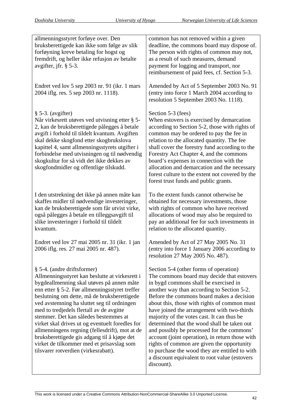$\overline{\phantom{a}}$ 

| allmenningsstyret forføye over. Den<br>bruksberettigede kan ikke som følge av slik<br>forføyning kreve betaling for hogst og<br>fremdrift, og heller ikke refusjon av betalte<br>avgifter, jfr. $\S$ 5-3.                                                                                                                                                                                                                                                                                                                                                                                                | common has not removed within a given<br>deadline, the commons board may dispose of.<br>The person with rights of common may not,<br>as a result of such measures, demand<br>payment for logging and transport, nor<br>reimbursement of paid fees, cf. Section 5-3.                                                                                                                                                                                                                                                                                                                                                                                                                  |
|----------------------------------------------------------------------------------------------------------------------------------------------------------------------------------------------------------------------------------------------------------------------------------------------------------------------------------------------------------------------------------------------------------------------------------------------------------------------------------------------------------------------------------------------------------------------------------------------------------|--------------------------------------------------------------------------------------------------------------------------------------------------------------------------------------------------------------------------------------------------------------------------------------------------------------------------------------------------------------------------------------------------------------------------------------------------------------------------------------------------------------------------------------------------------------------------------------------------------------------------------------------------------------------------------------|
| Endret ved lov 5 sep 2003 nr. 91 (ikr. 1 mars<br>2004 iflg. res. 5 sep 2003 nr. 1118).                                                                                                                                                                                                                                                                                                                                                                                                                                                                                                                   | Amended by Act of 5 September 2003 No. 91<br>(entry into force 1 March 2004 according to<br>resolution 5 September 2003 No. 1118).                                                                                                                                                                                                                                                                                                                                                                                                                                                                                                                                                   |
| $§$ 5-3. (avgifter)<br>Når virkesrett utøves ved utvisning etter § 5-<br>2, kan de bruksberettigede pålegges å betale<br>avgift i forhold til tildelt kvantum. Avgiften<br>skal dekke skogfond etter skogbrukslova<br>kapittel 4, samt allmenningsstyrets utgifter i<br>forbindelse med utvisningen og til nødvendig<br>skogkultur for så vidt det ikke dekkes av<br>skogfondmidler og offentlige tilskudd.                                                                                                                                                                                              | Section 5-3 (fees)<br>When estovers is exercised by demarcation<br>according to Section 5-2, those with rights of<br>common may be ordered to pay the fee in<br>relation to the allocated quantity. The fee<br>shall cover the forestry fund according to the<br>Forestry Act Chapter 4, and the commons<br>board's expenses in connection with the<br>allocation and demarcation and the necessary<br>forest culture to the extent not covered by the<br>forest trust funds and public grants.                                                                                                                                                                                      |
| I den utstrekning det ikke på annen måte kan<br>skaffes midler til nødvendige investeringer,<br>kan de bruksberettigede som får utvist virke,<br>også pålegges å betale en tilleggsavgift til<br>slike investeringer i forhold til tildelt<br>kvantum.                                                                                                                                                                                                                                                                                                                                                   | To the extent funds cannot otherwise be<br>obtained for necessary investments, those<br>with rights of common who have received<br>allocations of wood may also be required to<br>pay an additional fee for such investments in<br>relation to the allocated quantity.                                                                                                                                                                                                                                                                                                                                                                                                               |
| Endret ved lov 27 mai 2005 nr. 31 (ikr. 1 jan<br>2006 iflg. res. 27 mai 2005 nr. 487).                                                                                                                                                                                                                                                                                                                                                                                                                                                                                                                   | Amended by Act of 27 May 2005 No. 31<br>(entry into force 1 January 2006 according to<br>resolution 27 May 2005 No. 487).                                                                                                                                                                                                                                                                                                                                                                                                                                                                                                                                                            |
| § 5-4. (andre driftsformer)<br>Allmenningsstyret kan beslutte at virkesrett i<br>bygdeallmenning skal utøves på annen måte<br>enn etter § 5-2. Før allmenningsstyret treffer<br>beslutning om dette, må de bruksberettigede<br>ved avstemning ha sluttet seg til ordningen<br>med to tredjedels flertall av de avgitte<br>stemmer. Det kan således bestemmes at<br>virket skal drives ut og eventuelt foredles for<br>allmenningens regning (fellesdrift), mot at de<br>bruksberettigede gis adgang til å kjøpe det<br>virket de tilkommer med et prisavslag som<br>tilsvarer rotverdien (virkesrabatt). | Section 5-4 (other forms of operation)<br>The commons board may decide that estovers<br>in bygd commons shall be exercised in<br>another way than according to Section 5-2.<br>Before the commons board makes a decision<br>about this, those with rights of common must<br>have joined the arrangement with two-thirds<br>majority of the votes cast. It can thus be<br>determined that the wood shall be taken out<br>and possibly be processed for the commons'<br>account (joint operation), in return those with<br>rights of common are given the opportunity<br>to purchase the wood they are entitled to with<br>a discount equivalent to root value (estovers<br>discount). |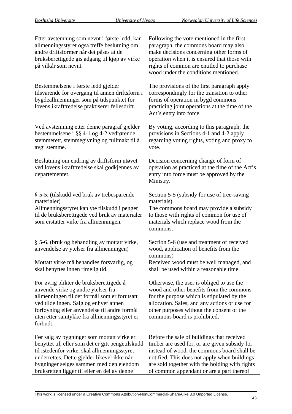| Etter avstemning som nevnt i første ledd, kan<br>allmenningsstyret også treffe beslutning om<br>andre driftsformer når det påses at de<br>bruksberettigede gis adgang til kjøp av virke<br>på vilkår som nevnt.                                                                           | Following the vote mentioned in the first<br>paragraph, the commons board may also<br>make decisions concerning other forms of<br>operation when it is ensured that those with<br>rights of common are entitled to purchase<br>wood under the conditions mentioned.                       |
|-------------------------------------------------------------------------------------------------------------------------------------------------------------------------------------------------------------------------------------------------------------------------------------------|-------------------------------------------------------------------------------------------------------------------------------------------------------------------------------------------------------------------------------------------------------------------------------------------|
| Bestemmelsene i første ledd gjelder<br>tilsvarende for overgang til annen driftsform i<br>bygdeallmenninger som på tidspunktet for<br>lovens ikrafttredelse praktiserer fellesdrift.                                                                                                      | The provisions of the first paragraph apply<br>correspondingly for the transition to other<br>forms of operation in bygd commons<br>practicing joint operations at the time of the<br>Act's entry into force.                                                                             |
| Ved avstemning etter denne paragraf gjelder<br>bestemmelsene i §§ 4-1 og 4-2 vedrørende<br>stemmerett, stemmegivning og fullmakt til å<br>avgi stemme.                                                                                                                                    | By voting, according to this paragraph, the<br>provisions in Sections 4-1 and 4-2 apply<br>regarding voting rights, voting and proxy to<br>vote.                                                                                                                                          |
| Beslutning om endring av driftsform utøvet<br>ved lovens ikrafttredelse skal godkjennes av<br>departementet.                                                                                                                                                                              | Decision concerning change of form of<br>operation as practiced at the time of the Act's<br>entry into force must be approved by the<br>Ministry.                                                                                                                                         |
| § 5-5. (tilskudd ved bruk av trebesparende<br>materialer)<br>Allmenningsstyret kan yte tilskudd i penger<br>til de bruksberettigede ved bruk av materialer<br>som erstatter virke fra allmenningen.                                                                                       | Section 5-5 (subsidy for use of tree-saving<br>materials)<br>The commons board may provide a subsidy<br>to those with rights of common for use of<br>materials which replace wood from the<br>commons.                                                                                    |
| § 5-6. (bruk og behandling av mottatt virke,<br>anvendelse av ytelser fra allmenningen)<br>Mottatt virke må behandles forsvarlig, og<br>skal benyttes innen rimelig tid.                                                                                                                  | Section 5-6 (use and treatment of received<br>wood, application of benefits from the<br>commons)<br>Received wood must be well managed, and<br>shall be used within a reasonable time.                                                                                                    |
| For øvrig plikter de bruksberettigede å<br>anvende virke og andre ytelser fra<br>allmenningen til det formål som er forutsatt<br>ved tildelingen. Salg og enhver annen<br>forføyning eller anvendelse til andre formål<br>uten etter samtykke fra allmenningsstyret er<br>forbudt.        | Otherwise, the user is obliged to use the<br>wood and other benefits from the commons<br>for the purpose which is stipulated by the<br>allocation. Sales, and any actions or use for<br>other purposes without the consent of the<br>commons board is prohibited.                         |
| Før salg av bygninger som mottatt virke er<br>benyttet til, eller som det er gitt pengetilskudd<br>til istedenfor virke, skal allmenningsstyret<br>underrettes. Dette gjelder likevel ikke når<br>bygninger selges sammen med den eiendom<br>bruksretten ligger til eller en del av denne | Before the sale of buildings that received<br>timber are used for, or are given subsidy for<br>instead of wood, the commons board shall be<br>notified. This does not apply when buildings<br>are sold together with the holding with rights<br>of common appendant or are a part thereof |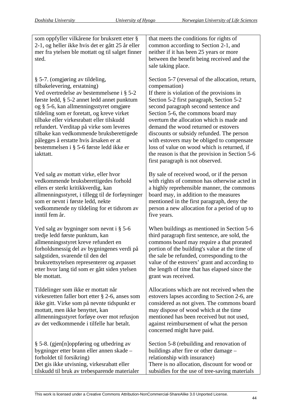| som oppfyller vilkårene for bruksrett etter §<br>2-1, og heller ikke hvis det er gått 25 år eller<br>mer fra ytelsen ble mottatt og til salget finner<br>sted.                                                                                                                                                                                                                                                                                                                               | that meets the conditions for rights of<br>common according to Section 2-1, and<br>neither if it has been 25 years or more<br>between the benefit being received and the<br>sale taking place.                                                                                                                                                                                                                                                                                                                                                                  |
|----------------------------------------------------------------------------------------------------------------------------------------------------------------------------------------------------------------------------------------------------------------------------------------------------------------------------------------------------------------------------------------------------------------------------------------------------------------------------------------------|-----------------------------------------------------------------------------------------------------------------------------------------------------------------------------------------------------------------------------------------------------------------------------------------------------------------------------------------------------------------------------------------------------------------------------------------------------------------------------------------------------------------------------------------------------------------|
| § 5-7. (omgjøring av tildeling,<br>tilbakelevering, erstatning)<br>Ved overtredelse av bestemmelsene i § 5-2<br>første ledd, § 5-2 annet ledd annet punktum<br>og § 5-6, kan allmenningsstyret omgjøre<br>tildeling som er foretatt, og kreve virket<br>tilbake eller virkesrabatt eller tilskudd<br>refundert. Verditap på virke som leveres<br>tilbake kan vedkommende bruksberettigede<br>pålegges å erstatte hvis årsaken er at<br>bestemmelsen i § 5-6 første ledd ikke er<br>iakttatt. | Section 5-7 (reversal of the allocation, return,<br>compensation)<br>If there is violation of the provisions in<br>Section 5-2 first paragraph, Section 5-2<br>second paragraph second sentence and<br>Section 5-6, the commons board may<br>overturn the allocation which is made and<br>demand the wood returned or estovers<br>discounts or subsidy refunded. The person<br>with estovers may be obliged to compensate<br>loss of value on wood which is returned, if<br>the reason is that the provision in Section 5-6<br>first paragraph is not observed. |
| Ved salg av mottatt virke, eller hvor                                                                                                                                                                                                                                                                                                                                                                                                                                                        | By sale of received wood, or if the person                                                                                                                                                                                                                                                                                                                                                                                                                                                                                                                      |
| vedkommende bruksberettigedes forhold                                                                                                                                                                                                                                                                                                                                                                                                                                                        | with rights of common has otherwise acted in                                                                                                                                                                                                                                                                                                                                                                                                                                                                                                                    |
| ellers er sterkt kritikkverdig, kan                                                                                                                                                                                                                                                                                                                                                                                                                                                          | a highly reprehensible manner, the commons                                                                                                                                                                                                                                                                                                                                                                                                                                                                                                                      |
| allmenningsstyret, i tillegg til de forføyninger                                                                                                                                                                                                                                                                                                                                                                                                                                             | board may, in addition to the measures                                                                                                                                                                                                                                                                                                                                                                                                                                                                                                                          |
| som er nevnt i første ledd, nekte                                                                                                                                                                                                                                                                                                                                                                                                                                                            | mentioned in the first paragraph, deny the                                                                                                                                                                                                                                                                                                                                                                                                                                                                                                                      |
| vedkommende ny tildeling for et tidsrom av                                                                                                                                                                                                                                                                                                                                                                                                                                                   | person a new allocation for a period of up to                                                                                                                                                                                                                                                                                                                                                                                                                                                                                                                   |
| inntil fem år.                                                                                                                                                                                                                                                                                                                                                                                                                                                                               | five years.                                                                                                                                                                                                                                                                                                                                                                                                                                                                                                                                                     |
| Ved salg av bygninger som nevnt i $\S$ 5-6                                                                                                                                                                                                                                                                                                                                                                                                                                                   | When buildings as mentioned in Section 5-6                                                                                                                                                                                                                                                                                                                                                                                                                                                                                                                      |
| tredje ledd første punktum, kan                                                                                                                                                                                                                                                                                                                                                                                                                                                              | third paragraph first sentence, are sold, the                                                                                                                                                                                                                                                                                                                                                                                                                                                                                                                   |
| allmenningsstyret kreve refundert en                                                                                                                                                                                                                                                                                                                                                                                                                                                         | commons board may require a that prorated                                                                                                                                                                                                                                                                                                                                                                                                                                                                                                                       |
| forholdsmessig del av bygningenes verdi på                                                                                                                                                                                                                                                                                                                                                                                                                                                   | portion of the building's value at the time of                                                                                                                                                                                                                                                                                                                                                                                                                                                                                                                  |
| salgstiden, svarende til den del                                                                                                                                                                                                                                                                                                                                                                                                                                                             | the sale be refunded, corresponding to the                                                                                                                                                                                                                                                                                                                                                                                                                                                                                                                      |
| bruksrettsytelsen representerer og avpasset                                                                                                                                                                                                                                                                                                                                                                                                                                                  | value of the estovers' grant and according to                                                                                                                                                                                                                                                                                                                                                                                                                                                                                                                   |
| etter hvor lang tid som er gått siden ytelsen                                                                                                                                                                                                                                                                                                                                                                                                                                                | the length of time that has elapsed since the                                                                                                                                                                                                                                                                                                                                                                                                                                                                                                                   |
| ble mottatt.                                                                                                                                                                                                                                                                                                                                                                                                                                                                                 | grant was received.                                                                                                                                                                                                                                                                                                                                                                                                                                                                                                                                             |
| Tildelinger som ikke er mottatt når<br>virkes retten faller bort etter $\S$ 2-6, anses som<br>ikke gitt. Virke som på nevnte tidspunkt er<br>mottatt, men ikke benyttet, kan<br>allmenningsstyret forføye over mot refusjon<br>av det vedkommende i tilfelle har betalt.                                                                                                                                                                                                                     | Allocations which are not received when the<br>estovers lapses according to Section 2-6, are<br>considered as not given. The commons board<br>may dispose of wood which at the time<br>mentioned has been received but not used,<br>against reimbursement of what the person<br>concerned might have paid.                                                                                                                                                                                                                                                      |
| § 5-8. (gjen[n]oppføring og utbedring av                                                                                                                                                                                                                                                                                                                                                                                                                                                     | Section 5-8 (rebuilding and renovation of                                                                                                                                                                                                                                                                                                                                                                                                                                                                                                                       |
| bygninger etter brann eller annen skade -                                                                                                                                                                                                                                                                                                                                                                                                                                                    | buildings after fire or other damage -                                                                                                                                                                                                                                                                                                                                                                                                                                                                                                                          |
| forholdet til forsikring)                                                                                                                                                                                                                                                                                                                                                                                                                                                                    | relationship with insurance)                                                                                                                                                                                                                                                                                                                                                                                                                                                                                                                                    |
| Det gis ikke utvisning, virkesrabatt eller                                                                                                                                                                                                                                                                                                                                                                                                                                                   | There is no allocation, discount for wood or                                                                                                                                                                                                                                                                                                                                                                                                                                                                                                                    |
| tilskudd til bruk av trebesparende materialer                                                                                                                                                                                                                                                                                                                                                                                                                                                | subsidies for the use of tree-saving materials                                                                                                                                                                                                                                                                                                                                                                                                                                                                                                                  |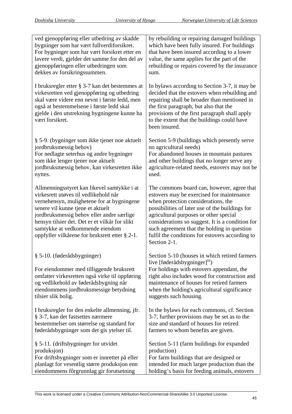| ved gjenoppføring eller utbedring av skadde                                                                                                                                                                                                                                                                                                                 | by rebuilding or repairing damaged buildings                                                                                                                                                                                                                                                                                                                                                      |
|-------------------------------------------------------------------------------------------------------------------------------------------------------------------------------------------------------------------------------------------------------------------------------------------------------------------------------------------------------------|---------------------------------------------------------------------------------------------------------------------------------------------------------------------------------------------------------------------------------------------------------------------------------------------------------------------------------------------------------------------------------------------------|
| bygninger som har vært fullverdiforsikret.                                                                                                                                                                                                                                                                                                                  | which have been fully insured. For buildings                                                                                                                                                                                                                                                                                                                                                      |
| For bygninger som har vært forsikret etter en                                                                                                                                                                                                                                                                                                               | that have been insured according to a lower                                                                                                                                                                                                                                                                                                                                                       |
| lavere verdi, gjelder det samme for den del av                                                                                                                                                                                                                                                                                                              | value, the same applies for the part of the                                                                                                                                                                                                                                                                                                                                                       |
| gjenoppføringen eller utbedringen som                                                                                                                                                                                                                                                                                                                       | rebuilding or repairs covered by the insurance                                                                                                                                                                                                                                                                                                                                                    |
| dekkes av forsikringssummen.                                                                                                                                                                                                                                                                                                                                | sum.                                                                                                                                                                                                                                                                                                                                                                                              |
| I bruksregler etter § 3-7 kan det bestemmes at<br>virkesretten ved gjenoppføring og utbedring<br>skal være videre enn nevnt i første ledd, men<br>også at bestemmelsene i første ledd skal<br>gjelde i den utstrekning bygningene kunne ha<br>vært forsikret.                                                                                               | In bylaws according to Section 3-7, it may be<br>decided that the estovers when rebuilding and<br>repairing shall be broader than mentioned in<br>the first paragraph, but also that the<br>provisions of the first paragraph shall apply<br>to the extent that the buildings could have<br>been insured.                                                                                         |
| § 5-9. (bygninger som ikke tjener noe aktuelt                                                                                                                                                                                                                                                                                                               | Section 5-9 (buildings which presently serve                                                                                                                                                                                                                                                                                                                                                      |
| jordbruksmessig behov)                                                                                                                                                                                                                                                                                                                                      | no agricultural needs)                                                                                                                                                                                                                                                                                                                                                                            |
| For nedlagte seterhus og andre bygninger                                                                                                                                                                                                                                                                                                                    | For abandoned houses in mountain pastures                                                                                                                                                                                                                                                                                                                                                         |
| som ikke lenger tjener noe aktuelt                                                                                                                                                                                                                                                                                                                          | and other buildings that no longer serve any                                                                                                                                                                                                                                                                                                                                                      |
| jordbruksmessig behov, kan virkesretten ikke                                                                                                                                                                                                                                                                                                                | agriculture-related needs, estovers may not be                                                                                                                                                                                                                                                                                                                                                    |
| nyttes.                                                                                                                                                                                                                                                                                                                                                     | used.                                                                                                                                                                                                                                                                                                                                                                                             |
| Allmenningsstyret kan likevel samtykke i at<br>virkesrett utøves til vedlikehold når<br>vernehensyn, mulighetene for at bygningene<br>senere vil kunne tjene et aktuelt<br>jordbruksmessig behov eller andre særlige<br>hensyn tilsier det. Det er et vilkår for slikt<br>samtykke at vedkommende eiendom<br>oppfyller vilkårene for bruksrett etter § 2-1. | The commons board can, however, agree that<br>estovers may be exercised for maintenance<br>when protection considerations, the<br>possibilities of later use of the buildings for<br>agricultural purposes or other special<br>considerations so suggest. It is a condition for<br>such agreement that the holding in question<br>fulfil the conditions for estovers according to<br>Section 2-1. |
| § 5-10. (føderådsbygninger)<br>For eiendommer med tilliggende bruksrett<br>omfatter virkesretten også virke til oppføring<br>og vedlikehold av føderådsbygning når<br>eiendommens jordbruksmessige betydning<br>tilsier slik bolig.                                                                                                                         | Section 5-10 (houses in which retired farmers<br>live [føderådsbygninger] <sup>iii</sup> )<br>For holdings with estovers appendant, the<br>right also includes wood for construction and<br>maintenance of houses for retired farmers<br>when the holding's agricultural significance<br>suggests such housing.                                                                                   |
| I bruksregler for den enkelte allmenning, jfr.                                                                                                                                                                                                                                                                                                              | In the bylaws for each commons, cf. Section                                                                                                                                                                                                                                                                                                                                                       |
| § 3-7, kan det fastsettes nærmere                                                                                                                                                                                                                                                                                                                           | 3-7, further provisions may be set as to the                                                                                                                                                                                                                                                                                                                                                      |
| bestemmelser om størrelse og standard for                                                                                                                                                                                                                                                                                                                   | size and standard of houses for retired                                                                                                                                                                                                                                                                                                                                                           |
| føderådsbygninger som det gis ytelser til.                                                                                                                                                                                                                                                                                                                  | farmers to whom benefits are given.                                                                                                                                                                                                                                                                                                                                                               |
| § 5-11. (driftsbygninger for utvidet                                                                                                                                                                                                                                                                                                                        | Section 5-11 (farm buildings for expanded                                                                                                                                                                                                                                                                                                                                                         |
| produksjon)                                                                                                                                                                                                                                                                                                                                                 | production)                                                                                                                                                                                                                                                                                                                                                                                       |
| For driftsbygninger som er innrettet på eller                                                                                                                                                                                                                                                                                                               | For farm buildings that are designed or                                                                                                                                                                                                                                                                                                                                                           |
| planlagt for vesentlig større produksjon enn                                                                                                                                                                                                                                                                                                                | intended for much larger production than the                                                                                                                                                                                                                                                                                                                                                      |
| eiendommens fôrgrunnlag gir forutsetning                                                                                                                                                                                                                                                                                                                    | holding's basis for feeding animals, estovers                                                                                                                                                                                                                                                                                                                                                     |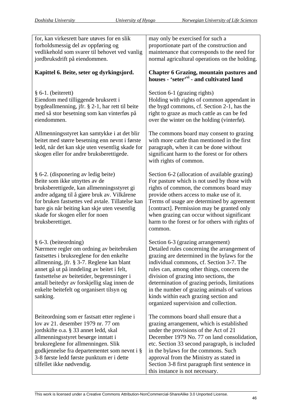| for, kan virkesrett bare utøves for en slik                                                                                                                                                                                                                                                                                                                       | may only be exercised for such a                                                                                                                                                                                                                                                                                                                                                                                                                        |
|-------------------------------------------------------------------------------------------------------------------------------------------------------------------------------------------------------------------------------------------------------------------------------------------------------------------------------------------------------------------|---------------------------------------------------------------------------------------------------------------------------------------------------------------------------------------------------------------------------------------------------------------------------------------------------------------------------------------------------------------------------------------------------------------------------------------------------------|
| forholdsmessig del av oppføring og                                                                                                                                                                                                                                                                                                                                | proportionate part of the construction and                                                                                                                                                                                                                                                                                                                                                                                                              |
| vedlikehold som svarer til behovet ved vanlig                                                                                                                                                                                                                                                                                                                     | maintenance that corresponds to the need for                                                                                                                                                                                                                                                                                                                                                                                                            |
| jordbruksdrift på eiendommen.                                                                                                                                                                                                                                                                                                                                     | normal agricultural operations on the holding.                                                                                                                                                                                                                                                                                                                                                                                                          |
| Kapittel 6. Beite, seter og dyrkingsjord.                                                                                                                                                                                                                                                                                                                         | <b>Chapter 6 Grazing, mountain pastures and</b><br>houses - 'seter' <sup>vi</sup> - and cultivated land                                                                                                                                                                                                                                                                                                                                                 |
| $§ 6-1.$ (beiterett)<br>Eiendom med tilliggende bruksrett i<br>bygdeallmenning, jfr. § 2-1, har rett til beite<br>med så stor besetning som kan vinterføs på<br>eiendommen.                                                                                                                                                                                       | Section 6-1 (grazing rights)<br>Holding with rights of common appendant in<br>the bygd commons, cf. Section 2-1, has the<br>right to graze as much cattle as can be fed<br>over the winter on the holding (vinterfø).                                                                                                                                                                                                                                   |
| Allmenningsstyret kan samtykke i at det blir<br>beitet med større besetning enn nevnt i første<br>ledd, når det kan skje uten vesentlig skade for<br>skogen eller for andre bruksberettigede.                                                                                                                                                                     | The commons board may consent to grazing<br>with more cattle than mentioned in the first<br>paragraph, when it can be done without<br>significant harm to the forest or for others<br>with rights of common.                                                                                                                                                                                                                                            |
| § 6-2. (disponering av ledig beite)<br>Beite som ikke utnyttes av de<br>bruksberettigede, kan allmenningsstyret gi<br>andre adgang til å gjøre bruk av. Vilkårene<br>for bruken fastsettes ved avtale. Tillatelse kan<br>bare gis når beiting kan skje uten vesentlig<br>skade for skogen eller for noen<br>bruksberettiget.                                      | Section 6-2 (allocation of available grazing)<br>For pasture which is not used by those with<br>rights of common, the commons board may<br>provide others access to make use of it.<br>Terms of usage are determined by agreement<br>[contract]. Permission may be granted only<br>when grazing can occur without significant<br>harm to the forest or for others with rights of<br>common.                                                             |
| § 6-3. (beiteordning)<br>Nærmere regler om ordning av beitebruken<br>fastsettes i bruksreglene for den enkelte<br>allmenning, jfr. § 3-7. Reglene kan blant<br>annet gå ut på inndeling av beitet i felt,<br>fastsettelse av beitetider, begrensninger i<br>antall beitedyr av forskjellig slag innen de<br>enkelte beitefelt og organisert tilsyn og<br>sanking. | Section 6-3 (grazing arrangement)<br>Detailed rules concerning the arrangement of<br>grazing are determined in the bylaws for the<br>individual commons, cf. Section 3-7. The<br>rules can, among other things, concern the<br>division of grazing into sections, the<br>determination of grazing periods, limitations<br>in the number of grazing animals of various<br>kinds within each grazing section and<br>organized supervision and collection. |
| Beiteordning som er fastsatt etter reglene i<br>lov av 21. desember 1979 nr. 77 om<br>jordskifte o.a. § 33 annet ledd, skal<br>allmenningsstyret besørge inntatt i<br>bruksreglene for allmenningen. Slik<br>godkjennelse fra departementet som nevnt i §<br>3-8 første ledd første punktum er i dette<br>tilfellet ikke nødvendig.                               | The commons board shall ensure that a<br>grazing arrangement, which is established<br>under the provisions of the Act of 21<br>December 1979 No. 77 on land consolidation,<br>etc. Section 33 second paragraph, is included<br>in the bylaws for the commons. Such<br>approval from the Ministry as stated in<br>Section 3-8 first paragraph first sentence in<br>this instance is not necessary.                                                       |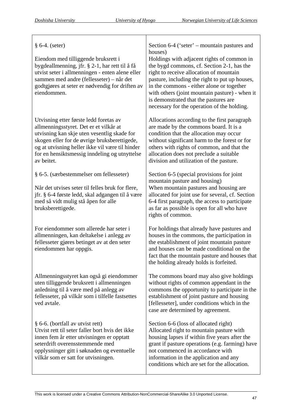| $§$ 6-4. (seter)<br>Eiendom med tilliggende bruksrett i<br>bygdeallmenning, jfr. § 2-1, har rett til å få<br>utvist seter i allmenningen - enten alene eller<br>sammen med andre (fellesseter) – når det<br>godtgjøres at seter er nødvendig for driften av<br>eiendommen.                        | Section 6-4 ('seter' – mountain pastures and<br>houses)<br>Holdings with adjacent rights of common in<br>the bygd commons, cf. Section 2-1, has the<br>right to receive allocation of mountain<br>pasture, including the right to put up houses,<br>in the commons - either alone or together<br>with others (joint mountain pasture) - when it<br>is demonstrated that the pastures are<br>necessary for the operation of the holding. |
|---------------------------------------------------------------------------------------------------------------------------------------------------------------------------------------------------------------------------------------------------------------------------------------------------|-----------------------------------------------------------------------------------------------------------------------------------------------------------------------------------------------------------------------------------------------------------------------------------------------------------------------------------------------------------------------------------------------------------------------------------------|
| Utvisning etter første ledd foretas av<br>allmenningsstyret. Det er et vilkår at<br>utvisning kan skje uten vesentlig skade for<br>skogen eller for de øvrige bruksberettigede,<br>og at utvisning heller ikke vil være til hinder<br>for en hensiktsmessig inndeling og utnyttelse<br>av beitet. | Allocations according to the first paragraph<br>are made by the commons board. It is a<br>condition that the allocation may occur<br>without significant harm to the forest or for<br>others with rights of common, and that the<br>allocation does not preclude a suitable<br>division and utilization of the pasture.                                                                                                                 |
| § 6-5. (særbestemmelser om fellesseter)<br>Når det utvises seter til felles bruk for flere,<br>jfr. § 6-4 første ledd, skal adgangen til å være<br>med så vidt mulig stå åpen for alle<br>bruksberettigede.                                                                                       | Section 6-5 (special provisions for joint<br>mountain pasture and housing)<br>When mountain pastures and housing are<br>allocated for joint use for several, cf. Section<br>6-4 first paragraph, the access to participate<br>as far as possible is open for all who have<br>rights of common.                                                                                                                                          |
| For eiendommer som allerede har seter i<br>allmenningen, kan deltakelse i anlegg av<br>fellesseter gjøres betinget av at den seter<br>eiendommen har oppgis.                                                                                                                                      | For holdings that already have pastures and<br>houses in the commons, the participation in<br>the establishment of joint mountain pasture<br>and houses can be made conditional on the<br>fact that the mountain pasture and houses that<br>the holding already holds is forfeited.                                                                                                                                                     |
| Allmenningsstyret kan også gi eiendommer<br>uten tilliggende bruksrett i allmenningen<br>anledning til å være med på anlegg av<br>fellesseter, på vilkår som i tilfelle fastsettes<br>ved avtale.                                                                                                 | The commons board may also give holdings<br>without rights of common appendant in the<br>commons the opportunity to participate in the<br>establishment of joint pasture and housing<br>[fellesseter], under conditions which in the<br>case are determined by agreement.                                                                                                                                                               |
| § 6-6. (bortfall av utvist rett)<br>Utvist rett til seter faller bort hvis det ikke<br>innen fem år etter utvisningen er opptatt<br>seterdrift overensstemmende med<br>opplysninger gitt i søknaden og eventuelle<br>vilkår som er satt for utvisningen.                                          | Section 6-6 (loss of allocated right)<br>Allocated right to mountain pasture with<br>housing lapses if within five years after the<br>grant if pasture operations (e.g. farming) have<br>not commenced in accordance with<br>information in the application and any<br>conditions which are set for the allocation.                                                                                                                     |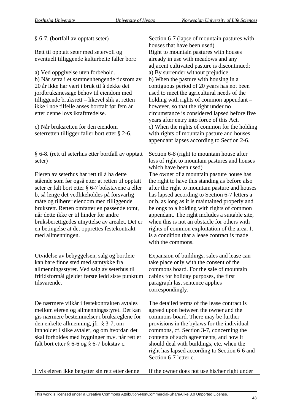| § 6-7. (bortfall av opptatt seter)                                                                    | Section 6-7 (lapse of mountain pastures with<br>houses that have been used)                      |
|-------------------------------------------------------------------------------------------------------|--------------------------------------------------------------------------------------------------|
| Rett til opptatt seter med setervoll og                                                               | Right to mountain pastures with houses                                                           |
| eventuelt tilliggende kulturbeite faller bort:                                                        | already in use with meadows and any                                                              |
|                                                                                                       | adjacent cultivated pasture is discontinued:                                                     |
| a) Ved oppgivelse uten forbehold.                                                                     | a) By surrender without prejudice.                                                               |
| b) Når setra i et sammenhengende tidsrom av<br>20 år ikke har vært i bruk til å dekke det             | b) When the pasture with housing in a<br>contiguous period of 20 years has not been              |
| jordbruksmessige behov til eiendom med                                                                | used to meet the agricultural needs of the                                                       |
| tilliggende bruksrett – likevel slik at retten                                                        | holding with rights of common appendant –                                                        |
| ikke i noe tilfelle anses bortfalt før fem år                                                         | however, so that the right under no                                                              |
| etter denne lovs ikrafttredelse.                                                                      | circumstance is considered lapsed before five                                                    |
| c) Når bruksretten for den eiendom                                                                    | years after entry into force of this Act.<br>c) When the rights of common for the holding        |
| seterretten tilligger faller bort etter § 2-6.                                                        | with rights of mountain pasture and houses                                                       |
|                                                                                                       | appendant lapses according to Section 2-6.                                                       |
|                                                                                                       |                                                                                                  |
| § 6-8. (rett til seterhus etter bortfall av opptatt<br>seter)                                         | Section 6-8 (right to mountain house after<br>loss of right to mountain pastures and houses      |
|                                                                                                       | which have been used)                                                                            |
| Eieren av seterhus har rett til å ha dette                                                            | The owner of a mountain pasture house has                                                        |
| stående som før også etter at retten til opptatt<br>seter er falt bort etter § 6-7 bokstavene a eller | the right to have this standing as before also<br>after the right to mountain pasture and houses |
| b, så lenge det vedlikeholdes på forsvarlig                                                           | has lapsed according to Section 6-7 letters a                                                    |
| måte og tilhører eiendom med tilliggende                                                              | or b, as long as it is maintained properly and                                                   |
| bruksrett. Retten omfatter en passende tomt,                                                          | belongs to a holding with rights of common                                                       |
| når dette ikke er til hinder for andre<br>bruksberettigedes utnyttelse av arealet. Det er             | appendant. The right includes a suitable site,<br>when this is not an obstacle for others with   |
| en betingelse at det opprettes festekontrakt                                                          | rights of common exploitation of the area. It                                                    |
| med allmenningen.                                                                                     | is a condition that a lease contract is made                                                     |
|                                                                                                       | with the commons.                                                                                |
| Utvidelse av bebyggelsen, salg og bortleie                                                            | Expansion of buildings, sales and lease can                                                      |
| kan bare finne sted med samtykke fra                                                                  | take place only with the consent of the                                                          |
| allmenningsstyret. Ved salg av seterhus til                                                           | commons board. For the sale of mountain                                                          |
| fritidsformål gjelder første ledd siste punktum<br>tilsvarende.                                       | cabins for holiday purposes, the first<br>paragraph last sentence applies                        |
|                                                                                                       | correspondingly.                                                                                 |
|                                                                                                       |                                                                                                  |
| De nærmere vilkår i festekontrakten avtales<br>mellom eieren og allmenningsstyret. Det kan            | The detailed terms of the lease contract is<br>agreed upon between the owner and the             |
| gis nærmere bestemmelser i bruksreglene for                                                           | commons board. There may be further                                                              |
| den enkelte allmenning, jfr. § 3-7, om                                                                | provisions in the bylaws for the individual                                                      |
| innholdet i slike avtaler, og om hvordan det                                                          | commons, cf. Section 3-7, concerning the                                                         |
| skal forholdes med bygninger m.v. når rett er                                                         | contents of such agreements, and how it                                                          |
| falt bort etter $\S 6$ -6 og $\S 6$ -7 bokstav c.                                                     | should deal with buildings, etc. when the<br>right has lapsed according to Section 6-6 and       |
|                                                                                                       | Section 6-7 letter c.                                                                            |
| Hvis eieren ikke benytter sin rett etter denne                                                        | If the owner does not use his/her right under                                                    |
|                                                                                                       |                                                                                                  |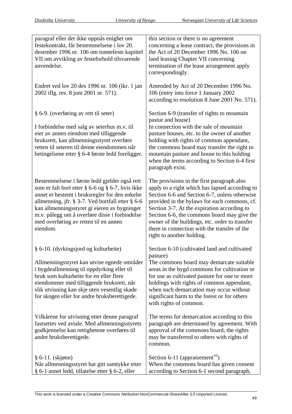| paragraf eller det ikke oppnås enighet om<br>festekontrakt, får bestemmelsene i lov 20.<br>desember 1996 nr. 106 om tomtefeste kapittel<br>VII om avvikling av festeforhold tilsvarende<br>anvendelse.                                                                                                                                                                    | this section or there is no agreement<br>concerning a lease contract, the provisions in<br>the Act of 20 December 1996 No. 106 on<br>land leasing Chapter VII concerning<br>termination of the lease arrangement apply<br>correspondingly.                                                                                                                                                                                |
|---------------------------------------------------------------------------------------------------------------------------------------------------------------------------------------------------------------------------------------------------------------------------------------------------------------------------------------------------------------------------|---------------------------------------------------------------------------------------------------------------------------------------------------------------------------------------------------------------------------------------------------------------------------------------------------------------------------------------------------------------------------------------------------------------------------|
| Endret ved lov 20 des 1996 nr. 106 (ikr. 1 jan<br>2002 iflg. res. 8 juni 2001 nr. 571).                                                                                                                                                                                                                                                                                   | Amended by Act of 20 December 1996 No.<br>106 (entry into force 1 January 2002<br>according to resolution 8 June 2001 No. 571).                                                                                                                                                                                                                                                                                           |
| § 6-9. (overføring av rett til seter)<br>I forbindelse med salg av seterhus m.v. til<br>eier av annen eiendom med tilliggende<br>bruksrett, kan allmenningsstyret overføre<br>retten til seteren til denne eiendommen når<br>betingelsene etter § 6-4 første ledd foreligger.                                                                                             | Section 6-9 (transfer of rights to mountain<br>pastur and house)<br>In connection with the sale of mountain<br>pasture houses, etc. to the owner of another<br>holding with rights of common appendant,<br>the commons board may transfer the right to<br>mountain pasture and house to this holding<br>when the terms according to Section 6-4 first<br>paragraph exist.                                                 |
| Bestemmelsene i første ledd gjelder også rett<br>som er falt bort etter $\S$ 6-6 og $\S$ 6-7, hvis ikke<br>annet er bestemt i bruksregler for den enkelte<br>allmenning, jfr. $\S$ 3-7. Ved bortfall etter $\S$ 6-6<br>kan allmenningsstyret gi eieren av bygninger<br>m.v. pålegg om å overføre disse i forbindelse<br>med overføring av retten til en annen<br>eiendom. | The provisions in the first paragraph also<br>apply to a right which has lapsed according to<br>Section 6-6 and Section 6-7, unless otherwise<br>provided in the bylaws for each commons, cf.<br>Section 3-7. At the expiration according to<br>Section 6-6, the commons board may give the<br>owner of the buildings, etc. order to transfer<br>them in connection with the transfer of the<br>right to another holding. |
| § 6-10. (dyrkingsjord og kulturbeite)<br>Allmenningsstyret kan utvise egnede områder<br>i bygdeallmenning til oppdyrking eller til<br>bruk som kulturbeite for en eller flere<br>eiendommer med tilliggende bruksrett, når<br>slik utvisning kan skje uten vesentlig skade<br>for skogen eller for andre bruksberettigede.                                                | Section 6-10 (cultivated land and cultivated<br>pasture)<br>The commons board may demarcate suitable<br>areas in the bygd commons for cultivation or<br>for use as cultivated pasture for one or more<br>holdings with rights of common appendant,<br>when such demarcation may occur without<br>significant harm to the forest or for others<br>with rights of common.                                                   |
| Vilkårene for utvisning etter denne paragraf<br>fastsettes ved avtale. Med allmenningsstyrets<br>godkjennelse kan rettighetene overføres til<br>andre bruksberettigede.                                                                                                                                                                                                   | The terms for demarcation according to this<br>paragraph are determined by agreement. With<br>approval of the commons board, the rights<br>may be transferred to others with rights of<br>common.                                                                                                                                                                                                                         |
| $§ 6-11.$ (skjønn)<br>Når allmenningsstyret har gitt samtykke etter<br>§ 6-1 annet ledd, tillatelse etter § 6-2, eller                                                                                                                                                                                                                                                    | Section 6-11 (appraisement $v_{\rm n}$ )<br>When the commons board has given consent<br>according to Section 6-1 second paragraph,                                                                                                                                                                                                                                                                                        |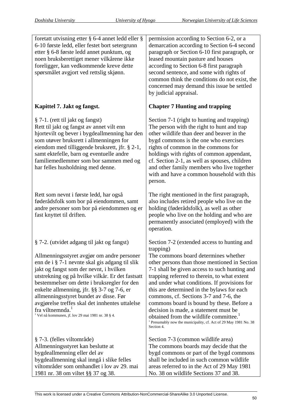| foretatt utvisning etter § 6-4 annet ledd eller §<br>6-10 første ledd, eller festet bort setergrunn<br>etter § 6-8 første ledd annet punktum, og<br>noen bruksberettiget mener vilkårene ikke<br>foreligger, kan vedkommende kreve dette<br>spørsmålet avgjort ved rettslig skjønn.                                                                                                                                                                                                                            | permission according to Section 6-2, or a<br>demarcation according to Section 6-4 second<br>paragraph or Section 6-10 first paragraph, or<br>leased mountain pasture and houses<br>according to Section 6-8 first paragraph<br>second sentence, and some with rights of<br>common think the conditions do not exist, the<br>concerned may demand this issue be settled<br>by judicial appraisal.                                                                                                                                                                                                                                    |
|----------------------------------------------------------------------------------------------------------------------------------------------------------------------------------------------------------------------------------------------------------------------------------------------------------------------------------------------------------------------------------------------------------------------------------------------------------------------------------------------------------------|-------------------------------------------------------------------------------------------------------------------------------------------------------------------------------------------------------------------------------------------------------------------------------------------------------------------------------------------------------------------------------------------------------------------------------------------------------------------------------------------------------------------------------------------------------------------------------------------------------------------------------------|
| Kapittel 7. Jakt og fangst.                                                                                                                                                                                                                                                                                                                                                                                                                                                                                    | <b>Chapter 7 Hunting and trapping</b>                                                                                                                                                                                                                                                                                                                                                                                                                                                                                                                                                                                               |
| § 7-1. (rett til jakt og fangst)<br>Rett til jakt og fangst av annet vilt enn<br>hjortevilt og bever i bygdeallmenning har den<br>som utøver bruksrett i allmenningen for<br>eiendom med tilliggende bruksrett, jfr. § 2-1,<br>samt ektefelle, barn og eventuelle andre<br>familiemedlemmer som bor sammen med og<br>har felles husholdning med denne.                                                                                                                                                         | Section 7-1 (right to hunting and trapping)<br>The person with the right to hunt and trap<br>other wildlife than deer and beaver in the<br>bygd commons is the one who exercises<br>rights of common in the commons for<br>holdings with rights of common appendant,<br>cf. Section 2-1, as well as spouses, children<br>and other family members who live together<br>with and have a common household with this<br>person.                                                                                                                                                                                                        |
| Rett som nevnt i første ledd, har også<br>føderådsfolk som bor på eiendommen, samt<br>andre personer som bor på eiendommen og er<br>fast knyttet til driften.                                                                                                                                                                                                                                                                                                                                                  | The right mentioned in the first paragraph,<br>also includes retired people who live on the<br>holding (føderådsfolk), as well as other<br>people who live on the holding and who are<br>permanently associated (employed) with the<br>operation.                                                                                                                                                                                                                                                                                                                                                                                   |
| § 7-2. (utvidet adgang til jakt og fangst)<br>Allmenningsstyret avgjør om andre personer<br>enn de i § 7-1 nevnte skal gis adgang til slik<br>jakt og fangst som der nevnt, i hvilken<br>utstrekning og på hvilke vilkår. Er det fastsatt<br>bestemmelser om dette i bruksregler for den<br>enkelte allmenning, jfr. §§ 3-7 og 7-6, er<br>allmenningsstyret bundet av disse. Før<br>avgjørelse treffes skal det innhentes uttalelse<br>fra viltnemnda.<br>$1$ Vel nå kommunen, jf. lov 29 mai 1981 nr. 38 § 4. | Section 7-2 (extended access to hunting and<br>trapping)<br>The commons board determines whether<br>other persons than those mentioned in Section<br>7-1 shall be given access to such hunting and<br>trapping referred to therein, to what extent<br>and under what conditions. If provisions for<br>this are determined in the bylaws for each<br>commons, cf. Sections 3-7 and 7-6, the<br>commons board is bound by these. Before a<br>decision is made, a statement must be<br>obtained from the wildlife committee. <sup>1</sup><br><sup>1</sup> Presumably now the municipality, cf. Act of 29 May 1981 No. 38<br>Section 4. |
| § 7-3. (felles viltområde)<br>Allmenningsstyret kan beslutte at<br>bygdeallmenning eller del av<br>bygdeallmenning skal inngå i slike felles<br>viltområder som omhandlet i lov av 29. mai<br>1981 nr. 38 om viltet §§ 37 og 38.                                                                                                                                                                                                                                                                               | Section 7-3 (common wildlife area)<br>The commons boards may decide that the<br>bygd commons or part of the bygd commons<br>shall be included in such common wildlife<br>areas referred to in the Act of 29 May 1981<br>No. 38 on wildlife Sections 37 and 38.                                                                                                                                                                                                                                                                                                                                                                      |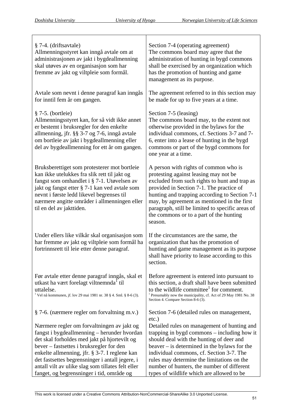| § 7-4. (driftsavtale)<br>Allmenningsstyret kan inngå avtale om at<br>administrasjonen av jakt i bygdeallmenning<br>skal utøves av en organisasjon som har<br>fremme av jakt og viltpleie som formål.                                                                                                                                                                                        | Section 7-4 (operating agreement)<br>The commons board may agree that the<br>administration of hunting in bygd commons<br>shall be exercised by an organization which<br>has the promotion of hunting and game<br>management as its purpose.                                                                                                                                          |
|---------------------------------------------------------------------------------------------------------------------------------------------------------------------------------------------------------------------------------------------------------------------------------------------------------------------------------------------------------------------------------------------|---------------------------------------------------------------------------------------------------------------------------------------------------------------------------------------------------------------------------------------------------------------------------------------------------------------------------------------------------------------------------------------|
| Avtale som nevnt i denne paragraf kan inngås<br>for inntil fem år om gangen.                                                                                                                                                                                                                                                                                                                | The agreement referred to in this section may<br>be made for up to five years at a time.                                                                                                                                                                                                                                                                                              |
| $§ 7-5. (bortleie)$<br>Allmenningsstyret kan, for så vidt ikke annet<br>er bestemt i bruksregler for den enkelte<br>allmenning, jfr. §§ 3-7 og 7-6, inngå avtale<br>om bortleie av jakt i bygdeallmenning eller<br>del av bygdeallmenning for ett år om gangen.                                                                                                                             | Section 7-5 (leasing)<br>The commons board may, to the extent not<br>otherwise provided in the bylaws for the<br>individual commons, cf. Sections 3-7 and 7-<br>6, enter into a lease of hunting in the bygd<br>commons or part of the bygd commons for<br>one year at a time.                                                                                                        |
| Bruksberettiget som protesterer mot bortleie<br>kan ikke utelukkes fra slik rett til jakt og<br>fangst som omhandlet i § 7-1. Utøvelsen av<br>jakt og fangst etter § 7-1 kan ved avtale som<br>nevnt i første ledd likevel begrenses til<br>nærmere angitte områder i allmenningen eller<br>til en del av jakttiden.                                                                        | A person with rights of common who is<br>protesting against leasing may not be<br>excluded from such rights to hunt and trap as<br>provided in Section 7-1. The practice of<br>hunting and trapping according to Section 7-1<br>may, by agreement as mentioned in the first<br>paragraph, still be limited to specific areas of<br>the commons or to a part of the hunting<br>season. |
| Under ellers like vilkår skal organisasjon som<br>har fremme av jakt og viltpleie som formål ha<br>fortrinnsrett til leie etter denne paragraf.                                                                                                                                                                                                                                             | If the circumstances are the same, the<br>organization that has the promotion of<br>hunting and game management as its purpose<br>shall have priority to lease according to this<br>section.                                                                                                                                                                                          |
| Før avtale etter denne paragraf inngås, skal et<br>utkast ha vært forelagt viltnemnda til<br>uttalelse.<br><sup>1</sup> Vel nå kommunen, jf. lov 29 mai 1981 nr. 38 $§$ 4. Sml. § 8-6 (3).                                                                                                                                                                                                  | Before agreement is entered into pursuant to<br>this section, a draft shall have been submitted<br>to the wildlife committee <sup>1</sup> for comment.<br><sup>1</sup> Presumably now the municipality, cf. Act of 29 May 1981 No. 38<br>Section 4. Compare Section 8-6 (3).                                                                                                          |
| § 7-6. (nærmere regler om forvaltning m.v.)                                                                                                                                                                                                                                                                                                                                                 | Section 7-6 (detailed rules on management,<br>$etc.$ )                                                                                                                                                                                                                                                                                                                                |
| Nærmere regler om forvaltningen av jakt og<br>fangst i bygdeallmenning – herunder hvordan<br>det skal forholdes med jakt på hjortevilt og<br>bever – fastsettes i bruksregler for den<br>enkelte allmenning, jfr. § 3-7. I reglene kan<br>det fastsettes begrensninger i antall jegere, i<br>antall vilt av ulike slag som tillates felt eller<br>fanget, og begrensninger i tid, område og | Detailed rules on management of hunting and<br>trapping in bygd commons – including how it<br>should deal with the hunting of deer and<br>$beaver - is determined in the by laws for the$<br>individual commons, cf. Section 3-7. The<br>rules may determine the limitations on the<br>number of hunters, the number of different<br>types of wildlife which are allowed to be        |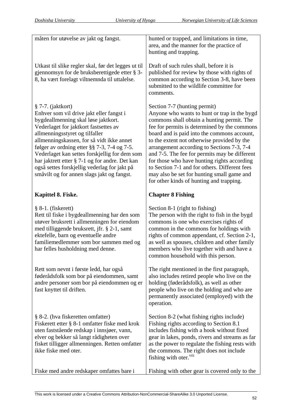| måten for utøvelse av jakt og fangst.                                                                                                                                                                                                                                                                                                                                                                                                                                              | hunted or trapped, and limitations in time,<br>area, and the manner for the practice of<br>hunting and trapping.                                                                                                                                                                                                                                                                                                                                                                                                                                                  |
|------------------------------------------------------------------------------------------------------------------------------------------------------------------------------------------------------------------------------------------------------------------------------------------------------------------------------------------------------------------------------------------------------------------------------------------------------------------------------------|-------------------------------------------------------------------------------------------------------------------------------------------------------------------------------------------------------------------------------------------------------------------------------------------------------------------------------------------------------------------------------------------------------------------------------------------------------------------------------------------------------------------------------------------------------------------|
| Utkast til slike regler skal, før det legges ut til<br>gjennomsyn for de bruksberettigede etter § 3-<br>8, ha vært forelagt viltnemnda til uttalelse.                                                                                                                                                                                                                                                                                                                              | Draft of such rules shall, before it is<br>published for review by those with rights of<br>common according to Section 3-8, have been<br>submitted to the wildlife committee for<br>comments.                                                                                                                                                                                                                                                                                                                                                                     |
| $§ 7-7.$ (jaktkort)<br>Enhver som vil drive jakt eller fangst i<br>bygdeallmenning skal løse jaktkort.<br>Vederlaget for jaktkort fastsettes av<br>allmenningsstyret og tilfaller<br>allmenningskassen, for så vidt ikke annet<br>følger av ordning etter $\S$ § 7-3, 7-4 og 7-5.<br>Vederlaget kan settes forskjellig for dem som<br>har jaktrett etter § 7-1 og for andre. Det kan<br>også settes forskjellig vederlag for jakt på<br>småvilt og for annen slags jakt og fangst. | Section 7-7 (hunting permit)<br>Anyone who wants to hunt or trap in the bygd<br>commons shall obtain a hunting permit. The<br>fee for permits is determined by the commons<br>board and is paid into the commons account,<br>to the extent not otherwise provided by the<br>arrangement according to Sections 7-3, 7-4<br>and 7-5. The fee for permits may be different<br>for those who have hunting rights according<br>to Section 7-1 and for others. Different fees<br>may also be set for hunting small game and<br>for other kinds of hunting and trapping. |
| Kapittel 8. Fiske.                                                                                                                                                                                                                                                                                                                                                                                                                                                                 | <b>Chapter 8 Fishing</b>                                                                                                                                                                                                                                                                                                                                                                                                                                                                                                                                          |
| $§ 8-1.$ (fiskerett)<br>Rett til fiske i bygdeallmenning har den som<br>utøver bruksrett i allmenningen for eiendom<br>med tilliggende bruksrett, jfr. § 2-1, samt<br>ektefelle, barn og eventuelle andre<br>familiemedlemmer som bor sammen med og<br>har felles husholdning med denne.                                                                                                                                                                                           | Section 8-1 (right to fishing)<br>The person with the right to fish in the bygd<br>commons is one who exercises rights of<br>common in the commons for holdings with<br>rights of common appendant, cf. Section 2-1,<br>as well as spouses, children and other family<br>members who live together with and have a                                                                                                                                                                                                                                                |
|                                                                                                                                                                                                                                                                                                                                                                                                                                                                                    | common household with this person.                                                                                                                                                                                                                                                                                                                                                                                                                                                                                                                                |
| Rett som nevnt i første ledd, har også<br>føderådsfolk som bor på eiendommen, samt<br>andre personer som bor på eiendommen og er<br>fast knyttet til driften.                                                                                                                                                                                                                                                                                                                      | The right mentioned in the first paragraph,<br>also includes retired people who live on the<br>holding (føderådsfolk), as well as other<br>people who live on the holding and who are<br>permanently associated (employed) with the<br>operation.                                                                                                                                                                                                                                                                                                                 |
| § 8-2. (hva fiskeretten omfatter)<br>Fiskerett etter § 8-1 omfatter fiske med krok<br>uten faststående redskap i innsjøer, vann,<br>elver og bekker så langt rådigheten over<br>fisket tilligger allmenningen. Retten omfatter<br>ikke fiske med oter.                                                                                                                                                                                                                             | Section 8-2 (what fishing rights include)<br>Fishing rights according to Section 8.1<br>includes fishing with a hook without fixed<br>gear in lakes, ponds, rivers and streams as far<br>as the power to regulate the fishing rests with<br>the commons. The right does not include<br>fishing with oter. <sup>viii</sup>                                                                                                                                                                                                                                         |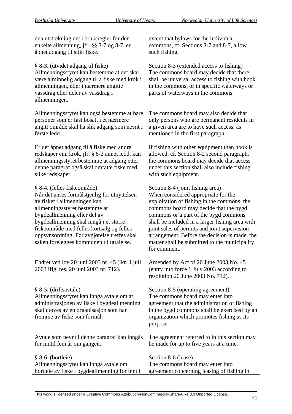| den utstrekning det i bruksregler for den                                                                                                                                                                                                                                                                                                                      | extent that bylaws for the individual                                                                                                                                                                                                                                                                                                                                                                                          |
|----------------------------------------------------------------------------------------------------------------------------------------------------------------------------------------------------------------------------------------------------------------------------------------------------------------------------------------------------------------|--------------------------------------------------------------------------------------------------------------------------------------------------------------------------------------------------------------------------------------------------------------------------------------------------------------------------------------------------------------------------------------------------------------------------------|
| enkelte allmenning, jfr. §§ 3-7 og 8-7, er                                                                                                                                                                                                                                                                                                                     | commons, cf. Sections 3-7 and 8-7, allow                                                                                                                                                                                                                                                                                                                                                                                       |
| åpnet adgang til slikt fiske.                                                                                                                                                                                                                                                                                                                                  | such fishing.                                                                                                                                                                                                                                                                                                                                                                                                                  |
| § 8-3. (utvidet adgang til fiske)<br>Allmenningsstyret kan bestemme at det skal<br>være alminnelig adgang til å fiske med krok i<br>allmenningen, eller i nærmere angitte<br>vassdrag eller deler av vassdrag i<br>allmenningen.                                                                                                                               | Section 8-3 (extended access to fishing)<br>The commons board may decide that there<br>shall be universal access to fishing with hook<br>in the commons, or in specific waterways or<br>parts of waterways in the commons.                                                                                                                                                                                                     |
| Allmenningsstyret kan også bestemme at bare<br>personer som er fast bosatt i et nærmere<br>angitt område skal ha slik adgang som nevnt i<br>første ledd.                                                                                                                                                                                                       | The commons board may also decide that<br>only persons who are permanent residents in<br>a given area are to have such access, as<br>mentioned in the first paragraph.                                                                                                                                                                                                                                                         |
| Er det åpnet adgang til å fiske med andre<br>redskaper enn krok, jfr. § 8-2 annet ledd, kan<br>allmenningsstyret bestemme at adgang etter<br>denne paragraf også skal omfatte fiske med<br>slike redskaper.                                                                                                                                                    | If fishing with other equipment than hook is<br>allowed, cf. Section 8-2 second paragraph,<br>the commons board may decide that access<br>under this section shall also include fishing<br>with such equipment.                                                                                                                                                                                                                |
| § 8-4. (felles fiskeområde)<br>Når det anses formålstjenlig for utnyttelsen<br>av fisket i allmenningen kan<br>allmenningsstyret bestemme at<br>bygdeallmenning eller del av<br>bygdeallmenning skal inngå i et større<br>fiskeområde med felles kortsalg og felles<br>oppsynsordning. Før avgjørelse treffes skal<br>saken forelegges kommunen til uttalelse. | Section 8-4 (joint fishing area)<br>When considered appropriate for the<br>exploitation of fishing in the commons, the<br>commons board may decide that the bygd<br>commons or a part of the bygd commons<br>shall be included in a larger fishing area with<br>joint sales of permits and joint supervision<br>arrangement. Before the decision is made, the<br>matter shall be submitted to the municipality<br>for comment. |
| Endret ved lov 20 juni 2003 nr. 45 (ikr. 1 juli<br>2003 iflg. res. 20 juni 2003 nr. 712).                                                                                                                                                                                                                                                                      | Amended by Act of 20 June 2003 No. 45<br>(entry into force 1 July 2003 according to<br>resolution 20 June 2003 No. 712).                                                                                                                                                                                                                                                                                                       |
| § 8-5. (driftsavtale)<br>Allmenningsstyret kan inngå avtale om at<br>administrasjonen av fiske i bygdeallmenning<br>skal utøves av en organisasjon som har<br>fremme av fiske som formål.                                                                                                                                                                      | Section 8-5 (operating agreement)<br>The commons board may enter into<br>agreement that the administration of fishing<br>in the bygd commons shall be exercised by an<br>organization which promotes fishing as its<br>purpose.                                                                                                                                                                                                |
| Avtale som nevnt i denne paragraf kan inngås<br>for inntil fem år om gangen.                                                                                                                                                                                                                                                                                   | The agreement referred to in this section may<br>be made for up to five years at a time.                                                                                                                                                                                                                                                                                                                                       |
| $§ 8-6. (bortleie)$                                                                                                                                                                                                                                                                                                                                            | Section 8-6 (lease)                                                                                                                                                                                                                                                                                                                                                                                                            |
| Allmenningsstyret kan inngå avtale om                                                                                                                                                                                                                                                                                                                          | The commons board may enter into                                                                                                                                                                                                                                                                                                                                                                                               |
| bortleie av fiske i bygdeallmenning for inntil                                                                                                                                                                                                                                                                                                                 | agreement concerning leasing of fishing in                                                                                                                                                                                                                                                                                                                                                                                     |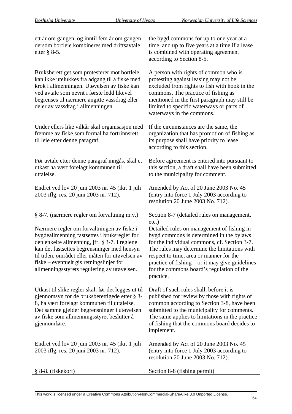| ett år om gangen, og inntil fem år om gangen<br>dersom bortleie kombineres med driftsavtale<br>etter $\S$ 8-5.                                                                                                                                                                                                                                                                          | the bygd commons for up to one year at a<br>time, and up to five years at a time if a lease<br>is combined with operating agreement<br>according to Section 8-5.                                                                                                                                                                                                                                           |
|-----------------------------------------------------------------------------------------------------------------------------------------------------------------------------------------------------------------------------------------------------------------------------------------------------------------------------------------------------------------------------------------|------------------------------------------------------------------------------------------------------------------------------------------------------------------------------------------------------------------------------------------------------------------------------------------------------------------------------------------------------------------------------------------------------------|
| Bruksberettiget som protesterer mot bortleie<br>kan ikke utelukkes fra adgang til å fiske med<br>krok i allmenningen. Utøvelsen av fiske kan<br>ved avtale som nevnt i første ledd likevel<br>begrenses til nærmere angitte vassdrag eller<br>deler av vassdrag i allmenningen.                                                                                                         | A person with rights of common who is<br>protesting against leasing may not be<br>excluded from rights to fish with hook in the<br>commons. The practice of fishing as<br>mentioned in the first paragraph may still be<br>limited to specific waterways or parts of<br>waterways in the commons.                                                                                                          |
| Under ellers like vilkår skal organisasjon med<br>fremme av fiske som formål ha fortrinnsrett<br>til leie etter denne paragraf.                                                                                                                                                                                                                                                         | If the circumstances are the same, the<br>organization that has promotion of fishing as<br>its purpose shall have priority to lease<br>according to this section.                                                                                                                                                                                                                                          |
| Før avtale etter denne paragraf inngås, skal et<br>utkast ha vært forelagt kommunen til<br>uttalelse.                                                                                                                                                                                                                                                                                   | Before agreement is entered into pursuant to<br>this section, a draft shall have been submitted<br>to the municipality for comment.                                                                                                                                                                                                                                                                        |
| Endret ved lov 20 juni 2003 nr. 45 (ikr. 1 juli<br>2003 iflg. res. 20 juni 2003 nr. 712).                                                                                                                                                                                                                                                                                               | Amended by Act of 20 June 2003 No. 45<br>(entry into force 1 July 2003 according to<br>resolution 20 June 2003 No. 712).                                                                                                                                                                                                                                                                                   |
| § 8-7. (nærmere regler om forvaltning m.v.)<br>Nærmere regler om forvaltningen av fiske i<br>bygdeallmenning fastsettes i bruksregler for<br>den enkelte allmenning, jfr. § 3-7. I reglene<br>kan det fastsettes begrensninger med hensyn<br>til tiden, området eller måten for utøvelsen av<br>fiske – eventuelt gis retningslinjer for<br>allmenningsstyrets regulering av utøvelsen. | Section 8-7 (detailed rules on management,<br>$etc.$ )<br>Detailed rules on management of fishing in<br>bygd commons is determined in the bylaws<br>for the individual commons, cf. Section 3-7.<br>The rules may determine the limitations with<br>respect to time, area or manner for the<br>practice of fishing $-$ or it may give guidelines<br>for the commons board's regulation of the<br>practice. |
| Utkast til slike regler skal, før det legges ut til<br>gjennomsyn for de bruksberettigede etter § 3-<br>8, ha vært forelagt kommunen til uttalelse.<br>Det samme gjelder begrensninger i utøvelsen<br>av fiske som allmenningsstyret beslutter å<br>gjennomføre.                                                                                                                        | Draft of such rules shall, before it is<br>published for review by those with rights of<br>common according to Section 3-8, have been<br>submitted to the municipality for comments.<br>The same applies to limitations in the practice<br>of fishing that the commons board decides to<br>implement.                                                                                                      |
| Endret ved lov 20 juni 2003 nr. 45 (ikr. 1 juli<br>2003 iflg. res. 20 juni 2003 nr. 712).                                                                                                                                                                                                                                                                                               | Amended by Act of 20 June 2003 No. 45<br>(entry into force 1 July 2003 according to<br>resolution 20 June 2003 No. 712).                                                                                                                                                                                                                                                                                   |
| $§ 8-8.$ (fiskekort)                                                                                                                                                                                                                                                                                                                                                                    | Section 8-8 (fishing permit)                                                                                                                                                                                                                                                                                                                                                                               |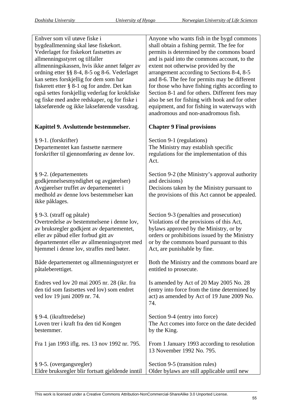| Enhver som vil utøve fiske i<br>bygdeallmenning skal løse fiskekort.<br>Vederlaget for fiskekort fastsettes av<br>allmenningsstyret og tilfaller<br>allmenningskassen, hvis ikke annet følger av<br>ordning etter §§ 8-4, 8-5 og 8-6. Vederlaget<br>kan settes forskjellig for dem som har<br>fiskerett etter § 8-1 og for andre. Det kan<br>også settes forskjellig vederlag for krokfiske<br>og fiske med andre redskaper, og for fiske i<br>lakseførende og ikke lakseførende vassdrag. | Anyone who wants fish in the bygd commons<br>shall obtain a fishing permit. The fee for<br>permits is determined by the commons board<br>and is paid into the commons account, to the<br>extent not otherwise provided by the<br>arrangement according to Sections 8-4, 8-5<br>and 8-6. The fee for permits may be different<br>for those who have fishing rights according to<br>Section 8-1 and for others. Different fees may<br>also be set for fishing with hook and for other<br>equipment, and for fishing in waterways with<br>anadromous and non-anadromous fish. |
|--------------------------------------------------------------------------------------------------------------------------------------------------------------------------------------------------------------------------------------------------------------------------------------------------------------------------------------------------------------------------------------------------------------------------------------------------------------------------------------------|----------------------------------------------------------------------------------------------------------------------------------------------------------------------------------------------------------------------------------------------------------------------------------------------------------------------------------------------------------------------------------------------------------------------------------------------------------------------------------------------------------------------------------------------------------------------------|
| Kapittel 9. Avsluttende bestemmelser.                                                                                                                                                                                                                                                                                                                                                                                                                                                      | <b>Chapter 9 Final provisions</b>                                                                                                                                                                                                                                                                                                                                                                                                                                                                                                                                          |
| $§ 9-1.$ (forskrifter)<br>Departementet kan fastsette nærmere<br>forskrifter til gjennomføring av denne lov.                                                                                                                                                                                                                                                                                                                                                                               | Section 9-1 (regulations)<br>The Ministry may establish specific<br>regulations for the implementation of this<br>Act.                                                                                                                                                                                                                                                                                                                                                                                                                                                     |
| § 9-2. (departementets<br>godkjennelsesmyndighet og avgjørelser)<br>Avgjørelser truffet av departementet i<br>medhold av denne lovs bestemmelser kan<br>ikke påklages.                                                                                                                                                                                                                                                                                                                     | Section 9-2 (the Ministry's approval authority<br>and decisions)<br>Decisions taken by the Ministry pursuant to<br>the provisions of this Act cannot be appealed.                                                                                                                                                                                                                                                                                                                                                                                                          |
| § 9-3. (straff og påtale)<br>Overtredelse av bestemmelsene i denne lov,<br>av bruksregler godkjent av departementet,<br>eller av påbud eller forbud gitt av<br>departementet eller av allmenningsstyret med<br>hjemmel i denne lov, straffes med bøter.                                                                                                                                                                                                                                    | Section 9-3 (penalties and prosecution)<br>Violations of the provisions of this Act,<br>bylaws approved by the Ministry, or by<br>orders or prohibitions issued by the Ministry<br>or by the commons board pursuant to this<br>Act, are punishable by fine.                                                                                                                                                                                                                                                                                                                |
| Både departementet og allmenningsstyret er<br>påtaleberettiget.                                                                                                                                                                                                                                                                                                                                                                                                                            | Both the Ministry and the commons board are<br>entitled to prosecute.                                                                                                                                                                                                                                                                                                                                                                                                                                                                                                      |
| Endres ved lov 20 mai 2005 nr. 28 (ikr. fra<br>den tid som fastsettes ved lov) som endret<br>ved lov 19 juni 2009 nr. 74.                                                                                                                                                                                                                                                                                                                                                                  | Is amended by Act of 20 May 2005 No. 28<br>(entry into force from the time determined by<br>act) as amended by Act of 19 June 2009 No.<br>74.                                                                                                                                                                                                                                                                                                                                                                                                                              |
| § 9-4. (ikrafttredelse)<br>Loven trer i kraft fra den tid Kongen<br>bestemmer.                                                                                                                                                                                                                                                                                                                                                                                                             | Section 9-4 (entry into force)<br>The Act comes into force on the date decided<br>by the King.                                                                                                                                                                                                                                                                                                                                                                                                                                                                             |
| Fra 1 jan 1993 iflg. res. 13 nov 1992 nr. 795.                                                                                                                                                                                                                                                                                                                                                                                                                                             | From 1 January 1993 according to resolution<br>13 November 1992 No. 795.                                                                                                                                                                                                                                                                                                                                                                                                                                                                                                   |
| § 9-5. (overgangsregler)<br>Eldre bruksregler blir fortsatt gjeldende inntil                                                                                                                                                                                                                                                                                                                                                                                                               | Section 9-5 (transition rules)<br>Older bylaws are still applicable until new                                                                                                                                                                                                                                                                                                                                                                                                                                                                                              |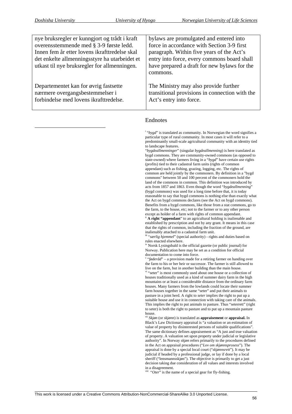| nye bruksregler er kunngjort og trådt i kraft<br>overensstemmende med § 3-9 første ledd.<br>Innen fem år etter lovens ikrafttredelse skal<br>det enkelte allmenningsstyre ha utarbeidet et<br>utkast til nye bruksregler for allmenningen. | by laws are promulgated and entered into<br>force in accordance with Section 3-9 first<br>paragraph. Within five years of the Act's<br>entry into force, every commons board shall<br>have prepared a draft for new bylaws for the<br>commons. |
|--------------------------------------------------------------------------------------------------------------------------------------------------------------------------------------------------------------------------------------------|------------------------------------------------------------------------------------------------------------------------------------------------------------------------------------------------------------------------------------------------|
| Departementet kan for øvrig fastsette                                                                                                                                                                                                      | The Ministry may also provide further                                                                                                                                                                                                          |
| nærmere overgangsbestemmelser i                                                                                                                                                                                                            | transitional provisions in connection with the                                                                                                                                                                                                 |
| forbindelse med lovens ikrafttredelse.                                                                                                                                                                                                     | Act's entry into force.                                                                                                                                                                                                                        |

Endnotes

<u>in de la componenta de la componenta de la componenta de la componenta de la componenta de la componenta de la</u><br>Estado de la componenta de la componenta de la componenta de la componenta de la componenta de la componenta <sup>i</sup> "bygd" is translated as community. In Norwegian the word signifies a particular type of rural community. In most cases it will refer to a predominantly small-scale agricultural community with an identity tied to landscape features.

"*bygdeallmenninger*" (singular *bygdeallmenning*) is here translated as bygd commons. They are community-owned commons (as opposed to state-owned) where farmers living in a "*bygd*" have certain use rights (profits) tied to their cadastral farm units (rights of common appendant) such as fishing, grazing, logging, etc. The rights of common are held jointly by the commoners. By definition in a "bygd commons" between 50 and 100 percent of the commoners hold the land of the commons in common. This definition was introduced by acts from 1857 and 1863. Even though the word "*bygdeallmenning*" (bygd commons) was used for a long time before that, it is today reasonable to say that bygd commons is nothing else than exactly what the Act on bygd commons declares (see the Act on bygd commons). Benefits from a bygd commons, like those from a stat commons, go to the farm, to the house, etc; not to the farmer or to any other person except as holder of a farm with rights of common appendant. ii **A right "appendant**" to an agricultural holding is inalienable and established by prescription and not by any grant. It means in this case

that the rights of common, including the fraction of the ground, are inalienably attached to a cadastral farm unit.

iii "*særlig hjemmel*" (special authority) - rights and duties based on rules enacted elsewhere.

<sup>iv</sup> Norsk Lysingsbald is the official gazette (or public journal) for Norway. Publication here may be set as a condition for official documentation to come into force.

v "*føderåd*" – a provision made for a retiring farmer on handing over the farm to his or her heir or successor. The farmer is still allowed to live on the farm, but in another building than the main house.

vi "seter" is most commonly used about one house or a collection of houses traditionally used as a kind of summer dairy farm in the high mountains or at least a considerable distance from the ordinary farm houses. Many farmers from the lowlands could locate their summer farm houses together in the same "seter" and put their animals to pasture in a joint herd. A right to *seter* implies the right to put up a suitable house and use it in connection with taking care of the animals. This implies the right to put animals to pasture. Thus "seterrett" (right to seter) is both the right to pasture and to put up a mountain pasture house.

vii *Skjøn* (or *skjønn*) is translated as **appraisement** or **appraisal.** In Black's Law Dictionary appraisal is "a valuation or an estimation of value of property by disinterested persons of suitable qualifications". The same dictionary defines appraisement as "A just and true valuation of property. A valuation set upon property under judicial or legislative authority". In Norway *skjøn* refers primarily to the procedures defined in the Act on appraisal procedures ("*Lov om skjønnsprosess*"). The appraisal is done by a special local court ("*skjønnsrett*"). It may be judicial if headed by a professional judge, or lay if done by a local sheriff ("lensmannsskjøn"). The objective is primarily to get a just decision taking due consideration of all values and interests involved in a disagreement.

<sup>viii</sup> "Oter" is the name of a special gear for fly-fishing.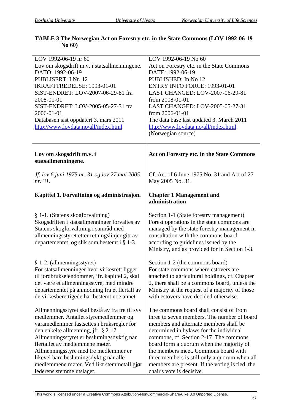| TABLE 3 The Norwegian Act on Forestry etc. in the State Commons (LOV 1992-06-19) |  |
|----------------------------------------------------------------------------------|--|
| No $60$ )                                                                        |  |

| LOV 1992-06-19 nr 60                            | LOV 1992-06-19 No 60                            |
|-------------------------------------------------|-------------------------------------------------|
| Lov om skogsdrift m.v. i statsallmenningene.    | Act on Forestry etc. in the State Commons       |
| DATO: 1992-06-19                                | DATE: 1992-06-19                                |
| PUBLISERT: I Nr. 12                             | PUBLISHED: In No 12                             |
| IKRAFTTREDELSE: 1993-01-01                      | <b>ENTRY INTO FORCE: 1993-01-01</b>             |
| SIST-ENDRET: LOV-2007-06-29-81 fra              | LAST CHANGED: LOV-2007-06-29-81                 |
| 2008-01-01                                      | from 2008-01-01                                 |
| SIST-ENDRET: LOV-2005-05-27-31 fra              | LAST CHANGED: LOV-2005-05-27-31                 |
|                                                 |                                                 |
| 2006-01-01                                      | from 2006-01-01                                 |
| Databasen sist oppdatert 3. mars 2011           | The data base last updated 3. March 2011        |
| http://www.lovdata.no/all/index.html            | http://www.lovdata.no/all/index.html            |
|                                                 | (Norwegian source)                              |
| Lov om skogsdrift m.v. i                        | Act on Forestry etc. in the State Commons       |
| statsallmenningene.                             |                                                 |
| Jf. lov 6 juni 1975 nr. 31 og lov 27 mai 2005   | Cf. Act of 6 June 1975 No. 31 and Act of 27     |
| nr. 31.                                         | May 2005 No. 31.                                |
|                                                 |                                                 |
| Kapittel 1. Forvaltning og administrasjon.      | <b>Chapter 1 Management and</b>                 |
|                                                 | administration                                  |
| § 1-1. (Statens skogforvaltning)                | Section 1-1 (State forestry management)         |
| Skogsdriften i statsallmenninger forvaltes av   | Forest operations in the state commons are      |
| Statens skogforvaltning i samråd med            | managed by the state forestry management in     |
| allmenningsstyret etter retningslinjer gitt av  | consultation with the commons board             |
| departementet, og slik som bestemt i § 1-3.     | according to guidelines issued by the           |
|                                                 |                                                 |
|                                                 | Ministry, and as provided for in Section 1-3.   |
| § 1-2. (allmenningsstyret)                      | Section 1-2 (the commons board)                 |
| For statsallmenninger hvor virkesrett ligger    | For state commons where estovers are            |
| til jordbrukseiendommer, jfr. kapittel 2, skal  | attached to agricultural holdings, cf. Chapter  |
| det være et allmenningsstyre, med mindre        | 2, there shall be a commons board, unless the   |
| departementet på anmodning fra et flertall av   | Ministry at the request of a majority of those  |
| de virkesberettigede har bestemt noe annet.     | with estovers have decided otherwise.           |
|                                                 |                                                 |
| Allmenningsstyret skal bestå av fra tre til syv | The commons board shall consist of from         |
| medlemmer. Antallet styremedlemmer og           | three to seven members. The number of board     |
| varamedlemmer fastsettes i bruksregler for      | members and alternate members shall be          |
| den enkelte allmenning, jfr. § 2-17.            | determined in bylaws for the individual         |
| Allmenningsstyret er beslutningsdyktig når      | commons, cf. Section 2-17. The commons          |
| flertallet av medlemmene møter.                 | board form a quorum when the majority of        |
|                                                 | the members meet. Commons board with            |
| Allmenningsstyre med tre medlemmer er           |                                                 |
| likevel bare beslutningsdyktig når alle         | three members is still only a quorum when all   |
| medlemmene møter. Ved likt stemmetall gjør      | members are present. If the voting is tied, the |
| lederens stemme utslaget.                       | chair's vote is decisive.                       |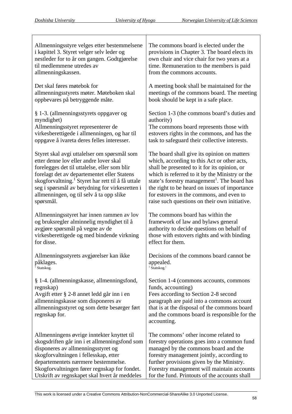| Allmenningsstyre velges etter bestemmelsene                                                                                                                                                                  | The commons board is elected under the                                                                                                                                                                                                                           |
|--------------------------------------------------------------------------------------------------------------------------------------------------------------------------------------------------------------|------------------------------------------------------------------------------------------------------------------------------------------------------------------------------------------------------------------------------------------------------------------|
| i kapittel 3. Styret velger selv leder og                                                                                                                                                                    | provisions in Chapter 3. The board elects its                                                                                                                                                                                                                    |
| nestleder for to år om gangen. Godtgjørelse                                                                                                                                                                  | own chair and vice chair for two years at a                                                                                                                                                                                                                      |
| til medlemmene utredes av                                                                                                                                                                                    | time. Remuneration to the members is paid                                                                                                                                                                                                                        |
| allmenningskassen.                                                                                                                                                                                           | from the commons accounts.                                                                                                                                                                                                                                       |
| Det skal føres møtebok for                                                                                                                                                                                   | A meeting book shall be maintained for the                                                                                                                                                                                                                       |
| allmenningsstyrets møter. Møteboken skal                                                                                                                                                                     | meetings of the commons board. The meeting                                                                                                                                                                                                                       |
| oppbevares på betryggende måte.                                                                                                                                                                              | book should be kept in a safe place.                                                                                                                                                                                                                             |
| § 1-3. (allmenningsstyrets oppgaver og                                                                                                                                                                       | Section 1-3 (the commons board's duties and                                                                                                                                                                                                                      |
| myndighet)                                                                                                                                                                                                   | authority)                                                                                                                                                                                                                                                       |
| Allmenningsstyret representerer de                                                                                                                                                                           | The commons board represents those with                                                                                                                                                                                                                          |
| virkesberettigede i allmenningen, og har til                                                                                                                                                                 | estovers rights in the commons, and has the                                                                                                                                                                                                                      |
| oppgave å ivareta deres felles interesser.                                                                                                                                                                   | task to safeguard their collective interests.                                                                                                                                                                                                                    |
| Styret skal avgi uttalelser om spørsmål som                                                                                                                                                                  | The board shall give its opinion on matters                                                                                                                                                                                                                      |
| etter denne lov eller andre lover skal                                                                                                                                                                       | which, according to this Act or other acts,                                                                                                                                                                                                                      |
| forelegges det til uttalelse, eller som blir                                                                                                                                                                 | shall be presented to it for its opinion, or                                                                                                                                                                                                                     |
| forelagt det av departementet eller Statens                                                                                                                                                                  | which is referred to it by the Ministry or the                                                                                                                                                                                                                   |
| skogforvaltning. <sup>1</sup> Styret har rett til å få uttale                                                                                                                                                | state's forestry management <sup>1</sup> . The board has                                                                                                                                                                                                         |
| seg i spørsmål av betydning for virkesretten i                                                                                                                                                               | the right to be heard on issues of importance                                                                                                                                                                                                                    |
| allmenningen, og til selv å ta opp slike                                                                                                                                                                     | for estovers in the commons, and even to                                                                                                                                                                                                                         |
| spørsmål.                                                                                                                                                                                                    | raise such questions on their own initiative.                                                                                                                                                                                                                    |
| Allmenningsstyret har innen rammen av lov                                                                                                                                                                    | The commons board has within the                                                                                                                                                                                                                                 |
| og bruksregler alminnelig myndighet til å                                                                                                                                                                    | framework of law and bylaws general                                                                                                                                                                                                                              |
| avgjøre spørsmål på vegne av de                                                                                                                                                                              | authority to decide questions on behalf of                                                                                                                                                                                                                       |
| virkesberettigede og med bindende virkning                                                                                                                                                                   | those with estovers rights and with binding                                                                                                                                                                                                                      |
| for disse.                                                                                                                                                                                                   | effect for them.                                                                                                                                                                                                                                                 |
| Allmenningsstyrets avgjørelser kan ikke                                                                                                                                                                      | Decisions of the commons board cannot be                                                                                                                                                                                                                         |
| påklages.                                                                                                                                                                                                    | appealed.                                                                                                                                                                                                                                                        |
| Statskog.                                                                                                                                                                                                    | $1$ Statskog. <sup>1</sup>                                                                                                                                                                                                                                       |
| § 1-4. (allmenningskasse, allmenningsfond,<br>regnskap)<br>Avgift etter § 2-8 annet ledd går inn i en<br>allmenningskasse som disponeres av<br>allmenningsstyret og som dette besørger ført<br>regnskap for. | Section 1-4 (commons accounts, commons<br>funds, accounting)<br>Fees according to Section 2-8 second<br>paragraph are paid into a commons account<br>that is at the disposal of the commons board<br>and the commons board is responsible for the<br>accounting. |
| Allmenningens øvrige inntekter knyttet til                                                                                                                                                                   | The commons' other income related to                                                                                                                                                                                                                             |
| skogsdriften går inn i et allmenningsfond som                                                                                                                                                                | forestry operations goes into a common fund                                                                                                                                                                                                                      |
| disponeres av allmenningsstyret og                                                                                                                                                                           | managed by the commons board and the                                                                                                                                                                                                                             |
| skogforvaltningen i fellesskap, etter                                                                                                                                                                        | forestry management jointly, according to                                                                                                                                                                                                                        |
| departementets nærmere bestemmelse.                                                                                                                                                                          | further provisions given by the Ministry.                                                                                                                                                                                                                        |
| Skogforvaltningen fører regnskap for fondet.                                                                                                                                                                 | Forestry management will maintain accounts                                                                                                                                                                                                                       |
| Utskrift av regnskapet skal hvert år meddeles                                                                                                                                                                | for the fund. Printouts of the accounts shall                                                                                                                                                                                                                    |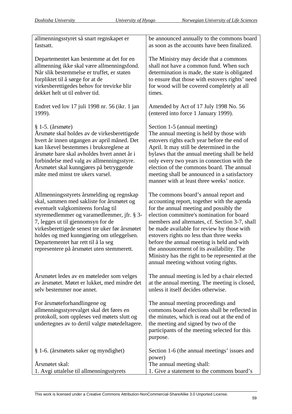| allmenningsstyret så snart regnskapet er                                                                                                                                                                                                                                                                                                                                                             | be announced annually to the commons board                                                                                                                                                                                                                                                                                                                                                                                                                                                                      |
|------------------------------------------------------------------------------------------------------------------------------------------------------------------------------------------------------------------------------------------------------------------------------------------------------------------------------------------------------------------------------------------------------|-----------------------------------------------------------------------------------------------------------------------------------------------------------------------------------------------------------------------------------------------------------------------------------------------------------------------------------------------------------------------------------------------------------------------------------------------------------------------------------------------------------------|
| fastsatt.                                                                                                                                                                                                                                                                                                                                                                                            | as soon as the accounts have been finalized.                                                                                                                                                                                                                                                                                                                                                                                                                                                                    |
| Departementet kan bestemme at det for en                                                                                                                                                                                                                                                                                                                                                             | The Ministry may decide that a commons                                                                                                                                                                                                                                                                                                                                                                                                                                                                          |
| allmenning ikke skal være allmenningsfond.                                                                                                                                                                                                                                                                                                                                                           | shall not have a common fund. When such                                                                                                                                                                                                                                                                                                                                                                                                                                                                         |
| Når slik bestemmelse er truffet, er staten                                                                                                                                                                                                                                                                                                                                                           | determination is made, the state is obligated                                                                                                                                                                                                                                                                                                                                                                                                                                                                   |
| forpliktet til å sørge for at de                                                                                                                                                                                                                                                                                                                                                                     | to ensure that those with estovers rights' need                                                                                                                                                                                                                                                                                                                                                                                                                                                                 |
| virkesberettigedes behov for trevirke blir                                                                                                                                                                                                                                                                                                                                                           | for wood will be covered completely at all                                                                                                                                                                                                                                                                                                                                                                                                                                                                      |
| dekket helt ut til enhver tid.                                                                                                                                                                                                                                                                                                                                                                       | times.                                                                                                                                                                                                                                                                                                                                                                                                                                                                                                          |
| Endret ved lov 17 juli 1998 nr. 56 (ikr. 1 jan                                                                                                                                                                                                                                                                                                                                                       | Amended by Act of 17 July 1998 No. 56                                                                                                                                                                                                                                                                                                                                                                                                                                                                           |
| 1999).                                                                                                                                                                                                                                                                                                                                                                                               | (entered into force 1 January 1999).                                                                                                                                                                                                                                                                                                                                                                                                                                                                            |
| $§ 1-5.$ (årsmøte)<br>Årsmøte skal holdes av de virkesberettigede<br>hvert år innen utgangen av april måned. Det<br>kan likevel bestemmes i bruksreglene at<br>årsmøte bare skal avholdes hvert annet år i<br>forbindelse med valg av allmenningsstyre.<br>Årsmøtet skal kunngjøres på betryggende<br>måte med minst tre ukers varsel.                                                               | Section 1-5 (annual meeting)<br>The annual meeting is held by those with<br>estovers rights each year before the end of<br>April. It may still be determined in the<br>bylaws that the annual meeting shall be held<br>only every two years in connection with the<br>election of the commons board. The annual<br>meeting shall be announced in a satisfactory<br>manner with at least three weeks' notice.                                                                                                    |
| Allmenningsstyrets årsmelding og regnskap<br>skal, sammen med sakliste for årsmøtet og<br>eventuelt valgkomiteens forslag til<br>styremedlemmer og varamedlemmer, jfr. § 3-<br>7, legges ut til gjennomsyn for de<br>virkesberettigede senest tre uker før årsmøtet<br>holdes og med kunngjøring om utleggelsen.<br>Departementet har rett til å la seg<br>representere på årsmøtet uten stemmerett. | The commons board's annual report and<br>accounting report, together with the agenda<br>for the annual meeting and possibly the<br>election committee's nomination for board<br>members and alternates, cf. Section 3-7, shall<br>be made available for review by those with<br>estovers rights no less than three weeks<br>before the annual meeting is held and with<br>the announcement of its availability. The<br>Ministry has the right to be represented at the<br>annual meeting without voting rights. |
| Årsmøtet ledes av en møteleder som velges                                                                                                                                                                                                                                                                                                                                                            | The annual meeting is led by a chair elected                                                                                                                                                                                                                                                                                                                                                                                                                                                                    |
| av årsmøtet. Møtet er lukket, med mindre det                                                                                                                                                                                                                                                                                                                                                         | at the annual meeting. The meeting is closed,                                                                                                                                                                                                                                                                                                                                                                                                                                                                   |
| selv bestemmer noe annet.                                                                                                                                                                                                                                                                                                                                                                            | unless it itself decides otherwise.                                                                                                                                                                                                                                                                                                                                                                                                                                                                             |
| For årsmøteforhandlingene og<br>allmenningsstyrevalget skal det føres en<br>protokoll, som oppleses ved møtets slutt og<br>undertegnes av to dertil valgte møtedeltagere.                                                                                                                                                                                                                            | The annual meeting proceedings and<br>commons board elections shall be reflected in<br>the minutes, which is read out at the end of<br>the meeting and signed by two of the<br>participants of the meeting selected for this<br>purpose.                                                                                                                                                                                                                                                                        |
| § 1-6. (årsmøtets saker og myndighet)<br>Årsmøtet skal:<br>1. Avgi uttalelse til allmenningsstyrets                                                                                                                                                                                                                                                                                                  | Section 1-6 (the annual meetings' issues and<br>power)<br>The annual meeting shall:<br>1. Give a statement to the commons board's                                                                                                                                                                                                                                                                                                                                                                               |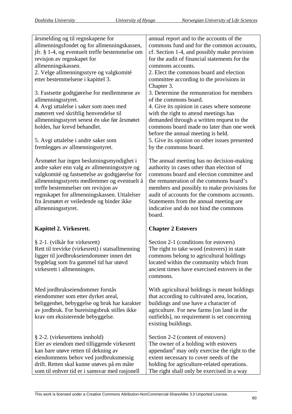| årsmelding og til regnskapene for                                                   |                                                                                       |
|-------------------------------------------------------------------------------------|---------------------------------------------------------------------------------------|
|                                                                                     | annual report and to the accounts of the                                              |
| allmenningsfondet og for allmenningskassen,                                         | commons fund and for the common accounts,                                             |
| jfr. § 1-4, og eventuelt treffe bestemmelse om                                      | cf. Section 1-4, and possibly make provision                                          |
| revisjon av regnskapet for                                                          | for the audit of financial statements for the                                         |
| allmenningskassen.                                                                  | commons accounts.                                                                     |
| 2. Velge allmenningsstyre og valgkomité                                             | 2. Elect the commons board and election                                               |
| etter bestemmelsene i kapittel 3.                                                   | committee according to the provisions in<br>Chapter 3.                                |
| 3. Fastsette godtgjørelse for medlemmene av<br>allmenningsstyret.                   | 3. Determine the remuneration for members<br>of the commons board.                    |
| 4. Avgi uttalelse i saker som noen med                                              | 4. Give its opinion in cases where someone                                            |
| møterett ved skriftlig henvendelse til                                              | with the right to attend meetings has                                                 |
| allmenningsstyret senest én uke før årsmøtet                                        | demanded through a written request to the                                             |
| holdes, har krevd behandlet.                                                        | commons board made no later than one week                                             |
|                                                                                     | before the annual meeting is held.                                                    |
| 5. Avgi uttalelse i andre saker som                                                 | 5. Give its opinion on other issues presented                                         |
| fremlegges av allmenningsstyret.                                                    | by the commons board.                                                                 |
| Årsmøtet har ingen beslutningsmyndighet i                                           | The annual meeting has no decision-making                                             |
| andre saker enn valg av allmenningsstyre og                                         | authority in cases other than election of                                             |
| valgkomité og fastsettelse av godtgjørelse for                                      | commons board and election committee and                                              |
| allmenningsstyrets medlemmer og eventuelt å                                         | the remuneration of the commons board's                                               |
| treffe bestemmelser om revisjon av                                                  | members and possibly to make provisions for                                           |
| regnskapet for allmenningskassen. Uttalelser                                        | audit of accounts for the commons accounts.                                           |
| fra årsmøtet er veiledende og binder ikke                                           | Statements from the annual meeting are                                                |
|                                                                                     |                                                                                       |
|                                                                                     |                                                                                       |
| allmenningsstyret.                                                                  | indicative and do not bind the commons<br>board.                                      |
| Kapittel 2. Virkesrett.                                                             | <b>Chapter 2 Estovers</b>                                                             |
|                                                                                     |                                                                                       |
| § 2-1. (vilkår for virkesrett)                                                      | Section 2-1 (conditions for estovers)                                                 |
| Rett til trevirke (virkesrett) i statsallmenning                                    | The right to take wood (estovers) in state                                            |
| ligger til jordbrukseiendommer innen det                                            | commons belong to agricultural holdings                                               |
| bygdelag som fra gammel tid har utøvd                                               | located within the community which from                                               |
| virkesrett i allmenningen.                                                          | ancient times have exercised estovers in the                                          |
|                                                                                     | commons.                                                                              |
| Med jordbrukseiendommer forstås                                                     | With agricultural holdings is meant holdings                                          |
| eiendommer som etter dyrket areal,                                                  | that according to cultivated area, location,                                          |
| beliggenhet, bebyggelse og bruk har karakter                                        | buildings and use have a character of                                                 |
| av jordbruk. For bureisingsbruk stilles ikke                                        | agriculture. For new farms [on land in the                                            |
| krav om eksisterende bebyggelse.                                                    | outfields], no requirement is set concerning                                          |
|                                                                                     | existing buildings.                                                                   |
|                                                                                     |                                                                                       |
| § 2-2. (virkes rettens in nhold)                                                    | Section 2-2 (content of estovers)                                                     |
| Eier av eiendom med tilliggende virkesrett                                          | The owner of a holding with estovers                                                  |
| kan bare utøve retten til dekning av                                                | appendant <sup>ii</sup> may only exercise the right to the                            |
| eiendommens behov ved jordbruksmessig<br>drift. Retten skal kunne utøves på en måte | extent necessary to cover needs of the<br>holding for agriculture-related operations. |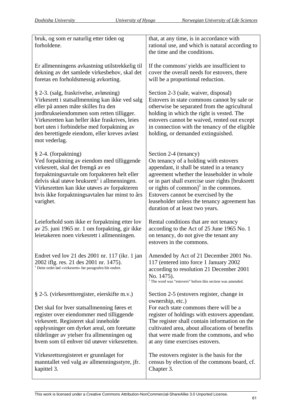| bruk, og som er naturlig etter tiden og<br>forholdene.                                                                                                                                                                                                                                                                                        | that, at any time, is in accordance with<br>rational use, and which is natural according to<br>the time and the conditions.                                                                                                                                                                                                                                                                      |
|-----------------------------------------------------------------------------------------------------------------------------------------------------------------------------------------------------------------------------------------------------------------------------------------------------------------------------------------------|--------------------------------------------------------------------------------------------------------------------------------------------------------------------------------------------------------------------------------------------------------------------------------------------------------------------------------------------------------------------------------------------------|
| Er allmenningens avkastning utilstrekkelig til<br>dekning av det samlede virkesbehov, skal det<br>foretas en forholdsmessig avkorting.                                                                                                                                                                                                        | If the commons' yields are insufficient to<br>cover the overall needs for estovers, there<br>will be a proportional reduction.                                                                                                                                                                                                                                                                   |
| § 2-3. (salg, fraskrivelse, avløsning)<br>Virkesrett i statsallmenning kan ikke ved salg<br>eller på annen måte skilles fra den<br>jordbrukseiendommen som retten tilligger.<br>Virkesretten kan heller ikke fraskrives, leies<br>bort uten i forbindelse med forpaktning av<br>den berettigede eiendom, eller kreves avløst<br>mot vederlag. | Section 2-3 (sale, waiver, disposal)<br>Estovers in state commons cannot by sale or<br>otherwise be separated from the agricultural<br>holding in which the right is vested. The<br>estovers cannot be waived, rented out except<br>in connection with the tenancy of the eligible<br>holding, or demanded extinguished.                                                                         |
| § 2-4. (forpaktning)<br>Ved forpaktning av eiendom med tilliggende<br>virkesrett, skal det fremgå av en<br>forpaktningsavtale om forpakteren helt eller<br>delvis skal utøve bruksrett <sup>1</sup> i allmenningen.<br>Virkesretten kan ikke utøves av forpakteren<br>hvis ikke forpaktningsavtalen har minst to års<br>varighet.             | Section 2-4 (tenancy)<br>On tenancy of a holding with estovers<br>appendant, it shall be stated in a tenancy<br>agreement whether the leaseholder in whole<br>or in part shall exercise user rights [bruksrett<br>or rights of common $]$ <sup>1</sup> in the commons.<br>Estovers cannot be exercised by the<br>leaseholder unless the tenancy agreement has<br>duration of at least two years. |
| Leieforhold som ikke er forpaktning etter lov<br>av 25. juni 1965 nr. 1 om forpakting, gir ikke<br>leietakeren noen virkesrett i allmenningen.                                                                                                                                                                                                | Rental conditions that are not tenancy<br>according to the Act of 25 June 1965 No. 1<br>on tenancy, do not give the tenant any<br>estovers in the commons.                                                                                                                                                                                                                                       |
| Endret ved lov 21 des 2001 nr. 117 (ikr. 1 jan<br>2002 iflg. res. 21 des 2001 nr. 1475).<br><sup>1</sup> Dette ordet lød «virkesrett» før paragrafen ble endret.                                                                                                                                                                              | Amended by Act of 21 December 2001 No.<br>117 (entered into force 1 January 2002)<br>according to resolution 21 December 2001<br>No. 1475).<br>$1$ The word was "estovers" before this section was amended.                                                                                                                                                                                      |
| § 2-5. (virkesrettsregister, eierskifte m.v.)<br>Det skal for hver statsallmenning føres et<br>register over eiendommer med tilliggende<br>virkesrett. Registeret skal inneholde<br>opplysninger om dyrket areal, om foretatte<br>tildelinger av ytelser fra allmenningen og<br>hvem som til enhver tid utøver virkesretten.                  | Section 2-5 (estovers register, change in<br>ownership, etc.)<br>For each state commons there will be a<br>register of holdings with estovers appendant.<br>The register shall contain information on the<br>cultivated area, about allocations of benefits<br>that were made from the commons, and who<br>at any time exercises estovers.                                                       |
| Virkesrettsregisteret er grunnlaget for<br>manntallet ved valg av allmenningsstyre, jfr.<br>kapittel 3.                                                                                                                                                                                                                                       | The estovers register is the basis for the<br>census by election of the commons board, cf.<br>Chapter 3.                                                                                                                                                                                                                                                                                         |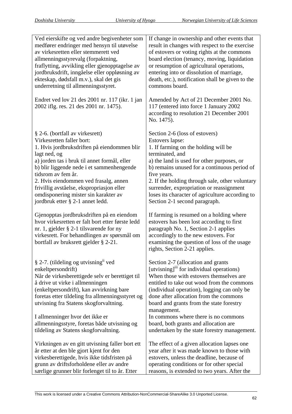| Ved eierskifte og ved andre begivenheter som                                                                                                                                                                                                                                                | If change in ownership and other events that                                                                                                                                                                                                                                                                                             |
|---------------------------------------------------------------------------------------------------------------------------------------------------------------------------------------------------------------------------------------------------------------------------------------------|------------------------------------------------------------------------------------------------------------------------------------------------------------------------------------------------------------------------------------------------------------------------------------------------------------------------------------------|
| medfører endringer med hensyn til utøvelse                                                                                                                                                                                                                                                  | result in changes with respect to the exercise                                                                                                                                                                                                                                                                                           |
| av virkesretten eller stemmerett ved                                                                                                                                                                                                                                                        | of estovers or voting rights at the commons                                                                                                                                                                                                                                                                                              |
| allmenningsstyrevalg (forpaktning,                                                                                                                                                                                                                                                          | board election (tenancy, moving, liquidation                                                                                                                                                                                                                                                                                             |
| fraflytting, avvikling eller gjenopptagelse av                                                                                                                                                                                                                                              | or resumption of agricultural operations,                                                                                                                                                                                                                                                                                                |
| jordbruksdrift, inngåelse eller oppløsning av                                                                                                                                                                                                                                               | entering into or dissolution of marriage,                                                                                                                                                                                                                                                                                                |
| ekteskap, dødsfall m.v.), skal det gis                                                                                                                                                                                                                                                      | death, etc.), notification shall be given to the                                                                                                                                                                                                                                                                                         |
| underretning til allmenningsstyret.                                                                                                                                                                                                                                                         | commons board.                                                                                                                                                                                                                                                                                                                           |
| Endret ved lov 21 des 2001 nr. 117 (ikr. 1 jan<br>2002 iflg. res. 21 des 2001 nr. 1475).                                                                                                                                                                                                    | Amended by Act of 21 December 2001 No.<br>117 (entered into force 1 January 2002<br>according to resolution 21 December 2001<br>No. 1475).                                                                                                                                                                                               |
| § 2-6. (bortfall av virkesrett)                                                                                                                                                                                                                                                             | Section 2-6 (loss of estovers)                                                                                                                                                                                                                                                                                                           |
| Virkesretten faller bort:                                                                                                                                                                                                                                                                   | <b>Estovers</b> lapse:                                                                                                                                                                                                                                                                                                                   |
| 1. Hvis jordbruksdriften på eiendommen blir                                                                                                                                                                                                                                                 | 1. If farming on the holding will be                                                                                                                                                                                                                                                                                                     |
| lagt ned, og                                                                                                                                                                                                                                                                                | terminated, and                                                                                                                                                                                                                                                                                                                          |
| a) jorden tas i bruk til annet formål, eller                                                                                                                                                                                                                                                | a) the land is used for other purposes, or                                                                                                                                                                                                                                                                                               |
| b) blir liggende nede i et sammenhengende                                                                                                                                                                                                                                                   | b) remains unused for a continuous period of                                                                                                                                                                                                                                                                                             |
| tidsrom av fem år.                                                                                                                                                                                                                                                                          | five years.                                                                                                                                                                                                                                                                                                                              |
| 2. Hvis eiendommen ved frasalg, annen                                                                                                                                                                                                                                                       | 2. If the holding through sale, other voluntary                                                                                                                                                                                                                                                                                          |
| frivillig avståelse, ekspropriasjon eller                                                                                                                                                                                                                                                   | surrender, expropriation or reassignment                                                                                                                                                                                                                                                                                                 |
| omdisponering mister sin karakter av                                                                                                                                                                                                                                                        | loses its character of agriculture according to                                                                                                                                                                                                                                                                                          |
| jordbruk etter § 2-1 annet ledd.                                                                                                                                                                                                                                                            | Section 2-1 second paragraph.                                                                                                                                                                                                                                                                                                            |
| Gjenopptas jordbruksdriften på en eiendom<br>hvor virkesretten er falt bort etter første ledd<br>nr. 1, gjelder § 2-1 tilsvarende for ny<br>virkesrett. For behandlingen av spørsmål om<br>bortfall av bruksrett gjelder § 2-21.                                                            | If farming is resumed on a holding where<br>estovers has been lost according to first<br>paragraph No. 1, Section 2-1 applies<br>accordingly to the new estovers. For<br>examining the question of loss of the usage<br>rights, Section 2-21 applies.                                                                                    |
| $\S$ 2-7. (tildeling og utvisning ved<br>enkeltpersondrift)<br>Når de virkesberettigede selv er berettiget til<br>å drive ut virke i allmenningen<br>(enkeltpersondrift), kan avvirkning bare<br>foretas etter tildeling fra allmenningsstyret og<br>utvisning fra Statens skogforvaltning. | Section 2-7 (allocation and grants<br>[utvisning] <sup>iii</sup> for individual operations)<br>When those with estovers themselves are<br>entitled to take out wood from the commons<br>(individual operation), logging can only be<br>done after allocation from the commons<br>board and grants from the state forestry<br>management. |
| I allmenninger hvor det ikke er                                                                                                                                                                                                                                                             | In commons where there is no commons                                                                                                                                                                                                                                                                                                     |
| allmenningsstyre, foretas både utvisning og                                                                                                                                                                                                                                                 | board, both grants and allocation are                                                                                                                                                                                                                                                                                                    |
| tildeling av Statens skogforvaltning.                                                                                                                                                                                                                                                       | undertaken by the state forestry management.                                                                                                                                                                                                                                                                                             |
| Virkningen av en gitt utvisning faller bort ett                                                                                                                                                                                                                                             | The effect of a given allocation lapses one                                                                                                                                                                                                                                                                                              |
| år etter at den ble gjort kjent for den                                                                                                                                                                                                                                                     | year after it was made known to those with                                                                                                                                                                                                                                                                                               |
| virkesberettigede, hvis ikke tidsfristen på                                                                                                                                                                                                                                                 | estovers, unless the deadline, because of                                                                                                                                                                                                                                                                                                |
| grunn av driftsforholdene eller av andre                                                                                                                                                                                                                                                    | operating conditions or for other special                                                                                                                                                                                                                                                                                                |
| særlige grunner blir forlenget til to år. Etter                                                                                                                                                                                                                                             | reasons, is extended to two years. After the                                                                                                                                                                                                                                                                                             |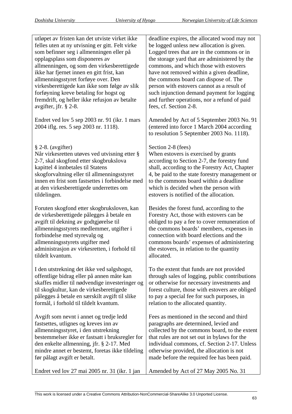| utløpet av fristen kan det utviste virket ikke                                         | deadline expires, the allocated wood may not                                                                                         |
|----------------------------------------------------------------------------------------|--------------------------------------------------------------------------------------------------------------------------------------|
| felles uten at ny utvisning er gitt. Felt virke                                        | be logged unless new allocation is given.                                                                                            |
| som befinner seg i allmenningen eller på                                               | Logged trees that are in the commons or in                                                                                           |
| opplagsplass som disponeres av                                                         | the storage yard that are administered by the                                                                                        |
| allmenningen, og som den virkesberettigede                                             | commons, and which those with estovers                                                                                               |
| ikke har fjernet innen en gitt frist, kan                                              | have not removed within a given deadline,                                                                                            |
| allmenningsstyret forføye over. Den                                                    | the commons board can dispose of. The                                                                                                |
| virkesberettigede kan ikke som følge av slik                                           | person with estovers cannot as a result of                                                                                           |
| forføyning kreve betaling for hogst og                                                 | such injunction demand payment for logging                                                                                           |
| fremdrift, og heller ikke refusjon av betalte                                          | and further operations, nor a refund of paid                                                                                         |
| avgifter, jfr. $\S$ 2-8.                                                               | fees, cf. Section 2-8.                                                                                                               |
| Endret ved lov 5 sep 2003 nr. 91 (ikr. 1 mars<br>2004 iflg. res. 5 sep 2003 nr. 1118). | Amended by Act of 5 September 2003 No. 91<br>(entered into force 1 March 2004 according<br>to resolution 5 September 2003 No. 1118). |
| $§$ 2-8. (avgifter)                                                                    | Section 2-8 (fees)                                                                                                                   |
| Når virkesretten utøves ved utvisning etter §                                          | When estovers is exercised by grants                                                                                                 |
| 2-7, skal skogfond etter skogbrukslova                                                 | according to Section 2-7, the forestry fund                                                                                          |
| kapittel 4 innbetales til Statens                                                      | shall, according to the Forestry Act, Chapter                                                                                        |
| skogforvaltning eller til allmenningsstyret                                            | 4, be paid to the state forestry management or                                                                                       |
| innen en frist som fastsettes i forbindelse med                                        | to the commons board within a deadline                                                                                               |
| at den virkesberettigede underrettes om                                                | which is decided when the person with                                                                                                |
| tildelingen.                                                                           | estovers is notified of the allocation.                                                                                              |
| Foruten skogfond etter skogbruksloven, kan                                             | Besides the forest fund, according to the                                                                                            |
| de virkesberettigede pålegges å betale en                                              | Forestry Act, those with estovers can be                                                                                             |
| avgift til dekning av godtgjørelse til                                                 | obliged to pay a fee to cover remuneration of                                                                                        |
| allmenningsstyrets medlemmer, utgifter i                                               | the commons boards' members, expenses in                                                                                             |
| forbindelse med styrevalg og                                                           | connection with board elections and the                                                                                              |
| allmenningsstyrets utgifter med                                                        | commons boards' expenses of administering                                                                                            |
| administrasjon av virkesretten, i forhold til                                          | the estovers, in relation to the quantity                                                                                            |
| tildelt kvantum.                                                                       | allocated.                                                                                                                           |
| I den utstrekning det ikke ved salgshogst,                                             | To the extent that funds are not provided                                                                                            |
| offentlige bidrag eller på annen måte kan                                              | through sales of logging, public contributions                                                                                       |
| skaffes midler til nødvendige investeringer og                                         | or otherwise for necessary investments and                                                                                           |
| til skogkultur, kan de virkesberettigede                                               | forest culture, those with estovers are obliged                                                                                      |
| pålegges å betale en særskilt avgift til slike                                         | to pay a special fee for such purposes, in                                                                                           |
| formål, i forhold til tildelt kvantum.                                                 | relation to the allocated quantity.                                                                                                  |
| Avgift som nevnt i annet og tredje ledd                                                | Fees as mentioned in the second and third                                                                                            |
| fastsettes, utlignes og kreves inn av                                                  | paragraphs are determined, levied and                                                                                                |
| allmenningsstyret, i den utstrekning                                                   | collected by the commons board, to the extent                                                                                        |
| bestemmelser ikke er fastsatt i bruksregler for                                        | that rules are not set out in bylaws for the                                                                                         |
| den enkelte allmenning, jfr. § 2-17. Med                                               | individual commons, cf. Section 2-17. Unless                                                                                         |
| mindre annet er bestemt, foretas ikke tildeling                                        | otherwise provided, the allocation is not                                                                                            |
| før pålagt avgift er betalt.                                                           | made before the required fee has been paid.                                                                                          |
| Endret ved lov 27 mai 2005 nr. 31 (ikr. 1 jan                                          | Amended by Act of 27 May 2005 No. 31                                                                                                 |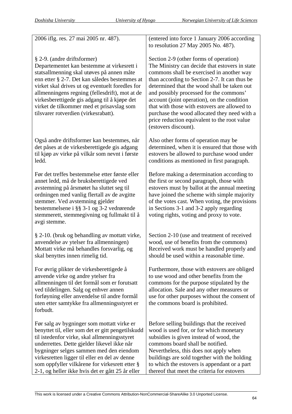| 2006 iflg. res. 27 mai 2005 nr. 487).                                                                                                                                                                                                                                                                                                                                                                             | (entered into force 1 January 2006 according<br>to resolution 27 May 2005 No. 487).                                                                                                                                                                                                                                                                                                                                                                                                                     |
|-------------------------------------------------------------------------------------------------------------------------------------------------------------------------------------------------------------------------------------------------------------------------------------------------------------------------------------------------------------------------------------------------------------------|---------------------------------------------------------------------------------------------------------------------------------------------------------------------------------------------------------------------------------------------------------------------------------------------------------------------------------------------------------------------------------------------------------------------------------------------------------------------------------------------------------|
| § 2-9. (andre driftsformer)<br>Departementet kan bestemme at virkesrett i<br>statsallmenning skal utøves på annen måte<br>enn etter § 2-7. Det kan således bestemmes at<br>virket skal drives ut og eventuelt foredles for<br>allmenningens regning (fellesdrift), mot at de<br>virkesberettigede gis adgang til å kjøpe det<br>virket de tilkommer med et prisavslag som<br>tilsvarer rotverdien (virkesrabatt). | Section 2-9 (other forms of operation)<br>The Ministry can decide that estovers in state<br>commons shall be exercised in another way<br>than according to Section 2-7. It can thus be<br>determined that the wood shall be taken out<br>and possibly processed for the commons'<br>account (joint operation), on the condition<br>that with those with estovers are allowed to<br>purchase the wood allocated they need with a<br>price reduction equivalent to the root value<br>(estovers discount). |
| Også andre driftsformer kan bestemmes, når<br>det påses at de virkesberettigede gis adgang<br>til kjøp av virke på vilkår som nevnt i første<br>ledd.                                                                                                                                                                                                                                                             | Also other forms of operation may be<br>determined, when it is ensured that those with<br>estovers be allowed to purchase wood under<br>conditions as mentioned in first paragraph.                                                                                                                                                                                                                                                                                                                     |
| Før det treffes bestemmelse etter første eller<br>annet ledd, må de bruksberettigede ved<br>avstemning på årsmøtet ha sluttet seg til<br>ordningen med vanlig flertall av de avgitte<br>stemmer. Ved avstemning gjelder<br>bestemmelsene i §§ 3-1 og 3-2 vedrørende<br>stemmerett, stemmegivning og fullmakt til å<br>avgi stemme.                                                                                | Before making a determination according to<br>the first or second paragraph, those with<br>estovers must by ballot at the annual meeting<br>have joined the scheme with simple majority<br>of the votes cast. When voting, the provisions<br>in Sections 3-1 and 3-2 apply regarding<br>voting rights, voting and proxy to vote.                                                                                                                                                                        |
| § 2-10. (bruk og behandling av mottatt virke,<br>anvendelse av ytelser fra allmenningen)<br>Mottatt virke må behandles forsvarlig, og<br>skal benyttes innen rimelig tid.                                                                                                                                                                                                                                         | Section 2-10 (use and treatment of received<br>wood, use of benefits from the commons)<br>Received work must be handled properly and<br>should be used within a reasonable time.                                                                                                                                                                                                                                                                                                                        |
| For øvrig plikter de virkesberettigede å<br>anvende virke og andre ytelser fra<br>allmenningen til det formål som er forutsatt<br>ved tildelingen. Salg og enhver annen<br>forføyning eller anvendelse til andre formål<br>uten etter samtykke fra allmenningsstyret er<br>forbudt.                                                                                                                               | Furthermore, those with estovers are obliged<br>to use wood and other benefits from the<br>commons for the purpose stipulated by the<br>allocation. Sale and any other measures or<br>use for other purposes without the consent of<br>the commons board is prohibited.                                                                                                                                                                                                                                 |
| Før salg av bygninger som mottatt virke er<br>benyttet til, eller som det er gitt pengetilskudd<br>til istedenfor virke, skal allmenningsstyret<br>underrettes. Dette gjelder likevel ikke når<br>bygninger selges sammen med den eiendom<br>virkesretten ligger til eller en del av denne<br>som oppfyller vilkårene for virkesrett etter §<br>2-1, og heller ikke hvis det er gått 25 år eller                  | Before selling buildings that the received<br>wood is used for, or for which monetary<br>subsidies is given instead of wood, the<br>commons board shall be notified.<br>Nevertheless, this does not apply when<br>buildings are sold together with the holding<br>to which the estovers is appendant or a part<br>thereof that meet the criteria for estovers                                                                                                                                           |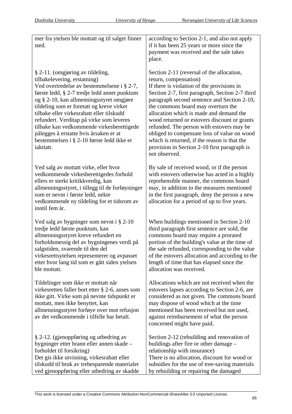| mer fra ytelsen ble mottatt og til salget finner<br>sted.                                                                                                                                                                                                                                                                                                                                                                                                                                             | according to Section 2-1, and also not apply<br>if it has been 25 years or more since the<br>payment was received and the sale takes<br>place.                                                                                                                                                                                                                                                                                                                                                                                                                   |
|-------------------------------------------------------------------------------------------------------------------------------------------------------------------------------------------------------------------------------------------------------------------------------------------------------------------------------------------------------------------------------------------------------------------------------------------------------------------------------------------------------|------------------------------------------------------------------------------------------------------------------------------------------------------------------------------------------------------------------------------------------------------------------------------------------------------------------------------------------------------------------------------------------------------------------------------------------------------------------------------------------------------------------------------------------------------------------|
| § 2-11. (omgjøring av tildeling,<br>tilbakelevering, erstatning)<br>Ved overtredelse av bestemmelsene i $\S 2-7$ ,<br>første ledd, § 2-7 tredje ledd annet punktum<br>og § 2-10, kan allmenningsstyret omgjøre<br>tildeling som er foretatt og kreve virket<br>tilbake eller virkesrabatt eller tilskudd<br>refundert. Verditap på virke som leveres<br>tilbake kan vedkommende virkesberettigede<br>pålegges å erstatte hvis årsaken er at<br>bestemmelsen i § 2-10 første ledd ikke er<br>iakttatt. | Section 2-11 (reversal of the allocation,<br>return, compensation)<br>If there is violation of the provisions in<br>Section 2-7, first paragraph, Section 2-7 third<br>paragraph second sentence and Section 2-10,<br>the commons board may overturn the<br>allocation which is made and demand the<br>wood returned or estovers discount or grants<br>refunded. The person with estovers may be<br>obliged to compensate loss of value on wood<br>which is returned, if the reason is that the<br>provision in Section 2-10 first paragraph is<br>not observed. |
| Ved salg av mottatt virke, eller hvor<br>vedkommende virkesberettigedes forhold<br>ellers er sterkt kritikkverdig, kan<br>allmenningsstyret, i tillegg til de forføyninger<br>som er nevnt i første ledd, nekte<br>vedkommende ny tildeling for et tidsrom av<br>inntil fem år.                                                                                                                                                                                                                       | By sale of received wood, or if the person<br>with estovers otherwise has acted in a highly<br>reprehensible manner, the commons board<br>may, in addition to the measures mentioned<br>in the first paragraph, deny the person a new<br>allocation for a period of up to five years.                                                                                                                                                                                                                                                                            |
| Ved salg av bygninger som nevnt i $\S 2-10$<br>tredje ledd første punktum, kan<br>allmenningsstyret kreve refundert en<br>forholdsmessig del av bygningenes verdi på<br>salgstiden, svarende til den del<br>virkesrettsytelsen representerer og avpasset<br>etter hvor lang tid som er gått siden ytelsen<br>ble mottatt.                                                                                                                                                                             | When buildings mentioned in Section 2-10<br>third paragraph first sentence are sold, the<br>commons board may require a prorated<br>portion of the building's value at the time of<br>the sale refunded, corresponding to the value<br>of the estovers allocation and according to the<br>length of time that has elapsed since the<br>allocation was received.                                                                                                                                                                                                  |
| Tildelinger som ikke er mottatt når<br>virkes retten faller bort etter $\S$ 2-6, anses som<br>ikke gitt. Virke som på nevnte tidspunkt er<br>mottatt, men ikke benyttet, kan<br>allmenningsstyret forføye over mot refusjon<br>av det vedkommende i tilfelle har betalt.                                                                                                                                                                                                                              | Allocations which are not received when the<br>estovers lapses according to Section 2-6, are<br>considered as not given. The commons board<br>may dispose of wood which at the time<br>mentioned has been received but not used,<br>against reimbursement of what the person<br>concerned might have paid.                                                                                                                                                                                                                                                       |
| § 2-12. (gjenoppføring og utbedring av<br>bygninger etter brann eller annen skade -<br>forholdet til forsikring)<br>Det gis ikke utvisning, virkesrabatt eller<br>tilskudd til bruk av trebesparende materialer<br>ved gjenoppføring eller utbedring av skadde                                                                                                                                                                                                                                        | Section 2-12 (rebuilding and renovation of<br>buildings after fire or other damage -<br>relationship with insurance)<br>There is no allocation, discount for wood or<br>subsidies for the use of tree-saving materials<br>by rebuilding or repairing the damaged                                                                                                                                                                                                                                                                                                 |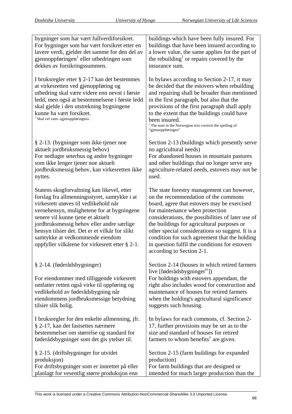| bygninger som har vært fullverdiforsikret.                                                                                                                                                                                                                                                                                                                                                                  | buildings which have been fully insured. For                                                                                                                                                                                                                                                                                                                                                                                                                |
|-------------------------------------------------------------------------------------------------------------------------------------------------------------------------------------------------------------------------------------------------------------------------------------------------------------------------------------------------------------------------------------------------------------|-------------------------------------------------------------------------------------------------------------------------------------------------------------------------------------------------------------------------------------------------------------------------------------------------------------------------------------------------------------------------------------------------------------------------------------------------------------|
| For bygninger som har vært forsikret etter en                                                                                                                                                                                                                                                                                                                                                               | buildings that have been insured according to                                                                                                                                                                                                                                                                                                                                                                                                               |
| lavere verdi, gjelder det samme for den del av                                                                                                                                                                                                                                                                                                                                                              | a lower value, the same applies for the part of                                                                                                                                                                                                                                                                                                                                                                                                             |
| gjennoppføringen <sup>1</sup> eller utbedringen som                                                                                                                                                                                                                                                                                                                                                         | the rebuilding <sup>1</sup> or repairs covered by the                                                                                                                                                                                                                                                                                                                                                                                                       |
| dekkes av forsikringssummen.                                                                                                                                                                                                                                                                                                                                                                                | insurance sum.                                                                                                                                                                                                                                                                                                                                                                                                                                              |
| I bruksregler etter § 2-17 kan det bestemmes<br>at virkesretten ved gjenoppføring og<br>utbedring skal være videre enn nevnt i første<br>ledd, men også at bestemmelsene i første ledd<br>skal gjelde i den utstrekning bygningene<br>kunne ha vært forsikret.<br><sup>1</sup> Skal vel være «gjenoppføringen».                                                                                             | In bylaws according to Section 2-17, it may<br>be decided that the estovers when rebuilding<br>and repairing shall be broader than mentioned<br>in the first paragraph, but also that the<br>provisions of the first paragraph shall apply<br>to the extent that the buildings could have<br>been insured.<br>The note in the Norwegian text corrects the spelling of<br>"gjennoppføringen"                                                                 |
| § 2-13. (bygninger som ikke tjener noe                                                                                                                                                                                                                                                                                                                                                                      | Section 2-13 (buildings which presently serve                                                                                                                                                                                                                                                                                                                                                                                                               |
| aktuelt jordbruksmessig behov)                                                                                                                                                                                                                                                                                                                                                                              | no agricultural needs)                                                                                                                                                                                                                                                                                                                                                                                                                                      |
| For nedlagte seterhus og andre bygninger                                                                                                                                                                                                                                                                                                                                                                    | For abandoned houses in mountain pastures                                                                                                                                                                                                                                                                                                                                                                                                                   |
| som ikke lenger tjener noe aktuelt                                                                                                                                                                                                                                                                                                                                                                          | and other buildings that no longer serve any                                                                                                                                                                                                                                                                                                                                                                                                                |
| jordbruksmessig behov, kan virkesretten ikke                                                                                                                                                                                                                                                                                                                                                                | agriculture-related needs, estovers may not be                                                                                                                                                                                                                                                                                                                                                                                                              |
| nyttes.                                                                                                                                                                                                                                                                                                                                                                                                     | used.                                                                                                                                                                                                                                                                                                                                                                                                                                                       |
| Statens skogforvaltning kan likevel, etter<br>forslag fra allmenningsstyret, samtykke i at<br>virkesrett utøves til vedlikehold når<br>vernehensyn, mulighetene for at bygningene<br>senere vil kunne tjene et aktuelt<br>jordbruksmessig behov eller andre særlige<br>hensyn tilsier det. Det er et vilkår for slikt<br>samtykke at vedkommende eiendom<br>oppfyller vilkårene for virkesrett etter § 2-1. | The state forestry management can however,<br>on the recommendation of the commons<br>board, agree that estovers may be exercised<br>for maintenance when protection<br>considerations, the possibilities of later use of<br>the buildings for agricultural purposes or<br>other special considerations so suggest. It is a<br>condition for such agreement that the holding<br>in question fulfil the conditions for estovers<br>according to Section 2-1. |
| § 2-14. (føderådsbygninger)<br>For eiendommer med tilliggende virkesrett<br>omfatter retten også virke til oppføring og<br>vedlikehold av føderådsbygning når<br>eiendommens jordbruksmessige betydning<br>tilsier slik bolig.                                                                                                                                                                              | Section 2-14 (houses in which retired farmers<br>live [føderådsbygninger <sup>iv</sup> ])<br>For holdings with estovers appendant, the<br>right also includes wood for construction and<br>maintenance of houses for retired farmers<br>when the holding's agricultural significance<br>suggests such housing.                                                                                                                                              |
| I bruksregler for den enkelte allmenning, jfr.                                                                                                                                                                                                                                                                                                                                                              | In bylaws for each commons, cf. Section 2-                                                                                                                                                                                                                                                                                                                                                                                                                  |
| § 2-17, kan det fastsettes nærmere                                                                                                                                                                                                                                                                                                                                                                          | 17, further provisions may be set as to the                                                                                                                                                                                                                                                                                                                                                                                                                 |
| bestemmelser om størrelse og standard for                                                                                                                                                                                                                                                                                                                                                                   | size and standard of houses for retired                                                                                                                                                                                                                                                                                                                                                                                                                     |
| føderådsbygninger som det gis ytelser til.                                                                                                                                                                                                                                                                                                                                                                  | farmers to whom benefits <sup>v</sup> are given.                                                                                                                                                                                                                                                                                                                                                                                                            |
| § 2-15. (driftsbygninger for utvidet                                                                                                                                                                                                                                                                                                                                                                        | Section 2-15 (farm buildings for expanded                                                                                                                                                                                                                                                                                                                                                                                                                   |
| produksjon)                                                                                                                                                                                                                                                                                                                                                                                                 | production)                                                                                                                                                                                                                                                                                                                                                                                                                                                 |
| For driftsbygninger som er innrettet på eller                                                                                                                                                                                                                                                                                                                                                               | For farm buildings that are designed or                                                                                                                                                                                                                                                                                                                                                                                                                     |
| planlagt for vesentlig større produksjon enn                                                                                                                                                                                                                                                                                                                                                                | intended for much larger production than the                                                                                                                                                                                                                                                                                                                                                                                                                |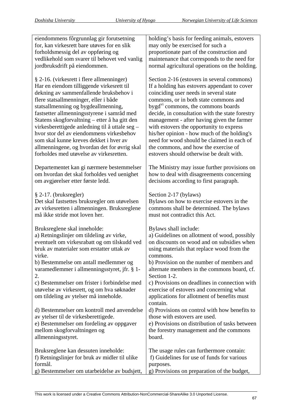| eiendommens fôrgrunnlag gir forutsetning                                                                                                                                                                                                                                                                                                                                                                                                                                                                                                           | holding's basis for feeding animals, estovers                                                                                                                                                                                                                                                                                                                                                                                                                                                                                                                 |
|----------------------------------------------------------------------------------------------------------------------------------------------------------------------------------------------------------------------------------------------------------------------------------------------------------------------------------------------------------------------------------------------------------------------------------------------------------------------------------------------------------------------------------------------------|---------------------------------------------------------------------------------------------------------------------------------------------------------------------------------------------------------------------------------------------------------------------------------------------------------------------------------------------------------------------------------------------------------------------------------------------------------------------------------------------------------------------------------------------------------------|
| for, kan virkesrett bare utøves for en slik                                                                                                                                                                                                                                                                                                                                                                                                                                                                                                        | may only be exercised for such a                                                                                                                                                                                                                                                                                                                                                                                                                                                                                                                              |
| forholdsmessig del av oppføring og                                                                                                                                                                                                                                                                                                                                                                                                                                                                                                                 | proportionate part of the construction and                                                                                                                                                                                                                                                                                                                                                                                                                                                                                                                    |
| vedlikehold som svarer til behovet ved vanlig                                                                                                                                                                                                                                                                                                                                                                                                                                                                                                      | maintenance that corresponds to the need for                                                                                                                                                                                                                                                                                                                                                                                                                                                                                                                  |
| jordbruksdrift på eiendommen.                                                                                                                                                                                                                                                                                                                                                                                                                                                                                                                      | normal agricultural operations on the holding.                                                                                                                                                                                                                                                                                                                                                                                                                                                                                                                |
|                                                                                                                                                                                                                                                                                                                                                                                                                                                                                                                                                    |                                                                                                                                                                                                                                                                                                                                                                                                                                                                                                                                                               |
| § 2-16. (virkesrett i flere allmenninger)<br>Har en eiendom tilliggende virkesrett til<br>dekning av sammenfallende bruksbehov i<br>flere statsallmenninger, eller i både<br>statsallmenning og bygdeallmenning,<br>fastsetter allmenningsstyrene i samråd med<br>Statens skogforvaltning – etter å ha gitt den<br>virkesberettigede anledning til å uttale seg -<br>hvor stor del av eiendommens virkesbehov<br>som skal kunne kreves dekket i hver av<br>allmenningene, og hvordan det for øvrig skal<br>forholdes med utøvelse av virkesretten. | Section 2-16 (estovers in several commons)<br>If a holding has estovers appendant to cover<br>coinciding user needs in several state<br>commons, or in both state commons and<br>bygd <sup>vi</sup> commons, the commons boards<br>decide, in consultation with the state forestry<br>management - after having given the farmer<br>with estovers the opportunity to express<br>his/her opinion - how much of the holding's<br>need for wood should be claimed in each of<br>the commons, and how the exercise of<br>estovers should otherwise be dealt with. |
| Departementet kan gi nærmere bestemmelser<br>om hvordan det skal forholdes ved uenighet<br>om avgjørelser etter første ledd.                                                                                                                                                                                                                                                                                                                                                                                                                       | The Ministry may issue further provisions on<br>how to deal with disagreements concerning<br>decisions according to first paragraph.                                                                                                                                                                                                                                                                                                                                                                                                                          |
| $\S$ 2-17. (bruksregler)<br>Det skal fastsettes bruksregler om utøvelsen<br>av virkesretten i allmenningen. Bruksreglene<br>må ikke stride mot loven her.                                                                                                                                                                                                                                                                                                                                                                                          | Section 2-17 (bylaws)<br>Bylaws on how to exercise estovers in the<br>commons shall be determined. The bylaws<br>must not contradict this Act.                                                                                                                                                                                                                                                                                                                                                                                                                |
| Bruksreglene skal inneholde:<br>a) Retningslinjer om tildeling av virke,                                                                                                                                                                                                                                                                                                                                                                                                                                                                           | Bylaws shall include:<br>a) Guidelines on allotment of wood, possibly                                                                                                                                                                                                                                                                                                                                                                                                                                                                                         |
| eventuelt om virkesrabatt og om tilskudd ved<br>bruk av materialer som erstatter uttak av                                                                                                                                                                                                                                                                                                                                                                                                                                                          | on discounts on wood and on subsidies when<br>using materials that replace wood from the                                                                                                                                                                                                                                                                                                                                                                                                                                                                      |
| virke.<br>b) Bestemmelse om antall medlemmer og<br>varamedlemmer i allmenningsstyret, jfr. § 1-<br>2.                                                                                                                                                                                                                                                                                                                                                                                                                                              | commons.<br>b) Provision on the number of members and<br>alternate members in the commons board, cf.<br>Section 1-2.                                                                                                                                                                                                                                                                                                                                                                                                                                          |
| c) Bestemmelser om frister i forbindelse med                                                                                                                                                                                                                                                                                                                                                                                                                                                                                                       | c) Provisions on deadlines in connection with                                                                                                                                                                                                                                                                                                                                                                                                                                                                                                                 |
| utøvelse av virkesrett, og om hva søknader<br>om tildeling av ytelser må inneholde.                                                                                                                                                                                                                                                                                                                                                                                                                                                                | exercise of estovers and concerning what<br>applications for allotment of benefits must<br>contain.                                                                                                                                                                                                                                                                                                                                                                                                                                                           |
| d) Bestemmelser om kontroll med anvendelse                                                                                                                                                                                                                                                                                                                                                                                                                                                                                                         | d) Provisions on control with how benefits to                                                                                                                                                                                                                                                                                                                                                                                                                                                                                                                 |
| av ytelser til de virkesberettigede.                                                                                                                                                                                                                                                                                                                                                                                                                                                                                                               | those with estovers are used.                                                                                                                                                                                                                                                                                                                                                                                                                                                                                                                                 |
| e) Bestemmelser om fordeling av oppgaver                                                                                                                                                                                                                                                                                                                                                                                                                                                                                                           | e) Provisions on distribution of tasks between                                                                                                                                                                                                                                                                                                                                                                                                                                                                                                                |
| mellom skogforvaltningen og                                                                                                                                                                                                                                                                                                                                                                                                                                                                                                                        | the forestry management and the commons                                                                                                                                                                                                                                                                                                                                                                                                                                                                                                                       |
| allmenningsstyret.                                                                                                                                                                                                                                                                                                                                                                                                                                                                                                                                 | board.                                                                                                                                                                                                                                                                                                                                                                                                                                                                                                                                                        |
|                                                                                                                                                                                                                                                                                                                                                                                                                                                                                                                                                    |                                                                                                                                                                                                                                                                                                                                                                                                                                                                                                                                                               |
| Bruksreglene kan dessuten inneholde:                                                                                                                                                                                                                                                                                                                                                                                                                                                                                                               | The usage rules can furthermore contain:                                                                                                                                                                                                                                                                                                                                                                                                                                                                                                                      |
| f) Retningslinjer for bruk av midler til ulike                                                                                                                                                                                                                                                                                                                                                                                                                                                                                                     | f) Guidelines for use of funds for various                                                                                                                                                                                                                                                                                                                                                                                                                                                                                                                    |
| formål.                                                                                                                                                                                                                                                                                                                                                                                                                                                                                                                                            | purposes.                                                                                                                                                                                                                                                                                                                                                                                                                                                                                                                                                     |
| g) Bestemmelser om utarbeidelse av budsjett,                                                                                                                                                                                                                                                                                                                                                                                                                                                                                                       | g) Provisions on preparation of the budget,                                                                                                                                                                                                                                                                                                                                                                                                                                                                                                                   |

 $\overline{a}$ This work is licensed under a Creative Commons Attribution-NonCommercial-ShareAlike 3.0 Unported License.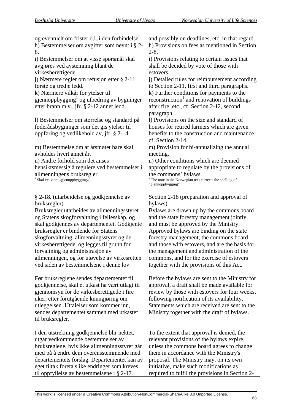| og eventuelt om frister o.l. i den forbindelse.                                               | and possibly on deadlines, etc. in that regard.                                  |
|-----------------------------------------------------------------------------------------------|----------------------------------------------------------------------------------|
| h) Bestemmelser om avgifter som nevnt i $\S$ 2-<br>8.                                         | h) Provisions on fees as mentioned in Section<br>$2 - 8$ .                       |
| i) Bestemmelser om at visse spørsmål skal                                                     | i) Provisions relating to certain issues that                                    |
| avgjøres ved avstemning blant de                                                              | shall be decided by vote of those with                                           |
| virkesberettigede.                                                                            | estovers.                                                                        |
| j) Nærmere regler om refusjon etter $\S 2-11$                                                 | j) Detailed rules for reimbursement according                                    |
| første og tredje ledd.                                                                        | to Section 2-11, first and third paragraphs.                                     |
| k) Nærmere vilkår for ytelser til                                                             | k) Further conditions for payments to the                                        |
| gjennoppbygging og utbedring av bygninger                                                     | reconstruction <sup>1</sup> and renovation of buildings                          |
| etter brann m.v., jfr. § 2-12 annet ledd.                                                     | after fire, etc., cf. Section 2-12, second                                       |
|                                                                                               | paragraph.                                                                       |
| I) Bestemmelser om størrelse og standard på                                                   | 1) Provisions on the size and standard of                                        |
| føderådsbygninger som det gis ytelser til                                                     | houses for retired farmers which are given                                       |
| oppføring og vedlikehold av, jfr. § 2-14.                                                     | benefits to the construction and maintenance                                     |
|                                                                                               | cf. Section 2-14.                                                                |
| m) Bestemmelse om at årsmøtet bare skal<br>avholdes hvert annet år.                           | m) Provision for bi-annualizing the annual                                       |
| n) Andre forhold som det anses                                                                | meeting.<br>n) Other conditions which are deemed                                 |
| hensiktsmessig å regulere ved bestemmelser i                                                  | appropriate to regulate by the provisions of                                     |
| allmenningens bruksregler.                                                                    | the commons' bylaws.                                                             |
| <sup>1</sup> Skal vel være «gjenoppbygging».                                                  | <sup>1</sup> The note in the Norwegian text corrects the spelling of             |
|                                                                                               | "gjennoppbygging"                                                                |
| § 2-18. (utarbeidelse og godkjennelse av                                                      | Section 2-18 (preparation and approval of                                        |
| bruksregler)                                                                                  | bylaws)                                                                          |
| Bruksregler utarbeides av allmenningsstyret                                                   | Bylaws are drawn up by the commons board                                         |
| og Statens skogforvaltning i fellesskap, og                                                   | and the state forestry management jointly,                                       |
| skal godkjennes av departementet. Godkjente                                                   | and must be approved by the Ministry.                                            |
| bruksregler er bindende for Statens                                                           | Approved bylaws are binding on the state                                         |
| skogforvaltning, allmenningsstyret og de                                                      | forestry management, the commons board                                           |
| virkesberettigede, og legges til grunn for                                                    | and those with estovers, and are the basis for                                   |
| forvaltning og administrasjon av                                                              | the management and administration of the                                         |
| allmenningen, og for utøvelse av virkesretten                                                 | commons, and for the exercise of estovers                                        |
| ved siden av bestemmelsene i denne lov.                                                       | together with the provisions of this Act.                                        |
| Før bruksreglene sendes departementet til                                                     | Before the bylaws are sent to the Ministry for                                   |
| godkjennelse, skal et utkast ha vært utlagt til                                               | approval, a draft shall be made available for                                    |
| gjennomsyn for de virkesberettigede i fire                                                    | review by those with estovers for four weeks,                                    |
| uker, etter forutgående kunngjøring om                                                        | following notification of its availability.                                      |
| utleggelsen. Uttalelser som kommer inn,                                                       | Statements which are received are sent to the                                    |
| sendes departementet sammen med utkastet                                                      | Ministry together with the draft of bylaws.                                      |
| til bruksregler.                                                                              |                                                                                  |
|                                                                                               |                                                                                  |
| I den utstrekning godkjennelse blir nektet,                                                   | To the extent that approval is denied, the                                       |
| utgår vedkommende bestemmelser av                                                             | relevant provisions of the bylaws expire,                                        |
| bruksreglene, hvis ikke allmenningsstyret går                                                 | unless the commons board agrees to change                                        |
| med på å endre dem overensstemmende med                                                       | them in accordance with the Ministry's                                           |
| departementets forslag. Departementet kan av<br>eget tiltak foreta slike endringer som kreves | proposal. The Ministry may, on its own<br>initiative, make such modifications as |
| til oppfyllelse av bestemmelsene i $\S 2-17$                                                  | required to fulfil the provisions in Section 2-                                  |
|                                                                                               |                                                                                  |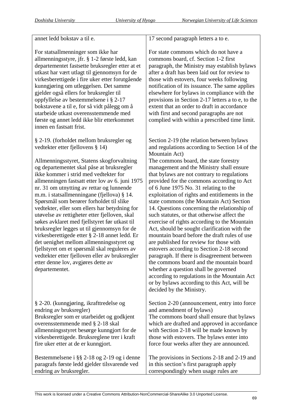| annet ledd bokstav a til e.                                                                                                                                                                                                                                                                                                                                                                                                                                                                                                                                                                                                                                                                                                                                                                                                                                         | 17 second paragraph letters a to e.                                                                                                                                                                                                                                                                                                                                                                                                                                                                                                                                                                                                                                                                                                                                                                                                                                                                                                                                                                                                       |
|---------------------------------------------------------------------------------------------------------------------------------------------------------------------------------------------------------------------------------------------------------------------------------------------------------------------------------------------------------------------------------------------------------------------------------------------------------------------------------------------------------------------------------------------------------------------------------------------------------------------------------------------------------------------------------------------------------------------------------------------------------------------------------------------------------------------------------------------------------------------|-------------------------------------------------------------------------------------------------------------------------------------------------------------------------------------------------------------------------------------------------------------------------------------------------------------------------------------------------------------------------------------------------------------------------------------------------------------------------------------------------------------------------------------------------------------------------------------------------------------------------------------------------------------------------------------------------------------------------------------------------------------------------------------------------------------------------------------------------------------------------------------------------------------------------------------------------------------------------------------------------------------------------------------------|
| For statsallmenninger som ikke har<br>allmenningsstyre, jfr. § 1-2 første ledd, kan<br>departementet fastsette bruksregler etter at et<br>utkast har vært utlagt til gjennomsyn for de<br>virkesberettigede i fire uker etter forutgående<br>kunngjøring om utleggelsen. Det samme<br>gjelder også ellers for bruksregler til<br>oppfyllelse av bestemmelsene i § 2-17<br>bokstavene a til e, for så vidt pålegg om å<br>utarbeide utkast overensstemmende med<br>første og annet ledd ikke blir etterkommet<br>innen en fastsatt frist.                                                                                                                                                                                                                                                                                                                            | For state commons which do not have a<br>commons board, cf. Section 1-2 first<br>paragraph, the Ministry may establish bylaws<br>after a draft has been laid out for review to<br>those with estovers, four weeks following<br>notification of its issuance. The same applies<br>elsewhere for bylaws in compliance with the<br>provisions in Section 2-17 letters a to e, to the<br>extent that an order to draft in accordance<br>with first and second paragraphs are not<br>complied with within a prescribed time limit.                                                                                                                                                                                                                                                                                                                                                                                                                                                                                                             |
| § 2-19. (forholdet mellom bruksregler og<br>vedtekter etter fjellovens § 14)<br>Allmenningsstyret, Statens skogforvaltning<br>og departementet skal påse at bruksregler<br>ikke kommer i strid med vedtekter for<br>allmenningen fastsatt etter lov av 6. juni 1975<br>nr. 31 om utnytting av rettar og lunnende<br>m.m. i statsallmenningane (fjellova) § 14.<br>Spørsmål som berører forholdet til slike<br>vedtekter, eller som ellers har betydning for<br>utøvelse av rettigheter etter fjelloven, skal<br>søkes avklaret med fjellstyret før utkast til<br>bruksregler legges ut til gjennomsyn for de<br>virkesberettigede etter § 2-18 annet ledd. Er<br>det uenighet mellom allmenningsstyret og<br>fjellstyret om et spørsmål skal reguleres av<br>vedtekter etter fjelloven eller av bruksregler<br>etter denne lov, avgjøres dette av<br>departementet. | Section 2-19 (the relation between bylaws<br>and regulations according to Section 14 of the<br>Mountain Act)<br>The commons board, the state forestry<br>management and the Ministry shall ensure<br>that bylaws are not contrary to regulations<br>provided for the commons according to Act<br>of 6 June 1975 No. 31 relating to the<br>exploitation of rights and entitlements in the<br>state commons (the Mountain Act) Section<br>14. Questions concerning the relationship of<br>such statutes, or that otherwise affect the<br>exercise of rights according to the Mountain<br>Act, should be sought clarification with the<br>mountain board before the draft rules of use<br>are published for review for those with<br>estovers according to Section 2-18 second<br>paragraph. If there is disagreement between<br>the commons board and the mountain board<br>whether a question shall be governed<br>according to regulations in the Mountain Act<br>or by bylaws according to this Act, will be<br>decided by the Ministry. |
| § 2-20. (kunngjøring, ikrafttredelse og<br>endring av bruksregler)<br>Bruksregler som er utarbeidet og godkjent<br>overensstemmende med § 2-18 skal<br>allmenningsstyret besørge kunngjort for de<br>virkesberettigede. Bruksreglene trer i kraft<br>fire uker etter at de er kunngjort.                                                                                                                                                                                                                                                                                                                                                                                                                                                                                                                                                                            | Section 2-20 (announcement, entry into force<br>and amendment of bylaws)<br>The commons board shall ensure that bylaws<br>which are drafted and approved in accordance<br>with Section 2-18 will be made known by<br>those with estovers. The bylaws enter into<br>force four weeks after they are announced.                                                                                                                                                                                                                                                                                                                                                                                                                                                                                                                                                                                                                                                                                                                             |
| Bestemmelsene i §§ 2-18 og 2-19 og i denne<br>paragrafs første ledd gjelder tilsvarende ved<br>endring av bruksregler.                                                                                                                                                                                                                                                                                                                                                                                                                                                                                                                                                                                                                                                                                                                                              | The provisions in Sections 2-18 and 2-19 and<br>in this section's first paragraph apply<br>correspondingly when usage rules are                                                                                                                                                                                                                                                                                                                                                                                                                                                                                                                                                                                                                                                                                                                                                                                                                                                                                                           |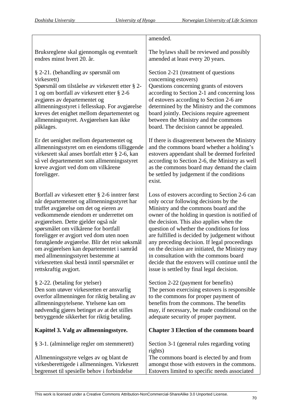|                                                                                                                                                                                                                                               | amended.                                                                                                                                                                                                                                                                                         |
|-----------------------------------------------------------------------------------------------------------------------------------------------------------------------------------------------------------------------------------------------|--------------------------------------------------------------------------------------------------------------------------------------------------------------------------------------------------------------------------------------------------------------------------------------------------|
| Bruksreglene skal gjennomgås og eventuelt                                                                                                                                                                                                     | The bylaws shall be reviewed and possibly                                                                                                                                                                                                                                                        |
| endres minst hvert 20. år.                                                                                                                                                                                                                    | amended at least every 20 years.                                                                                                                                                                                                                                                                 |
| § 2-21. (behandling av spørsmål om                                                                                                                                                                                                            | Section 2-21 (treatment of questions                                                                                                                                                                                                                                                             |
| virkesrett)                                                                                                                                                                                                                                   | concerning estovers)                                                                                                                                                                                                                                                                             |
| Spørsmål om tilståelse av virkesrett etter § 2-                                                                                                                                                                                               | Questions concerning grants of estovers                                                                                                                                                                                                                                                          |
| 1 og om bortfall av virkesrett etter § 2-6                                                                                                                                                                                                    | according to Section 2-1 and concerning loss                                                                                                                                                                                                                                                     |
| avgjøres av departementet og                                                                                                                                                                                                                  | of estovers according to Section 2-6 are                                                                                                                                                                                                                                                         |
| allmenningsstyret i fellesskap. For avgjørelse                                                                                                                                                                                                | determined by the Ministry and the commons                                                                                                                                                                                                                                                       |
| kreves det enighet mellom departementet og                                                                                                                                                                                                    | board jointly. Decisions require agreement                                                                                                                                                                                                                                                       |
| allmenningsstyret. Avgjørelsen kan ikke                                                                                                                                                                                                       | between the Ministry and the commons                                                                                                                                                                                                                                                             |
| påklages.                                                                                                                                                                                                                                     | board. The decision cannot be appealed.                                                                                                                                                                                                                                                          |
| Er det uenighet mellom departementet og<br>allmenningsstyret om en eiendoms tilliggende<br>virkesrett skal anses bortfalt etter § 2-6, kan<br>så vel departementet som allmenningsstyret<br>kreve avgjort ved dom om vilkårene<br>foreligger. | If there is disagreement between the Ministry<br>and the commons board whether a holding's<br>estovers appendant shall be deemed forfeited<br>according to Section 2-6, the Ministry as well<br>as the commons board may demand the claim<br>be settled by judgement if the conditions<br>exist. |
| Bortfall av virkesrett etter § 2-6 inntrer først                                                                                                                                                                                              | Loss of estovers according to Section 2-6 can                                                                                                                                                                                                                                                    |
| når departementet og allmenningsstyret har                                                                                                                                                                                                    | only occur following decisions by the                                                                                                                                                                                                                                                            |
| truffet avgjørelse om det og eieren av                                                                                                                                                                                                        | Ministry and the commons board and the                                                                                                                                                                                                                                                           |
| vedkommende eiendom er underrettet om                                                                                                                                                                                                         | owner of the holding in question is notified of                                                                                                                                                                                                                                                  |
| avgjørelsen. Dette gjelder også når                                                                                                                                                                                                           | the decision. This also applies when the                                                                                                                                                                                                                                                         |
| spørsmålet om vilkårene for bortfall                                                                                                                                                                                                          | question of whether the conditions for loss                                                                                                                                                                                                                                                      |
| foreligger er avgjort ved dom uten noen                                                                                                                                                                                                       | are fulfilled is decided by judgement without                                                                                                                                                                                                                                                    |
| forutgående avgjørelse. Blir det reist søksmål                                                                                                                                                                                                | any preceding decision. If legal proceedings                                                                                                                                                                                                                                                     |
| om avgjørelsen kan departementet i samråd                                                                                                                                                                                                     | on the decision are initiated, the Ministry may                                                                                                                                                                                                                                                  |
| med allmenningsstyret bestemme at                                                                                                                                                                                                             | in consultation with the commons board                                                                                                                                                                                                                                                           |
| virkesretten skal bestå inntil spørsmålet er                                                                                                                                                                                                  | decide that the estovers will continue until the                                                                                                                                                                                                                                                 |
| rettskraftig avgjort.                                                                                                                                                                                                                         | issue is settled by final legal decision.                                                                                                                                                                                                                                                        |
| § 2-22. (betaling for ytelser)                                                                                                                                                                                                                | Section 2-22 (payment for benefits)                                                                                                                                                                                                                                                              |
| Den som utøver virkesretten er ansvarlig                                                                                                                                                                                                      | The person exercising estovers is responsible                                                                                                                                                                                                                                                    |
| overfor allmenningen for riktig betaling av                                                                                                                                                                                                   | to the commons for proper payment of                                                                                                                                                                                                                                                             |
| allmenningsytelsene. Ytelsene kan om                                                                                                                                                                                                          | benefits from the commons. The benefits                                                                                                                                                                                                                                                          |
| nødvendig gjøres betinget av at det stilles                                                                                                                                                                                                   | may, if necessary, be made conditional on the                                                                                                                                                                                                                                                    |
| betryggende sikkerhet for riktig betaling.                                                                                                                                                                                                    | adequate security of proper payment.                                                                                                                                                                                                                                                             |
| Kapittel 3. Valg av allmenningsstyre.                                                                                                                                                                                                         | <b>Chapter 3 Election of the commons board</b>                                                                                                                                                                                                                                                   |
| § 3-1. (alminnelige regler om stemmerett)                                                                                                                                                                                                     | Section 3-1 (general rules regarding voting<br>rights)                                                                                                                                                                                                                                           |
| Allmenningsstyre velges av og blant de                                                                                                                                                                                                        | The commons board is elected by and from                                                                                                                                                                                                                                                         |
| virkesberettigede i allmenningen. Virkesrett                                                                                                                                                                                                  | amongst those with estovers in the commons.                                                                                                                                                                                                                                                      |
| begrenset til spesielle behov i forbindelse                                                                                                                                                                                                   | Estovers limited to specific needs associated                                                                                                                                                                                                                                                    |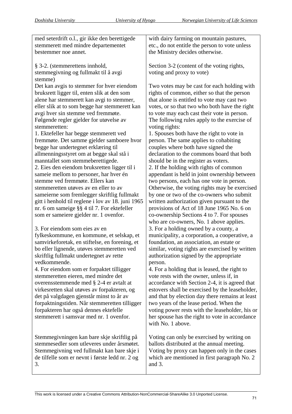| med seterdrift o.l., gir ikke den berettigede     | with dairy farming on mountain pastures,        |
|---------------------------------------------------|-------------------------------------------------|
| stemmerett med mindre departementet               | etc., do not entitle the person to vote unless  |
| bestemmer noe annet.                              | the Ministry decides otherwise.                 |
|                                                   |                                                 |
| § 3-2. (stemmerettens innhold,                    | Section 3-2 (content of the voting rights,      |
| stemmegivning og fullmakt til å avgi              | voting and proxy to vote)                       |
| stemme)                                           |                                                 |
| Det kan avgis to stemmer for hver eiendom         | Two votes may be cast for each holding with     |
| bruksrett ligger til, enten slik at den som       | rights of common, either so that the person     |
| alene har stemmerett kan avgi to stemmer,         | that alone is entitled to vote may cast two     |
| eller slik at to som begge har stemmerett kan     | votes, or so that two who both have the right   |
| avgi hver sin stemme ved fremmøte.                | to vote may each cast their vote in person.     |
| Følgende regler gjelder for utøvelse av           | The following rules apply to the exercise of    |
| stemmeretten:                                     | voting rights:                                  |
| 1. Ektefeller har begge stemmerett ved            | 1. Spouses both have the right to vote in       |
| fremmøte. Det samme gjelder samboere hvor         | person. The same applies to cohabiting          |
| begge har undertegnet erklæring til               | couples where both have signed the              |
| allmenningsstyret om at begge skal stå i          | declaration to the commons board that both      |
| manntallet som stemmeberettigede.                 | should be in the register as voters.            |
| 2. Eies den eiendom bruksretten ligger til i      | 2. If the holding with rights of common         |
| sameie mellom to personer, har hver én            | appendant is held in joint ownership between    |
| stemme ved fremmøte. Ellers kan                   | two persons, each has one vote in person.       |
| stemmeretten utøves av en eller to av             | Otherwise, the voting rights may be exercised   |
| sameierne som fremlegger skriftlig fullmakt       | by one or two of the co-owners who submit       |
| gitt i henhold til reglene i lov av 18. juni 1965 | written authorization given pursuant to the     |
| nr. 6 om sameige §§ 4 til 7. For ektefeller       | provisions of Act of 18 June 1965 No. 6 on      |
| som er sameiere gjelder nr. 1 ovenfor.            | co-ownership Sections 4 to 7. For spouses       |
|                                                   | who are co-owners, No. 1 above applies.         |
| 3. For eiendom som eies av en                     | 3. For a holding owned by a county, a           |
| fylkeskommune, en kommune, et selskap, et         | municipality, a corporation, a cooperative, a   |
| samvirkeforetak, en stiftelse, en forening, et    | foundation, an association, an estate or        |
| bo eller lignende, utøves stemmeretten ved        | similar, voting rights are exercised by written |
| skriftlig fullmakt undertegnet av rette           | authorization signed by the appropriate         |
| vedkommende.                                      | person.                                         |
| 4. For eiendom som er forpaktet tilligger         | 4. For a holding that is leased, the right to   |
| stemmeretten eieren, med mindre det               | vote rests with the owner, unless if, in        |
| overensstemmende med § 2-4 er avtalt at           | accordance with Section 2-4, it is agreed that  |
| virkesretten skal utøves av forpakteren, og       | estovers shall be exercised by the leaseholder, |
| det på valgdagen gjenstår minst to år av          | and that by election day there remains at least |
| forpaktningstiden. Når stemmeretten tilligger     | two years of the lease period. When the         |
| forpakteren har også dennes ektefelle             | voting power rests with the leaseholder, his or |
| stemmerett i samsvar med nr. 1 ovenfor.           | her spouse has the right to vote in accordance  |
|                                                   | with No. 1 above.                               |
| Stemmegivningen kan bare skje skriftlig på        | Voting can only be exercised by writing on      |
| stemmesedler som utleveres under årsmøtet.        | ballots distributed at the annual meeting.      |
| Stemmegivning ved fullmakt kan bare skje i        | Voting by proxy can happen only in the cases    |
| de tilfelle som er nevnt i første ledd nr. 2 og   | which are mentioned in first paragraph No. 2    |
| 3.                                                | and 3.                                          |
|                                                   |                                                 |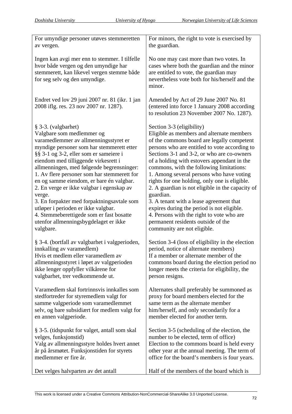| For umyndige personer utøves stemmeretten                                                                                                                            | For minors, the right to vote is exercised by                                                                                                                                                |
|----------------------------------------------------------------------------------------------------------------------------------------------------------------------|----------------------------------------------------------------------------------------------------------------------------------------------------------------------------------------------|
| av vergen.                                                                                                                                                           | the guardian.                                                                                                                                                                                |
| Ingen kan avgi mer enn to stemmer. I tilfelle<br>hvor både vergen og den umyndige har<br>stemmerett, kan likevel vergen stemme både<br>for seg selv og den umyndige. | No one may cast more than two votes. In<br>cases where both the guardian and the minor<br>are entitled to vote, the guardian may<br>nevertheless vote both for his/herself and the<br>minor. |
| Endret ved lov 29 juni 2007 nr. 81 (ikr. 1 jan<br>2008 iflg. res. 23 nov 2007 nr. 1287).                                                                             | Amended by Act of 29 June 2007 No. 81<br>(entered into force 1 January 2008 according<br>to resolution 23 November 2007 No. 1287).                                                           |
| $§$ 3-3. (valgbarhet)                                                                                                                                                | Section 3-3 (eligibility)                                                                                                                                                                    |
| Valgbare som medlemmer og                                                                                                                                            | Eligible as members and alternate members                                                                                                                                                    |
| varamedlemmer av allmenningsstyret er                                                                                                                                | of the commons board are legally competent                                                                                                                                                   |
| myndige personer som har stemmerett etter                                                                                                                            | persons who are entitled to vote according to                                                                                                                                                |
| §§ 3-1 og 3-2, eller som er sameiere i                                                                                                                               | Sections 3-1 and 3-2, or who are co-owners                                                                                                                                                   |
| eiendom med tilliggende virkesrett i                                                                                                                                 | of a holding with estovers appendant in the                                                                                                                                                  |
| allmenningen, med følgende begrensninger:                                                                                                                            | commons, with the following limitations:                                                                                                                                                     |
| 1. Av flere personer som har stemmerett for                                                                                                                          | 1. Among several persons who have voting                                                                                                                                                     |
| en og samme eiendom, er bare én valgbar.                                                                                                                             | rights for one holding, only one is eligible.                                                                                                                                                |
| 2. En verge er ikke valgbar i egenskap av                                                                                                                            | 2. A guardian is not eligible in the capacity of                                                                                                                                             |
| verge.                                                                                                                                                               | guardian.                                                                                                                                                                                    |
| 3. En forpakter med forpaktningsavtale som                                                                                                                           | 3. A tenant with a lease agreement that                                                                                                                                                      |
| utløper i perioden er ikke valgbar.                                                                                                                                  | expires during the period is not eligible.                                                                                                                                                   |
| 4. Stemmeberettigede som er fast bosatte                                                                                                                             | 4. Persons with the right to vote who are                                                                                                                                                    |
| utenfor allmenningsbygdelaget er ikke                                                                                                                                | permanent residents outside of the                                                                                                                                                           |
| valgbare.                                                                                                                                                            | community are not eligible.                                                                                                                                                                  |
| § 3-4. (bortfall av valgbarhet i valgperioden,                                                                                                                       | Section 3-4 (loss of eligibility in the election                                                                                                                                             |
| innkalling av varamedlem)                                                                                                                                            | period, notice of alternate members)                                                                                                                                                         |
| Hvis et medlem eller varamedlem av                                                                                                                                   | If a member or alternate member of the                                                                                                                                                       |
| allmenningsstyret i løpet av valgperioden                                                                                                                            | commons board during the election period no                                                                                                                                                  |
| ikke lenger oppfyller vilkårene for                                                                                                                                  | longer meets the criteria for eligibility, the                                                                                                                                               |
| valgbarhet, trer vedkommende ut.                                                                                                                                     | person resigns.                                                                                                                                                                              |
| Varamedlem skal fortrinnsvis innkalles som                                                                                                                           | Alternates shall preferably be summoned as                                                                                                                                                   |
| stedfortreder for styremedlem valgt for                                                                                                                              | proxy for board members elected for the                                                                                                                                                      |
| samme valgperiode som varamedlemmet                                                                                                                                  | same term as the alternate member                                                                                                                                                            |
| selv, og bare subsidiært for medlem valgt for                                                                                                                        | him/herself, and only secondarily for a                                                                                                                                                      |
| en annen valgperiode.                                                                                                                                                | member elected for another term.                                                                                                                                                             |
| § 3-5. (tidspunkt for valget, antall som skal                                                                                                                        | Section 3-5 (scheduling of the election, the                                                                                                                                                 |
| velges, funksjonstid)                                                                                                                                                | number to be elected, term of office)                                                                                                                                                        |
| Valg av allmenningsstyre holdes hvert annet                                                                                                                          | Election to the commons board is held every                                                                                                                                                  |
| år på årsmøtet. Funksjonstiden for styrets                                                                                                                           | other year at the annual meeting. The term of                                                                                                                                                |
| medlemmer er fire år.                                                                                                                                                | office for the board's members is four years.                                                                                                                                                |
| Det velges halvparten av det antall                                                                                                                                  | Half of the members of the board which is                                                                                                                                                    |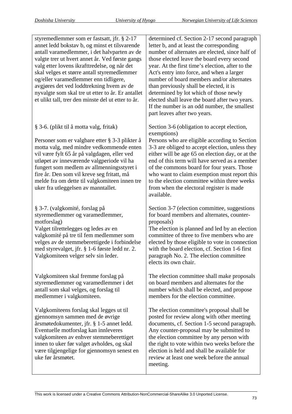| styremedlemmer som er fastsatt, jfr. § 2-17<br>annet ledd bokstav b, og minst et tilsvarende<br>antall varamedlemmer, i det halvparten av de<br>valgte trer ut hvert annet år. Ved første gangs<br>valg etter lovens ikrafttredelse, og når det<br>skal velges et større antall styremedlemmer<br>og/eller varamedlemmer enn tidligere,<br>avgjøres det ved loddtrekning hvem av de<br>nyvalgte som skal tre ut etter to år. Er antallet<br>et ulikt tall, trer den minste del ut etter to år. | determined cf. Section 2-17 second paragraph<br>letter b, and at least the corresponding<br>number of alternates are elected, since half of<br>those elected leave the board every second<br>year. At the first time's election, after to the<br>Act's entry into force, and when a larger<br>number of board members and/or alternates<br>than previously shall be elected, it is<br>determined by lot which of those newly<br>elected shall leave the board after two years.<br>If the number is an odd number, the smallest<br>part leaves after two years. |
|------------------------------------------------------------------------------------------------------------------------------------------------------------------------------------------------------------------------------------------------------------------------------------------------------------------------------------------------------------------------------------------------------------------------------------------------------------------------------------------------|----------------------------------------------------------------------------------------------------------------------------------------------------------------------------------------------------------------------------------------------------------------------------------------------------------------------------------------------------------------------------------------------------------------------------------------------------------------------------------------------------------------------------------------------------------------|
| § 3-6. (plikt til å motta valg, fritak)<br>Personer som er valgbare etter § 3-3 plikter å<br>motta valg, med mindre vedkommende enten<br>vil være fylt 65 år på valgdagen, eller ved<br>utløpet av inneværende valgperiode vil ha<br>fungert som medlem av allmenningsstyret i<br>fire år. Den som vil kreve seg fritatt, må<br>melde fra om dette til valgkomiteen innen tre<br>uker fra utleggelsen av manntallet.                                                                           | Section 3-6 (obligation to accept election,<br>exemptions)<br>Persons who are eligible according to Section<br>3-3 are obliged to accept election, unless they<br>either will be age 65 on election day, or at the<br>end of this term will have served as a member<br>of the commons board for four years. Those<br>who want to claim exemption must report this<br>to the election committee within three weeks<br>from when the electoral register is made<br>available.                                                                                    |
| § 3-7. (valgkomité, forslag på<br>styremedlemmer og varamedlemmer,<br>motforslag)<br>Valget tilrettelegges og ledes av en<br>valgkomité på tre til fem medlemmer som<br>velges av de stemmeberettigede i forbindelse<br>med styrevalget, jfr. § 1-6 første ledd nr. 2.<br>Valgkomiteen velger selv sin leder.                                                                                                                                                                                  | Section 3-7 (election committee, suggestions<br>for board members and alternates, counter-<br>proposals)<br>The election is planned and led by an election<br>committee of three to five members who are<br>elected by those eligible to vote in connection<br>with the board election, cf. Section 1-6 first<br>paragraph No. 2. The election committee<br>elects its own chair.                                                                                                                                                                              |
| Valgkomiteen skal fremme forslag på<br>styremedlemmer og varamedlemmer i det<br>antall som skal velges, og forslag til<br>medlemmer i valgkomiteen.                                                                                                                                                                                                                                                                                                                                            | The election committee shall make proposals<br>on board members and alternates for the<br>number which shall be elected, and propose<br>members for the election committee.                                                                                                                                                                                                                                                                                                                                                                                    |
| Valgkomiteens forslag skal legges ut til<br>gjennomsyn sammen med de øvrige<br>årsmøtedokumenter, jfr. § 1-5 annet ledd.<br>Eventuelle motforslag kan innleveres<br>valgkomiteen av enhver stemmeberettiget<br>innen to uker før valget avholdes, og skal<br>være tilgjengelige for gjennomsyn senest en<br>uke før årsmøtet.                                                                                                                                                                  | The election committee's proposal shall be<br>posted for review along with other meeting<br>documents, cf. Section 1-5 second paragraph.<br>Any counter-proposal may be submitted to<br>the election committee by any person with<br>the right to vote within two weeks before the<br>election is held and shall be available for<br>review at least one week before the annual<br>meeting.                                                                                                                                                                    |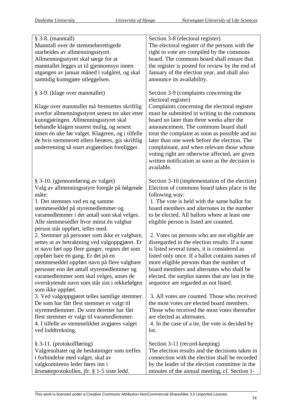| $§$ 3-8. (manntall)                                                                                                                                                                                                                                                                                                                                                                                                                                                                                                                                                                                                                                                              | Section 3-8 (electoral register)                                                                                                                                                                                                                                                                                                                                                                                                                                                                                                                                                                                                                                                                  |
|----------------------------------------------------------------------------------------------------------------------------------------------------------------------------------------------------------------------------------------------------------------------------------------------------------------------------------------------------------------------------------------------------------------------------------------------------------------------------------------------------------------------------------------------------------------------------------------------------------------------------------------------------------------------------------|---------------------------------------------------------------------------------------------------------------------------------------------------------------------------------------------------------------------------------------------------------------------------------------------------------------------------------------------------------------------------------------------------------------------------------------------------------------------------------------------------------------------------------------------------------------------------------------------------------------------------------------------------------------------------------------------------|
| Manntall over de stemmeberettigede                                                                                                                                                                                                                                                                                                                                                                                                                                                                                                                                                                                                                                               | The electoral register of the persons with the                                                                                                                                                                                                                                                                                                                                                                                                                                                                                                                                                                                                                                                    |
| utarbeides av allmenningsstyret.                                                                                                                                                                                                                                                                                                                                                                                                                                                                                                                                                                                                                                                 | right to vote are compiled by the commons                                                                                                                                                                                                                                                                                                                                                                                                                                                                                                                                                                                                                                                         |
| Allmenningsstyret skal sørge for at                                                                                                                                                                                                                                                                                                                                                                                                                                                                                                                                                                                                                                              | board. The commons board shall ensure that                                                                                                                                                                                                                                                                                                                                                                                                                                                                                                                                                                                                                                                        |
| manntallet legges ut til gjennomsyn innen                                                                                                                                                                                                                                                                                                                                                                                                                                                                                                                                                                                                                                        | the register is posted for review by the end of                                                                                                                                                                                                                                                                                                                                                                                                                                                                                                                                                                                                                                                   |
| utgangen av januar måned i valgåret, og skal                                                                                                                                                                                                                                                                                                                                                                                                                                                                                                                                                                                                                                     | January of the election year, and shall also                                                                                                                                                                                                                                                                                                                                                                                                                                                                                                                                                                                                                                                      |
| samtidig kunngjøre utleggelsen.                                                                                                                                                                                                                                                                                                                                                                                                                                                                                                                                                                                                                                                  | announce its availability.                                                                                                                                                                                                                                                                                                                                                                                                                                                                                                                                                                                                                                                                        |
| § 3-9. (klage over manntallet)<br>Klage over manntallet må fremsettes skriftlig<br>overfor allmenningsstyret senest tre uker etter<br>kunngjøringen. Allmenningsstyret skal<br>behandle klagen snarest mulig, og senest<br>innen én uke før valget. Klageren, og i tilfelle<br>de hvis stemmerett ellers berøres, gis skriftlig<br>underretning så snart avgjørelsen foreligger.                                                                                                                                                                                                                                                                                                 | Section 3-9 (complaints concerning the<br>electoral register)<br>Complaints concerning the electoral register<br>must be submitted in writing to the commons<br>board no later than three weeks after the<br>announcement. The commons board shall<br>treat the complaint as soon as possible and no<br>later than one week before the election. The<br>complainant, and when relevant those whose<br>voting right are otherwise affected, are given<br>written notification as soon as the decision is<br>available.                                                                                                                                                                             |
| § 3-10. (gjennomføring av valget)<br>Valg av allmenningsstyre foregår på følgende<br>måte:<br>1. Det stemmes ved en og samme<br>stemmeseddel på styremedlemmer og<br>varamedlemmer i det antall som skal velges.<br>Alle stemmesedler hvor minst én valgbar<br>person står oppført, telles med.<br>2. Stemmer på personer som ikke er valgbare,<br>settes ut av betraktning ved valgoppgjøret. Er<br>et navn ført opp flere ganger, regnes det som<br>oppført bare én gang. Er det på en<br>stemmeseddel oppført navn på flere valgbare<br>personer enn det antall styremedlemmer og<br>varamedlemmer som skal velges, anses de<br>overskytende navn som står sist i rekkefølgen | Section 3-10 (implementation of the election)<br>Election of commons board takes place in the<br>following way:<br>1. The vote is held with the same ballot for<br>board members and alternates in the number<br>to be elected. All ballots where at least one<br>eligible person is listed are counted.<br>2. Votes on persons who are not eligible are<br>disregarded in the election results. If a name<br>is listed several times, it is considered as<br>listed only once. If a ballot contains names of<br>more eligible persons than the number of<br>board members and alternates who shall be<br>elected, the surplus names that are last in the<br>sequence are regarded as not listed. |
| som ikke oppført.<br>3. Ved valgoppgjøret telles samtlige stemmer.<br>De som har fått flest stemmer er valgt til<br>styremedlemmer. De som deretter har fått<br>flest stemmer er valgt til varamedlemmer.<br>4. I tilfelle av stemmelikhet avgjøres valget<br>ved loddtrekning.                                                                                                                                                                                                                                                                                                                                                                                                  | 3. All votes are counted. Those who received<br>the most votes are elected board members.<br>Those who received the most votes thereafter<br>are elected as alternates.<br>4. In the case of a tie, the vote is decided by<br>lot.                                                                                                                                                                                                                                                                                                                                                                                                                                                                |
| § 3-11. (protokollføring)<br>Valgresultatet og de beslutninger som treffes<br>i forbindelse med valget, skal av<br>valgkomiteens leder føres inn i<br>årsmøteprotokollen, jfr. § 1-5 siste ledd.                                                                                                                                                                                                                                                                                                                                                                                                                                                                                 | Section 3-11 (record-keeping)<br>The election results and the decisions taken in<br>connection with the election shall be recorded<br>by the leader of the election committee in the<br>minutes of the annual meeting, cf. Section 1-                                                                                                                                                                                                                                                                                                                                                                                                                                                             |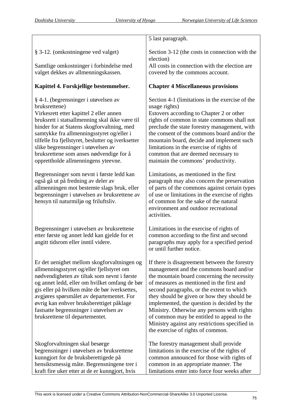|                                                                                                                                                                                                                                                                                                                                                                                                                             | 5 last paragraph.                                                                                                                                                                                                                                                                                                                                                                                                                                                                                                  |
|-----------------------------------------------------------------------------------------------------------------------------------------------------------------------------------------------------------------------------------------------------------------------------------------------------------------------------------------------------------------------------------------------------------------------------|--------------------------------------------------------------------------------------------------------------------------------------------------------------------------------------------------------------------------------------------------------------------------------------------------------------------------------------------------------------------------------------------------------------------------------------------------------------------------------------------------------------------|
| § 3-12. (omkostningene ved valget)                                                                                                                                                                                                                                                                                                                                                                                          | Section 3-12 (the costs in connection with the<br>election)                                                                                                                                                                                                                                                                                                                                                                                                                                                        |
| Samtlige omkostninger i forbindelse med<br>valget dekkes av allmenningskassen.                                                                                                                                                                                                                                                                                                                                              | All costs in connection with the election are<br>covered by the commons account.                                                                                                                                                                                                                                                                                                                                                                                                                                   |
| Kapittel 4. Forskjellige bestemmelser.                                                                                                                                                                                                                                                                                                                                                                                      | <b>Chapter 4 Miscellaneous provisions</b>                                                                                                                                                                                                                                                                                                                                                                                                                                                                          |
| § 4-1. (begrensninger i utøvelsen av<br>bruksrettene)<br>Virkesrett etter kapittel 2 eller annen<br>bruksrett i statsallmenning skal ikke være til<br>hinder for at Statens skogforvaltning, med<br>samtykke fra allmenningsstyret og/eller i<br>tilfelle fra fjellstyret, beslutter og iverksetter<br>slike begrensninger i utøvelsen av<br>bruksrettene som anses nødvendige for å<br>opprettholde allmenningens yteevne. | Section 4-1 (limitations in the exercise of the<br>usage rights)<br>Estovers according to Chapter 2 or other<br>rights of common in state commons shall not<br>preclude the state forestry management, with<br>the consent of the commons board and/or the<br>mountain board, decide and implement such<br>limitations in the exercise of rights of<br>common that are deemed necessary to<br>maintain the commons' productivity.                                                                                  |
| Begrensninger som nevnt i første ledd kan<br>også gå ut på fredning av deler av<br>allmenningen mot bestemte slags bruk, eller<br>begrensninger i utøvelsen av bruksrettene av<br>hensyn til naturmiljø og friluftsliv.                                                                                                                                                                                                     | Limitations, as mentioned in the first<br>paragraph may also concern the preservation<br>of parts of the commons against certain types<br>of use or limitations in the exercise of rights<br>of common for the sake of the natural<br>environment and outdoor recreational<br>activities.                                                                                                                                                                                                                          |
| Begrensninger i utøvelsen av bruksrettene<br>etter første og annet ledd kan gjelde for et<br>angitt tidsrom eller inntil videre.                                                                                                                                                                                                                                                                                            | Limitations in the exercise of rights of<br>common according to the first and second<br>paragraphs may apply for a specified period<br>or until further notice.                                                                                                                                                                                                                                                                                                                                                    |
| Er det uenighet mellom skogforvaltningen og<br>allmenningsstyret og/eller fjellstyret om<br>nødvendigheten av tiltak som nevnt i første<br>og annet ledd, eller om hvilket omfang de bør<br>gis eller på hvilken måte de bør iverksettes,<br>avgjøres spørsmålet av departementet. For<br>øvrig kan enhver bruksberettiget påklage<br>fastsatte begrensninger i utøvelsen av<br>bruksrettene til departementet.             | If there is disagreement between the forestry<br>management and the commons board and/or<br>the mountain board concerning the necessity<br>of measures as mentioned in the first and<br>second paragraphs, or the extent to which<br>they should be given or how they should be<br>implemented, the question is decided by the<br>Ministry. Otherwise any persons with rights<br>of common may be entitled to appeal to the<br>Ministry against any restrictions specified in<br>the exercise of rights of common. |
| Skogforvaltningen skal besørge<br>begrensninger i utøvelsen av bruksrettene<br>kunngjort for de bruksberettigede på<br>hensiktsmessig måte. Begrensningene trer i<br>kraft fire uker etter at de er kunngjort, hvis                                                                                                                                                                                                         | The forestry management shall provide<br>limitations in the exercise of the rights of<br>common announced for those with rights of<br>common in an appropriate manner. The<br>limitations enter into force four weeks after                                                                                                                                                                                                                                                                                        |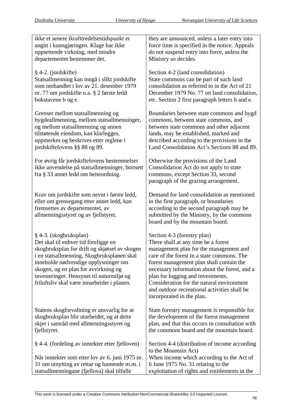| ikke et senere ikrafttredelsestidspunkt er                                                                                                                                                                                                                                                                                                | they are announced, unless a later entry into                                                                                                                                                                                                                                                                                                                                                                          |
|-------------------------------------------------------------------------------------------------------------------------------------------------------------------------------------------------------------------------------------------------------------------------------------------------------------------------------------------|------------------------------------------------------------------------------------------------------------------------------------------------------------------------------------------------------------------------------------------------------------------------------------------------------------------------------------------------------------------------------------------------------------------------|
| angitt i kunngjøringen. Klage har ikke                                                                                                                                                                                                                                                                                                    | force time is specified in the notice. Appeals                                                                                                                                                                                                                                                                                                                                                                         |
| oppsettende virkning, med mindre                                                                                                                                                                                                                                                                                                          | do not suspend entry into force, unless the                                                                                                                                                                                                                                                                                                                                                                            |
| departementet bestemmer det.                                                                                                                                                                                                                                                                                                              | Ministry so decides.                                                                                                                                                                                                                                                                                                                                                                                                   |
| $§$ 4-2. (jordskifte)                                                                                                                                                                                                                                                                                                                     | Section 4-2 (land consolidation)                                                                                                                                                                                                                                                                                                                                                                                       |
| Statsallmenning kan inngå i slikt jordskifte                                                                                                                                                                                                                                                                                              | State commons can be part of such land                                                                                                                                                                                                                                                                                                                                                                                 |
| som omhandlet i lov av 21. desember 1979                                                                                                                                                                                                                                                                                                  | consolidation as referred to in the Act of 21                                                                                                                                                                                                                                                                                                                                                                          |
| nr. 77 om jordskifte o.a. § 2 første ledd                                                                                                                                                                                                                                                                                                 | December 1979 No. 77 on land consolidation,                                                                                                                                                                                                                                                                                                                                                                            |
| bokstavene b og e.                                                                                                                                                                                                                                                                                                                        | etc. Section 2 first paragraph letters b and e.                                                                                                                                                                                                                                                                                                                                                                        |
| Grenser mellom statsallmenning og                                                                                                                                                                                                                                                                                                         | Boundaries between state commons and bygd                                                                                                                                                                                                                                                                                                                                                                              |
| bygdeallmenning, mellom statsallmenninger,                                                                                                                                                                                                                                                                                                | commons, between state commons, and                                                                                                                                                                                                                                                                                                                                                                                    |
| og mellom statsallmenning og annen                                                                                                                                                                                                                                                                                                        | between state commons and other adjacent                                                                                                                                                                                                                                                                                                                                                                               |
| tilstøtende eiendom, kan klarlegges,                                                                                                                                                                                                                                                                                                      | lands, may be established, marked and                                                                                                                                                                                                                                                                                                                                                                                  |
| oppmerkes og beskrives etter reglene i                                                                                                                                                                                                                                                                                                    | described according to the provisions in the                                                                                                                                                                                                                                                                                                                                                                           |
| jordskiftelovens §§ 88 og 89.                                                                                                                                                                                                                                                                                                             | Land Consolidation Act's Sections 88 and 89.                                                                                                                                                                                                                                                                                                                                                                           |
| For øvrig får jordskiftelovens bestemmelser<br>ikke anvendelse på statsallmenninger, bortsett<br>fra § 33 annet ledd om beiteordning.                                                                                                                                                                                                     | Otherwise the provisions of the Land<br>Consolidation Act do not apply to state<br>commons, except Section 33, second<br>paragraph of the grazing arrangement.                                                                                                                                                                                                                                                         |
| Krav om jordskifte som nevnt i første ledd,<br>eller om grensegang etter annet ledd, kan<br>fremsettes av departementet, av<br>allmenningsstyret og av fjellstyret.                                                                                                                                                                       | Demand for land consolidation as mentioned<br>in the first paragraph, or boundaries<br>according to the second paragraph may be<br>submitted by the Ministry, by the commons<br>board and by the mountain board.                                                                                                                                                                                                       |
| § 4-3. (skogbruksplan)<br>Det skal til enhver tid foreligge en<br>skogbruksplan for drift og skjøtsel av skogen<br>i en statsallmenning. Skogbruksplanen skal<br>inneholde nødvendige opplysninger om<br>skogen, og en plan for avvirkning og<br>investeringer. Hensynet til naturmiljø og<br>friluftsliv skal være innarbeidet i planen. | Section 4-3 (forestry plan)<br>There shall at any time be a forest<br>management plan for the management and<br>care of the forest in a state commons. The<br>forest management plan shall contain the<br>necessary information about the forest, and a<br>plan for logging and investments.<br>Consideration for the natural environment<br>and outdoor recreational activities shall be<br>incorporated in the plan. |
| Statens skogforvaltning er ansvarlig for at                                                                                                                                                                                                                                                                                               | State forestry management is responsible for                                                                                                                                                                                                                                                                                                                                                                           |
| skogbruksplan blir utarbeidet, og at dette                                                                                                                                                                                                                                                                                                | the development of the forest management                                                                                                                                                                                                                                                                                                                                                                               |
| skjer i samråd med allmenningsstyret og                                                                                                                                                                                                                                                                                                   | plan, and that this occurs in consultation with                                                                                                                                                                                                                                                                                                                                                                        |
| fjellstyret.                                                                                                                                                                                                                                                                                                                              | the commons board and the mountain board.                                                                                                                                                                                                                                                                                                                                                                              |
| § 4-4. (fordeling av inntekter etter fjelloven)                                                                                                                                                                                                                                                                                           | Section 4-4 (distribution of income according<br>to the Mountain Act)                                                                                                                                                                                                                                                                                                                                                  |
| Når inntekter som etter lov av 6. juni 1975 nr.                                                                                                                                                                                                                                                                                           | When income which according to the Act of                                                                                                                                                                                                                                                                                                                                                                              |
| 31 om utnytting av rettar og lunnende m.m. i                                                                                                                                                                                                                                                                                              | 6 June 1975 No. 31 relating to the                                                                                                                                                                                                                                                                                                                                                                                     |
| statsallmenningane (fjellova) skal tilfalle                                                                                                                                                                                                                                                                                               | exploitation of rights and entitlements in the                                                                                                                                                                                                                                                                                                                                                                         |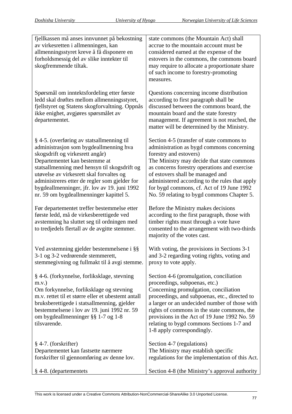| fjellkassen må anses innvunnet på bekostning<br>av virkesretten i allmenningen, kan<br>allmenningsstyret kreve å få disponere en<br>forholdsmessig del av slike inntekter til<br>skogfremmende tiltak.                                                                                                                                                                                          | state commons (the Mountain Act) shall<br>accrue to the mountain account must be<br>considered earned at the expense of the<br>estovers in the commons, the commons board<br>may require to allocate a proportionate share<br>of such income to forestry-promoting<br>measures.                                                                                                                 |
|-------------------------------------------------------------------------------------------------------------------------------------------------------------------------------------------------------------------------------------------------------------------------------------------------------------------------------------------------------------------------------------------------|-------------------------------------------------------------------------------------------------------------------------------------------------------------------------------------------------------------------------------------------------------------------------------------------------------------------------------------------------------------------------------------------------|
| Spørsmål om inntektsfordeling etter første<br>ledd skal drøftes mellom allmenningsstyret,<br>fjellstyret og Statens skogforvaltning. Oppnås<br>ikke enighet, avgjøres spørsmålet av<br>departementet.                                                                                                                                                                                           | Questions concerning income distribution<br>according to first paragraph shall be<br>discussed between the commons board, the<br>mountain board and the state forestry<br>management. If agreement is not reached, the<br>matter will be determined by the Ministry.                                                                                                                            |
| § 4-5. (overføring av statsallmenning til<br>administrasjon som bygdeallmenning hva<br>skogsdrift og virkesrett angår)<br>Departementet kan bestemme at<br>statsallmenning med hensyn til skogsdrift og<br>utøvelse av virkesrett skal forvaltes og<br>administreres etter de regler som gjelder for<br>bygdeallmenninger, jfr. lov av 19. juni 1992<br>nr. 59 om bygdeallmenninger kapittel 5. | Section 4-5 (transfer of state commons to<br>administration as bygd commons concerning<br>forestry and estovers)<br>The Ministry may decide that state commons<br>as concerns forestry operations and exercise<br>of estovers shall be managed and<br>administered according to the rules that apply<br>for bygd commons, cf. Act of 19 June 1992<br>No. 59 relating to bygd commons Chapter 5. |
| Før departementet treffer bestemmelse etter<br>første ledd, må de virkesberettigede ved<br>avstemning ha sluttet seg til ordningen med<br>to tredjedels flertall av de avgitte stemmer.                                                                                                                                                                                                         | Before the Ministry makes decisions<br>according to the first paragraph, those with<br>timber rights must through a vote have<br>consented to the arrangement with two-thirds<br>majority of the votes cast.                                                                                                                                                                                    |
| Ved avstemning gjelder bestemmelsene i §§<br>3-1 og 3-2 vedrørende stemmerett,<br>stemmegivning og fullmakt til å avgi stemme.                                                                                                                                                                                                                                                                  | With voting, the provisions in Sections 3-1<br>and 3-2 regarding voting rights, voting and<br>proxy to vote apply.                                                                                                                                                                                                                                                                              |
| § 4-6. (forkynnelse, forliksklage, stevning<br>$m.v.$ )<br>Om forkynnelse, forliksklage og stevning<br>m.v. rettet til et større eller et ubestemt antall<br>bruksberettigede i statsallmenning, gjelder<br>bestemmelsene i lov av 19. juni 1992 nr. 59<br>om bygdeallmenninger §§ 1-7 og 1-8<br>tilsvarende.                                                                                   | Section 4-6 (promulgation, conciliation<br>proceedings, subpoenas, etc.)<br>Concerning promulgation, conciliation<br>proceedings, and subpoenas, etc., directed to<br>a larger or an undecided number of those with<br>rights of commons in the state commons, the<br>provisions in the Act of 19 June 1992 No. 59<br>relating to bygd commons Sections 1-7 and<br>1-8 apply correspondingly.   |
| $§$ 4-7. (forskrifter)<br>Departementet kan fastsette nærmere<br>forskrifter til gjennomføring av denne lov.                                                                                                                                                                                                                                                                                    | Section 4-7 (regulations)<br>The Ministry may establish specific<br>regulations for the implementation of this Act.                                                                                                                                                                                                                                                                             |
| § 4-8. (departementets                                                                                                                                                                                                                                                                                                                                                                          | Section 4-8 (the Ministry's approval authority                                                                                                                                                                                                                                                                                                                                                  |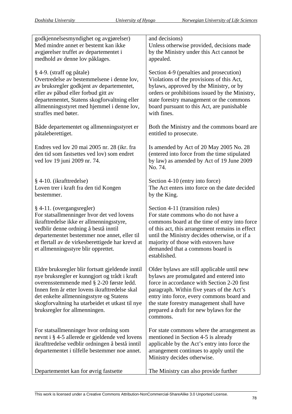| godkjennelsesmyndighet og avgjørelser)<br>Med mindre annet er bestemt kan ikke<br>avgjørelser truffet av departementet i<br>medhold av denne lov påklages.                                                                                                                                                                    | and decisions)<br>Unless otherwise provided, decisions made<br>by the Ministry under this Act cannot be<br>appealed.                                                                                                                                                                                                                |
|-------------------------------------------------------------------------------------------------------------------------------------------------------------------------------------------------------------------------------------------------------------------------------------------------------------------------------|-------------------------------------------------------------------------------------------------------------------------------------------------------------------------------------------------------------------------------------------------------------------------------------------------------------------------------------|
| § 4-9. (straff og påtale)<br>Overtredelse av bestemmelsene i denne lov,<br>av bruksregler godkjent av departementet,<br>eller av påbud eller forbud gitt av<br>departementet, Statens skogforvaltning eller<br>allmenningsstyret med hjemmel i denne lov,<br>straffes med bøter.                                              | Section 4-9 (penalties and prosecution)<br>Violations of the provisions of this Act,<br>bylaws, approved by the Ministry, or by<br>orders or prohibitions issued by the Ministry,<br>state forestry management or the commons<br>board pursuant to this Act, are punishable<br>with fines.                                          |
| Både departementet og allmenningsstyret er<br>påtaleberettiget.                                                                                                                                                                                                                                                               | Both the Ministry and the commons board are<br>entitled to prosecute.                                                                                                                                                                                                                                                               |
| Endres ved lov 20 mai 2005 nr. 28 (ikr. fra<br>den tid som fastsettes ved lov) som endret<br>ved lov 19 juni 2009 nr. 74.                                                                                                                                                                                                     | Is amended by Act of 20 May 2005 No. 28<br>(entered into force from the time stipulated<br>by law) as amended by Act of 19 June 2009<br>No. 74.                                                                                                                                                                                     |
| § 4-10. (ikrafttredelse)<br>Loven trer i kraft fra den tid Kongen<br>bestemmer.                                                                                                                                                                                                                                               | Section 4-10 (entry into force)<br>The Act enters into force on the date decided<br>by the King.                                                                                                                                                                                                                                    |
| § 4-11. (overgangsregler)<br>For statsallmenninger hvor det ved lovens<br>ikrafttredelse ikke er allmenningsstyre,<br>vedblir denne ordning å bestå inntil<br>departementet bestemmer noe annet, eller til<br>et flertall av de virkesberettigede har krevd at<br>et allmenningsstyre blir opprettet.                         | Section 4-11 (transition rules)<br>For state commons who do not have a<br>commons board at the time of entry into force<br>of this act, this arrangement remains in effect<br>until the Ministry decides otherwise, or if a<br>majority of those with estovers have<br>demanded that a commons board is<br>established.             |
| Eldre bruksregler blir fortsatt gjeldende inntil<br>nye bruksregler er kunngjort og trådt i kraft<br>overensstemmende med § 2-20 første ledd.<br>Innen fem år etter lovens ikrafttredelse skal<br>det enkelte allmenningsstyre og Statens<br>skogforvaltning ha utarbeidet et utkast til nye<br>bruksregler for allmenningen. | Older by laws are still applicable until new<br>bylaws are promulgated and entered into<br>force in accordance with Section 2-20 first<br>paragraph. Within five years of the Act's<br>entry into force, every commons board and<br>the state forestry management shall have<br>prepared a draft for new bylaws for the<br>commons. |
| For statsallmenninger hvor ordning som<br>nevnt i § 4-5 allerede er gjeldende ved lovens<br>ikrafttredelse vedblir ordningen å bestå inntil<br>departementet i tilfelle bestemmer noe annet.                                                                                                                                  | For state commons where the arrangement as<br>mentioned in Section 4-5 is already<br>applicable by the Act's entry into force the<br>arrangement continues to apply until the<br>Ministry decides otherwise.                                                                                                                        |
| Departementet kan for øvrig fastsette                                                                                                                                                                                                                                                                                         | The Ministry can also provide further                                                                                                                                                                                                                                                                                               |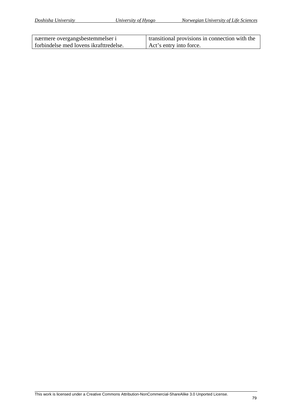| nærmere overgangsbestemmelser i        | transitional provisions in connection with the |
|----------------------------------------|------------------------------------------------|
| forbindelse med lovens ikrafttredelse. | Act's entry into force.                        |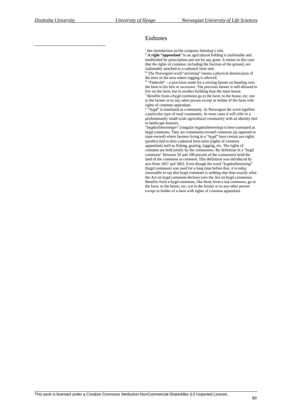## Endnotes

<u>in de la componenta de la componenta de la componenta de la componenta de la componenta de la componenta de la</u><br>Estado de la componenta de la componenta de la componenta de la componenta de la componenta de la componenta

<sup>i</sup> See introduction on the company *Statskog*'s role.<br><sup>ii</sup> **A right "appendant**" to an agricultural holding is inalienable and established by prescription and not by any grant. It means in this case that the rights of common, including the fraction of the ground, are inalienably attached to a cadastral farm unit.

iii The Norwegian word "*utvisning*" means a physical demarcation of the trees or the area where logging is allowed.

iv "*Føderåd*" – a provision made for a retiring farmer on handing over the farm to his heir or successor. The previous farmer is still allowed to live on the farm, but in another building than the main house.

v Benefits from a bygd commons go to the farm, to the house, etc; not to the farmer or to any other person except as holder of the farm with rights of common appendant.

<sup>vi</sup> "*bygd*" is translated as community. In Norwegian the word signifies a particular type of rural community. In most cases it will refer to a predominantly small-scale agricultural community with an identity tied to landscape features.

"*bygdeallmenninger*" (singular *bygdeallmenning*) is here translated as bygd commons. They are community-owned commons (as opposed to state-owned) where farmers living in a "*bygd*" have certain use rights (profits) tied to their cadastral farm units (rights of common appendant) such as fishing, grazing, logging, etc. The rights of common are held jointly by the commoners. By definition in a "bygd commons" between 50 and 100 percent of the commoners hold the land of the commons in common. This definition was introduced by acts from 1857 and 1863. Even though the word "*bygdeallmenning*" (bygd commons) was used for a long time before that, it is today reasonable to say that bygd commons is nothing else than exactly what the Act on bygd commons declares (see the Act on bygd commons). Benefits from a bygd commons, like those from a stat commons, go to the farm, to the house, etc; not to the farmer or to any other person except as holder of a farm with rights of common appendant.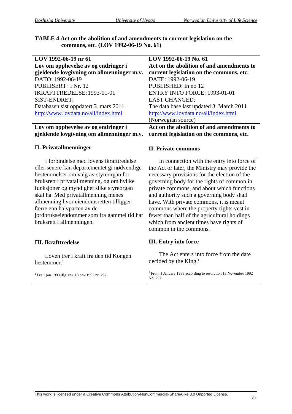## **TABLE 4 Act on the abolition of and amendments to current legislation on the commons, etc. (LOV 1992-06-19 No. 61)**

| LOV 1992-06-19 nr 61                                                                                                                                                                                                                                                                                                                                                                                                    | LOV 1992-06-19 No. 61                                                                                                                                                                                                                                                                                                                                                                                                                                                                              |
|-------------------------------------------------------------------------------------------------------------------------------------------------------------------------------------------------------------------------------------------------------------------------------------------------------------------------------------------------------------------------------------------------------------------------|----------------------------------------------------------------------------------------------------------------------------------------------------------------------------------------------------------------------------------------------------------------------------------------------------------------------------------------------------------------------------------------------------------------------------------------------------------------------------------------------------|
| Lov om opphevelse av og endringer i                                                                                                                                                                                                                                                                                                                                                                                     | Act on the abolition of and amendments to                                                                                                                                                                                                                                                                                                                                                                                                                                                          |
| gjeldende lovgivning om allmenninger m.v.                                                                                                                                                                                                                                                                                                                                                                               | current legislation on the commons, etc.                                                                                                                                                                                                                                                                                                                                                                                                                                                           |
| DATO: 1992-06-19                                                                                                                                                                                                                                                                                                                                                                                                        | DATE: 1992-06-19                                                                                                                                                                                                                                                                                                                                                                                                                                                                                   |
| PUBLISERT: INr. 12                                                                                                                                                                                                                                                                                                                                                                                                      | PUBLISHED: In no 12                                                                                                                                                                                                                                                                                                                                                                                                                                                                                |
| IKRAFTTREDELSE: 1993-01-01                                                                                                                                                                                                                                                                                                                                                                                              | <b>ENTRY INTO FORCE: 1993-01-01</b>                                                                                                                                                                                                                                                                                                                                                                                                                                                                |
| <b>SIST-ENDRET:</b>                                                                                                                                                                                                                                                                                                                                                                                                     | <b>LAST CHANGED:</b>                                                                                                                                                                                                                                                                                                                                                                                                                                                                               |
| Databasen sist oppdatert 3. mars 2011                                                                                                                                                                                                                                                                                                                                                                                   | The data base last updated 3. March 2011                                                                                                                                                                                                                                                                                                                                                                                                                                                           |
| http://www.lovdata.no/all/index.html                                                                                                                                                                                                                                                                                                                                                                                    | http://www.lovdata.no/all/index.html                                                                                                                                                                                                                                                                                                                                                                                                                                                               |
|                                                                                                                                                                                                                                                                                                                                                                                                                         | (Norwegian source)                                                                                                                                                                                                                                                                                                                                                                                                                                                                                 |
| Lov om opphevelse av og endringer i                                                                                                                                                                                                                                                                                                                                                                                     | Act on the abolition of and amendments to                                                                                                                                                                                                                                                                                                                                                                                                                                                          |
| gjeldende lovgivning om allmenninger m.v.                                                                                                                                                                                                                                                                                                                                                                               | current legislation on the commons, etc.                                                                                                                                                                                                                                                                                                                                                                                                                                                           |
|                                                                                                                                                                                                                                                                                                                                                                                                                         |                                                                                                                                                                                                                                                                                                                                                                                                                                                                                                    |
| <b>II. Privatallmenninger</b>                                                                                                                                                                                                                                                                                                                                                                                           | <b>II. Private commons</b>                                                                                                                                                                                                                                                                                                                                                                                                                                                                         |
| I forbindelse med lovens ikrafttredelse<br>eller senere kan departementet gi nødvendige<br>bestemmelser om valg av styreorgan for<br>bruksrett i privatallmenning, og om hvilke<br>funksjoner og myndighet slike styreorgan<br>skal ha. Med privatallmenning menes<br>allmenning hvor eiendomsretten tilligger<br>færre enn halvparten av de<br>jordbrukseiendommer som fra gammel tid har<br>bruksrett i allmenningen. | In connection with the entry into force of<br>the Act or later, the Ministry may provide the<br>necessary provisions for the election of the<br>governing body for the rights of common in<br>private commons, and about which functions<br>and authority such a governing body shall<br>have. With private commons, it is meant<br>commons where the property rights vest in<br>fewer than half of the agricultural holdings<br>which from ancient times have rights of<br>common in the commons. |
| <b>III.</b> Ikrafttredelse                                                                                                                                                                                                                                                                                                                                                                                              | <b>III.</b> Entry into force                                                                                                                                                                                                                                                                                                                                                                                                                                                                       |
| Loven trer i kraft fra den tid Kongen<br>bestemmer. $1$                                                                                                                                                                                                                                                                                                                                                                 | The Act enters into force from the date<br>decided by the King. <sup>1</sup>                                                                                                                                                                                                                                                                                                                                                                                                                       |
| <sup>1</sup> Fra 1 jan 1993 iflg. res. 13 nov 1992 nr. 797.                                                                                                                                                                                                                                                                                                                                                             | <sup>1</sup> From 1 January 1993 according to resolution 13 November 1992<br>No. 797.                                                                                                                                                                                                                                                                                                                                                                                                              |